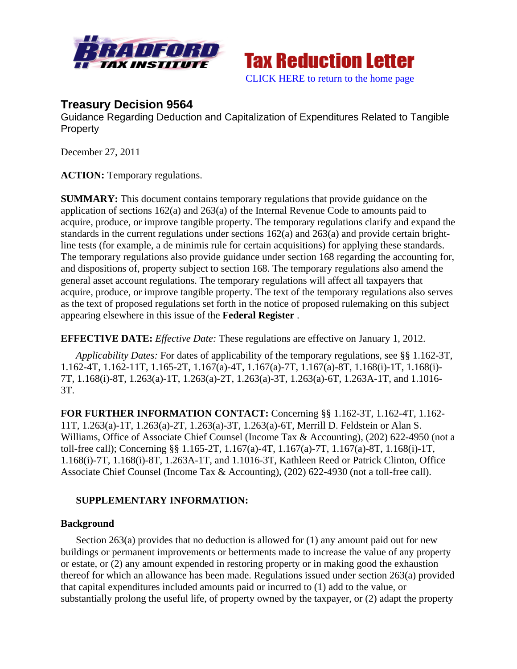



# **Treasury Decision 9564**

Guidance Regarding Deduction and Capitalization of Expenditures Related to Tangible **Property** 

December 27, 2011

**ACTION:** Temporary regulations.

**SUMMARY:** This document contains temporary regulations that provide guidance on the application of sections 162(a) and 263(a) of the Internal Revenue Code to amounts paid to acquire, produce, or improve tangible property. The temporary regulations clarify and expand the standards in the current regulations under sections 162(a) and 263(a) and provide certain brightline tests (for example, a de minimis rule for certain acquisitions) for applying these standards. The temporary regulations also provide guidance under section 168 regarding the accounting for, and dispositions of, property subject to section 168. The temporary regulations also amend the general asset account regulations. The temporary regulations will affect all taxpayers that acquire, produce, or improve tangible property. The text of the temporary regulations also serves as the text of proposed regulations set forth in the notice of proposed rulemaking on this subject appearing elsewhere in this issue of the **Federal Register** .

**EFFECTIVE DATE:** *Effective Date:* These regulations are effective on January 1, 2012.

*Applicability Dates:* For dates of applicability of the temporary regulations, see §§ 1.162-3T, 1.162-4T, 1.162-11T, 1.165-2T, 1.167(a)-4T, 1.167(a)-7T, 1.167(a)-8T, 1.168(i)-1T, 1.168(i)- 7T, 1.168(i)-8T, 1.263(a)-1T, 1.263(a)-2T, 1.263(a)-3T, 1.263(a)-6T, 1.263A-1T, and 1.1016- 3T.

**FOR FURTHER INFORMATION CONTACT:** Concerning §§ 1.162-3T, 1.162-4T, 1.162- 11T, 1.263(a)-1T, 1.263(a)-2T, 1.263(a)-3T, 1.263(a)-6T, Merrill D. Feldstein or Alan S. Williams, Office of Associate Chief Counsel (Income Tax & Accounting), (202) 622-4950 (not a toll-free call); Concerning §§ 1.165-2T, 1.167(a)-4T, 1.167(a)-7T, 1.167(a)-8T, 1.168(i)-1T, 1.168(i)-7T, 1.168(i)-8T, 1.263A-1T, and 1.1016-3T, Kathleen Reed or Patrick Clinton, Office Associate Chief Counsel (Income Tax & Accounting), (202) 622-4930 (not a toll-free call).

# **SUPPLEMENTARY INFORMATION:**

# **Background**

Section 263(a) provides that no deduction is allowed for (1) any amount paid out for new buildings or permanent improvements or betterments made to increase the value of any property or estate, or (2) any amount expended in restoring property or in making good the exhaustion thereof for which an allowance has been made. Regulations issued under section 263(a) provided that capital expenditures included amounts paid or incurred to (1) add to the value, or substantially prolong the useful life, of property owned by the taxpayer, or (2) adapt the property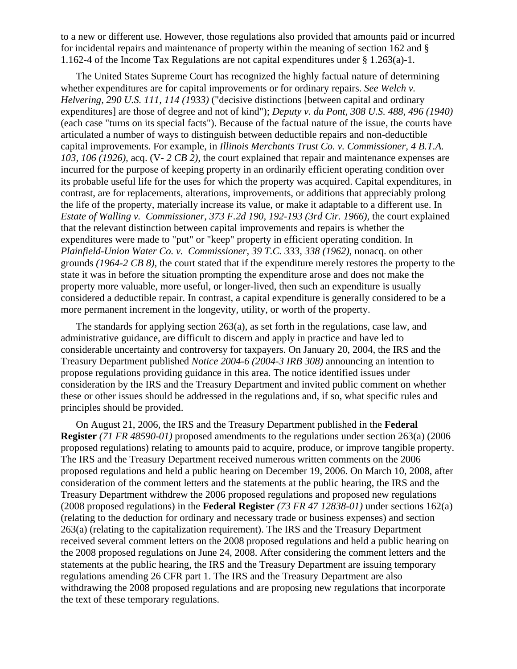to a new or different use. However, those regulations also provided that amounts paid or incurred for incidental repairs and maintenance of property within the meaning of section 162 and § 1.162-4 of the Income Tax Regulations are not capital expenditures under § 1.263(a)-1.

The United States Supreme Court has recognized the highly factual nature of determining whether expenditures are for capital improvements or for ordinary repairs. *See Welch v. Helvering, 290 U.S. 111, 114 (1933)* ("decisive distinctions [between capital and ordinary expenditures] are those of degree and not of kind"); *Deputy v. du Pont, 308 U.S. 488, 496 (1940)* (each case "turns on its special facts"). Because of the factual nature of the issue, the courts have articulated a number of ways to distinguish between deductible repairs and non-deductible capital improvements. For example, in *Illinois Merchants Trust Co. v. Commissioner, 4 B.T.A. 103, 106 (1926),* acq. (V- *2 CB 2),* the court explained that repair and maintenance expenses are incurred for the purpose of keeping property in an ordinarily efficient operating condition over its probable useful life for the uses for which the property was acquired. Capital expenditures, in contrast, are for replacements, alterations, improvements, or additions that appreciably prolong the life of the property, materially increase its value, or make it adaptable to a different use. In *Estate of Walling v. Commissioner, 373 F.2d 190, 192-193 (3rd Cir. 1966),* the court explained that the relevant distinction between capital improvements and repairs is whether the expenditures were made to "put" or "keep" property in efficient operating condition. In *Plainfield-Union Water Co. v. Commissioner, 39 T.C. 333, 338 (1962),* nonacq. on other grounds *(1964-2 CB 8),* the court stated that if the expenditure merely restores the property to the state it was in before the situation prompting the expenditure arose and does not make the property more valuable, more useful, or longer-lived, then such an expenditure is usually considered a deductible repair. In contrast, a capital expenditure is generally considered to be a more permanent increment in the longevity, utility, or worth of the property.

The standards for applying section 263(a), as set forth in the regulations, case law, and administrative guidance, are difficult to discern and apply in practice and have led to considerable uncertainty and controversy for taxpayers. On January 20, 2004, the IRS and the Treasury Department published *Notice 2004-6 (2004-3 IRB 308)* announcing an intention to propose regulations providing guidance in this area. The notice identified issues under consideration by the IRS and the Treasury Department and invited public comment on whether these or other issues should be addressed in the regulations and, if so, what specific rules and principles should be provided.

On August 21, 2006, the IRS and the Treasury Department published in the **Federal Register** *(71 FR 48590-01)* proposed amendments to the regulations under section 263(a) (2006 proposed regulations) relating to amounts paid to acquire, produce, or improve tangible property. The IRS and the Treasury Department received numerous written comments on the 2006 proposed regulations and held a public hearing on December 19, 2006. On March 10, 2008, after consideration of the comment letters and the statements at the public hearing, the IRS and the Treasury Department withdrew the 2006 proposed regulations and proposed new regulations (2008 proposed regulations) in the **Federal Register** *(73 FR 47 12838-01)* under sections 162(a) (relating to the deduction for ordinary and necessary trade or business expenses) and section 263(a) (relating to the capitalization requirement). The IRS and the Treasury Department received several comment letters on the 2008 proposed regulations and held a public hearing on the 2008 proposed regulations on June 24, 2008. After considering the comment letters and the statements at the public hearing, the IRS and the Treasury Department are issuing temporary regulations amending 26 CFR part 1. The IRS and the Treasury Department are also withdrawing the 2008 proposed regulations and are proposing new regulations that incorporate the text of these temporary regulations.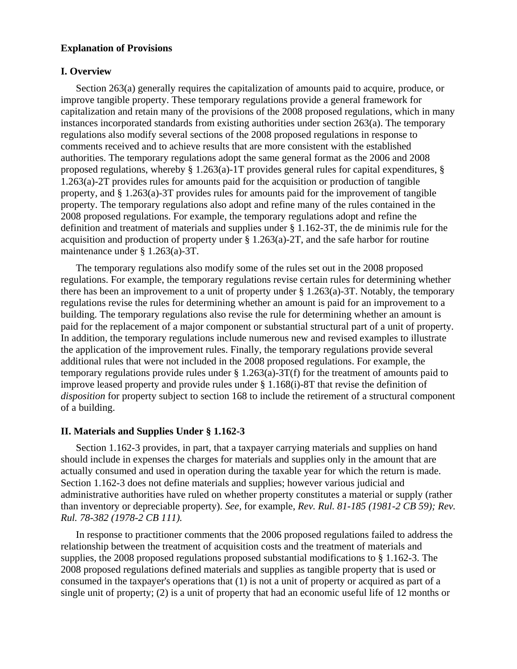## **Explanation of Provisions**

### **I. Overview**

Section 263(a) generally requires the capitalization of amounts paid to acquire, produce, or improve tangible property. These temporary regulations provide a general framework for capitalization and retain many of the provisions of the 2008 proposed regulations, which in many instances incorporated standards from existing authorities under section 263(a). The temporary regulations also modify several sections of the 2008 proposed regulations in response to comments received and to achieve results that are more consistent with the established authorities. The temporary regulations adopt the same general format as the 2006 and 2008 proposed regulations, whereby § 1.263(a)-1T provides general rules for capital expenditures, § 1.263(a)-2T provides rules for amounts paid for the acquisition or production of tangible property, and  $\S 1.263(a)$ -3T provides rules for amounts paid for the improvement of tangible property. The temporary regulations also adopt and refine many of the rules contained in the 2008 proposed regulations. For example, the temporary regulations adopt and refine the definition and treatment of materials and supplies under § 1.162-3T, the de minimis rule for the acquisition and production of property under § 1.263(a)-2T, and the safe harbor for routine maintenance under § 1.263(a)-3T.

The temporary regulations also modify some of the rules set out in the 2008 proposed regulations. For example, the temporary regulations revise certain rules for determining whether there has been an improvement to a unit of property under § 1.263(a)-3T. Notably, the temporary regulations revise the rules for determining whether an amount is paid for an improvement to a building. The temporary regulations also revise the rule for determining whether an amount is paid for the replacement of a major component or substantial structural part of a unit of property. In addition, the temporary regulations include numerous new and revised examples to illustrate the application of the improvement rules. Finally, the temporary regulations provide several additional rules that were not included in the 2008 proposed regulations. For example, the temporary regulations provide rules under § 1.263(a)-3T(f) for the treatment of amounts paid to improve leased property and provide rules under § 1.168(i)-8T that revise the definition of *disposition* for property subject to section 168 to include the retirement of a structural component of a building.

#### **II. Materials and Supplies Under § 1.162-3**

Section 1.162-3 provides, in part, that a taxpayer carrying materials and supplies on hand should include in expenses the charges for materials and supplies only in the amount that are actually consumed and used in operation during the taxable year for which the return is made. Section 1.162-3 does not define materials and supplies; however various judicial and administrative authorities have ruled on whether property constitutes a material or supply (rather than inventory or depreciable property). *See,* for example, *Rev. Rul. 81-185 (1981-2 CB 59); Rev. Rul. 78-382 (1978-2 CB 111).*

In response to practitioner comments that the 2006 proposed regulations failed to address the relationship between the treatment of acquisition costs and the treatment of materials and supplies, the 2008 proposed regulations proposed substantial modifications to § 1.162-3. The 2008 proposed regulations defined materials and supplies as tangible property that is used or consumed in the taxpayer's operations that (1) is not a unit of property or acquired as part of a single unit of property; (2) is a unit of property that had an economic useful life of 12 months or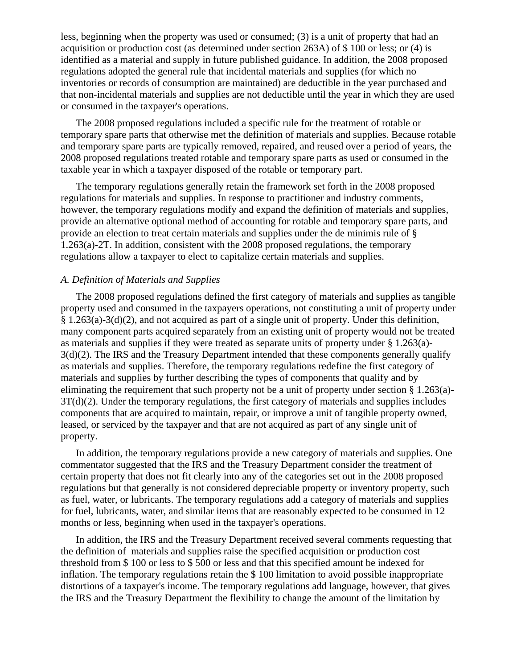less, beginning when the property was used or consumed; (3) is a unit of property that had an acquisition or production cost (as determined under section 263A) of \$ 100 or less; or (4) is identified as a material and supply in future published guidance. In addition, the 2008 proposed regulations adopted the general rule that incidental materials and supplies (for which no inventories or records of consumption are maintained) are deductible in the year purchased and that non-incidental materials and supplies are not deductible until the year in which they are used or consumed in the taxpayer's operations.

The 2008 proposed regulations included a specific rule for the treatment of rotable or temporary spare parts that otherwise met the definition of materials and supplies. Because rotable and temporary spare parts are typically removed, repaired, and reused over a period of years, the 2008 proposed regulations treated rotable and temporary spare parts as used or consumed in the taxable year in which a taxpayer disposed of the rotable or temporary part.

The temporary regulations generally retain the framework set forth in the 2008 proposed regulations for materials and supplies. In response to practitioner and industry comments, however, the temporary regulations modify and expand the definition of materials and supplies, provide an alternative optional method of accounting for rotable and temporary spare parts, and provide an election to treat certain materials and supplies under the de minimis rule of § 1.263(a)-2T. In addition, consistent with the 2008 proposed regulations, the temporary regulations allow a taxpayer to elect to capitalize certain materials and supplies.

# *A. Definition of Materials and Supplies*

The 2008 proposed regulations defined the first category of materials and supplies as tangible property used and consumed in the taxpayers operations, not constituting a unit of property under § 1.263(a)-3(d)(2), and not acquired as part of a single unit of property. Under this definition, many component parts acquired separately from an existing unit of property would not be treated as materials and supplies if they were treated as separate units of property under § 1.263(a)- 3(d)(2). The IRS and the Treasury Department intended that these components generally qualify as materials and supplies. Therefore, the temporary regulations redefine the first category of materials and supplies by further describing the types of components that qualify and by eliminating the requirement that such property not be a unit of property under section  $\S 1.263(a)$ -3T(d)(2). Under the temporary regulations, the first category of materials and supplies includes components that are acquired to maintain, repair, or improve a unit of tangible property owned, leased, or serviced by the taxpayer and that are not acquired as part of any single unit of property.

In addition, the temporary regulations provide a new category of materials and supplies. One commentator suggested that the IRS and the Treasury Department consider the treatment of certain property that does not fit clearly into any of the categories set out in the 2008 proposed regulations but that generally is not considered depreciable property or inventory property, such as fuel, water, or lubricants. The temporary regulations add a category of materials and supplies for fuel, lubricants, water, and similar items that are reasonably expected to be consumed in 12 months or less, beginning when used in the taxpayer's operations.

In addition, the IRS and the Treasury Department received several comments requesting that the definition of materials and supplies raise the specified acquisition or production cost threshold from \$ 100 or less to \$ 500 or less and that this specified amount be indexed for inflation. The temporary regulations retain the \$ 100 limitation to avoid possible inappropriate distortions of a taxpayer's income. The temporary regulations add language, however, that gives the IRS and the Treasury Department the flexibility to change the amount of the limitation by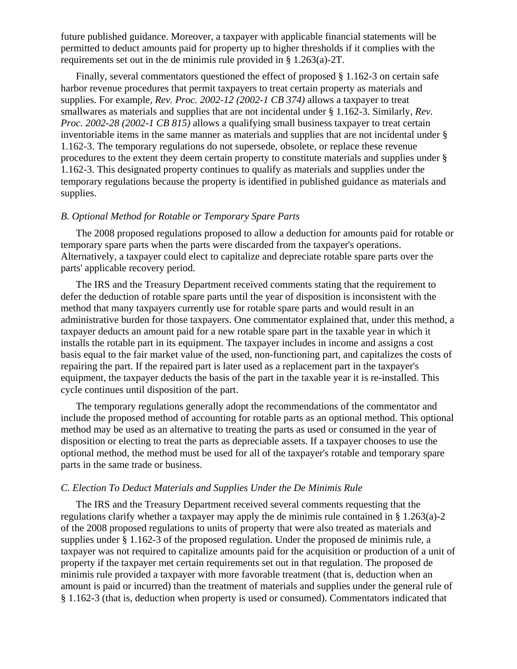future published guidance. Moreover, a taxpayer with applicable financial statements will be permitted to deduct amounts paid for property up to higher thresholds if it complies with the requirements set out in the de minimis rule provided in § 1.263(a)-2T.

Finally, several commentators questioned the effect of proposed § 1.162-3 on certain safe harbor revenue procedures that permit taxpayers to treat certain property as materials and supplies. For example, *Rev. Proc. 2002-12 (2002-1 CB 374)* allows a taxpayer to treat smallwares as materials and supplies that are not incidental under § 1.162-3. Similarly, *Rev. Proc. 2002-28 (2002-1 CB 815)* allows a qualifying small business taxpayer to treat certain inventoriable items in the same manner as materials and supplies that are not incidental under § 1.162-3. The temporary regulations do not supersede, obsolete, or replace these revenue procedures to the extent they deem certain property to constitute materials and supplies under § 1.162-3. This designated property continues to qualify as materials and supplies under the temporary regulations because the property is identified in published guidance as materials and supplies.

#### *B. Optional Method for Rotable or Temporary Spare Parts*

The 2008 proposed regulations proposed to allow a deduction for amounts paid for rotable or temporary spare parts when the parts were discarded from the taxpayer's operations. Alternatively, a taxpayer could elect to capitalize and depreciate rotable spare parts over the parts' applicable recovery period.

The IRS and the Treasury Department received comments stating that the requirement to defer the deduction of rotable spare parts until the year of disposition is inconsistent with the method that many taxpayers currently use for rotable spare parts and would result in an administrative burden for those taxpayers. One commentator explained that, under this method, a taxpayer deducts an amount paid for a new rotable spare part in the taxable year in which it installs the rotable part in its equipment. The taxpayer includes in income and assigns a cost basis equal to the fair market value of the used, non-functioning part, and capitalizes the costs of repairing the part. If the repaired part is later used as a replacement part in the taxpayer's equipment, the taxpayer deducts the basis of the part in the taxable year it is re-installed. This cycle continues until disposition of the part.

The temporary regulations generally adopt the recommendations of the commentator and include the proposed method of accounting for rotable parts as an optional method. This optional method may be used as an alternative to treating the parts as used or consumed in the year of disposition or electing to treat the parts as depreciable assets. If a taxpayer chooses to use the optional method, the method must be used for all of the taxpayer's rotable and temporary spare parts in the same trade or business.

### *C. Election To Deduct Materials and Supplies Under the De Minimis Rule*

The IRS and the Treasury Department received several comments requesting that the regulations clarify whether a taxpayer may apply the de minimis rule contained in § 1.263(a)-2 of the 2008 proposed regulations to units of property that were also treated as materials and supplies under § 1.162-3 of the proposed regulation. Under the proposed de minimis rule, a taxpayer was not required to capitalize amounts paid for the acquisition or production of a unit of property if the taxpayer met certain requirements set out in that regulation. The proposed de minimis rule provided a taxpayer with more favorable treatment (that is, deduction when an amount is paid or incurred) than the treatment of materials and supplies under the general rule of § 1.162-3 (that is, deduction when property is used or consumed). Commentators indicated that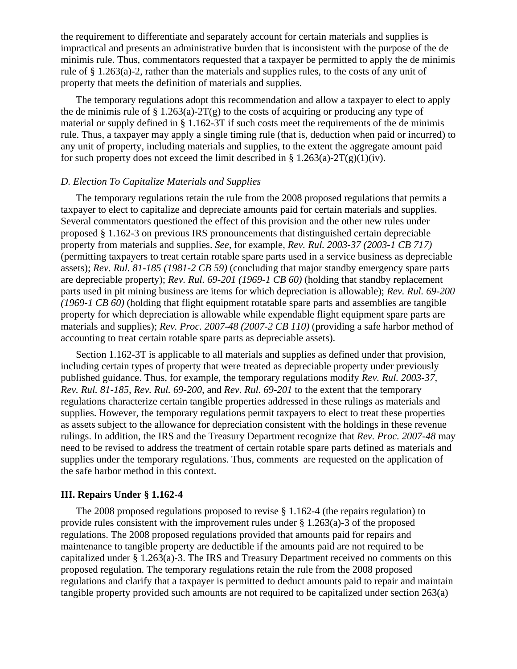the requirement to differentiate and separately account for certain materials and supplies is impractical and presents an administrative burden that is inconsistent with the purpose of the de minimis rule. Thus, commentators requested that a taxpayer be permitted to apply the de minimis rule of § 1.263(a)-2, rather than the materials and supplies rules, to the costs of any unit of property that meets the definition of materials and supplies.

The temporary regulations adopt this recommendation and allow a taxpayer to elect to apply the de minimis rule of  $\S 1.263(a)$ -2T(g) to the costs of acquiring or producing any type of material or supply defined in § 1.162-3T if such costs meet the requirements of the de minimis rule. Thus, a taxpayer may apply a single timing rule (that is, deduction when paid or incurred) to any unit of property, including materials and supplies, to the extent the aggregate amount paid for such property does not exceed the limit described in §  $1.263(a)-2T(g)(1)(iv)$ .

# *D. Election To Capitalize Materials and Supplies*

The temporary regulations retain the rule from the 2008 proposed regulations that permits a taxpayer to elect to capitalize and depreciate amounts paid for certain materials and supplies. Several commentators questioned the effect of this provision and the other new rules under proposed § 1.162-3 on previous IRS pronouncements that distinguished certain depreciable property from materials and supplies. *See,* for example, *Rev. Rul. 2003-37 (2003-1 CB 717)* (permitting taxpayers to treat certain rotable spare parts used in a service business as depreciable assets); *Rev. Rul. 81-185 (1981-2 CB 59)* (concluding that major standby emergency spare parts are depreciable property); *Rev. Rul. 69-201 (1969-1 CB 60)* (holding that standby replacement parts used in pit mining business are items for which depreciation is allowable); *Rev. Rul. 69-200 (1969-1 CB 60)* (holding that flight equipment rotatable spare parts and assemblies are tangible property for which depreciation is allowable while expendable flight equipment spare parts are materials and supplies); *Rev. Proc. 2007-48 (2007-2 CB 110)* (providing a safe harbor method of accounting to treat certain rotable spare parts as depreciable assets).

Section 1.162-3T is applicable to all materials and supplies as defined under that provision, including certain types of property that were treated as depreciable property under previously published guidance. Thus, for example, the temporary regulations modify *Rev. Rul. 2003-37, Rev. Rul. 81-185, Rev. Rul. 69-200,* and *Rev. Rul. 69-201* to the extent that the temporary regulations characterize certain tangible properties addressed in these rulings as materials and supplies. However, the temporary regulations permit taxpayers to elect to treat these properties as assets subject to the allowance for depreciation consistent with the holdings in these revenue rulings. In addition, the IRS and the Treasury Department recognize that *Rev. Proc. 2007-48* may need to be revised to address the treatment of certain rotable spare parts defined as materials and supplies under the temporary regulations. Thus, comments are requested on the application of the safe harbor method in this context.

### **III. Repairs Under § 1.162-4**

The 2008 proposed regulations proposed to revise § 1.162-4 (the repairs regulation) to provide rules consistent with the improvement rules under § 1.263(a)-3 of the proposed regulations. The 2008 proposed regulations provided that amounts paid for repairs and maintenance to tangible property are deductible if the amounts paid are not required to be capitalized under § 1.263(a)-3. The IRS and Treasury Department received no comments on this proposed regulation. The temporary regulations retain the rule from the 2008 proposed regulations and clarify that a taxpayer is permitted to deduct amounts paid to repair and maintain tangible property provided such amounts are not required to be capitalized under section 263(a)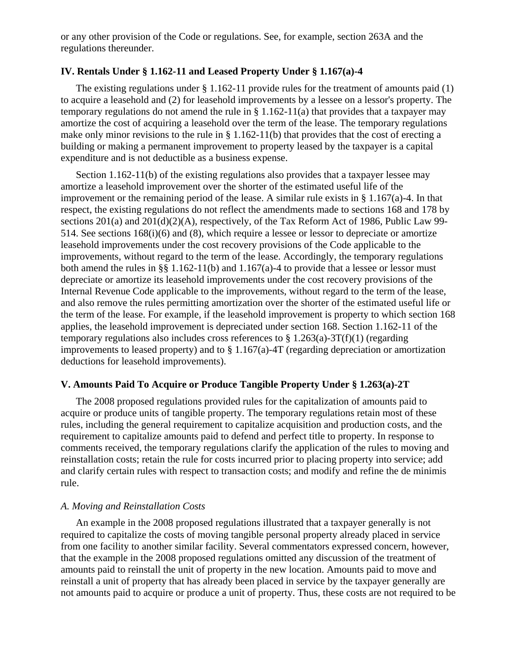or any other provision of the Code or regulations. See, for example, section 263A and the regulations thereunder.

# **IV. Rentals Under § 1.162-11 and Leased Property Under § 1.167(a)-4**

The existing regulations under  $\S 1.162-11$  provide rules for the treatment of amounts paid (1) to acquire a leasehold and (2) for leasehold improvements by a lessee on a lessor's property. The temporary regulations do not amend the rule in § 1.162-11(a) that provides that a taxpayer may amortize the cost of acquiring a leasehold over the term of the lease. The temporary regulations make only minor revisions to the rule in § 1.162-11(b) that provides that the cost of erecting a building or making a permanent improvement to property leased by the taxpayer is a capital expenditure and is not deductible as a business expense.

Section 1.162-11(b) of the existing regulations also provides that a taxpayer lessee may amortize a leasehold improvement over the shorter of the estimated useful life of the improvement or the remaining period of the lease. A similar rule exists in  $\S 1.167(a)$ -4. In that respect, the existing regulations do not reflect the amendments made to sections 168 and 178 by sections 201(a) and 201(d)(2)(A), respectively, of the Tax Reform Act of 1986, Public Law 99- 514. See sections 168(i)(6) and (8), which require a lessee or lessor to depreciate or amortize leasehold improvements under the cost recovery provisions of the Code applicable to the improvements, without regard to the term of the lease. Accordingly, the temporary regulations both amend the rules in §§ 1.162-11(b) and 1.167(a)-4 to provide that a lessee or lessor must depreciate or amortize its leasehold improvements under the cost recovery provisions of the Internal Revenue Code applicable to the improvements, without regard to the term of the lease, and also remove the rules permitting amortization over the shorter of the estimated useful life or the term of the lease. For example, if the leasehold improvement is property to which section 168 applies, the leasehold improvement is depreciated under section 168. Section 1.162-11 of the temporary regulations also includes cross references to  $\S 1.263(a)$ -3T(f)(1) (regarding improvements to leased property) and to § 1.167(a)-4T (regarding depreciation or amortization deductions for leasehold improvements).

#### **V. Amounts Paid To Acquire or Produce Tangible Property Under § 1.263(a)-2T**

The 2008 proposed regulations provided rules for the capitalization of amounts paid to acquire or produce units of tangible property. The temporary regulations retain most of these rules, including the general requirement to capitalize acquisition and production costs, and the requirement to capitalize amounts paid to defend and perfect title to property. In response to comments received, the temporary regulations clarify the application of the rules to moving and reinstallation costs; retain the rule for costs incurred prior to placing property into service; add and clarify certain rules with respect to transaction costs; and modify and refine the de minimis rule.

#### *A. Moving and Reinstallation Costs*

An example in the 2008 proposed regulations illustrated that a taxpayer generally is not required to capitalize the costs of moving tangible personal property already placed in service from one facility to another similar facility. Several commentators expressed concern, however, that the example in the 2008 proposed regulations omitted any discussion of the treatment of amounts paid to reinstall the unit of property in the new location. Amounts paid to move and reinstall a unit of property that has already been placed in service by the taxpayer generally are not amounts paid to acquire or produce a unit of property. Thus, these costs are not required to be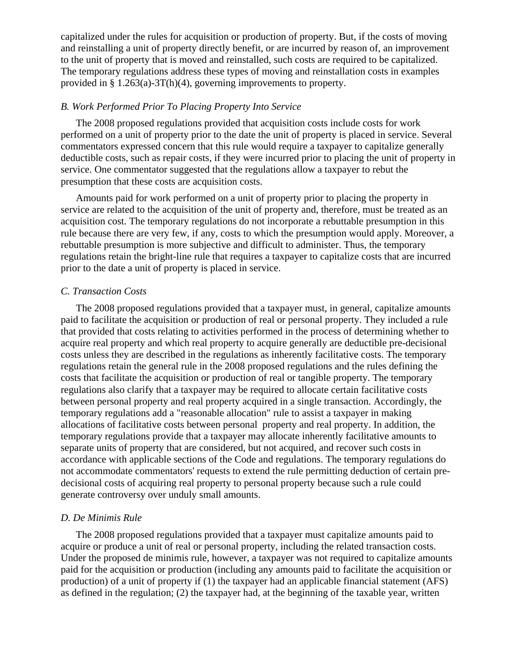capitalized under the rules for acquisition or production of property. But, if the costs of moving and reinstalling a unit of property directly benefit, or are incurred by reason of, an improvement to the unit of property that is moved and reinstalled, such costs are required to be capitalized. The temporary regulations address these types of moving and reinstallation costs in examples provided in § 1.263(a)-3T(h)(4), governing improvements to property.

# *B. Work Performed Prior To Placing Property Into Service*

The 2008 proposed regulations provided that acquisition costs include costs for work performed on a unit of property prior to the date the unit of property is placed in service. Several commentators expressed concern that this rule would require a taxpayer to capitalize generally deductible costs, such as repair costs, if they were incurred prior to placing the unit of property in service. One commentator suggested that the regulations allow a taxpayer to rebut the presumption that these costs are acquisition costs.

Amounts paid for work performed on a unit of property prior to placing the property in service are related to the acquisition of the unit of property and, therefore, must be treated as an acquisition cost. The temporary regulations do not incorporate a rebuttable presumption in this rule because there are very few, if any, costs to which the presumption would apply. Moreover, a rebuttable presumption is more subjective and difficult to administer. Thus, the temporary regulations retain the bright-line rule that requires a taxpayer to capitalize costs that are incurred prior to the date a unit of property is placed in service.

#### *C. Transaction Costs*

The 2008 proposed regulations provided that a taxpayer must, in general, capitalize amounts paid to facilitate the acquisition or production of real or personal property. They included a rule that provided that costs relating to activities performed in the process of determining whether to acquire real property and which real property to acquire generally are deductible pre-decisional costs unless they are described in the regulations as inherently facilitative costs. The temporary regulations retain the general rule in the 2008 proposed regulations and the rules defining the costs that facilitate the acquisition or production of real or tangible property. The temporary regulations also clarify that a taxpayer may be required to allocate certain facilitative costs between personal property and real property acquired in a single transaction. Accordingly, the temporary regulations add a "reasonable allocation" rule to assist a taxpayer in making allocations of facilitative costs between personal property and real property. In addition, the temporary regulations provide that a taxpayer may allocate inherently facilitative amounts to separate units of property that are considered, but not acquired, and recover such costs in accordance with applicable sections of the Code and regulations. The temporary regulations do not accommodate commentators' requests to extend the rule permitting deduction of certain predecisional costs of acquiring real property to personal property because such a rule could generate controversy over unduly small amounts.

#### *D. De Minimis Rule*

The 2008 proposed regulations provided that a taxpayer must capitalize amounts paid to acquire or produce a unit of real or personal property, including the related transaction costs. Under the proposed de minimis rule, however, a taxpayer was not required to capitalize amounts paid for the acquisition or production (including any amounts paid to facilitate the acquisition or production) of a unit of property if (1) the taxpayer had an applicable financial statement (AFS) as defined in the regulation; (2) the taxpayer had, at the beginning of the taxable year, written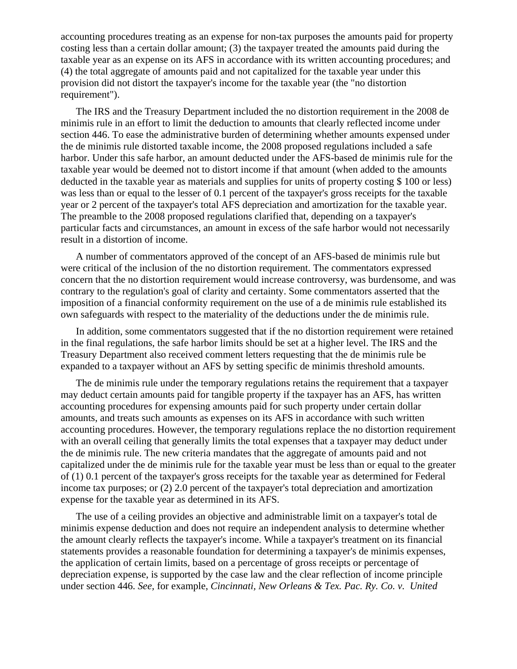accounting procedures treating as an expense for non-tax purposes the amounts paid for property costing less than a certain dollar amount; (3) the taxpayer treated the amounts paid during the taxable year as an expense on its AFS in accordance with its written accounting procedures; and (4) the total aggregate of amounts paid and not capitalized for the taxable year under this provision did not distort the taxpayer's income for the taxable year (the "no distortion requirement").

The IRS and the Treasury Department included the no distortion requirement in the 2008 de minimis rule in an effort to limit the deduction to amounts that clearly reflected income under section 446. To ease the administrative burden of determining whether amounts expensed under the de minimis rule distorted taxable income, the 2008 proposed regulations included a safe harbor. Under this safe harbor, an amount deducted under the AFS-based de minimis rule for the taxable year would be deemed not to distort income if that amount (when added to the amounts deducted in the taxable year as materials and supplies for units of property costing \$ 100 or less) was less than or equal to the lesser of 0.1 percent of the taxpayer's gross receipts for the taxable year or 2 percent of the taxpayer's total AFS depreciation and amortization for the taxable year. The preamble to the 2008 proposed regulations clarified that, depending on a taxpayer's particular facts and circumstances, an amount in excess of the safe harbor would not necessarily result in a distortion of income.

A number of commentators approved of the concept of an AFS-based de minimis rule but were critical of the inclusion of the no distortion requirement. The commentators expressed concern that the no distortion requirement would increase controversy, was burdensome, and was contrary to the regulation's goal of clarity and certainty. Some commentators asserted that the imposition of a financial conformity requirement on the use of a de minimis rule established its own safeguards with respect to the materiality of the deductions under the de minimis rule.

In addition, some commentators suggested that if the no distortion requirement were retained in the final regulations, the safe harbor limits should be set at a higher level. The IRS and the Treasury Department also received comment letters requesting that the de minimis rule be expanded to a taxpayer without an AFS by setting specific de minimis threshold amounts.

The de minimis rule under the temporary regulations retains the requirement that a taxpayer may deduct certain amounts paid for tangible property if the taxpayer has an AFS, has written accounting procedures for expensing amounts paid for such property under certain dollar amounts, and treats such amounts as expenses on its AFS in accordance with such written accounting procedures. However, the temporary regulations replace the no distortion requirement with an overall ceiling that generally limits the total expenses that a taxpayer may deduct under the de minimis rule. The new criteria mandates that the aggregate of amounts paid and not capitalized under the de minimis rule for the taxable year must be less than or equal to the greater of (1) 0.1 percent of the taxpayer's gross receipts for the taxable year as determined for Federal income tax purposes; or (2) 2.0 percent of the taxpayer's total depreciation and amortization expense for the taxable year as determined in its AFS.

The use of a ceiling provides an objective and administrable limit on a taxpayer's total de minimis expense deduction and does not require an independent analysis to determine whether the amount clearly reflects the taxpayer's income. While a taxpayer's treatment on its financial statements provides a reasonable foundation for determining a taxpayer's de minimis expenses, the application of certain limits, based on a percentage of gross receipts or percentage of depreciation expense, is supported by the case law and the clear reflection of income principle under section 446. *See,* for example, *Cincinnati, New Orleans & Tex. Pac. Ry. Co. v. United*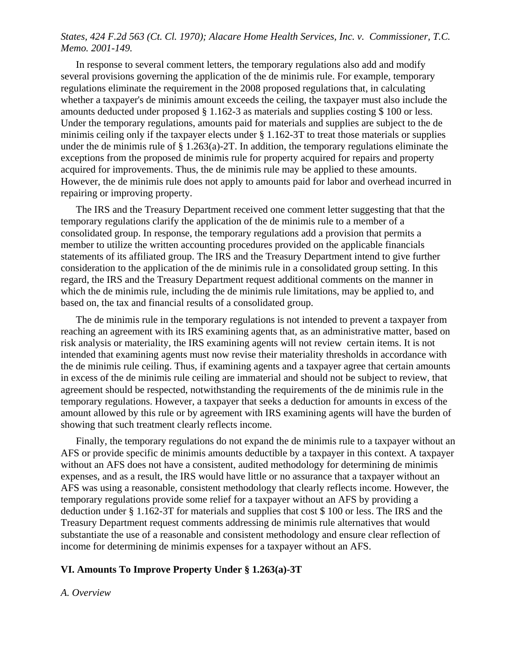# *States, 424 F.2d 563 (Ct. Cl. 1970); Alacare Home Health Services, Inc. v. Commissioner, T.C. Memo. 2001-149.*

In response to several comment letters, the temporary regulations also add and modify several provisions governing the application of the de minimis rule. For example, temporary regulations eliminate the requirement in the 2008 proposed regulations that, in calculating whether a taxpayer's de minimis amount exceeds the ceiling, the taxpayer must also include the amounts deducted under proposed § 1.162-3 as materials and supplies costing \$ 100 or less. Under the temporary regulations, amounts paid for materials and supplies are subject to the de minimis ceiling only if the taxpayer elects under § 1.162-3T to treat those materials or supplies under the de minimis rule of  $\S 1.263(a)$ -2T. In addition, the temporary regulations eliminate the exceptions from the proposed de minimis rule for property acquired for repairs and property acquired for improvements. Thus, the de minimis rule may be applied to these amounts. However, the de minimis rule does not apply to amounts paid for labor and overhead incurred in repairing or improving property.

The IRS and the Treasury Department received one comment letter suggesting that that the temporary regulations clarify the application of the de minimis rule to a member of a consolidated group. In response, the temporary regulations add a provision that permits a member to utilize the written accounting procedures provided on the applicable financials statements of its affiliated group. The IRS and the Treasury Department intend to give further consideration to the application of the de minimis rule in a consolidated group setting. In this regard, the IRS and the Treasury Department request additional comments on the manner in which the de minimis rule, including the de minimis rule limitations, may be applied to, and based on, the tax and financial results of a consolidated group.

The de minimis rule in the temporary regulations is not intended to prevent a taxpayer from reaching an agreement with its IRS examining agents that, as an administrative matter, based on risk analysis or materiality, the IRS examining agents will not review certain items. It is not intended that examining agents must now revise their materiality thresholds in accordance with the de minimis rule ceiling. Thus, if examining agents and a taxpayer agree that certain amounts in excess of the de minimis rule ceiling are immaterial and should not be subject to review, that agreement should be respected, notwithstanding the requirements of the de minimis rule in the temporary regulations. However, a taxpayer that seeks a deduction for amounts in excess of the amount allowed by this rule or by agreement with IRS examining agents will have the burden of showing that such treatment clearly reflects income.

Finally, the temporary regulations do not expand the de minimis rule to a taxpayer without an AFS or provide specific de minimis amounts deductible by a taxpayer in this context. A taxpayer without an AFS does not have a consistent, audited methodology for determining de minimis expenses, and as a result, the IRS would have little or no assurance that a taxpayer without an AFS was using a reasonable, consistent methodology that clearly reflects income. However, the temporary regulations provide some relief for a taxpayer without an AFS by providing a deduction under § 1.162-3T for materials and supplies that cost \$ 100 or less. The IRS and the Treasury Department request comments addressing de minimis rule alternatives that would substantiate the use of a reasonable and consistent methodology and ensure clear reflection of income for determining de minimis expenses for a taxpayer without an AFS.

#### **VI. Amounts To Improve Property Under § 1.263(a)-3T**

#### *A. Overview*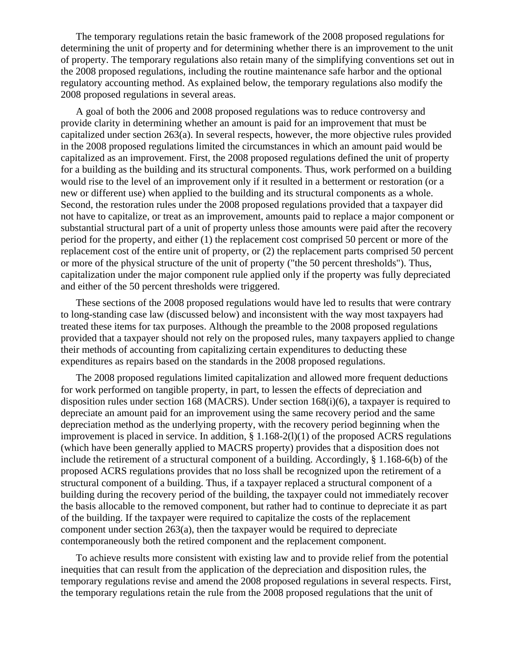The temporary regulations retain the basic framework of the 2008 proposed regulations for determining the unit of property and for determining whether there is an improvement to the unit of property. The temporary regulations also retain many of the simplifying conventions set out in the 2008 proposed regulations, including the routine maintenance safe harbor and the optional regulatory accounting method. As explained below, the temporary regulations also modify the 2008 proposed regulations in several areas.

A goal of both the 2006 and 2008 proposed regulations was to reduce controversy and provide clarity in determining whether an amount is paid for an improvement that must be capitalized under section 263(a). In several respects, however, the more objective rules provided in the 2008 proposed regulations limited the circumstances in which an amount paid would be capitalized as an improvement. First, the 2008 proposed regulations defined the unit of property for a building as the building and its structural components. Thus, work performed on a building would rise to the level of an improvement only if it resulted in a betterment or restoration (or a new or different use) when applied to the building and its structural components as a whole. Second, the restoration rules under the 2008 proposed regulations provided that a taxpayer did not have to capitalize, or treat as an improvement, amounts paid to replace a major component or substantial structural part of a unit of property unless those amounts were paid after the recovery period for the property, and either (1) the replacement cost comprised 50 percent or more of the replacement cost of the entire unit of property, or (2) the replacement parts comprised 50 percent or more of the physical structure of the unit of property ("the 50 percent thresholds"). Thus, capitalization under the major component rule applied only if the property was fully depreciated and either of the 50 percent thresholds were triggered.

These sections of the 2008 proposed regulations would have led to results that were contrary to long-standing case law (discussed below) and inconsistent with the way most taxpayers had treated these items for tax purposes. Although the preamble to the 2008 proposed regulations provided that a taxpayer should not rely on the proposed rules, many taxpayers applied to change their methods of accounting from capitalizing certain expenditures to deducting these expenditures as repairs based on the standards in the 2008 proposed regulations.

The 2008 proposed regulations limited capitalization and allowed more frequent deductions for work performed on tangible property, in part, to lessen the effects of depreciation and disposition rules under section 168 (MACRS). Under section 168(i)(6), a taxpayer is required to depreciate an amount paid for an improvement using the same recovery period and the same depreciation method as the underlying property, with the recovery period beginning when the improvement is placed in service. In addition,  $\S 1.168-2(1)(1)$  of the proposed ACRS regulations (which have been generally applied to MACRS property) provides that a disposition does not include the retirement of a structural component of a building. Accordingly, § 1.168-6(b) of the proposed ACRS regulations provides that no loss shall be recognized upon the retirement of a structural component of a building. Thus, if a taxpayer replaced a structural component of a building during the recovery period of the building, the taxpayer could not immediately recover the basis allocable to the removed component, but rather had to continue to depreciate it as part of the building. If the taxpayer were required to capitalize the costs of the replacement component under section 263(a), then the taxpayer would be required to depreciate contemporaneously both the retired component and the replacement component.

To achieve results more consistent with existing law and to provide relief from the potential inequities that can result from the application of the depreciation and disposition rules, the temporary regulations revise and amend the 2008 proposed regulations in several respects. First, the temporary regulations retain the rule from the 2008 proposed regulations that the unit of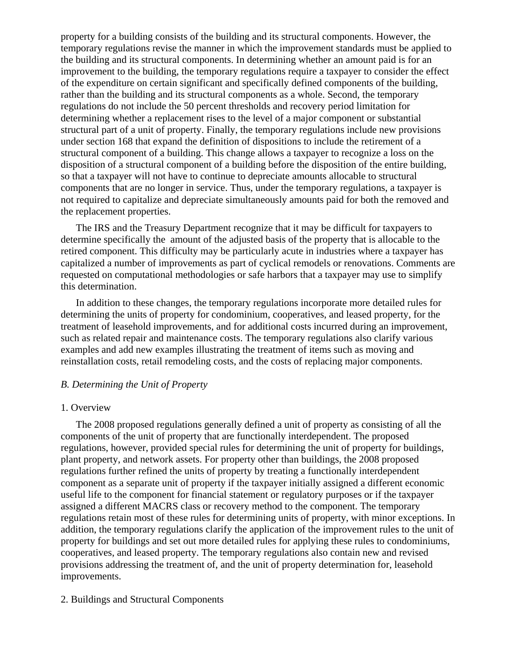property for a building consists of the building and its structural components. However, the temporary regulations revise the manner in which the improvement standards must be applied to the building and its structural components. In determining whether an amount paid is for an improvement to the building, the temporary regulations require a taxpayer to consider the effect of the expenditure on certain significant and specifically defined components of the building, rather than the building and its structural components as a whole. Second, the temporary regulations do not include the 50 percent thresholds and recovery period limitation for determining whether a replacement rises to the level of a major component or substantial structural part of a unit of property. Finally, the temporary regulations include new provisions under section 168 that expand the definition of dispositions to include the retirement of a structural component of a building. This change allows a taxpayer to recognize a loss on the disposition of a structural component of a building before the disposition of the entire building, so that a taxpayer will not have to continue to depreciate amounts allocable to structural components that are no longer in service. Thus, under the temporary regulations, a taxpayer is not required to capitalize and depreciate simultaneously amounts paid for both the removed and the replacement properties.

The IRS and the Treasury Department recognize that it may be difficult for taxpayers to determine specifically the amount of the adjusted basis of the property that is allocable to the retired component. This difficulty may be particularly acute in industries where a taxpayer has capitalized a number of improvements as part of cyclical remodels or renovations. Comments are requested on computational methodologies or safe harbors that a taxpayer may use to simplify this determination.

In addition to these changes, the temporary regulations incorporate more detailed rules for determining the units of property for condominium, cooperatives, and leased property, for the treatment of leasehold improvements, and for additional costs incurred during an improvement, such as related repair and maintenance costs. The temporary regulations also clarify various examples and add new examples illustrating the treatment of items such as moving and reinstallation costs, retail remodeling costs, and the costs of replacing major components.

#### *B. Determining the Unit of Property*

#### 1. Overview

The 2008 proposed regulations generally defined a unit of property as consisting of all the components of the unit of property that are functionally interdependent. The proposed regulations, however, provided special rules for determining the unit of property for buildings, plant property, and network assets. For property other than buildings, the 2008 proposed regulations further refined the units of property by treating a functionally interdependent component as a separate unit of property if the taxpayer initially assigned a different economic useful life to the component for financial statement or regulatory purposes or if the taxpayer assigned a different MACRS class or recovery method to the component. The temporary regulations retain most of these rules for determining units of property, with minor exceptions. In addition, the temporary regulations clarify the application of the improvement rules to the unit of property for buildings and set out more detailed rules for applying these rules to condominiums, cooperatives, and leased property. The temporary regulations also contain new and revised provisions addressing the treatment of, and the unit of property determination for, leasehold improvements.

# 2. Buildings and Structural Components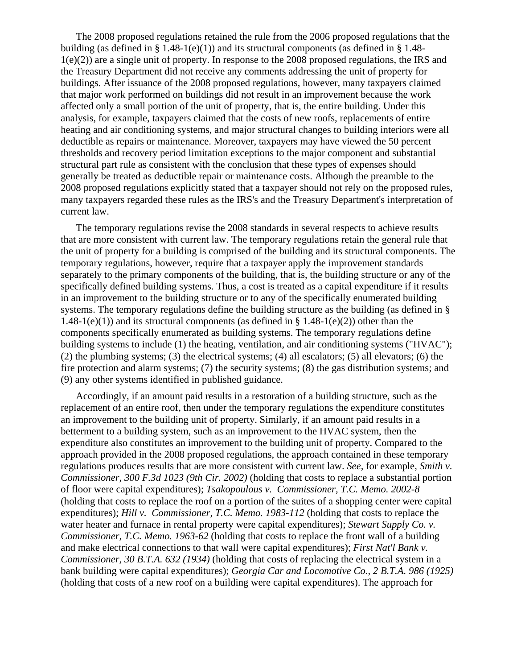The 2008 proposed regulations retained the rule from the 2006 proposed regulations that the building (as defined in § 1.48-1(e)(1)) and its structural components (as defined in § 1.48-1(e)(2)) are a single unit of property. In response to the 2008 proposed regulations, the IRS and the Treasury Department did not receive any comments addressing the unit of property for buildings. After issuance of the 2008 proposed regulations, however, many taxpayers claimed that major work performed on buildings did not result in an improvement because the work affected only a small portion of the unit of property, that is, the entire building. Under this analysis, for example, taxpayers claimed that the costs of new roofs, replacements of entire heating and air conditioning systems, and major structural changes to building interiors were all deductible as repairs or maintenance. Moreover, taxpayers may have viewed the 50 percent thresholds and recovery period limitation exceptions to the major component and substantial structural part rule as consistent with the conclusion that these types of expenses should generally be treated as deductible repair or maintenance costs. Although the preamble to the 2008 proposed regulations explicitly stated that a taxpayer should not rely on the proposed rules, many taxpayers regarded these rules as the IRS's and the Treasury Department's interpretation of current law.

The temporary regulations revise the 2008 standards in several respects to achieve results that are more consistent with current law. The temporary regulations retain the general rule that the unit of property for a building is comprised of the building and its structural components. The temporary regulations, however, require that a taxpayer apply the improvement standards separately to the primary components of the building, that is, the building structure or any of the specifically defined building systems. Thus, a cost is treated as a capital expenditure if it results in an improvement to the building structure or to any of the specifically enumerated building systems. The temporary regulations define the building structure as the building (as defined in § 1.48-1(e)(1)) and its structural components (as defined in  $\S$  1.48-1(e)(2)) other than the components specifically enumerated as building systems. The temporary regulations define building systems to include (1) the heating, ventilation, and air conditioning systems ("HVAC"); (2) the plumbing systems; (3) the electrical systems; (4) all escalators; (5) all elevators; (6) the fire protection and alarm systems; (7) the security systems; (8) the gas distribution systems; and (9) any other systems identified in published guidance.

Accordingly, if an amount paid results in a restoration of a building structure, such as the replacement of an entire roof, then under the temporary regulations the expenditure constitutes an improvement to the building unit of property. Similarly, if an amount paid results in a betterment to a building system, such as an improvement to the HVAC system, then the expenditure also constitutes an improvement to the building unit of property. Compared to the approach provided in the 2008 proposed regulations, the approach contained in these temporary regulations produces results that are more consistent with current law. *See,* for example, *Smith v. Commissioner, 300 F.3d 1023 (9th Cir. 2002)* (holding that costs to replace a substantial portion of floor were capital expenditures); *Tsakopoulous v. Commissioner, T.C. Memo. 2002-8* (holding that costs to replace the roof on a portion of the suites of a shopping center were capital expenditures); *Hill v. Commissioner, T.C. Memo. 1983-112* (holding that costs to replace the water heater and furnace in rental property were capital expenditures); *Stewart Supply Co. v. Commissioner, T.C. Memo. 1963-62* (holding that costs to replace the front wall of a building and make electrical connections to that wall were capital expenditures); *First Nat'l Bank v. Commissioner, 30 B.T.A. 632 (1934)* (holding that costs of replacing the electrical system in a bank building were capital expenditures); *Georgia Car and Locomotive Co., 2 B.T.A. 986 (1925)* (holding that costs of a new roof on a building were capital expenditures). The approach for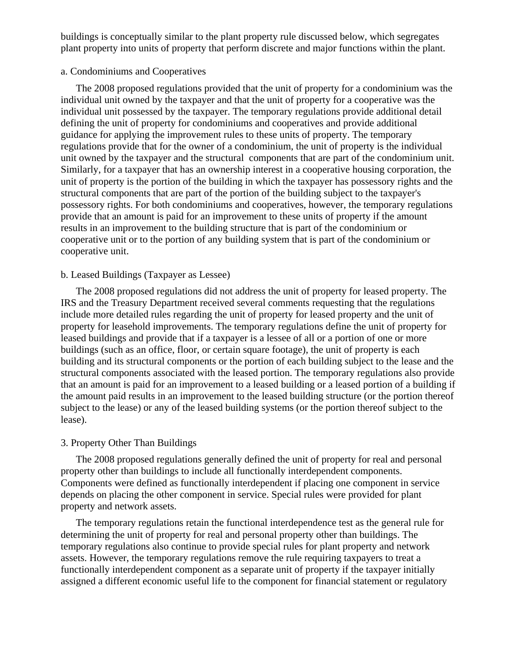buildings is conceptually similar to the plant property rule discussed below, which segregates plant property into units of property that perform discrete and major functions within the plant.

#### a. Condominiums and Cooperatives

The 2008 proposed regulations provided that the unit of property for a condominium was the individual unit owned by the taxpayer and that the unit of property for a cooperative was the individual unit possessed by the taxpayer. The temporary regulations provide additional detail defining the unit of property for condominiums and cooperatives and provide additional guidance for applying the improvement rules to these units of property. The temporary regulations provide that for the owner of a condominium, the unit of property is the individual unit owned by the taxpayer and the structural components that are part of the condominium unit. Similarly, for a taxpayer that has an ownership interest in a cooperative housing corporation, the unit of property is the portion of the building in which the taxpayer has possessory rights and the structural components that are part of the portion of the building subject to the taxpayer's possessory rights. For both condominiums and cooperatives, however, the temporary regulations provide that an amount is paid for an improvement to these units of property if the amount results in an improvement to the building structure that is part of the condominium or cooperative unit or to the portion of any building system that is part of the condominium or cooperative unit.

## b. Leased Buildings (Taxpayer as Lessee)

The 2008 proposed regulations did not address the unit of property for leased property. The IRS and the Treasury Department received several comments requesting that the regulations include more detailed rules regarding the unit of property for leased property and the unit of property for leasehold improvements. The temporary regulations define the unit of property for leased buildings and provide that if a taxpayer is a lessee of all or a portion of one or more buildings (such as an office, floor, or certain square footage), the unit of property is each building and its structural components or the portion of each building subject to the lease and the structural components associated with the leased portion. The temporary regulations also provide that an amount is paid for an improvement to a leased building or a leased portion of a building if the amount paid results in an improvement to the leased building structure (or the portion thereof subject to the lease) or any of the leased building systems (or the portion thereof subject to the lease).

### 3. Property Other Than Buildings

The 2008 proposed regulations generally defined the unit of property for real and personal property other than buildings to include all functionally interdependent components. Components were defined as functionally interdependent if placing one component in service depends on placing the other component in service. Special rules were provided for plant property and network assets.

The temporary regulations retain the functional interdependence test as the general rule for determining the unit of property for real and personal property other than buildings. The temporary regulations also continue to provide special rules for plant property and network assets. However, the temporary regulations remove the rule requiring taxpayers to treat a functionally interdependent component as a separate unit of property if the taxpayer initially assigned a different economic useful life to the component for financial statement or regulatory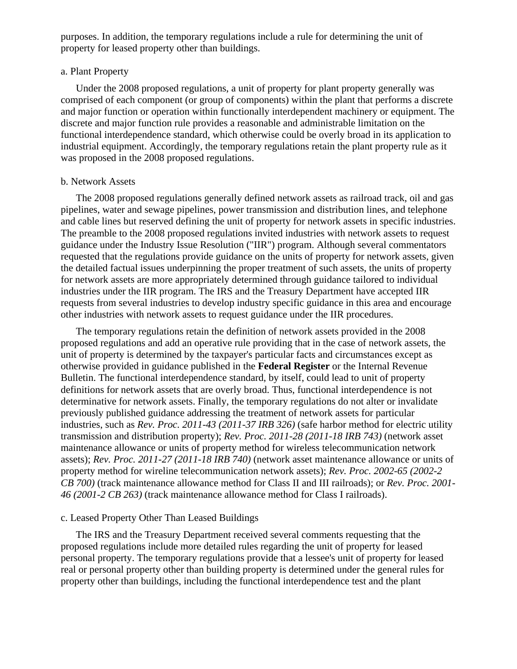purposes. In addition, the temporary regulations include a rule for determining the unit of property for leased property other than buildings.

### a. Plant Property

Under the 2008 proposed regulations, a unit of property for plant property generally was comprised of each component (or group of components) within the plant that performs a discrete and major function or operation within functionally interdependent machinery or equipment. The discrete and major function rule provides a reasonable and administrable limitation on the functional interdependence standard, which otherwise could be overly broad in its application to industrial equipment. Accordingly, the temporary regulations retain the plant property rule as it was proposed in the 2008 proposed regulations.

#### b. Network Assets

The 2008 proposed regulations generally defined network assets as railroad track, oil and gas pipelines, water and sewage pipelines, power transmission and distribution lines, and telephone and cable lines but reserved defining the unit of property for network assets in specific industries. The preamble to the 2008 proposed regulations invited industries with network assets to request guidance under the Industry Issue Resolution ("IIR") program. Although several commentators requested that the regulations provide guidance on the units of property for network assets, given the detailed factual issues underpinning the proper treatment of such assets, the units of property for network assets are more appropriately determined through guidance tailored to individual industries under the IIR program. The IRS and the Treasury Department have accepted IIR requests from several industries to develop industry specific guidance in this area and encourage other industries with network assets to request guidance under the IIR procedures.

The temporary regulations retain the definition of network assets provided in the 2008 proposed regulations and add an operative rule providing that in the case of network assets, the unit of property is determined by the taxpayer's particular facts and circumstances except as otherwise provided in guidance published in the **Federal Register** or the Internal Revenue Bulletin. The functional interdependence standard, by itself, could lead to unit of property definitions for network assets that are overly broad. Thus, functional interdependence is not determinative for network assets. Finally, the temporary regulations do not alter or invalidate previously published guidance addressing the treatment of network assets for particular industries, such as *Rev. Proc. 2011-43 (2011-37 IRB 326)* (safe harbor method for electric utility transmission and distribution property); *Rev. Proc. 2011-28 (2011-18 IRB 743)* (network asset maintenance allowance or units of property method for wireless telecommunication network assets); *Rev. Proc. 2011-27 (2011-18 IRB 740)* (network asset maintenance allowance or units of property method for wireline telecommunication network assets); *Rev. Proc. 2002-65 (2002-2 CB 700)* (track maintenance allowance method for Class II and III railroads); or *Rev. Proc. 2001- 46 (2001-2 CB 263)* (track maintenance allowance method for Class I railroads).

#### c. Leased Property Other Than Leased Buildings

The IRS and the Treasury Department received several comments requesting that the proposed regulations include more detailed rules regarding the unit of property for leased personal property. The temporary regulations provide that a lessee's unit of property for leased real or personal property other than building property is determined under the general rules for property other than buildings, including the functional interdependence test and the plant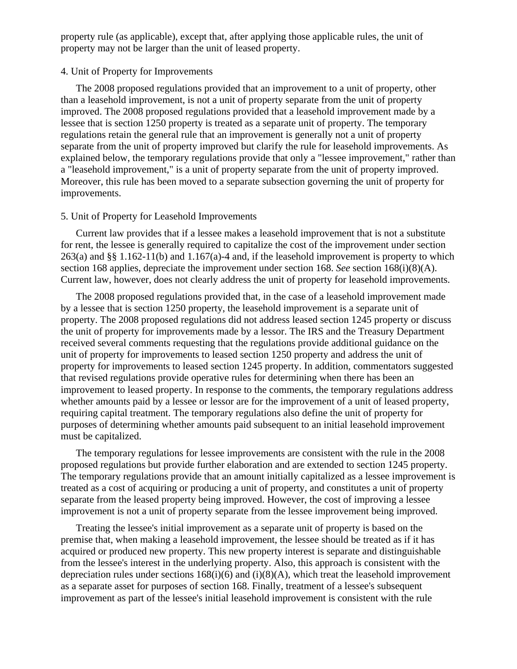property rule (as applicable), except that, after applying those applicable rules, the unit of property may not be larger than the unit of leased property.

#### 4. Unit of Property for Improvements

The 2008 proposed regulations provided that an improvement to a unit of property, other than a leasehold improvement, is not a unit of property separate from the unit of property improved. The 2008 proposed regulations provided that a leasehold improvement made by a lessee that is section 1250 property is treated as a separate unit of property. The temporary regulations retain the general rule that an improvement is generally not a unit of property separate from the unit of property improved but clarify the rule for leasehold improvements. As explained below, the temporary regulations provide that only a "lessee improvement," rather than a "leasehold improvement," is a unit of property separate from the unit of property improved. Moreover, this rule has been moved to a separate subsection governing the unit of property for improvements.

#### 5. Unit of Property for Leasehold Improvements

Current law provides that if a lessee makes a leasehold improvement that is not a substitute for rent, the lessee is generally required to capitalize the cost of the improvement under section 263(a) and §§ 1.162-11(b) and 1.167(a)-4 and, if the leasehold improvement is property to which section 168 applies, depreciate the improvement under section 168. *See* section 168(i)(8)(A). Current law, however, does not clearly address the unit of property for leasehold improvements.

The 2008 proposed regulations provided that, in the case of a leasehold improvement made by a lessee that is section 1250 property, the leasehold improvement is a separate unit of property. The 2008 proposed regulations did not address leased section 1245 property or discuss the unit of property for improvements made by a lessor. The IRS and the Treasury Department received several comments requesting that the regulations provide additional guidance on the unit of property for improvements to leased section 1250 property and address the unit of property for improvements to leased section 1245 property. In addition, commentators suggested that revised regulations provide operative rules for determining when there has been an improvement to leased property. In response to the comments, the temporary regulations address whether amounts paid by a lessee or lessor are for the improvement of a unit of leased property, requiring capital treatment. The temporary regulations also define the unit of property for purposes of determining whether amounts paid subsequent to an initial leasehold improvement must be capitalized.

The temporary regulations for lessee improvements are consistent with the rule in the 2008 proposed regulations but provide further elaboration and are extended to section 1245 property. The temporary regulations provide that an amount initially capitalized as a lessee improvement is treated as a cost of acquiring or producing a unit of property, and constitutes a unit of property separate from the leased property being improved. However, the cost of improving a lessee improvement is not a unit of property separate from the lessee improvement being improved.

Treating the lessee's initial improvement as a separate unit of property is based on the premise that, when making a leasehold improvement, the lessee should be treated as if it has acquired or produced new property. This new property interest is separate and distinguishable from the lessee's interest in the underlying property. Also, this approach is consistent with the depreciation rules under sections  $168(i)(6)$  and  $(i)(8)(A)$ , which treat the leasehold improvement as a separate asset for purposes of section 168. Finally, treatment of a lessee's subsequent improvement as part of the lessee's initial leasehold improvement is consistent with the rule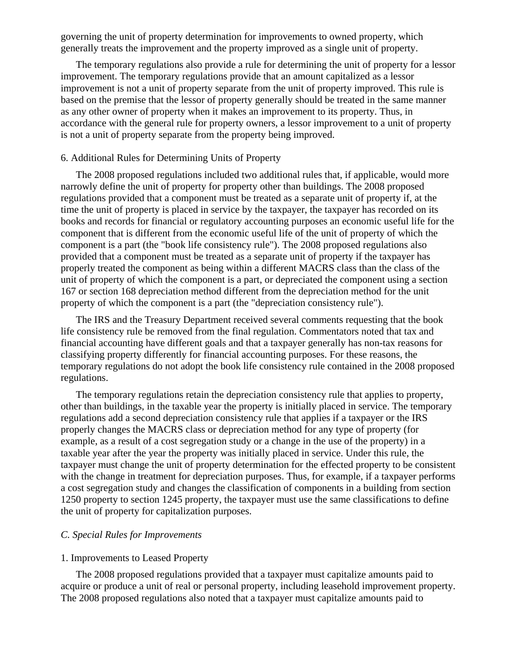governing the unit of property determination for improvements to owned property, which generally treats the improvement and the property improved as a single unit of property.

The temporary regulations also provide a rule for determining the unit of property for a lessor improvement. The temporary regulations provide that an amount capitalized as a lessor improvement is not a unit of property separate from the unit of property improved. This rule is based on the premise that the lessor of property generally should be treated in the same manner as any other owner of property when it makes an improvement to its property. Thus, in accordance with the general rule for property owners, a lessor improvement to a unit of property is not a unit of property separate from the property being improved.

# 6. Additional Rules for Determining Units of Property

The 2008 proposed regulations included two additional rules that, if applicable, would more narrowly define the unit of property for property other than buildings. The 2008 proposed regulations provided that a component must be treated as a separate unit of property if, at the time the unit of property is placed in service by the taxpayer, the taxpayer has recorded on its books and records for financial or regulatory accounting purposes an economic useful life for the component that is different from the economic useful life of the unit of property of which the component is a part (the "book life consistency rule"). The 2008 proposed regulations also provided that a component must be treated as a separate unit of property if the taxpayer has properly treated the component as being within a different MACRS class than the class of the unit of property of which the component is a part, or depreciated the component using a section 167 or section 168 depreciation method different from the depreciation method for the unit property of which the component is a part (the "depreciation consistency rule").

The IRS and the Treasury Department received several comments requesting that the book life consistency rule be removed from the final regulation. Commentators noted that tax and financial accounting have different goals and that a taxpayer generally has non-tax reasons for classifying property differently for financial accounting purposes. For these reasons, the temporary regulations do not adopt the book life consistency rule contained in the 2008 proposed regulations.

The temporary regulations retain the depreciation consistency rule that applies to property, other than buildings, in the taxable year the property is initially placed in service. The temporary regulations add a second depreciation consistency rule that applies if a taxpayer or the IRS properly changes the MACRS class or depreciation method for any type of property (for example, as a result of a cost segregation study or a change in the use of the property) in a taxable year after the year the property was initially placed in service. Under this rule, the taxpayer must change the unit of property determination for the effected property to be consistent with the change in treatment for depreciation purposes. Thus, for example, if a taxpayer performs a cost segregation study and changes the classification of components in a building from section 1250 property to section 1245 property, the taxpayer must use the same classifications to define the unit of property for capitalization purposes.

# *C. Special Rules for Improvements*

#### 1. Improvements to Leased Property

The 2008 proposed regulations provided that a taxpayer must capitalize amounts paid to acquire or produce a unit of real or personal property, including leasehold improvement property. The 2008 proposed regulations also noted that a taxpayer must capitalize amounts paid to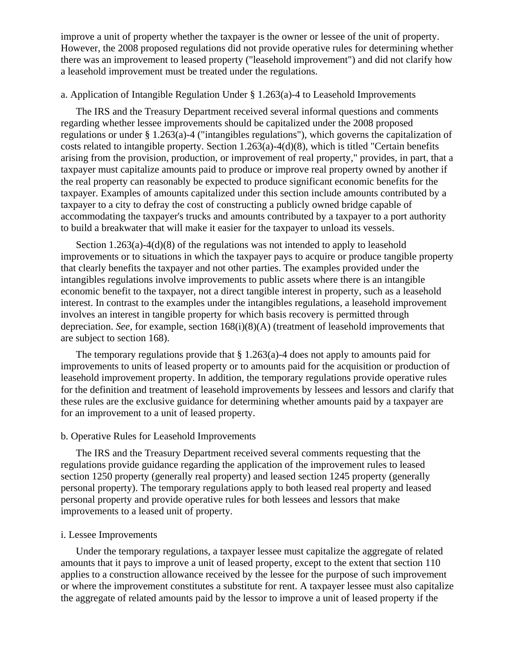improve a unit of property whether the taxpayer is the owner or lessee of the unit of property. However, the 2008 proposed regulations did not provide operative rules for determining whether there was an improvement to leased property ("leasehold improvement") and did not clarify how a leasehold improvement must be treated under the regulations.

# a. Application of Intangible Regulation Under § 1.263(a)-4 to Leasehold Improvements

The IRS and the Treasury Department received several informal questions and comments regarding whether lessee improvements should be capitalized under the 2008 proposed regulations or under § 1.263(a)-4 ("intangibles regulations"), which governs the capitalization of costs related to intangible property. Section  $1.263(a) - 4(d)(8)$ , which is titled "Certain benefits arising from the provision, production, or improvement of real property," provides, in part, that a taxpayer must capitalize amounts paid to produce or improve real property owned by another if the real property can reasonably be expected to produce significant economic benefits for the taxpayer. Examples of amounts capitalized under this section include amounts contributed by a taxpayer to a city to defray the cost of constructing a publicly owned bridge capable of accommodating the taxpayer's trucks and amounts contributed by a taxpayer to a port authority to build a breakwater that will make it easier for the taxpayer to unload its vessels.

Section 1.263(a)-4(d)(8) of the regulations was not intended to apply to leasehold improvements or to situations in which the taxpayer pays to acquire or produce tangible property that clearly benefits the taxpayer and not other parties. The examples provided under the intangibles regulations involve improvements to public assets where there is an intangible economic benefit to the taxpayer, not a direct tangible interest in property, such as a leasehold interest. In contrast to the examples under the intangibles regulations, a leasehold improvement involves an interest in tangible property for which basis recovery is permitted through depreciation. *See,* for example, section 168(i)(8)(A) (treatment of leasehold improvements that are subject to section 168).

The temporary regulations provide that  $\S 1.263(a)$ -4 does not apply to amounts paid for improvements to units of leased property or to amounts paid for the acquisition or production of leasehold improvement property. In addition, the temporary regulations provide operative rules for the definition and treatment of leasehold improvements by lessees and lessors and clarify that these rules are the exclusive guidance for determining whether amounts paid by a taxpayer are for an improvement to a unit of leased property.

#### b. Operative Rules for Leasehold Improvements

The IRS and the Treasury Department received several comments requesting that the regulations provide guidance regarding the application of the improvement rules to leased section 1250 property (generally real property) and leased section 1245 property (generally personal property). The temporary regulations apply to both leased real property and leased personal property and provide operative rules for both lessees and lessors that make improvements to a leased unit of property.

#### i. Lessee Improvements

Under the temporary regulations, a taxpayer lessee must capitalize the aggregate of related amounts that it pays to improve a unit of leased property, except to the extent that section 110 applies to a construction allowance received by the lessee for the purpose of such improvement or where the improvement constitutes a substitute for rent. A taxpayer lessee must also capitalize the aggregate of related amounts paid by the lessor to improve a unit of leased property if the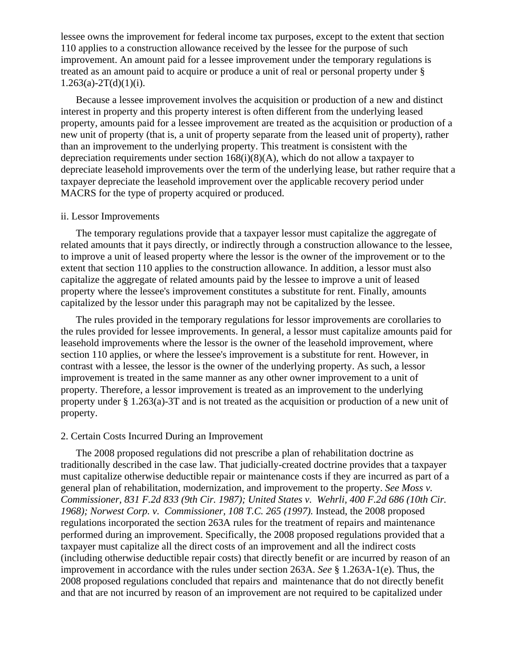lessee owns the improvement for federal income tax purposes, except to the extent that section 110 applies to a construction allowance received by the lessee for the purpose of such improvement. An amount paid for a lessee improvement under the temporary regulations is treated as an amount paid to acquire or produce a unit of real or personal property under §  $1.263(a)-2T(d)(1)(i)$ .

Because a lessee improvement involves the acquisition or production of a new and distinct interest in property and this property interest is often different from the underlying leased property, amounts paid for a lessee improvement are treated as the acquisition or production of a new unit of property (that is, a unit of property separate from the leased unit of property), rather than an improvement to the underlying property. This treatment is consistent with the depreciation requirements under section  $168(i)(8)(A)$ , which do not allow a taxpayer to depreciate leasehold improvements over the term of the underlying lease, but rather require that a taxpayer depreciate the leasehold improvement over the applicable recovery period under MACRS for the type of property acquired or produced.

#### ii. Lessor Improvements

The temporary regulations provide that a taxpayer lessor must capitalize the aggregate of related amounts that it pays directly, or indirectly through a construction allowance to the lessee, to improve a unit of leased property where the lessor is the owner of the improvement or to the extent that section 110 applies to the construction allowance. In addition, a lessor must also capitalize the aggregate of related amounts paid by the lessee to improve a unit of leased property where the lessee's improvement constitutes a substitute for rent. Finally, amounts capitalized by the lessor under this paragraph may not be capitalized by the lessee.

The rules provided in the temporary regulations for lessor improvements are corollaries to the rules provided for lessee improvements. In general, a lessor must capitalize amounts paid for leasehold improvements where the lessor is the owner of the leasehold improvement, where section 110 applies, or where the lessee's improvement is a substitute for rent. However, in contrast with a lessee, the lessor is the owner of the underlying property. As such, a lessor improvement is treated in the same manner as any other owner improvement to a unit of property. Therefore, a lessor improvement is treated as an improvement to the underlying property under § 1.263(a)-3T and is not treated as the acquisition or production of a new unit of property.

#### 2. Certain Costs Incurred During an Improvement

The 2008 proposed regulations did not prescribe a plan of rehabilitation doctrine as traditionally described in the case law. That judicially-created doctrine provides that a taxpayer must capitalize otherwise deductible repair or maintenance costs if they are incurred as part of a general plan of rehabilitation, modernization, and improvement to the property. *See Moss v. Commissioner, 831 F.2d 833 (9th Cir. 1987); United States v. Wehrli, 400 F.2d 686 (10th Cir. 1968); Norwest Corp. v. Commissioner, 108 T.C. 265 (1997).* Instead, the 2008 proposed regulations incorporated the section 263A rules for the treatment of repairs and maintenance performed during an improvement. Specifically, the 2008 proposed regulations provided that a taxpayer must capitalize all the direct costs of an improvement and all the indirect costs (including otherwise deductible repair costs) that directly benefit or are incurred by reason of an improvement in accordance with the rules under section 263A. *See* § 1.263A-1(e). Thus, the 2008 proposed regulations concluded that repairs and maintenance that do not directly benefit and that are not incurred by reason of an improvement are not required to be capitalized under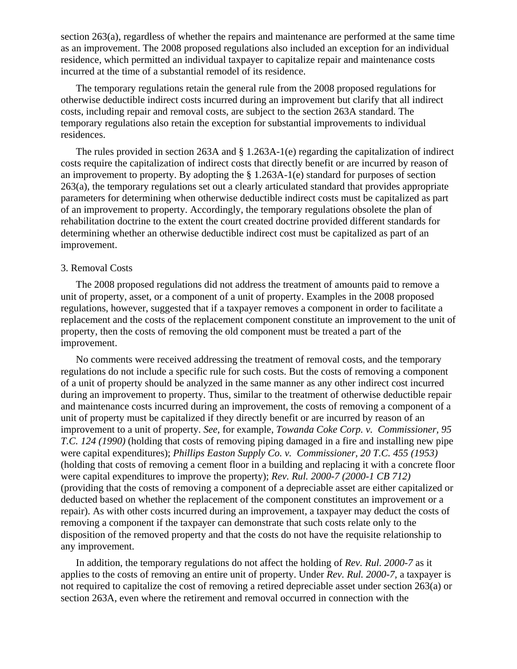section 263(a), regardless of whether the repairs and maintenance are performed at the same time as an improvement. The 2008 proposed regulations also included an exception for an individual residence, which permitted an individual taxpayer to capitalize repair and maintenance costs incurred at the time of a substantial remodel of its residence.

The temporary regulations retain the general rule from the 2008 proposed regulations for otherwise deductible indirect costs incurred during an improvement but clarify that all indirect costs, including repair and removal costs, are subject to the section 263A standard. The temporary regulations also retain the exception for substantial improvements to individual residences.

The rules provided in section 263A and § 1.263A-1(e) regarding the capitalization of indirect costs require the capitalization of indirect costs that directly benefit or are incurred by reason of an improvement to property. By adopting the § 1.263A-1(e) standard for purposes of section 263(a), the temporary regulations set out a clearly articulated standard that provides appropriate parameters for determining when otherwise deductible indirect costs must be capitalized as part of an improvement to property. Accordingly, the temporary regulations obsolete the plan of rehabilitation doctrine to the extent the court created doctrine provided different standards for determining whether an otherwise deductible indirect cost must be capitalized as part of an improvement.

#### 3. Removal Costs

The 2008 proposed regulations did not address the treatment of amounts paid to remove a unit of property, asset, or a component of a unit of property. Examples in the 2008 proposed regulations, however, suggested that if a taxpayer removes a component in order to facilitate a replacement and the costs of the replacement component constitute an improvement to the unit of property, then the costs of removing the old component must be treated a part of the improvement.

No comments were received addressing the treatment of removal costs, and the temporary regulations do not include a specific rule for such costs. But the costs of removing a component of a unit of property should be analyzed in the same manner as any other indirect cost incurred during an improvement to property. Thus, similar to the treatment of otherwise deductible repair and maintenance costs incurred during an improvement, the costs of removing a component of a unit of property must be capitalized if they directly benefit or are incurred by reason of an improvement to a unit of property. *See,* for example, *Towanda Coke Corp. v. Commissioner, 95 T.C. 124 (1990)* (holding that costs of removing piping damaged in a fire and installing new pipe were capital expenditures); *Phillips Easton Supply Co. v. Commissioner, 20 T.C. 455 (1953)* (holding that costs of removing a cement floor in a building and replacing it with a concrete floor were capital expenditures to improve the property); *Rev. Rul. 2000-7 (2000-1 CB 712)* (providing that the costs of removing a component of a depreciable asset are either capitalized or deducted based on whether the replacement of the component constitutes an improvement or a repair). As with other costs incurred during an improvement, a taxpayer may deduct the costs of removing a component if the taxpayer can demonstrate that such costs relate only to the disposition of the removed property and that the costs do not have the requisite relationship to any improvement.

In addition, the temporary regulations do not affect the holding of *Rev. Rul. 2000-7* as it applies to the costs of removing an entire unit of property. Under *Rev. Rul. 2000-7,* a taxpayer is not required to capitalize the cost of removing a retired depreciable asset under section 263(a) or section 263A, even where the retirement and removal occurred in connection with the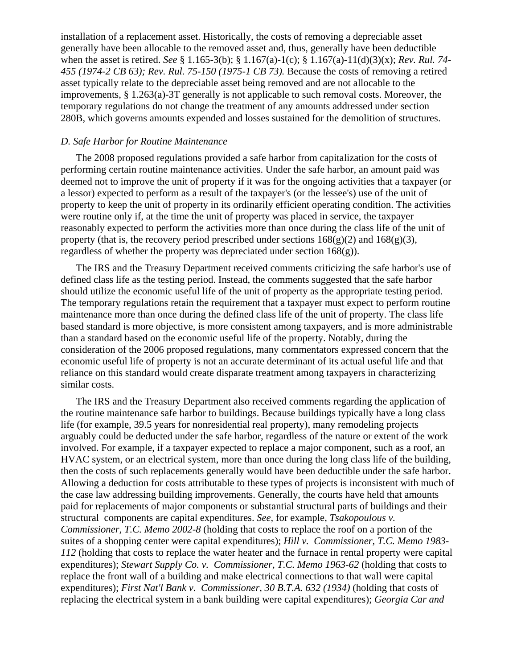installation of a replacement asset. Historically, the costs of removing a depreciable asset generally have been allocable to the removed asset and, thus, generally have been deductible when the asset is retired. *See* § 1.165-3(b); § 1.167(a)-1(c); § 1.167(a)-11(d)(3)(x); *Rev. Rul. 74- 455 (1974-2 CB 63); Rev. Rul. 75-150 (1975-1 CB 73).* Because the costs of removing a retired asset typically relate to the depreciable asset being removed and are not allocable to the improvements, § 1.263(a)-3T generally is not applicable to such removal costs. Moreover, the temporary regulations do not change the treatment of any amounts addressed under section 280B, which governs amounts expended and losses sustained for the demolition of structures.

# *D. Safe Harbor for Routine Maintenance*

The 2008 proposed regulations provided a safe harbor from capitalization for the costs of performing certain routine maintenance activities. Under the safe harbor, an amount paid was deemed not to improve the unit of property if it was for the ongoing activities that a taxpayer (or a lessor) expected to perform as a result of the taxpayer's (or the lessee's) use of the unit of property to keep the unit of property in its ordinarily efficient operating condition. The activities were routine only if, at the time the unit of property was placed in service, the taxpayer reasonably expected to perform the activities more than once during the class life of the unit of property (that is, the recovery period prescribed under sections  $168(g)(2)$  and  $168(g)(3)$ , regardless of whether the property was depreciated under section  $168(g)$ ).

The IRS and the Treasury Department received comments criticizing the safe harbor's use of defined class life as the testing period. Instead, the comments suggested that the safe harbor should utilize the economic useful life of the unit of property as the appropriate testing period. The temporary regulations retain the requirement that a taxpayer must expect to perform routine maintenance more than once during the defined class life of the unit of property. The class life based standard is more objective, is more consistent among taxpayers, and is more administrable than a standard based on the economic useful life of the property. Notably, during the consideration of the 2006 proposed regulations, many commentators expressed concern that the economic useful life of property is not an accurate determinant of its actual useful life and that reliance on this standard would create disparate treatment among taxpayers in characterizing similar costs.

The IRS and the Treasury Department also received comments regarding the application of the routine maintenance safe harbor to buildings. Because buildings typically have a long class life (for example, 39.5 years for nonresidential real property), many remodeling projects arguably could be deducted under the safe harbor, regardless of the nature or extent of the work involved. For example, if a taxpayer expected to replace a major component, such as a roof, an HVAC system, or an electrical system, more than once during the long class life of the building, then the costs of such replacements generally would have been deductible under the safe harbor. Allowing a deduction for costs attributable to these types of projects is inconsistent with much of the case law addressing building improvements. Generally, the courts have held that amounts paid for replacements of major components or substantial structural parts of buildings and their structural components are capital expenditures. *See,* for example, *Tsakopoulous v. Commissioner, T.C. Memo 2002-8* (holding that costs to replace the roof on a portion of the suites of a shopping center were capital expenditures); *Hill v. Commissioner, T.C. Memo 1983- 112* (holding that costs to replace the water heater and the furnace in rental property were capital expenditures); *Stewart Supply Co. v. Commissioner, T.C. Memo 1963-62* (holding that costs to replace the front wall of a building and make electrical connections to that wall were capital expenditures); *First Nat'l Bank v. Commissioner, 30 B.T.A. 632 (1934)* (holding that costs of replacing the electrical system in a bank building were capital expenditures); *Georgia Car and*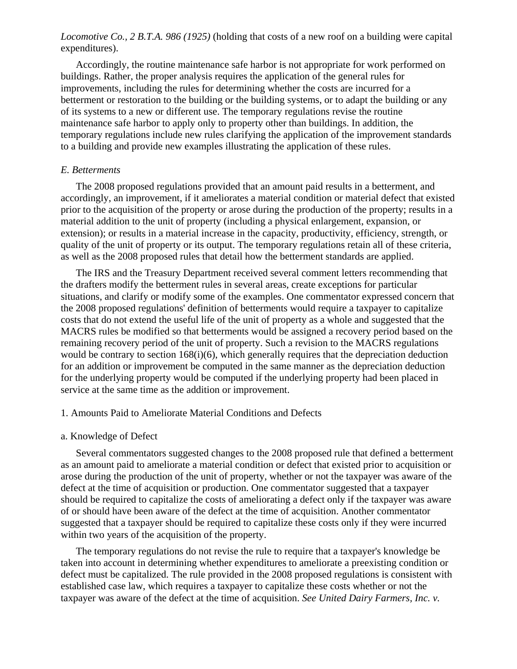*Locomotive Co., 2 B.T.A. 986 (1925)* (holding that costs of a new roof on a building were capital expenditures).

Accordingly, the routine maintenance safe harbor is not appropriate for work performed on buildings. Rather, the proper analysis requires the application of the general rules for improvements, including the rules for determining whether the costs are incurred for a betterment or restoration to the building or the building systems, or to adapt the building or any of its systems to a new or different use. The temporary regulations revise the routine maintenance safe harbor to apply only to property other than buildings. In addition, the temporary regulations include new rules clarifying the application of the improvement standards to a building and provide new examples illustrating the application of these rules.

#### *E. Betterments*

The 2008 proposed regulations provided that an amount paid results in a betterment, and accordingly, an improvement, if it ameliorates a material condition or material defect that existed prior to the acquisition of the property or arose during the production of the property; results in a material addition to the unit of property (including a physical enlargement, expansion, or extension); or results in a material increase in the capacity, productivity, efficiency, strength, or quality of the unit of property or its output. The temporary regulations retain all of these criteria, as well as the 2008 proposed rules that detail how the betterment standards are applied.

The IRS and the Treasury Department received several comment letters recommending that the drafters modify the betterment rules in several areas, create exceptions for particular situations, and clarify or modify some of the examples. One commentator expressed concern that the 2008 proposed regulations' definition of betterments would require a taxpayer to capitalize costs that do not extend the useful life of the unit of property as a whole and suggested that the MACRS rules be modified so that betterments would be assigned a recovery period based on the remaining recovery period of the unit of property. Such a revision to the MACRS regulations would be contrary to section  $168(i)(6)$ , which generally requires that the depreciation deduction for an addition or improvement be computed in the same manner as the depreciation deduction for the underlying property would be computed if the underlying property had been placed in service at the same time as the addition or improvement.

#### 1. Amounts Paid to Ameliorate Material Conditions and Defects

#### a. Knowledge of Defect

Several commentators suggested changes to the 2008 proposed rule that defined a betterment as an amount paid to ameliorate a material condition or defect that existed prior to acquisition or arose during the production of the unit of property, whether or not the taxpayer was aware of the defect at the time of acquisition or production. One commentator suggested that a taxpayer should be required to capitalize the costs of ameliorating a defect only if the taxpayer was aware of or should have been aware of the defect at the time of acquisition. Another commentator suggested that a taxpayer should be required to capitalize these costs only if they were incurred within two years of the acquisition of the property.

The temporary regulations do not revise the rule to require that a taxpayer's knowledge be taken into account in determining whether expenditures to ameliorate a preexisting condition or defect must be capitalized. The rule provided in the 2008 proposed regulations is consistent with established case law, which requires a taxpayer to capitalize these costs whether or not the taxpayer was aware of the defect at the time of acquisition. *See United Dairy Farmers, Inc. v.*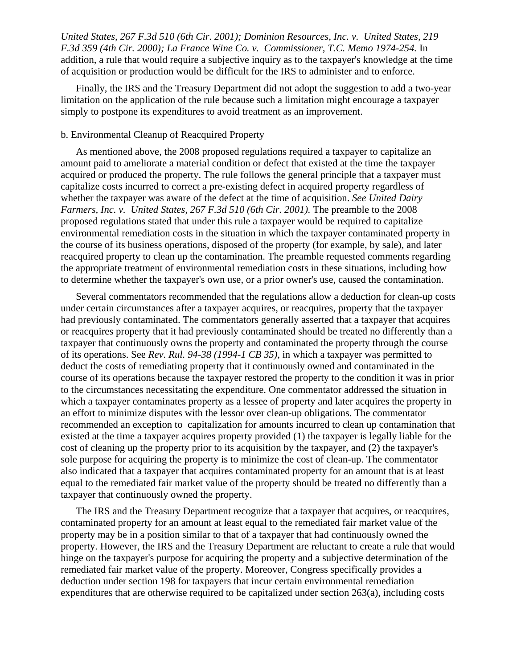*United States, 267 F.3d 510 (6th Cir. 2001); Dominion Resources, Inc. v. United States, 219 F.3d 359 (4th Cir. 2000); La France Wine Co. v. Commissioner, T.C. Memo 1974-254.* In addition, a rule that would require a subjective inquiry as to the taxpayer's knowledge at the time of acquisition or production would be difficult for the IRS to administer and to enforce.

Finally, the IRS and the Treasury Department did not adopt the suggestion to add a two-year limitation on the application of the rule because such a limitation might encourage a taxpayer simply to postpone its expenditures to avoid treatment as an improvement.

# b. Environmental Cleanup of Reacquired Property

As mentioned above, the 2008 proposed regulations required a taxpayer to capitalize an amount paid to ameliorate a material condition or defect that existed at the time the taxpayer acquired or produced the property. The rule follows the general principle that a taxpayer must capitalize costs incurred to correct a pre-existing defect in acquired property regardless of whether the taxpayer was aware of the defect at the time of acquisition. *See United Dairy Farmers, Inc. v. United States, 267 F.3d 510 (6th Cir. 2001).* The preamble to the 2008 proposed regulations stated that under this rule a taxpayer would be required to capitalize environmental remediation costs in the situation in which the taxpayer contaminated property in the course of its business operations, disposed of the property (for example, by sale), and later reacquired property to clean up the contamination. The preamble requested comments regarding the appropriate treatment of environmental remediation costs in these situations, including how to determine whether the taxpayer's own use, or a prior owner's use, caused the contamination.

Several commentators recommended that the regulations allow a deduction for clean-up costs under certain circumstances after a taxpayer acquires, or reacquires, property that the taxpayer had previously contaminated. The commentators generally asserted that a taxpayer that acquires or reacquires property that it had previously contaminated should be treated no differently than a taxpayer that continuously owns the property and contaminated the property through the course of its operations. See *Rev. Rul. 94-38 (1994-1 CB 35),* in which a taxpayer was permitted to deduct the costs of remediating property that it continuously owned and contaminated in the course of its operations because the taxpayer restored the property to the condition it was in prior to the circumstances necessitating the expenditure. One commentator addressed the situation in which a taxpayer contaminates property as a lessee of property and later acquires the property in an effort to minimize disputes with the lessor over clean-up obligations. The commentator recommended an exception to capitalization for amounts incurred to clean up contamination that existed at the time a taxpayer acquires property provided (1) the taxpayer is legally liable for the cost of cleaning up the property prior to its acquisition by the taxpayer, and (2) the taxpayer's sole purpose for acquiring the property is to minimize the cost of clean-up. The commentator also indicated that a taxpayer that acquires contaminated property for an amount that is at least equal to the remediated fair market value of the property should be treated no differently than a taxpayer that continuously owned the property.

The IRS and the Treasury Department recognize that a taxpayer that acquires, or reacquires, contaminated property for an amount at least equal to the remediated fair market value of the property may be in a position similar to that of a taxpayer that had continuously owned the property. However, the IRS and the Treasury Department are reluctant to create a rule that would hinge on the taxpayer's purpose for acquiring the property and a subjective determination of the remediated fair market value of the property. Moreover, Congress specifically provides a deduction under section 198 for taxpayers that incur certain environmental remediation expenditures that are otherwise required to be capitalized under section 263(a), including costs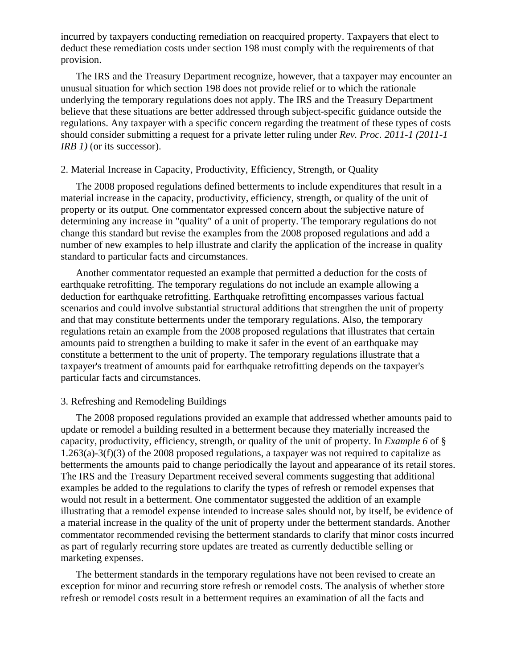incurred by taxpayers conducting remediation on reacquired property. Taxpayers that elect to deduct these remediation costs under section 198 must comply with the requirements of that provision.

The IRS and the Treasury Department recognize, however, that a taxpayer may encounter an unusual situation for which section 198 does not provide relief or to which the rationale underlying the temporary regulations does not apply. The IRS and the Treasury Department believe that these situations are better addressed through subject-specific guidance outside the regulations. Any taxpayer with a specific concern regarding the treatment of these types of costs should consider submitting a request for a private letter ruling under *Rev. Proc. 2011-1 (2011-1 IRB 1)* (or its successor).

## 2. Material Increase in Capacity, Productivity, Efficiency, Strength, or Quality

The 2008 proposed regulations defined betterments to include expenditures that result in a material increase in the capacity, productivity, efficiency, strength, or quality of the unit of property or its output. One commentator expressed concern about the subjective nature of determining any increase in "quality" of a unit of property. The temporary regulations do not change this standard but revise the examples from the 2008 proposed regulations and add a number of new examples to help illustrate and clarify the application of the increase in quality standard to particular facts and circumstances.

Another commentator requested an example that permitted a deduction for the costs of earthquake retrofitting. The temporary regulations do not include an example allowing a deduction for earthquake retrofitting. Earthquake retrofitting encompasses various factual scenarios and could involve substantial structural additions that strengthen the unit of property and that may constitute betterments under the temporary regulations. Also, the temporary regulations retain an example from the 2008 proposed regulations that illustrates that certain amounts paid to strengthen a building to make it safer in the event of an earthquake may constitute a betterment to the unit of property. The temporary regulations illustrate that a taxpayer's treatment of amounts paid for earthquake retrofitting depends on the taxpayer's particular facts and circumstances.

#### 3. Refreshing and Remodeling Buildings

The 2008 proposed regulations provided an example that addressed whether amounts paid to update or remodel a building resulted in a betterment because they materially increased the capacity, productivity, efficiency, strength, or quality of the unit of property. In *Example 6* of § 1.263(a)-3(f)(3) of the 2008 proposed regulations, a taxpayer was not required to capitalize as betterments the amounts paid to change periodically the layout and appearance of its retail stores. The IRS and the Treasury Department received several comments suggesting that additional examples be added to the regulations to clarify the types of refresh or remodel expenses that would not result in a betterment. One commentator suggested the addition of an example illustrating that a remodel expense intended to increase sales should not, by itself, be evidence of a material increase in the quality of the unit of property under the betterment standards. Another commentator recommended revising the betterment standards to clarify that minor costs incurred as part of regularly recurring store updates are treated as currently deductible selling or marketing expenses.

The betterment standards in the temporary regulations have not been revised to create an exception for minor and recurring store refresh or remodel costs. The analysis of whether store refresh or remodel costs result in a betterment requires an examination of all the facts and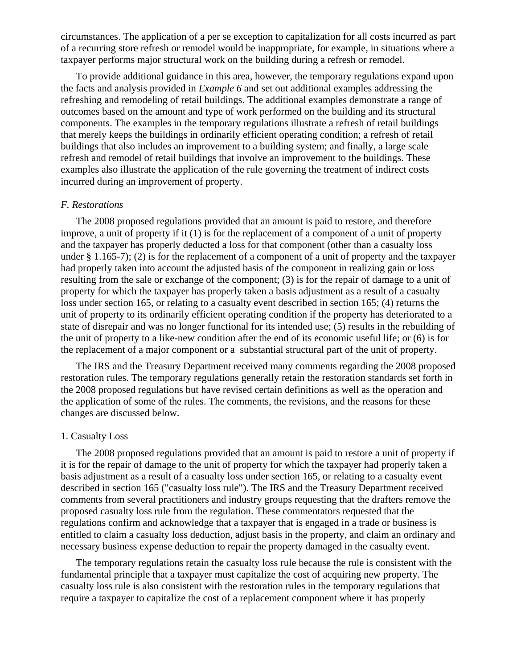circumstances. The application of a per se exception to capitalization for all costs incurred as part of a recurring store refresh or remodel would be inappropriate, for example, in situations where a taxpayer performs major structural work on the building during a refresh or remodel.

To provide additional guidance in this area, however, the temporary regulations expand upon the facts and analysis provided in *Example 6* and set out additional examples addressing the refreshing and remodeling of retail buildings. The additional examples demonstrate a range of outcomes based on the amount and type of work performed on the building and its structural components. The examples in the temporary regulations illustrate a refresh of retail buildings that merely keeps the buildings in ordinarily efficient operating condition; a refresh of retail buildings that also includes an improvement to a building system; and finally, a large scale refresh and remodel of retail buildings that involve an improvement to the buildings. These examples also illustrate the application of the rule governing the treatment of indirect costs incurred during an improvement of property.

# *F. Restorations*

The 2008 proposed regulations provided that an amount is paid to restore, and therefore improve, a unit of property if it (1) is for the replacement of a component of a unit of property and the taxpayer has properly deducted a loss for that component (other than a casualty loss under § 1.165-7); (2) is for the replacement of a component of a unit of property and the taxpayer had properly taken into account the adjusted basis of the component in realizing gain or loss resulting from the sale or exchange of the component; (3) is for the repair of damage to a unit of property for which the taxpayer has properly taken a basis adjustment as a result of a casualty loss under section 165, or relating to a casualty event described in section 165; (4) returns the unit of property to its ordinarily efficient operating condition if the property has deteriorated to a state of disrepair and was no longer functional for its intended use; (5) results in the rebuilding of the unit of property to a like-new condition after the end of its economic useful life; or (6) is for the replacement of a major component or a substantial structural part of the unit of property.

The IRS and the Treasury Department received many comments regarding the 2008 proposed restoration rules. The temporary regulations generally retain the restoration standards set forth in the 2008 proposed regulations but have revised certain definitions as well as the operation and the application of some of the rules. The comments, the revisions, and the reasons for these changes are discussed below.

#### 1. Casualty Loss

The 2008 proposed regulations provided that an amount is paid to restore a unit of property if it is for the repair of damage to the unit of property for which the taxpayer had properly taken a basis adjustment as a result of a casualty loss under section 165, or relating to a casualty event described in section 165 ("casualty loss rule"). The IRS and the Treasury Department received comments from several practitioners and industry groups requesting that the drafters remove the proposed casualty loss rule from the regulation. These commentators requested that the regulations confirm and acknowledge that a taxpayer that is engaged in a trade or business is entitled to claim a casualty loss deduction, adjust basis in the property, and claim an ordinary and necessary business expense deduction to repair the property damaged in the casualty event.

The temporary regulations retain the casualty loss rule because the rule is consistent with the fundamental principle that a taxpayer must capitalize the cost of acquiring new property. The casualty loss rule is also consistent with the restoration rules in the temporary regulations that require a taxpayer to capitalize the cost of a replacement component where it has properly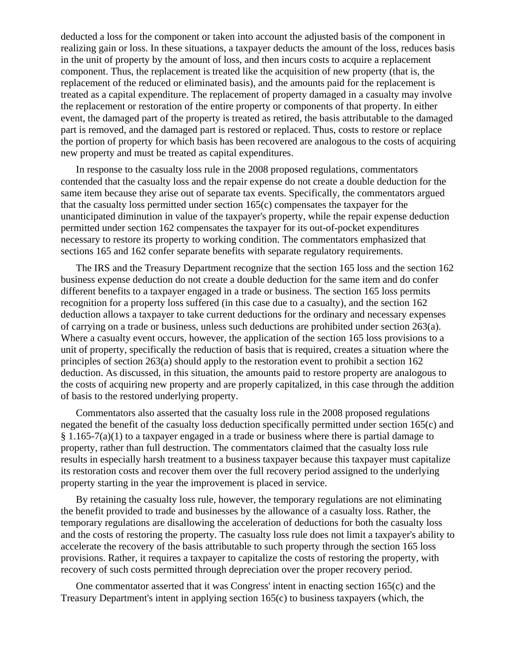deducted a loss for the component or taken into account the adjusted basis of the component in realizing gain or loss. In these situations, a taxpayer deducts the amount of the loss, reduces basis in the unit of property by the amount of loss, and then incurs costs to acquire a replacement component. Thus, the replacement is treated like the acquisition of new property (that is, the replacement of the reduced or eliminated basis), and the amounts paid for the replacement is treated as a capital expenditure. The replacement of property damaged in a casualty may involve the replacement or restoration of the entire property or components of that property. In either event, the damaged part of the property is treated as retired, the basis attributable to the damaged part is removed, and the damaged part is restored or replaced. Thus, costs to restore or replace the portion of property for which basis has been recovered are analogous to the costs of acquiring new property and must be treated as capital expenditures.

In response to the casualty loss rule in the 2008 proposed regulations, commentators contended that the casualty loss and the repair expense do not create a double deduction for the same item because they arise out of separate tax events. Specifically, the commentators argued that the casualty loss permitted under section 165(c) compensates the taxpayer for the unanticipated diminution in value of the taxpayer's property, while the repair expense deduction permitted under section 162 compensates the taxpayer for its out-of-pocket expenditures necessary to restore its property to working condition. The commentators emphasized that sections 165 and 162 confer separate benefits with separate regulatory requirements.

The IRS and the Treasury Department recognize that the section 165 loss and the section 162 business expense deduction do not create a double deduction for the same item and do confer different benefits to a taxpayer engaged in a trade or business. The section 165 loss permits recognition for a property loss suffered (in this case due to a casualty), and the section 162 deduction allows a taxpayer to take current deductions for the ordinary and necessary expenses of carrying on a trade or business, unless such deductions are prohibited under section 263(a). Where a casualty event occurs, however, the application of the section 165 loss provisions to a unit of property, specifically the reduction of basis that is required, creates a situation where the principles of section 263(a) should apply to the restoration event to prohibit a section 162 deduction. As discussed, in this situation, the amounts paid to restore property are analogous to the costs of acquiring new property and are properly capitalized, in this case through the addition of basis to the restored underlying property.

Commentators also asserted that the casualty loss rule in the 2008 proposed regulations negated the benefit of the casualty loss deduction specifically permitted under section 165(c) and § 1.165-7(a)(1) to a taxpayer engaged in a trade or business where there is partial damage to property, rather than full destruction. The commentators claimed that the casualty loss rule results in especially harsh treatment to a business taxpayer because this taxpayer must capitalize its restoration costs and recover them over the full recovery period assigned to the underlying property starting in the year the improvement is placed in service.

By retaining the casualty loss rule, however, the temporary regulations are not eliminating the benefit provided to trade and businesses by the allowance of a casualty loss. Rather, the temporary regulations are disallowing the acceleration of deductions for both the casualty loss and the costs of restoring the property. The casualty loss rule does not limit a taxpayer's ability to accelerate the recovery of the basis attributable to such property through the section 165 loss provisions. Rather, it requires a taxpayer to capitalize the costs of restoring the property, with recovery of such costs permitted through depreciation over the proper recovery period.

One commentator asserted that it was Congress' intent in enacting section 165(c) and the Treasury Department's intent in applying section 165(c) to business taxpayers (which, the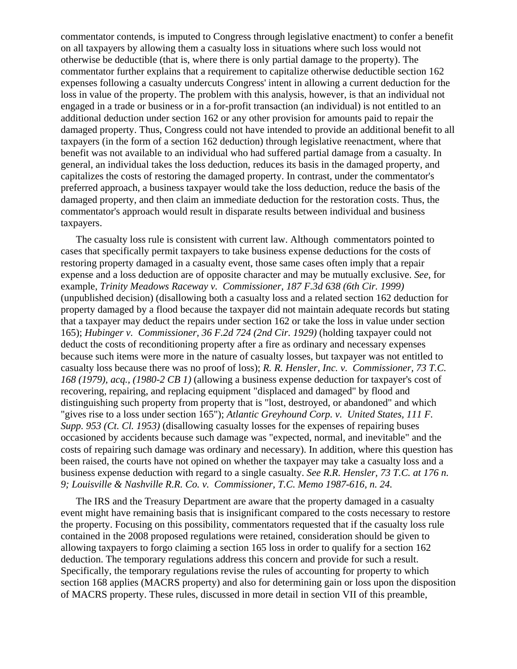commentator contends, is imputed to Congress through legislative enactment) to confer a benefit on all taxpayers by allowing them a casualty loss in situations where such loss would not otherwise be deductible (that is, where there is only partial damage to the property). The commentator further explains that a requirement to capitalize otherwise deductible section 162 expenses following a casualty undercuts Congress' intent in allowing a current deduction for the loss in value of the property. The problem with this analysis, however, is that an individual not engaged in a trade or business or in a for-profit transaction (an individual) is not entitled to an additional deduction under section 162 or any other provision for amounts paid to repair the damaged property. Thus, Congress could not have intended to provide an additional benefit to all taxpayers (in the form of a section 162 deduction) through legislative reenactment, where that benefit was not available to an individual who had suffered partial damage from a casualty. In general, an individual takes the loss deduction, reduces its basis in the damaged property, and capitalizes the costs of restoring the damaged property. In contrast, under the commentator's preferred approach, a business taxpayer would take the loss deduction, reduce the basis of the damaged property, and then claim an immediate deduction for the restoration costs. Thus, the commentator's approach would result in disparate results between individual and business taxpayers.

The casualty loss rule is consistent with current law. Although commentators pointed to cases that specifically permit taxpayers to take business expense deductions for the costs of restoring property damaged in a casualty event, those same cases often imply that a repair expense and a loss deduction are of opposite character and may be mutually exclusive. *See,* for example, *Trinity Meadows Raceway v. Commissioner, 187 F.3d 638 (6th Cir. 1999)* (unpublished decision) (disallowing both a casualty loss and a related section 162 deduction for property damaged by a flood because the taxpayer did not maintain adequate records but stating that a taxpayer may deduct the repairs under section 162 or take the loss in value under section 165); *Hubinger v. Commissioner, 36 F.2d 724 (2nd Cir. 1929)* (holding taxpayer could not deduct the costs of reconditioning property after a fire as ordinary and necessary expenses because such items were more in the nature of casualty losses, but taxpayer was not entitled to casualty loss because there was no proof of loss); *R. R. Hensler, Inc. v. Commissioner, 73 T.C. 168 (1979), acq., (1980-2 CB 1)* (allowing a business expense deduction for taxpayer's cost of recovering, repairing, and replacing equipment "displaced and damaged" by flood and distinguishing such property from property that is "lost, destroyed, or abandoned" and which "gives rise to a loss under section 165"); *Atlantic Greyhound Corp. v. United States, 111 F. Supp. 953 (Ct. Cl. 1953)* (disallowing casualty losses for the expenses of repairing buses occasioned by accidents because such damage was "expected, normal, and inevitable" and the costs of repairing such damage was ordinary and necessary). In addition, where this question has been raised, the courts have not opined on whether the taxpayer may take a casualty loss and a business expense deduction with regard to a single casualty. *See R.R. Hensler, 73 T.C. at 176 n. 9; Louisville & Nashville R.R. Co. v. Commissioner, T.C. Memo 1987-616, n. 24.*

The IRS and the Treasury Department are aware that the property damaged in a casualty event might have remaining basis that is insignificant compared to the costs necessary to restore the property. Focusing on this possibility, commentators requested that if the casualty loss rule contained in the 2008 proposed regulations were retained, consideration should be given to allowing taxpayers to forgo claiming a section 165 loss in order to qualify for a section 162 deduction. The temporary regulations address this concern and provide for such a result. Specifically, the temporary regulations revise the rules of accounting for property to which section 168 applies (MACRS property) and also for determining gain or loss upon the disposition of MACRS property. These rules, discussed in more detail in section VII of this preamble,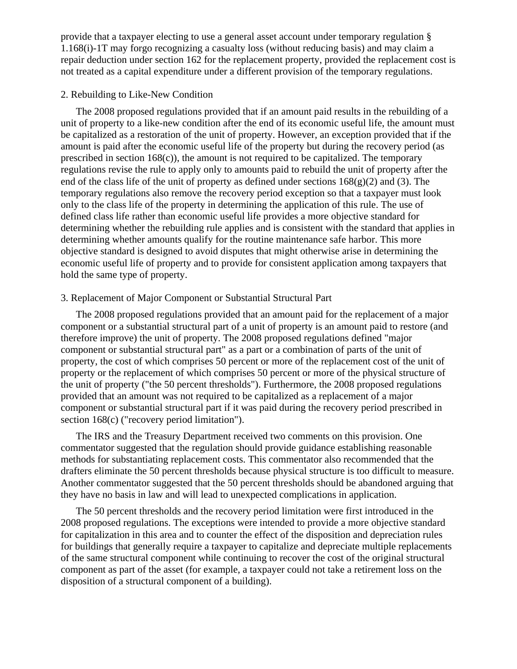provide that a taxpayer electing to use a general asset account under temporary regulation § 1.168(i)-1T may forgo recognizing a casualty loss (without reducing basis) and may claim a repair deduction under section 162 for the replacement property, provided the replacement cost is not treated as a capital expenditure under a different provision of the temporary regulations.

# 2. Rebuilding to Like-New Condition

The 2008 proposed regulations provided that if an amount paid results in the rebuilding of a unit of property to a like-new condition after the end of its economic useful life, the amount must be capitalized as a restoration of the unit of property. However, an exception provided that if the amount is paid after the economic useful life of the property but during the recovery period (as prescribed in section 168(c)), the amount is not required to be capitalized. The temporary regulations revise the rule to apply only to amounts paid to rebuild the unit of property after the end of the class life of the unit of property as defined under sections  $168(g)(2)$  and (3). The temporary regulations also remove the recovery period exception so that a taxpayer must look only to the class life of the property in determining the application of this rule. The use of defined class life rather than economic useful life provides a more objective standard for determining whether the rebuilding rule applies and is consistent with the standard that applies in determining whether amounts qualify for the routine maintenance safe harbor. This more objective standard is designed to avoid disputes that might otherwise arise in determining the economic useful life of property and to provide for consistent application among taxpayers that hold the same type of property.

### 3. Replacement of Major Component or Substantial Structural Part

The 2008 proposed regulations provided that an amount paid for the replacement of a major component or a substantial structural part of a unit of property is an amount paid to restore (and therefore improve) the unit of property. The 2008 proposed regulations defined "major component or substantial structural part" as a part or a combination of parts of the unit of property, the cost of which comprises 50 percent or more of the replacement cost of the unit of property or the replacement of which comprises 50 percent or more of the physical structure of the unit of property ("the 50 percent thresholds"). Furthermore, the 2008 proposed regulations provided that an amount was not required to be capitalized as a replacement of a major component or substantial structural part if it was paid during the recovery period prescribed in section 168(c) ("recovery period limitation").

The IRS and the Treasury Department received two comments on this provision. One commentator suggested that the regulation should provide guidance establishing reasonable methods for substantiating replacement costs. This commentator also recommended that the drafters eliminate the 50 percent thresholds because physical structure is too difficult to measure. Another commentator suggested that the 50 percent thresholds should be abandoned arguing that they have no basis in law and will lead to unexpected complications in application.

The 50 percent thresholds and the recovery period limitation were first introduced in the 2008 proposed regulations. The exceptions were intended to provide a more objective standard for capitalization in this area and to counter the effect of the disposition and depreciation rules for buildings that generally require a taxpayer to capitalize and depreciate multiple replacements of the same structural component while continuing to recover the cost of the original structural component as part of the asset (for example, a taxpayer could not take a retirement loss on the disposition of a structural component of a building).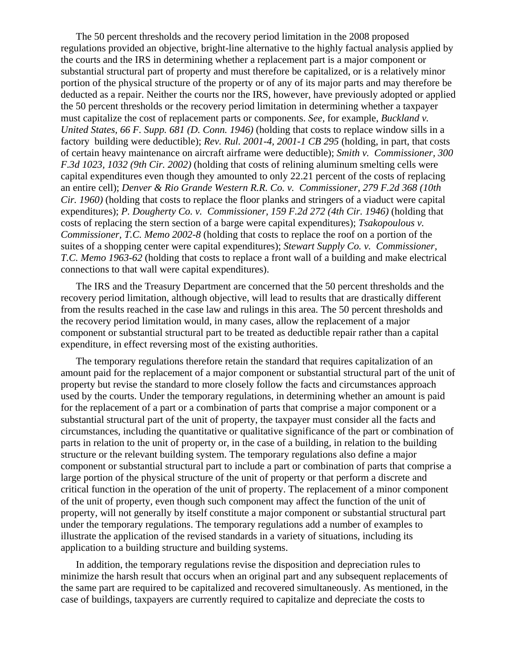The 50 percent thresholds and the recovery period limitation in the 2008 proposed regulations provided an objective, bright-line alternative to the highly factual analysis applied by the courts and the IRS in determining whether a replacement part is a major component or substantial structural part of property and must therefore be capitalized, or is a relatively minor portion of the physical structure of the property or of any of its major parts and may therefore be deducted as a repair. Neither the courts nor the IRS, however, have previously adopted or applied the 50 percent thresholds or the recovery period limitation in determining whether a taxpayer must capitalize the cost of replacement parts or components. *See,* for example, *Buckland v. United States, 66 F. Supp. 681 (D. Conn. 1946)* (holding that costs to replace window sills in a factory building were deductible); *Rev. Rul. 2001-4, 2001-1 CB 295* (holding, in part, that costs of certain heavy maintenance on aircraft airframe were deductible); *Smith v. Commissioner, 300 F.3d 1023, 1032 (9th Cir. 2002)* (holding that costs of relining aluminum smelting cells were capital expenditures even though they amounted to only 22.21 percent of the costs of replacing an entire cell); *Denver & Rio Grande Western R.R. Co. v. Commissioner, 279 F.2d 368 (10th Cir. 1960)* (holding that costs to replace the floor planks and stringers of a viaduct were capital expenditures); *P. Dougherty Co. v. Commissioner, 159 F.2d 272 (4th Cir. 1946)* (holding that costs of replacing the stern section of a barge were capital expenditures); *Tsakopoulous v. Commissioner, T.C. Memo 2002-8* (holding that costs to replace the roof on a portion of the suites of a shopping center were capital expenditures); *Stewart Supply Co. v. Commissioner, T.C. Memo 1963-62* (holding that costs to replace a front wall of a building and make electrical connections to that wall were capital expenditures).

The IRS and the Treasury Department are concerned that the 50 percent thresholds and the recovery period limitation, although objective, will lead to results that are drastically different from the results reached in the case law and rulings in this area. The 50 percent thresholds and the recovery period limitation would, in many cases, allow the replacement of a major component or substantial structural part to be treated as deductible repair rather than a capital expenditure, in effect reversing most of the existing authorities.

The temporary regulations therefore retain the standard that requires capitalization of an amount paid for the replacement of a major component or substantial structural part of the unit of property but revise the standard to more closely follow the facts and circumstances approach used by the courts. Under the temporary regulations, in determining whether an amount is paid for the replacement of a part or a combination of parts that comprise a major component or a substantial structural part of the unit of property, the taxpayer must consider all the facts and circumstances, including the quantitative or qualitative significance of the part or combination of parts in relation to the unit of property or, in the case of a building, in relation to the building structure or the relevant building system. The temporary regulations also define a major component or substantial structural part to include a part or combination of parts that comprise a large portion of the physical structure of the unit of property or that perform a discrete and critical function in the operation of the unit of property. The replacement of a minor component of the unit of property, even though such component may affect the function of the unit of property, will not generally by itself constitute a major component or substantial structural part under the temporary regulations. The temporary regulations add a number of examples to illustrate the application of the revised standards in a variety of situations, including its application to a building structure and building systems.

In addition, the temporary regulations revise the disposition and depreciation rules to minimize the harsh result that occurs when an original part and any subsequent replacements of the same part are required to be capitalized and recovered simultaneously. As mentioned, in the case of buildings, taxpayers are currently required to capitalize and depreciate the costs to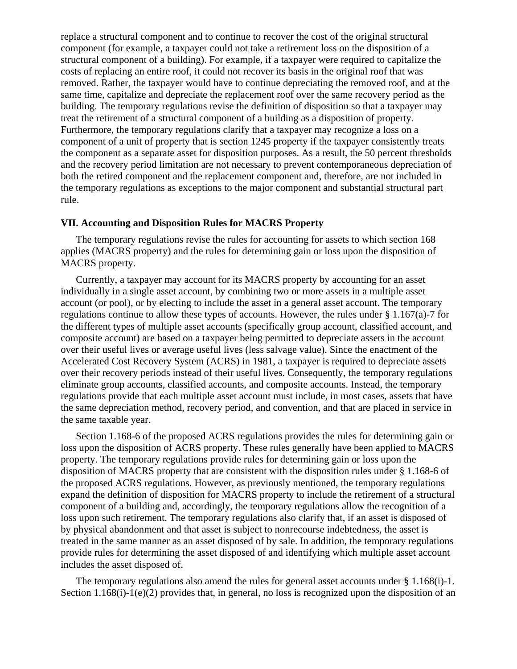replace a structural component and to continue to recover the cost of the original structural component (for example, a taxpayer could not take a retirement loss on the disposition of a structural component of a building). For example, if a taxpayer were required to capitalize the costs of replacing an entire roof, it could not recover its basis in the original roof that was removed. Rather, the taxpayer would have to continue depreciating the removed roof, and at the same time, capitalize and depreciate the replacement roof over the same recovery period as the building. The temporary regulations revise the definition of disposition so that a taxpayer may treat the retirement of a structural component of a building as a disposition of property. Furthermore, the temporary regulations clarify that a taxpayer may recognize a loss on a component of a unit of property that is section 1245 property if the taxpayer consistently treats the component as a separate asset for disposition purposes. As a result, the 50 percent thresholds and the recovery period limitation are not necessary to prevent contemporaneous depreciation of both the retired component and the replacement component and, therefore, are not included in the temporary regulations as exceptions to the major component and substantial structural part rule.

# **VII. Accounting and Disposition Rules for MACRS Property**

The temporary regulations revise the rules for accounting for assets to which section 168 applies (MACRS property) and the rules for determining gain or loss upon the disposition of MACRS property.

Currently, a taxpayer may account for its MACRS property by accounting for an asset individually in a single asset account, by combining two or more assets in a multiple asset account (or pool), or by electing to include the asset in a general asset account. The temporary regulations continue to allow these types of accounts. However, the rules under  $\S 1.167(a)$ -7 for the different types of multiple asset accounts (specifically group account, classified account, and composite account) are based on a taxpayer being permitted to depreciate assets in the account over their useful lives or average useful lives (less salvage value). Since the enactment of the Accelerated Cost Recovery System (ACRS) in 1981, a taxpayer is required to depreciate assets over their recovery periods instead of their useful lives. Consequently, the temporary regulations eliminate group accounts, classified accounts, and composite accounts. Instead, the temporary regulations provide that each multiple asset account must include, in most cases, assets that have the same depreciation method, recovery period, and convention, and that are placed in service in the same taxable year.

Section 1.168-6 of the proposed ACRS regulations provides the rules for determining gain or loss upon the disposition of ACRS property. These rules generally have been applied to MACRS property. The temporary regulations provide rules for determining gain or loss upon the disposition of MACRS property that are consistent with the disposition rules under § 1.168-6 of the proposed ACRS regulations. However, as previously mentioned, the temporary regulations expand the definition of disposition for MACRS property to include the retirement of a structural component of a building and, accordingly, the temporary regulations allow the recognition of a loss upon such retirement. The temporary regulations also clarify that, if an asset is disposed of by physical abandonment and that asset is subject to nonrecourse indebtedness, the asset is treated in the same manner as an asset disposed of by sale. In addition, the temporary regulations provide rules for determining the asset disposed of and identifying which multiple asset account includes the asset disposed of.

The temporary regulations also amend the rules for general asset accounts under  $\S 1.168(i)-1.$ Section 1.168(i)-1(e)(2) provides that, in general, no loss is recognized upon the disposition of an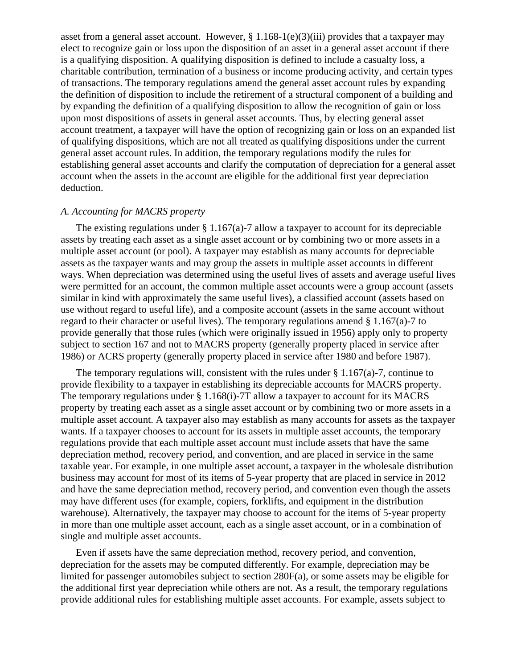asset from a general asset account. However,  $\S 1.168-1(e)(3)(iii)$  provides that a taxpayer may elect to recognize gain or loss upon the disposition of an asset in a general asset account if there is a qualifying disposition. A qualifying disposition is defined to include a casualty loss, a charitable contribution, termination of a business or income producing activity, and certain types of transactions. The temporary regulations amend the general asset account rules by expanding the definition of disposition to include the retirement of a structural component of a building and by expanding the definition of a qualifying disposition to allow the recognition of gain or loss upon most dispositions of assets in general asset accounts. Thus, by electing general asset account treatment, a taxpayer will have the option of recognizing gain or loss on an expanded list of qualifying dispositions, which are not all treated as qualifying dispositions under the current general asset account rules. In addition, the temporary regulations modify the rules for establishing general asset accounts and clarify the computation of depreciation for a general asset account when the assets in the account are eligible for the additional first year depreciation deduction.

# *A. Accounting for MACRS property*

The existing regulations under  $\S 1.167(a)$ -7 allow a taxpayer to account for its depreciable assets by treating each asset as a single asset account or by combining two or more assets in a multiple asset account (or pool). A taxpayer may establish as many accounts for depreciable assets as the taxpayer wants and may group the assets in multiple asset accounts in different ways. When depreciation was determined using the useful lives of assets and average useful lives were permitted for an account, the common multiple asset accounts were a group account (assets similar in kind with approximately the same useful lives), a classified account (assets based on use without regard to useful life), and a composite account (assets in the same account without regard to their character or useful lives). The temporary regulations amend § 1.167(a)-7 to provide generally that those rules (which were originally issued in 1956) apply only to property subject to section 167 and not to MACRS property (generally property placed in service after 1986) or ACRS property (generally property placed in service after 1980 and before 1987).

The temporary regulations will, consistent with the rules under  $\S 1.167(a)$ -7, continue to provide flexibility to a taxpayer in establishing its depreciable accounts for MACRS property. The temporary regulations under  $\S 1.168(i)$ -7T allow a taxpayer to account for its MACRS property by treating each asset as a single asset account or by combining two or more assets in a multiple asset account. A taxpayer also may establish as many accounts for assets as the taxpayer wants. If a taxpayer chooses to account for its assets in multiple asset accounts, the temporary regulations provide that each multiple asset account must include assets that have the same depreciation method, recovery period, and convention, and are placed in service in the same taxable year. For example, in one multiple asset account, a taxpayer in the wholesale distribution business may account for most of its items of 5-year property that are placed in service in 2012 and have the same depreciation method, recovery period, and convention even though the assets may have different uses (for example, copiers, forklifts, and equipment in the distribution warehouse). Alternatively, the taxpayer may choose to account for the items of 5-year property in more than one multiple asset account, each as a single asset account, or in a combination of single and multiple asset accounts.

Even if assets have the same depreciation method, recovery period, and convention, depreciation for the assets may be computed differently. For example, depreciation may be limited for passenger automobiles subject to section 280F(a), or some assets may be eligible for the additional first year depreciation while others are not. As a result, the temporary regulations provide additional rules for establishing multiple asset accounts. For example, assets subject to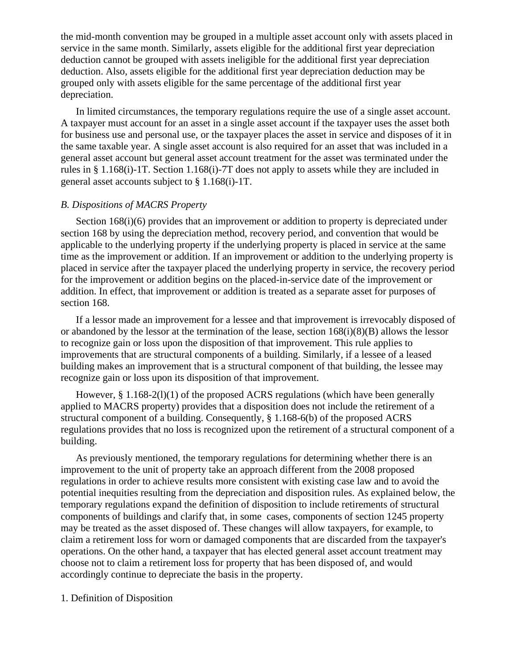the mid-month convention may be grouped in a multiple asset account only with assets placed in service in the same month. Similarly, assets eligible for the additional first year depreciation deduction cannot be grouped with assets ineligible for the additional first year depreciation deduction. Also, assets eligible for the additional first year depreciation deduction may be grouped only with assets eligible for the same percentage of the additional first year depreciation.

In limited circumstances, the temporary regulations require the use of a single asset account. A taxpayer must account for an asset in a single asset account if the taxpayer uses the asset both for business use and personal use, or the taxpayer places the asset in service and disposes of it in the same taxable year. A single asset account is also required for an asset that was included in a general asset account but general asset account treatment for the asset was terminated under the rules in § 1.168(i)-1T. Section 1.168(i)-7T does not apply to assets while they are included in general asset accounts subject to § 1.168(i)-1T.

# *B. Dispositions of MACRS Property*

Section 168(i)(6) provides that an improvement or addition to property is depreciated under section 168 by using the depreciation method, recovery period, and convention that would be applicable to the underlying property if the underlying property is placed in service at the same time as the improvement or addition. If an improvement or addition to the underlying property is placed in service after the taxpayer placed the underlying property in service, the recovery period for the improvement or addition begins on the placed-in-service date of the improvement or addition. In effect, that improvement or addition is treated as a separate asset for purposes of section 168.

If a lessor made an improvement for a lessee and that improvement is irrevocably disposed of or abandoned by the lessor at the termination of the lease, section  $168(i)(8)(B)$  allows the lessor to recognize gain or loss upon the disposition of that improvement. This rule applies to improvements that are structural components of a building. Similarly, if a lessee of a leased building makes an improvement that is a structural component of that building, the lessee may recognize gain or loss upon its disposition of that improvement.

However, § 1.168-2(l)(1) of the proposed ACRS regulations (which have been generally applied to MACRS property) provides that a disposition does not include the retirement of a structural component of a building. Consequently, § 1.168-6(b) of the proposed ACRS regulations provides that no loss is recognized upon the retirement of a structural component of a building.

As previously mentioned, the temporary regulations for determining whether there is an improvement to the unit of property take an approach different from the 2008 proposed regulations in order to achieve results more consistent with existing case law and to avoid the potential inequities resulting from the depreciation and disposition rules. As explained below, the temporary regulations expand the definition of disposition to include retirements of structural components of buildings and clarify that, in some cases, components of section 1245 property may be treated as the asset disposed of. These changes will allow taxpayers, for example, to claim a retirement loss for worn or damaged components that are discarded from the taxpayer's operations. On the other hand, a taxpayer that has elected general asset account treatment may choose not to claim a retirement loss for property that has been disposed of, and would accordingly continue to depreciate the basis in the property.

#### 1. Definition of Disposition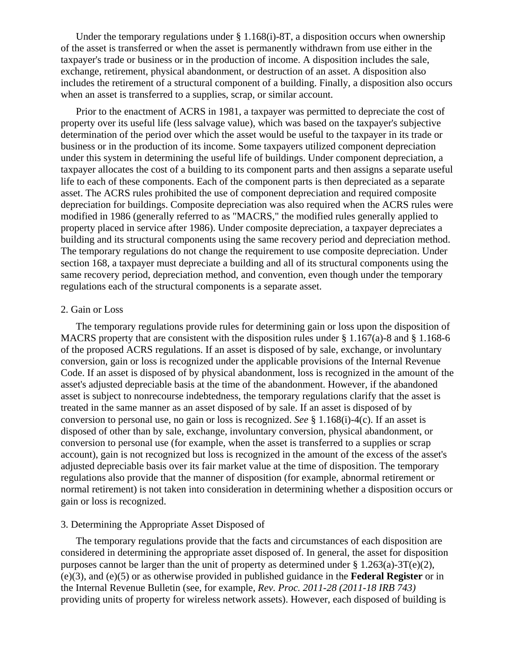Under the temporary regulations under  $\S 1.168(i)$ -8T, a disposition occurs when ownership of the asset is transferred or when the asset is permanently withdrawn from use either in the taxpayer's trade or business or in the production of income. A disposition includes the sale, exchange, retirement, physical abandonment, or destruction of an asset. A disposition also includes the retirement of a structural component of a building. Finally, a disposition also occurs when an asset is transferred to a supplies, scrap, or similar account.

Prior to the enactment of ACRS in 1981, a taxpayer was permitted to depreciate the cost of property over its useful life (less salvage value), which was based on the taxpayer's subjective determination of the period over which the asset would be useful to the taxpayer in its trade or business or in the production of its income. Some taxpayers utilized component depreciation under this system in determining the useful life of buildings. Under component depreciation, a taxpayer allocates the cost of a building to its component parts and then assigns a separate useful life to each of these components. Each of the component parts is then depreciated as a separate asset. The ACRS rules prohibited the use of component depreciation and required composite depreciation for buildings. Composite depreciation was also required when the ACRS rules were modified in 1986 (generally referred to as "MACRS," the modified rules generally applied to property placed in service after 1986). Under composite depreciation, a taxpayer depreciates a building and its structural components using the same recovery period and depreciation method. The temporary regulations do not change the requirement to use composite depreciation. Under section 168, a taxpayer must depreciate a building and all of its structural components using the same recovery period, depreciation method, and convention, even though under the temporary regulations each of the structural components is a separate asset.

#### 2. Gain or Loss

The temporary regulations provide rules for determining gain or loss upon the disposition of MACRS property that are consistent with the disposition rules under  $\S 1.167(a)$ -8 and  $\S 1.168-6$ of the proposed ACRS regulations. If an asset is disposed of by sale, exchange, or involuntary conversion, gain or loss is recognized under the applicable provisions of the Internal Revenue Code. If an asset is disposed of by physical abandonment, loss is recognized in the amount of the asset's adjusted depreciable basis at the time of the abandonment. However, if the abandoned asset is subject to nonrecourse indebtedness, the temporary regulations clarify that the asset is treated in the same manner as an asset disposed of by sale. If an asset is disposed of by conversion to personal use, no gain or loss is recognized. *See* § 1.168(i)-4(c). If an asset is disposed of other than by sale, exchange, involuntary conversion, physical abandonment, or conversion to personal use (for example, when the asset is transferred to a supplies or scrap account), gain is not recognized but loss is recognized in the amount of the excess of the asset's adjusted depreciable basis over its fair market value at the time of disposition. The temporary regulations also provide that the manner of disposition (for example, abnormal retirement or normal retirement) is not taken into consideration in determining whether a disposition occurs or gain or loss is recognized.

#### 3. Determining the Appropriate Asset Disposed of

The temporary regulations provide that the facts and circumstances of each disposition are considered in determining the appropriate asset disposed of. In general, the asset for disposition purposes cannot be larger than the unit of property as determined under  $\S 1.263(a)-3T(e)(2)$ , (e)(3), and (e)(5) or as otherwise provided in published guidance in the **Federal Register** or in the Internal Revenue Bulletin (see, for example, *Rev. Proc. 2011-28 (2011-18 IRB 743)* providing units of property for wireless network assets). However, each disposed of building is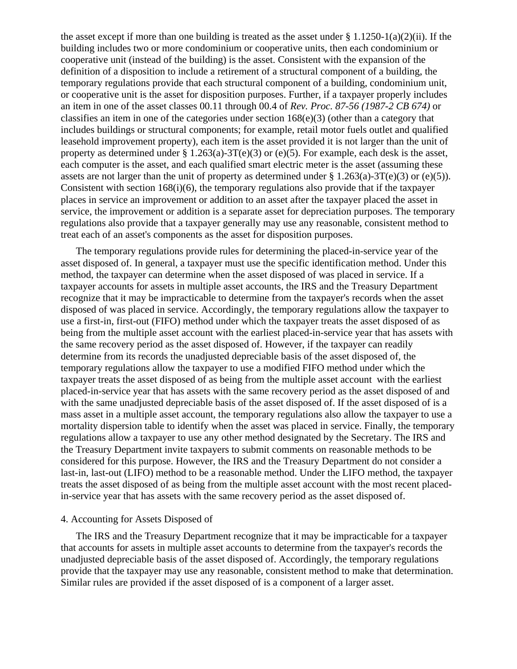the asset except if more than one building is treated as the asset under § 1.1250-1(a)(2)(ii). If the building includes two or more condominium or cooperative units, then each condominium or cooperative unit (instead of the building) is the asset. Consistent with the expansion of the definition of a disposition to include a retirement of a structural component of a building, the temporary regulations provide that each structural component of a building, condominium unit, or cooperative unit is the asset for disposition purposes. Further, if a taxpayer properly includes an item in one of the asset classes 00.11 through 00.4 of *Rev. Proc. 87-56 (1987-2 CB 674)* or classifies an item in one of the categories under section  $168(e)(3)$  (other than a category that includes buildings or structural components; for example, retail motor fuels outlet and qualified leasehold improvement property), each item is the asset provided it is not larger than the unit of property as determined under § 1.263(a)-3T(e)(3) or (e)(5). For example, each desk is the asset, each computer is the asset, and each qualified smart electric meter is the asset (assuming these assets are not larger than the unit of property as determined under  $\S 1.263(a)-3T(e)(3)$  or (e)(5)). Consistent with section  $168(i)(6)$ , the temporary regulations also provide that if the taxpayer places in service an improvement or addition to an asset after the taxpayer placed the asset in service, the improvement or addition is a separate asset for depreciation purposes. The temporary regulations also provide that a taxpayer generally may use any reasonable, consistent method to treat each of an asset's components as the asset for disposition purposes.

The temporary regulations provide rules for determining the placed-in-service year of the asset disposed of. In general, a taxpayer must use the specific identification method. Under this method, the taxpayer can determine when the asset disposed of was placed in service. If a taxpayer accounts for assets in multiple asset accounts, the IRS and the Treasury Department recognize that it may be impracticable to determine from the taxpayer's records when the asset disposed of was placed in service. Accordingly, the temporary regulations allow the taxpayer to use a first-in, first-out (FIFO) method under which the taxpayer treats the asset disposed of as being from the multiple asset account with the earliest placed-in-service year that has assets with the same recovery period as the asset disposed of. However, if the taxpayer can readily determine from its records the unadjusted depreciable basis of the asset disposed of, the temporary regulations allow the taxpayer to use a modified FIFO method under which the taxpayer treats the asset disposed of as being from the multiple asset account with the earliest placed-in-service year that has assets with the same recovery period as the asset disposed of and with the same unadjusted depreciable basis of the asset disposed of. If the asset disposed of is a mass asset in a multiple asset account, the temporary regulations also allow the taxpayer to use a mortality dispersion table to identify when the asset was placed in service. Finally, the temporary regulations allow a taxpayer to use any other method designated by the Secretary. The IRS and the Treasury Department invite taxpayers to submit comments on reasonable methods to be considered for this purpose. However, the IRS and the Treasury Department do not consider a last-in, last-out (LIFO) method to be a reasonable method. Under the LIFO method, the taxpayer treats the asset disposed of as being from the multiple asset account with the most recent placedin-service year that has assets with the same recovery period as the asset disposed of.

#### 4. Accounting for Assets Disposed of

The IRS and the Treasury Department recognize that it may be impracticable for a taxpayer that accounts for assets in multiple asset accounts to determine from the taxpayer's records the unadjusted depreciable basis of the asset disposed of. Accordingly, the temporary regulations provide that the taxpayer may use any reasonable, consistent method to make that determination. Similar rules are provided if the asset disposed of is a component of a larger asset.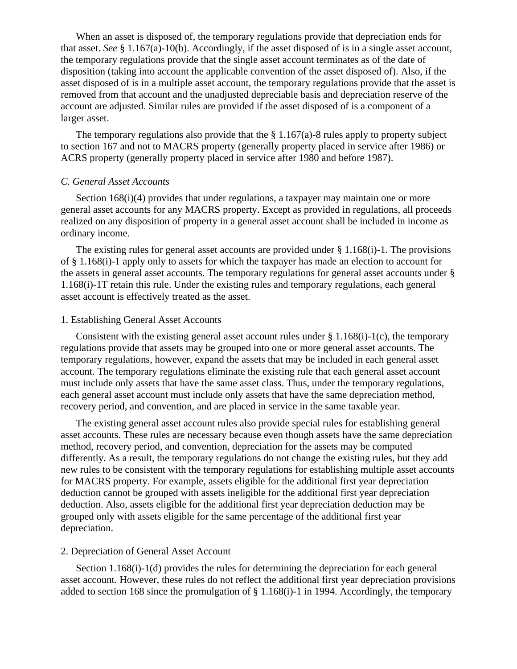When an asset is disposed of, the temporary regulations provide that depreciation ends for that asset. *See* § 1.167(a)-10(b). Accordingly, if the asset disposed of is in a single asset account, the temporary regulations provide that the single asset account terminates as of the date of disposition (taking into account the applicable convention of the asset disposed of). Also, if the asset disposed of is in a multiple asset account, the temporary regulations provide that the asset is removed from that account and the unadjusted depreciable basis and depreciation reserve of the account are adjusted. Similar rules are provided if the asset disposed of is a component of a larger asset.

The temporary regulations also provide that the  $\S 1.167(a)$ -8 rules apply to property subject to section 167 and not to MACRS property (generally property placed in service after 1986) or ACRS property (generally property placed in service after 1980 and before 1987).

### *C. General Asset Accounts*

Section 168(i)(4) provides that under regulations, a taxpayer may maintain one or more general asset accounts for any MACRS property. Except as provided in regulations, all proceeds realized on any disposition of property in a general asset account shall be included in income as ordinary income.

The existing rules for general asset accounts are provided under  $\S 1.168(i)$ -1. The provisions of § 1.168(i)-1 apply only to assets for which the taxpayer has made an election to account for the assets in general asset accounts. The temporary regulations for general asset accounts under § 1.168(i)-1T retain this rule. Under the existing rules and temporary regulations, each general asset account is effectively treated as the asset.

#### 1. Establishing General Asset Accounts

Consistent with the existing general asset account rules under  $\S 1.168(i)-1(c)$ , the temporary regulations provide that assets may be grouped into one or more general asset accounts. The temporary regulations, however, expand the assets that may be included in each general asset account. The temporary regulations eliminate the existing rule that each general asset account must include only assets that have the same asset class. Thus, under the temporary regulations, each general asset account must include only assets that have the same depreciation method, recovery period, and convention, and are placed in service in the same taxable year.

The existing general asset account rules also provide special rules for establishing general asset accounts. These rules are necessary because even though assets have the same depreciation method, recovery period, and convention, depreciation for the assets may be computed differently. As a result, the temporary regulations do not change the existing rules, but they add new rules to be consistent with the temporary regulations for establishing multiple asset accounts for MACRS property. For example, assets eligible for the additional first year depreciation deduction cannot be grouped with assets ineligible for the additional first year depreciation deduction. Also, assets eligible for the additional first year depreciation deduction may be grouped only with assets eligible for the same percentage of the additional first year depreciation.

#### 2. Depreciation of General Asset Account

Section 1.168(i)-1(d) provides the rules for determining the depreciation for each general asset account. However, these rules do not reflect the additional first year depreciation provisions added to section 168 since the promulgation of § 1.168(i)-1 in 1994. Accordingly, the temporary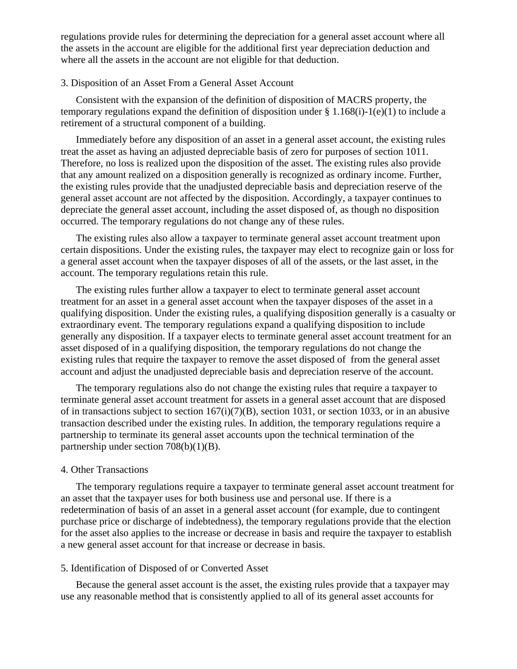regulations provide rules for determining the depreciation for a general asset account where all the assets in the account are eligible for the additional first year depreciation deduction and where all the assets in the account are not eligible for that deduction.

#### 3. Disposition of an Asset From a General Asset Account

Consistent with the expansion of the definition of disposition of MACRS property, the temporary regulations expand the definition of disposition under § 1.168(i)-1(e)(1) to include a retirement of a structural component of a building.

Immediately before any disposition of an asset in a general asset account, the existing rules treat the asset as having an adjusted depreciable basis of zero for purposes of section 1011. Therefore, no loss is realized upon the disposition of the asset. The existing rules also provide that any amount realized on a disposition generally is recognized as ordinary income. Further, the existing rules provide that the unadjusted depreciable basis and depreciation reserve of the general asset account are not affected by the disposition. Accordingly, a taxpayer continues to depreciate the general asset account, including the asset disposed of, as though no disposition occurred. The temporary regulations do not change any of these rules.

The existing rules also allow a taxpayer to terminate general asset account treatment upon certain dispositions. Under the existing rules, the taxpayer may elect to recognize gain or loss for a general asset account when the taxpayer disposes of all of the assets, or the last asset, in the account. The temporary regulations retain this rule.

The existing rules further allow a taxpayer to elect to terminate general asset account treatment for an asset in a general asset account when the taxpayer disposes of the asset in a qualifying disposition. Under the existing rules, a qualifying disposition generally is a casualty or extraordinary event. The temporary regulations expand a qualifying disposition to include generally any disposition. If a taxpayer elects to terminate general asset account treatment for an asset disposed of in a qualifying disposition, the temporary regulations do not change the existing rules that require the taxpayer to remove the asset disposed of from the general asset account and adjust the unadjusted depreciable basis and depreciation reserve of the account.

The temporary regulations also do not change the existing rules that require a taxpayer to terminate general asset account treatment for assets in a general asset account that are disposed of in transactions subject to section 167(i)(7)(B), section 1031, or section 1033, or in an abusive transaction described under the existing rules. In addition, the temporary regulations require a partnership to terminate its general asset accounts upon the technical termination of the partnership under section 708(b)(1)(B).

### 4. Other Transactions

The temporary regulations require a taxpayer to terminate general asset account treatment for an asset that the taxpayer uses for both business use and personal use. If there is a redetermination of basis of an asset in a general asset account (for example, due to contingent purchase price or discharge of indebtedness), the temporary regulations provide that the election for the asset also applies to the increase or decrease in basis and require the taxpayer to establish a new general asset account for that increase or decrease in basis.

#### 5. Identification of Disposed of or Converted Asset

Because the general asset account is the asset, the existing rules provide that a taxpayer may use any reasonable method that is consistently applied to all of its general asset accounts for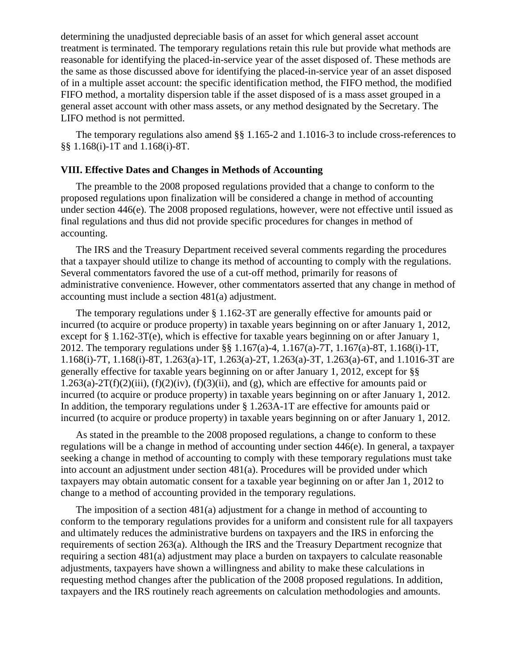determining the unadjusted depreciable basis of an asset for which general asset account treatment is terminated. The temporary regulations retain this rule but provide what methods are reasonable for identifying the placed-in-service year of the asset disposed of. These methods are the same as those discussed above for identifying the placed-in-service year of an asset disposed of in a multiple asset account: the specific identification method, the FIFO method, the modified FIFO method, a mortality dispersion table if the asset disposed of is a mass asset grouped in a general asset account with other mass assets, or any method designated by the Secretary. The LIFO method is not permitted.

The temporary regulations also amend §§ 1.165-2 and 1.1016-3 to include cross-references to §§ 1.168(i)-1T and 1.168(i)-8T.

# **VIII. Effective Dates and Changes in Methods of Accounting**

The preamble to the 2008 proposed regulations provided that a change to conform to the proposed regulations upon finalization will be considered a change in method of accounting under section 446(e). The 2008 proposed regulations, however, were not effective until issued as final regulations and thus did not provide specific procedures for changes in method of accounting.

The IRS and the Treasury Department received several comments regarding the procedures that a taxpayer should utilize to change its method of accounting to comply with the regulations. Several commentators favored the use of a cut-off method, primarily for reasons of administrative convenience. However, other commentators asserted that any change in method of accounting must include a section 481(a) adjustment.

The temporary regulations under § 1.162-3T are generally effective for amounts paid or incurred (to acquire or produce property) in taxable years beginning on or after January 1, 2012, except for § 1.162-3T(e), which is effective for taxable years beginning on or after January 1, 2012. The temporary regulations under §§ 1.167(a)-4, 1.167(a)-7T, 1.167(a)-8T, 1.168(i)-1T, 1.168(i)-7T, 1.168(i)-8T, 1.263(a)-1T, 1.263(a)-2T, 1.263(a)-3T, 1.263(a)-6T, and 1.1016-3T are generally effective for taxable years beginning on or after January 1, 2012, except for §§  $1.263(a)-2T(f)(2)(iii)$ ,  $(f)(2)(iv)$ ,  $(f)(3)(ii)$ , and  $(g)$ , which are effective for amounts paid or incurred (to acquire or produce property) in taxable years beginning on or after January 1, 2012. In addition, the temporary regulations under § 1.263A-1T are effective for amounts paid or incurred (to acquire or produce property) in taxable years beginning on or after January 1, 2012.

As stated in the preamble to the 2008 proposed regulations, a change to conform to these regulations will be a change in method of accounting under section 446(e). In general, a taxpayer seeking a change in method of accounting to comply with these temporary regulations must take into account an adjustment under section 481(a). Procedures will be provided under which taxpayers may obtain automatic consent for a taxable year beginning on or after Jan 1, 2012 to change to a method of accounting provided in the temporary regulations.

The imposition of a section 481(a) adjustment for a change in method of accounting to conform to the temporary regulations provides for a uniform and consistent rule for all taxpayers and ultimately reduces the administrative burdens on taxpayers and the IRS in enforcing the requirements of section 263(a). Although the IRS and the Treasury Department recognize that requiring a section 481(a) adjustment may place a burden on taxpayers to calculate reasonable adjustments, taxpayers have shown a willingness and ability to make these calculations in requesting method changes after the publication of the 2008 proposed regulations. In addition, taxpayers and the IRS routinely reach agreements on calculation methodologies and amounts.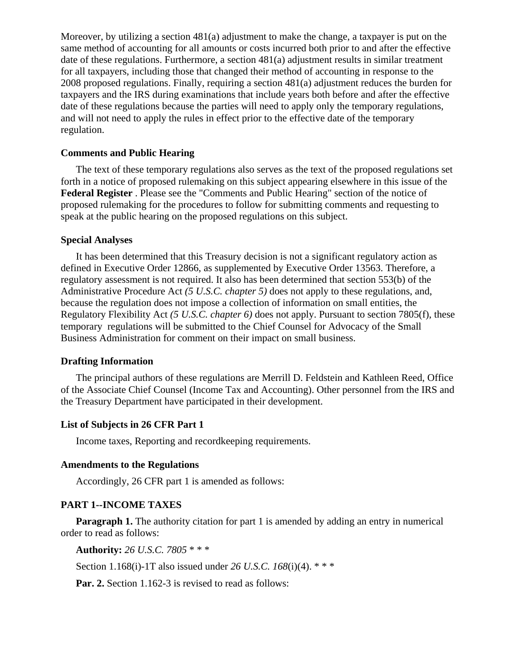Moreover, by utilizing a section 481(a) adjustment to make the change, a taxpayer is put on the same method of accounting for all amounts or costs incurred both prior to and after the effective date of these regulations. Furthermore, a section 481(a) adjustment results in similar treatment for all taxpayers, including those that changed their method of accounting in response to the 2008 proposed regulations. Finally, requiring a section 481(a) adjustment reduces the burden for taxpayers and the IRS during examinations that include years both before and after the effective date of these regulations because the parties will need to apply only the temporary regulations, and will not need to apply the rules in effect prior to the effective date of the temporary regulation.

# **Comments and Public Hearing**

The text of these temporary regulations also serves as the text of the proposed regulations set forth in a notice of proposed rulemaking on this subject appearing elsewhere in this issue of the **Federal Register** . Please see the "Comments and Public Hearing" section of the notice of proposed rulemaking for the procedures to follow for submitting comments and requesting to speak at the public hearing on the proposed regulations on this subject.

#### **Special Analyses**

It has been determined that this Treasury decision is not a significant regulatory action as defined in Executive Order 12866, as supplemented by Executive Order 13563. Therefore, a regulatory assessment is not required. It also has been determined that section 553(b) of the Administrative Procedure Act *(5 U.S.C. chapter 5)* does not apply to these regulations, and, because the regulation does not impose a collection of information on small entities, the Regulatory Flexibility Act *(5 U.S.C. chapter 6)* does not apply. Pursuant to section 7805(f), these temporary regulations will be submitted to the Chief Counsel for Advocacy of the Small Business Administration for comment on their impact on small business.

#### **Drafting Information**

The principal authors of these regulations are Merrill D. Feldstein and Kathleen Reed, Office of the Associate Chief Counsel (Income Tax and Accounting). Other personnel from the IRS and the Treasury Department have participated in their development.

# **List of Subjects in 26 CFR Part 1**

Income taxes, Reporting and recordkeeping requirements.

# **Amendments to the Regulations**

Accordingly, 26 CFR part 1 is amended as follows:

# **PART 1--INCOME TAXES**

**Paragraph 1.** The authority citation for part 1 is amended by adding an entry in numerical order to read as follows:

**Authority:** *26 U.S.C. 7805* \* \* \*

Section 1.168(i)-1T also issued under *26 U.S.C. 168*(i)(4). \* \* \*

**Par. 2.** Section 1.162-3 is revised to read as follows: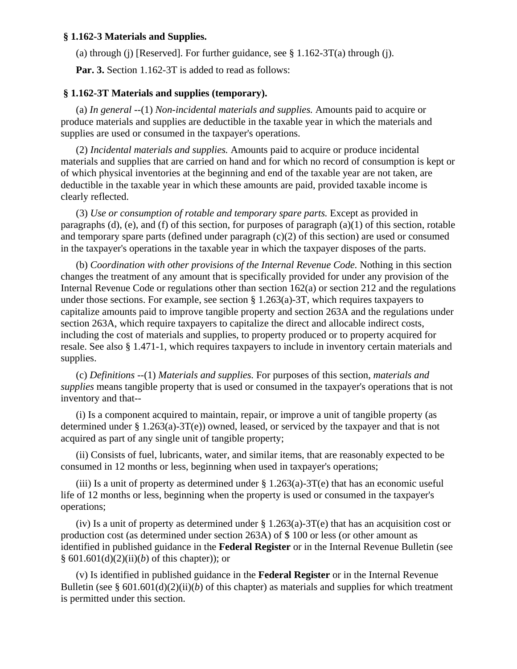## **§ 1.162-3 Materials and Supplies.**

(a) through (j) [Reserved]. For further guidance, see  $\S 1.162-3T(a)$  through (j).

**Par. 3.** Section 1.162-3T is added to read as follows:

# **§ 1.162-3T Materials and supplies (temporary).**

(a) *In general* --(1) *Non-incidental materials and supplies.* Amounts paid to acquire or produce materials and supplies are deductible in the taxable year in which the materials and supplies are used or consumed in the taxpayer's operations.

(2) *Incidental materials and supplies.* Amounts paid to acquire or produce incidental materials and supplies that are carried on hand and for which no record of consumption is kept or of which physical inventories at the beginning and end of the taxable year are not taken, are deductible in the taxable year in which these amounts are paid, provided taxable income is clearly reflected.

(3) *Use or consumption of rotable and temporary spare parts.* Except as provided in paragraphs (d), (e), and (f) of this section, for purposes of paragraph  $(a)(1)$  of this section, rotable and temporary spare parts (defined under paragraph (c)(2) of this section) are used or consumed in the taxpayer's operations in the taxable year in which the taxpayer disposes of the parts.

(b) *Coordination with other provisions of the Internal Revenue Code.* Nothing in this section changes the treatment of any amount that is specifically provided for under any provision of the Internal Revenue Code or regulations other than section 162(a) or section 212 and the regulations under those sections. For example, see section § 1.263(a)-3T, which requires taxpayers to capitalize amounts paid to improve tangible property and section 263A and the regulations under section 263A, which require taxpayers to capitalize the direct and allocable indirect costs, including the cost of materials and supplies, to property produced or to property acquired for resale. See also § 1.471-1, which requires taxpayers to include in inventory certain materials and supplies.

(c) *Definitions* --(1) *Materials and supplies.* For purposes of this section, *materials and supplies* means tangible property that is used or consumed in the taxpayer's operations that is not inventory and that--

(i) Is a component acquired to maintain, repair, or improve a unit of tangible property (as determined under § 1.263(a)-3T(e)) owned, leased, or serviced by the taxpayer and that is not acquired as part of any single unit of tangible property;

(ii) Consists of fuel, lubricants, water, and similar items, that are reasonably expected to be consumed in 12 months or less, beginning when used in taxpayer's operations;

(iii) Is a unit of property as determined under  $\S 1.263(a)$ -3T(e) that has an economic useful life of 12 months or less, beginning when the property is used or consumed in the taxpayer's operations;

(iv) Is a unit of property as determined under  $\S 1.263(a)$ -3T(e) that has an acquisition cost or production cost (as determined under section 263A) of \$ 100 or less (or other amount as identified in published guidance in the **Federal Register** or in the Internal Revenue Bulletin (see § 601.601(d)(2)(ii)(*b*) of this chapter)); or

(v) Is identified in published guidance in the **Federal Register** or in the Internal Revenue Bulletin (see §  $601.601(d)(2)(ii)(b)$  of this chapter) as materials and supplies for which treatment is permitted under this section.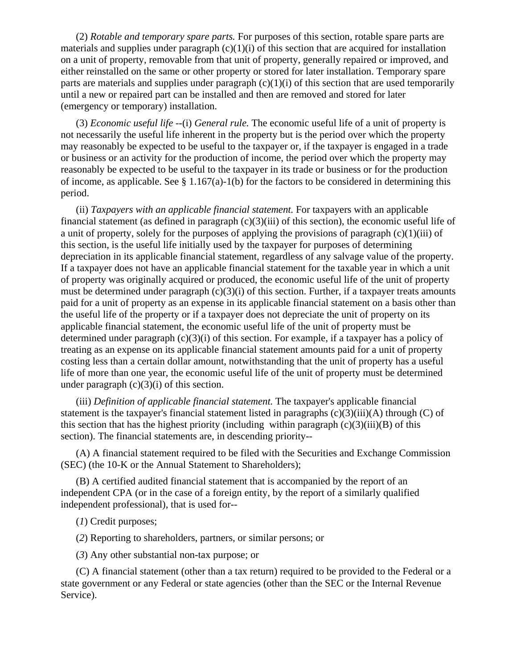(2) *Rotable and temporary spare parts.* For purposes of this section, rotable spare parts are materials and supplies under paragraph  $(c)(1)(i)$  of this section that are acquired for installation on a unit of property, removable from that unit of property, generally repaired or improved, and either reinstalled on the same or other property or stored for later installation. Temporary spare parts are materials and supplies under paragraph  $(c)(1)(i)$  of this section that are used temporarily until a new or repaired part can be installed and then are removed and stored for later (emergency or temporary) installation.

(3) *Economic useful life* --(i) *General rule.* The economic useful life of a unit of property is not necessarily the useful life inherent in the property but is the period over which the property may reasonably be expected to be useful to the taxpayer or, if the taxpayer is engaged in a trade or business or an activity for the production of income, the period over which the property may reasonably be expected to be useful to the taxpayer in its trade or business or for the production of income, as applicable. See  $\S 1.167(a)-1(b)$  for the factors to be considered in determining this period.

(ii) *Taxpayers with an applicable financial statement.* For taxpayers with an applicable financial statement (as defined in paragraph (c)(3)(iii) of this section), the economic useful life of a unit of property, solely for the purposes of applying the provisions of paragraph (c)(1)(iii) of this section, is the useful life initially used by the taxpayer for purposes of determining depreciation in its applicable financial statement, regardless of any salvage value of the property. If a taxpayer does not have an applicable financial statement for the taxable year in which a unit of property was originally acquired or produced, the economic useful life of the unit of property must be determined under paragraph  $(c)(3)(i)$  of this section. Further, if a taxpayer treats amounts paid for a unit of property as an expense in its applicable financial statement on a basis other than the useful life of the property or if a taxpayer does not depreciate the unit of property on its applicable financial statement, the economic useful life of the unit of property must be determined under paragraph  $(c)(3)(i)$  of this section. For example, if a taxpayer has a policy of treating as an expense on its applicable financial statement amounts paid for a unit of property costing less than a certain dollar amount, notwithstanding that the unit of property has a useful life of more than one year, the economic useful life of the unit of property must be determined under paragraph  $(c)(3)(i)$  of this section.

(iii) *Definition of applicable financial statement.* The taxpayer's applicable financial statement is the taxpayer's financial statement listed in paragraphs (c)(3)(iii)(A) through (C) of this section that has the highest priority (including within paragraph  $(c)(3)(iii)(B)$  of this section). The financial statements are, in descending priority--

(A) A financial statement required to be filed with the Securities and Exchange Commission (SEC) (the 10-K or the Annual Statement to Shareholders);

(B) A certified audited financial statement that is accompanied by the report of an independent CPA (or in the case of a foreign entity, by the report of a similarly qualified independent professional), that is used for--

(*1*) Credit purposes;

(*2*) Reporting to shareholders, partners, or similar persons; or

(*3*) Any other substantial non-tax purpose; or

(C) A financial statement (other than a tax return) required to be provided to the Federal or a state government or any Federal or state agencies (other than the SEC or the Internal Revenue Service).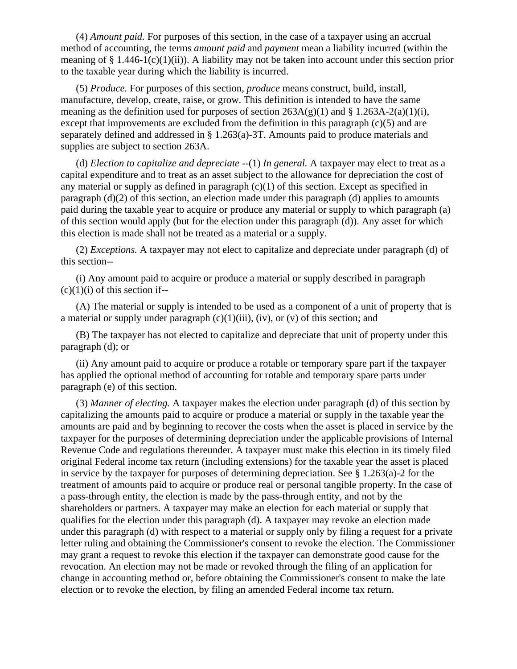(4) *Amount paid.* For purposes of this section, in the case of a taxpayer using an accrual method of accounting, the terms *amount paid* and *payment* mean a liability incurred (within the meaning of  $\S 1.446-1(c)(1)(ii)$ . A liability may not be taken into account under this section prior to the taxable year during which the liability is incurred.

(5) *Produce.* For purposes of this section, *produce* means construct, build, install, manufacture, develop, create, raise, or grow. This definition is intended to have the same meaning as the definition used for purposes of section  $263A(g)(1)$  and § 1.263A-2(a)(1)(i), except that improvements are excluded from the definition in this paragraph (c)(5) and are separately defined and addressed in § 1.263(a)-3T. Amounts paid to produce materials and supplies are subject to section 263A.

(d) *Election to capitalize and depreciate* --(1) *In general.* A taxpayer may elect to treat as a capital expenditure and to treat as an asset subject to the allowance for depreciation the cost of any material or supply as defined in paragraph  $(c)(1)$  of this section. Except as specified in paragraph (d)(2) of this section, an election made under this paragraph (d) applies to amounts paid during the taxable year to acquire or produce any material or supply to which paragraph (a) of this section would apply (but for the election under this paragraph (d)). Any asset for which this election is made shall not be treated as a material or a supply.

(2) *Exceptions.* A taxpayer may not elect to capitalize and depreciate under paragraph (d) of this section--

(i) Any amount paid to acquire or produce a material or supply described in paragraph  $(c)(1)(i)$  of this section if--

(A) The material or supply is intended to be used as a component of a unit of property that is a material or supply under paragraph  $(c)(1)(iii)$ ,  $(iv)$ , or  $(v)$  of this section; and

(B) The taxpayer has not elected to capitalize and depreciate that unit of property under this paragraph (d); or

(ii) Any amount paid to acquire or produce a rotable or temporary spare part if the taxpayer has applied the optional method of accounting for rotable and temporary spare parts under paragraph (e) of this section.

(3) *Manner of electing.* A taxpayer makes the election under paragraph (d) of this section by capitalizing the amounts paid to acquire or produce a material or supply in the taxable year the amounts are paid and by beginning to recover the costs when the asset is placed in service by the taxpayer for the purposes of determining depreciation under the applicable provisions of Internal Revenue Code and regulations thereunder. A taxpayer must make this election in its timely filed original Federal income tax return (including extensions) for the taxable year the asset is placed in service by the taxpayer for purposes of determining depreciation. See § 1.263(a)-2 for the treatment of amounts paid to acquire or produce real or personal tangible property. In the case of a pass-through entity, the election is made by the pass-through entity, and not by the shareholders or partners. A taxpayer may make an election for each material or supply that qualifies for the election under this paragraph (d). A taxpayer may revoke an election made under this paragraph (d) with respect to a material or supply only by filing a request for a private letter ruling and obtaining the Commissioner's consent to revoke the election. The Commissioner may grant a request to revoke this election if the taxpayer can demonstrate good cause for the revocation. An election may not be made or revoked through the filing of an application for change in accounting method or, before obtaining the Commissioner's consent to make the late election or to revoke the election, by filing an amended Federal income tax return.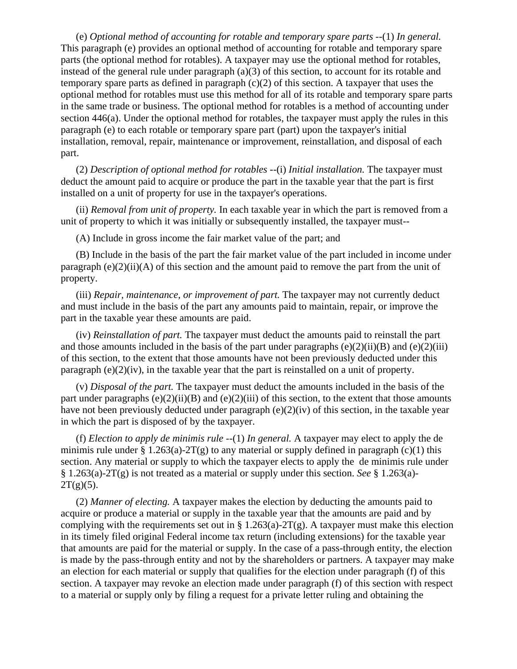(e) *Optional method of accounting for rotable and temporary spare parts* --(1) *In general.* This paragraph (e) provides an optional method of accounting for rotable and temporary spare parts (the optional method for rotables). A taxpayer may use the optional method for rotables, instead of the general rule under paragraph  $(a)(3)$  of this section, to account for its rotable and temporary spare parts as defined in paragraph  $(c)(2)$  of this section. A taxpayer that uses the optional method for rotables must use this method for all of its rotable and temporary spare parts in the same trade or business. The optional method for rotables is a method of accounting under section 446(a). Under the optional method for rotables, the taxpayer must apply the rules in this paragraph (e) to each rotable or temporary spare part (part) upon the taxpayer's initial installation, removal, repair, maintenance or improvement, reinstallation, and disposal of each part.

(2) *Description of optional method for rotables* --(i) *Initial installation.* The taxpayer must deduct the amount paid to acquire or produce the part in the taxable year that the part is first installed on a unit of property for use in the taxpayer's operations.

(ii) *Removal from unit of property.* In each taxable year in which the part is removed from a unit of property to which it was initially or subsequently installed, the taxpayer must--

(A) Include in gross income the fair market value of the part; and

(B) Include in the basis of the part the fair market value of the part included in income under paragraph  $(e)(2)(ii)$  (A) of this section and the amount paid to remove the part from the unit of property.

(iii) *Repair, maintenance, or improvement of part.* The taxpayer may not currently deduct and must include in the basis of the part any amounts paid to maintain, repair, or improve the part in the taxable year these amounts are paid.

(iv) *Reinstallation of part.* The taxpayer must deduct the amounts paid to reinstall the part and those amounts included in the basis of the part under paragraphs  $(e)(2)(ii)(B)$  and  $(e)(2)(iii)$ of this section, to the extent that those amounts have not been previously deducted under this paragraph (e)(2)(iv), in the taxable year that the part is reinstalled on a unit of property.

(v) *Disposal of the part.* The taxpayer must deduct the amounts included in the basis of the part under paragraphs (e)(2)(ii)(B) and (e)(2)(iii) of this section, to the extent that those amounts have not been previously deducted under paragraph  $(e)(2)(iv)$  of this section, in the taxable year in which the part is disposed of by the taxpayer.

(f) *Election to apply de minimis rule* --(1) *In general.* A taxpayer may elect to apply the de minimis rule under § 1.263(a)-2T(g) to any material or supply defined in paragraph (c)(1) this section. Any material or supply to which the taxpayer elects to apply the de minimis rule under § 1.263(a)-2T(g) is not treated as a material or supply under this section. *See* § 1.263(a)-  $2T(g)(5)$ .

(2) *Manner of electing.* A taxpayer makes the election by deducting the amounts paid to acquire or produce a material or supply in the taxable year that the amounts are paid and by complying with the requirements set out in § 1.263(a)-2T(g). A taxpayer must make this election in its timely filed original Federal income tax return (including extensions) for the taxable year that amounts are paid for the material or supply. In the case of a pass-through entity, the election is made by the pass-through entity and not by the shareholders or partners. A taxpayer may make an election for each material or supply that qualifies for the election under paragraph (f) of this section. A taxpayer may revoke an election made under paragraph (f) of this section with respect to a material or supply only by filing a request for a private letter ruling and obtaining the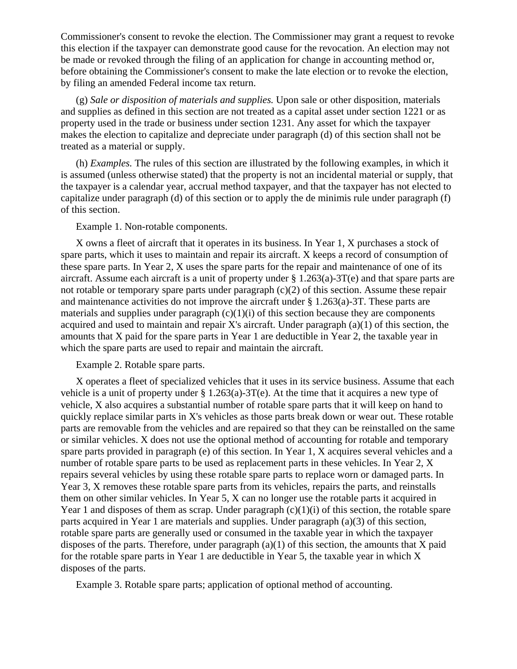Commissioner's consent to revoke the election. The Commissioner may grant a request to revoke this election if the taxpayer can demonstrate good cause for the revocation. An election may not be made or revoked through the filing of an application for change in accounting method or, before obtaining the Commissioner's consent to make the late election or to revoke the election, by filing an amended Federal income tax return.

(g) *Sale or disposition of materials and supplies.* Upon sale or other disposition, materials and supplies as defined in this section are not treated as a capital asset under section 1221 or as property used in the trade or business under section 1231. Any asset for which the taxpayer makes the election to capitalize and depreciate under paragraph (d) of this section shall not be treated as a material or supply.

(h) *Examples.* The rules of this section are illustrated by the following examples, in which it is assumed (unless otherwise stated) that the property is not an incidental material or supply, that the taxpayer is a calendar year, accrual method taxpayer, and that the taxpayer has not elected to capitalize under paragraph (d) of this section or to apply the de minimis rule under paragraph (f) of this section.

#### Example 1. Non-rotable components.

X owns a fleet of aircraft that it operates in its business. In Year 1, X purchases a stock of spare parts, which it uses to maintain and repair its aircraft. X keeps a record of consumption of these spare parts. In Year 2, X uses the spare parts for the repair and maintenance of one of its aircraft. Assume each aircraft is a unit of property under § 1.263(a)-3T(e) and that spare parts are not rotable or temporary spare parts under paragraph (c)(2) of this section. Assume these repair and maintenance activities do not improve the aircraft under § 1.263(a)-3T. These parts are materials and supplies under paragraph  $(c)(1)(i)$  of this section because they are components acquired and used to maintain and repair X's aircraft. Under paragraph (a)(1) of this section, the amounts that X paid for the spare parts in Year 1 are deductible in Year 2, the taxable year in which the spare parts are used to repair and maintain the aircraft.

# Example 2. Rotable spare parts.

X operates a fleet of specialized vehicles that it uses in its service business. Assume that each vehicle is a unit of property under  $\S 1.263(a)$ -3T(e). At the time that it acquires a new type of vehicle, X also acquires a substantial number of rotable spare parts that it will keep on hand to quickly replace similar parts in X's vehicles as those parts break down or wear out. These rotable parts are removable from the vehicles and are repaired so that they can be reinstalled on the same or similar vehicles. X does not use the optional method of accounting for rotable and temporary spare parts provided in paragraph (e) of this section. In Year 1, X acquires several vehicles and a number of rotable spare parts to be used as replacement parts in these vehicles. In Year 2, X repairs several vehicles by using these rotable spare parts to replace worn or damaged parts. In Year 3, X removes these rotable spare parts from its vehicles, repairs the parts, and reinstalls them on other similar vehicles. In Year 5, X can no longer use the rotable parts it acquired in Year 1 and disposes of them as scrap. Under paragraph  $(c)(1)(i)$  of this section, the rotable spare parts acquired in Year 1 are materials and supplies. Under paragraph (a)(3) of this section, rotable spare parts are generally used or consumed in the taxable year in which the taxpayer disposes of the parts. Therefore, under paragraph  $(a)(1)$  of this section, the amounts that X paid for the rotable spare parts in Year 1 are deductible in Year 5, the taxable year in which X disposes of the parts.

Example 3. Rotable spare parts; application of optional method of accounting.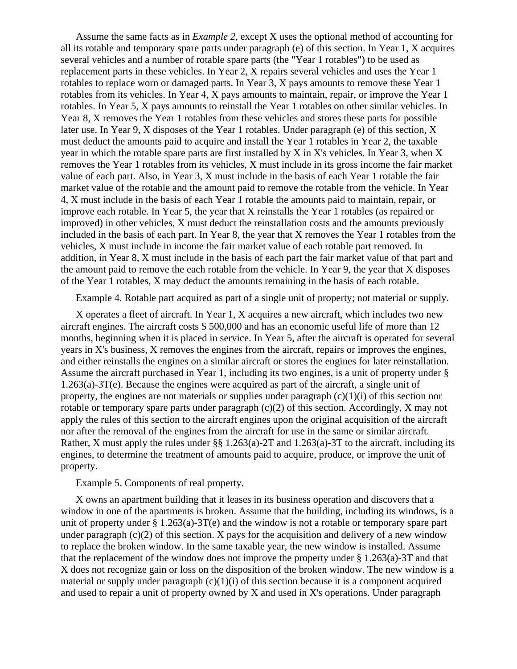Assume the same facts as in *Example 2,* except X uses the optional method of accounting for all its rotable and temporary spare parts under paragraph (e) of this section. In Year 1, X acquires several vehicles and a number of rotable spare parts (the "Year 1 rotables") to be used as replacement parts in these vehicles. In Year 2, X repairs several vehicles and uses the Year 1 rotables to replace worn or damaged parts. In Year 3, X pays amounts to remove these Year 1 rotables from its vehicles. In Year 4, X pays amounts to maintain, repair, or improve the Year 1 rotables. In Year 5, X pays amounts to reinstall the Year 1 rotables on other similar vehicles. In Year 8, X removes the Year 1 rotables from these vehicles and stores these parts for possible later use. In Year 9, X disposes of the Year 1 rotables. Under paragraph (e) of this section, X must deduct the amounts paid to acquire and install the Year 1 rotables in Year 2, the taxable year in which the rotable spare parts are first installed by X in X's vehicles. In Year 3, when X removes the Year 1 rotables from its vehicles, X must include in its gross income the fair market value of each part. Also, in Year 3, X must include in the basis of each Year 1 rotable the fair market value of the rotable and the amount paid to remove the rotable from the vehicle. In Year 4, X must include in the basis of each Year 1 rotable the amounts paid to maintain, repair, or improve each rotable. In Year 5, the year that X reinstalls the Year 1 rotables (as repaired or improved) in other vehicles, X must deduct the reinstallation costs and the amounts previously included in the basis of each part. In Year 8, the year that X removes the Year 1 rotables from the vehicles, X must include in income the fair market value of each rotable part removed. In addition, in Year 8, X must include in the basis of each part the fair market value of that part and the amount paid to remove the each rotable from the vehicle. In Year 9, the year that X disposes of the Year 1 rotables, X may deduct the amounts remaining in the basis of each rotable.

Example 4. Rotable part acquired as part of a single unit of property; not material or supply.

X operates a fleet of aircraft. In Year 1, X acquires a new aircraft, which includes two new aircraft engines. The aircraft costs \$ 500,000 and has an economic useful life of more than 12 months, beginning when it is placed in service. In Year 5, after the aircraft is operated for several years in X's business, X removes the engines from the aircraft, repairs or improves the engines, and either reinstalls the engines on a similar aircraft or stores the engines for later reinstallation. Assume the aircraft purchased in Year 1, including its two engines, is a unit of property under § 1.263(a)-3T(e). Because the engines were acquired as part of the aircraft, a single unit of property, the engines are not materials or supplies under paragraph  $(c)(1)(i)$  of this section nor rotable or temporary spare parts under paragraph (c)(2) of this section. Accordingly, X may not apply the rules of this section to the aircraft engines upon the original acquisition of the aircraft nor after the removal of the engines from the aircraft for use in the same or similar aircraft. Rather, X must apply the rules under §§ 1.263(a)-2T and 1.263(a)-3T to the aircraft, including its engines, to determine the treatment of amounts paid to acquire, produce, or improve the unit of property.

Example 5. Components of real property.

X owns an apartment building that it leases in its business operation and discovers that a window in one of the apartments is broken. Assume that the building, including its windows, is a unit of property under  $\S 1.263(a) - 3T(e)$  and the window is not a rotable or temporary spare part under paragraph  $(c)(2)$  of this section. X pays for the acquisition and delivery of a new window to replace the broken window. In the same taxable year, the new window is installed. Assume that the replacement of the window does not improve the property under  $\S 1.263(a)$ -3T and that X does not recognize gain or loss on the disposition of the broken window. The new window is a material or supply under paragraph  $(c)(1)(i)$  of this section because it is a component acquired and used to repair a unit of property owned by X and used in X's operations. Under paragraph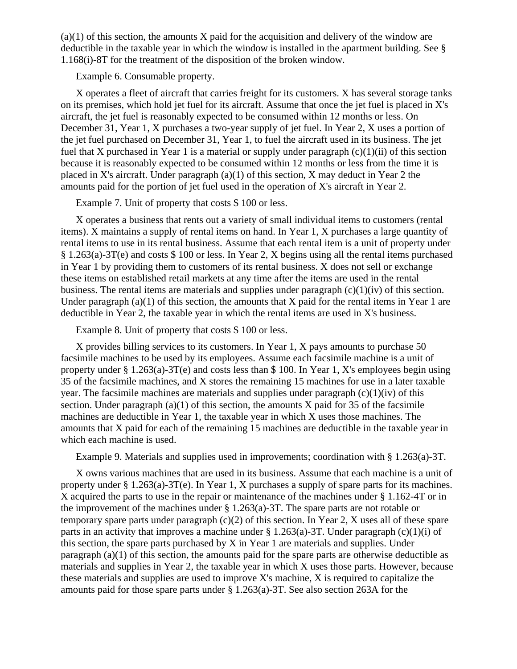$(a)(1)$  of this section, the amounts X paid for the acquisition and delivery of the window are deductible in the taxable year in which the window is installed in the apartment building. See § 1.168(i)-8T for the treatment of the disposition of the broken window.

Example 6. Consumable property.

X operates a fleet of aircraft that carries freight for its customers. X has several storage tanks on its premises, which hold jet fuel for its aircraft. Assume that once the jet fuel is placed in X's aircraft, the jet fuel is reasonably expected to be consumed within 12 months or less. On December 31, Year 1, X purchases a two-year supply of jet fuel. In Year 2, X uses a portion of the jet fuel purchased on December 31, Year 1, to fuel the aircraft used in its business. The jet fuel that X purchased in Year 1 is a material or supply under paragraph  $(c)(1)(ii)$  of this section because it is reasonably expected to be consumed within 12 months or less from the time it is placed in X's aircraft. Under paragraph (a)(1) of this section, X may deduct in Year 2 the amounts paid for the portion of jet fuel used in the operation of X's aircraft in Year 2.

Example 7. Unit of property that costs \$ 100 or less.

X operates a business that rents out a variety of small individual items to customers (rental items). X maintains a supply of rental items on hand. In Year 1, X purchases a large quantity of rental items to use in its rental business. Assume that each rental item is a unit of property under § 1.263(a)-3T(e) and costs \$ 100 or less. In Year 2, X begins using all the rental items purchased in Year 1 by providing them to customers of its rental business. X does not sell or exchange these items on established retail markets at any time after the items are used in the rental business. The rental items are materials and supplies under paragraph  $(c)(1)(iv)$  of this section. Under paragraph  $(a)(1)$  of this section, the amounts that X paid for the rental items in Year 1 are deductible in Year 2, the taxable year in which the rental items are used in X's business.

Example 8. Unit of property that costs \$ 100 or less.

X provides billing services to its customers. In Year 1, X pays amounts to purchase 50 facsimile machines to be used by its employees. Assume each facsimile machine is a unit of property under § 1.263(a)-3T(e) and costs less than \$ 100. In Year 1, X's employees begin using 35 of the facsimile machines, and X stores the remaining 15 machines for use in a later taxable year. The facsimile machines are materials and supplies under paragraph  $(c)(1)(iv)$  of this section. Under paragraph (a)(1) of this section, the amounts  $X$  paid for 35 of the facsimile machines are deductible in Year 1, the taxable year in which X uses those machines. The amounts that X paid for each of the remaining 15 machines are deductible in the taxable year in which each machine is used.

Example 9. Materials and supplies used in improvements; coordination with § 1.263(a)-3T.

X owns various machines that are used in its business. Assume that each machine is a unit of property under § 1.263(a)-3T(e). In Year 1, X purchases a supply of spare parts for its machines. X acquired the parts to use in the repair or maintenance of the machines under § 1.162-4T or in the improvement of the machines under § 1.263(a)-3T. The spare parts are not rotable or temporary spare parts under paragraph  $(c)(2)$  of this section. In Year 2, X uses all of these spare parts in an activity that improves a machine under § 1.263(a)-3T. Under paragraph (c)(1)(i) of this section, the spare parts purchased by X in Year 1 are materials and supplies. Under paragraph (a)(1) of this section, the amounts paid for the spare parts are otherwise deductible as materials and supplies in Year 2, the taxable year in which X uses those parts. However, because these materials and supplies are used to improve X's machine, X is required to capitalize the amounts paid for those spare parts under § 1.263(a)-3T. See also section 263A for the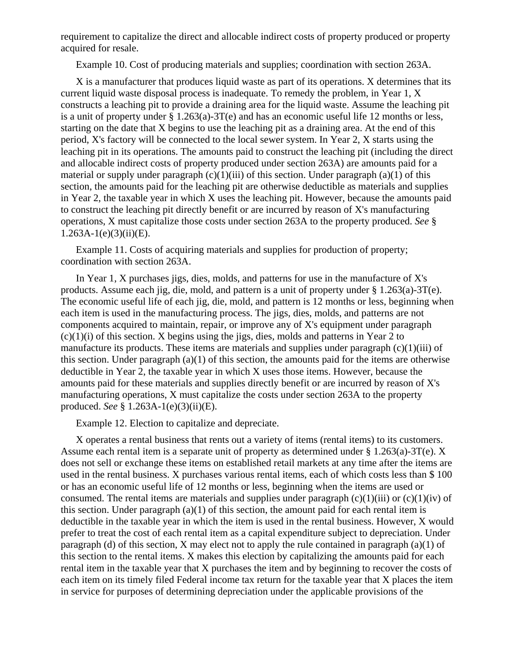requirement to capitalize the direct and allocable indirect costs of property produced or property acquired for resale.

Example 10. Cost of producing materials and supplies; coordination with section 263A.

X is a manufacturer that produces liquid waste as part of its operations. X determines that its current liquid waste disposal process is inadequate. To remedy the problem, in Year 1, X constructs a leaching pit to provide a draining area for the liquid waste. Assume the leaching pit is a unit of property under § 1.263(a)-3T(e) and has an economic useful life 12 months or less, starting on the date that X begins to use the leaching pit as a draining area. At the end of this period, X's factory will be connected to the local sewer system. In Year 2, X starts using the leaching pit in its operations. The amounts paid to construct the leaching pit (including the direct and allocable indirect costs of property produced under section 263A) are amounts paid for a material or supply under paragraph  $(c)(1)(iii)$  of this section. Under paragraph  $(a)(1)$  of this section, the amounts paid for the leaching pit are otherwise deductible as materials and supplies in Year 2, the taxable year in which X uses the leaching pit. However, because the amounts paid to construct the leaching pit directly benefit or are incurred by reason of X's manufacturing operations, X must capitalize those costs under section 263A to the property produced. *See* §  $1.263A-1(e)(3)(ii)(E)$ .

Example 11. Costs of acquiring materials and supplies for production of property; coordination with section 263A.

In Year 1, X purchases jigs, dies, molds, and patterns for use in the manufacture of X's products. Assume each jig, die, mold, and pattern is a unit of property under § 1.263(a)-3T(e). The economic useful life of each jig, die, mold, and pattern is 12 months or less, beginning when each item is used in the manufacturing process. The jigs, dies, molds, and patterns are not components acquired to maintain, repair, or improve any of X's equipment under paragraph  $(c)(1)(i)$  of this section. X begins using the jigs, dies, molds and patterns in Year 2 to manufacture its products. These items are materials and supplies under paragraph (c)(1)(iii) of this section. Under paragraph  $(a)(1)$  of this section, the amounts paid for the items are otherwise deductible in Year 2, the taxable year in which X uses those items. However, because the amounts paid for these materials and supplies directly benefit or are incurred by reason of X's manufacturing operations, X must capitalize the costs under section 263A to the property produced. *See* § 1.263A-1(e)(3)(ii)(E).

Example 12. Election to capitalize and depreciate.

X operates a rental business that rents out a variety of items (rental items) to its customers. Assume each rental item is a separate unit of property as determined under § 1.263(a)-3T(e). X does not sell or exchange these items on established retail markets at any time after the items are used in the rental business. X purchases various rental items, each of which costs less than \$ 100 or has an economic useful life of 12 months or less, beginning when the items are used or consumed. The rental items are materials and supplies under paragraph (c)(1)(iii) or (c)(1)(iv) of this section. Under paragraph (a)(1) of this section, the amount paid for each rental item is deductible in the taxable year in which the item is used in the rental business. However, X would prefer to treat the cost of each rental item as a capital expenditure subject to depreciation. Under paragraph (d) of this section, X may elect not to apply the rule contained in paragraph (a)(1) of this section to the rental items. X makes this election by capitalizing the amounts paid for each rental item in the taxable year that X purchases the item and by beginning to recover the costs of each item on its timely filed Federal income tax return for the taxable year that X places the item in service for purposes of determining depreciation under the applicable provisions of the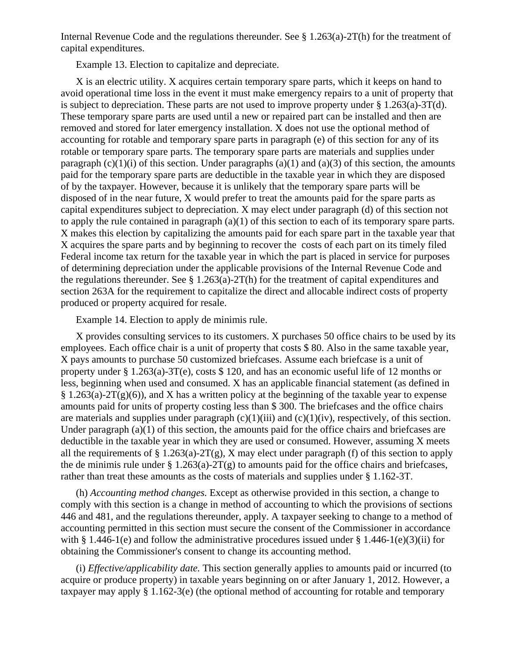Internal Revenue Code and the regulations thereunder. See § 1.263(a)-2T(h) for the treatment of capital expenditures.

Example 13. Election to capitalize and depreciate.

X is an electric utility. X acquires certain temporary spare parts, which it keeps on hand to avoid operational time loss in the event it must make emergency repairs to a unit of property that is subject to depreciation. These parts are not used to improve property under  $\S 1.263(a)$ -3T(d). These temporary spare parts are used until a new or repaired part can be installed and then are removed and stored for later emergency installation. X does not use the optional method of accounting for rotable and temporary spare parts in paragraph (e) of this section for any of its rotable or temporary spare parts. The temporary spare parts are materials and supplies under paragraph  $(c)(1)(i)$  of this section. Under paragraphs  $(a)(1)$  and  $(a)(3)$  of this section, the amounts paid for the temporary spare parts are deductible in the taxable year in which they are disposed of by the taxpayer. However, because it is unlikely that the temporary spare parts will be disposed of in the near future, X would prefer to treat the amounts paid for the spare parts as capital expenditures subject to depreciation. X may elect under paragraph (d) of this section not to apply the rule contained in paragraph  $(a)(1)$  of this section to each of its temporary spare parts. X makes this election by capitalizing the amounts paid for each spare part in the taxable year that X acquires the spare parts and by beginning to recover the costs of each part on its timely filed Federal income tax return for the taxable year in which the part is placed in service for purposes of determining depreciation under the applicable provisions of the Internal Revenue Code and the regulations thereunder. See  $\S 1.263(a)$ -2T(h) for the treatment of capital expenditures and section 263A for the requirement to capitalize the direct and allocable indirect costs of property produced or property acquired for resale.

Example 14. Election to apply de minimis rule.

X provides consulting services to its customers. X purchases 50 office chairs to be used by its employees. Each office chair is a unit of property that costs \$ 80. Also in the same taxable year, X pays amounts to purchase 50 customized briefcases. Assume each briefcase is a unit of property under § 1.263(a)-3T(e), costs \$ 120, and has an economic useful life of 12 months or less, beginning when used and consumed. X has an applicable financial statement (as defined in  $\S 1.263(a)-2T(g)(6)$ , and X has a written policy at the beginning of the taxable year to expense amounts paid for units of property costing less than \$ 300. The briefcases and the office chairs are materials and supplies under paragraph  $(c)(1)(iii)$  and  $(c)(1)(iv)$ , respectively, of this section. Under paragraph (a)(1) of this section, the amounts paid for the office chairs and briefcases are deductible in the taxable year in which they are used or consumed. However, assuming X meets all the requirements of  $\S 1.263(a)-2T(g)$ , X may elect under paragraph (f) of this section to apply the de minimis rule under § 1.263(a)-2T(g) to amounts paid for the office chairs and briefcases, rather than treat these amounts as the costs of materials and supplies under § 1.162-3T.

(h) *Accounting method changes.* Except as otherwise provided in this section, a change to comply with this section is a change in method of accounting to which the provisions of sections 446 and 481, and the regulations thereunder, apply. A taxpayer seeking to change to a method of accounting permitted in this section must secure the consent of the Commissioner in accordance with § 1.446-1(e) and follow the administrative procedures issued under § 1.446-1(e)(3)(ii) for obtaining the Commissioner's consent to change its accounting method.

(i) *Effective/applicability date.* This section generally applies to amounts paid or incurred (to acquire or produce property) in taxable years beginning on or after January 1, 2012. However, a taxpayer may apply § 1.162-3(e) (the optional method of accounting for rotable and temporary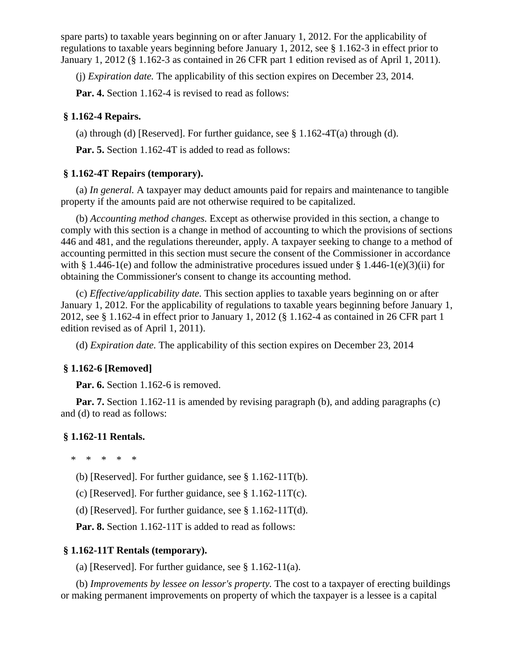spare parts) to taxable years beginning on or after January 1, 2012. For the applicability of regulations to taxable years beginning before January 1, 2012, see § 1.162-3 in effect prior to January 1, 2012 (§ 1.162-3 as contained in 26 CFR part 1 edition revised as of April 1, 2011).

(j) *Expiration date.* The applicability of this section expires on December 23, 2014.

Par. 4. Section 1.162-4 is revised to read as follows:

# **§ 1.162-4 Repairs.**

(a) through (d) [Reserved]. For further guidance, see  $\S$  1.162-4T(a) through (d).

**Par. 5.** Section 1.162-4T is added to read as follows:

# **§ 1.162-4T Repairs (temporary).**

(a) *In general.* A taxpayer may deduct amounts paid for repairs and maintenance to tangible property if the amounts paid are not otherwise required to be capitalized.

(b) *Accounting method changes.* Except as otherwise provided in this section, a change to comply with this section is a change in method of accounting to which the provisions of sections 446 and 481, and the regulations thereunder, apply. A taxpayer seeking to change to a method of accounting permitted in this section must secure the consent of the Commissioner in accordance with § 1.446-1(e) and follow the administrative procedures issued under § 1.446-1(e)(3)(ii) for obtaining the Commissioner's consent to change its accounting method.

(c) *Effective/applicability date.* This section applies to taxable years beginning on or after January 1, 2012. For the applicability of regulations to taxable years beginning before January 1, 2012, see § 1.162-4 in effect prior to January 1, 2012 (§ 1.162-4 as contained in 26 CFR part 1 edition revised as of April 1, 2011).

(d) *Expiration date.* The applicability of this section expires on December 23, 2014

# **§ 1.162-6 [Removed]**

**Par. 6.** Section 1.162-6 is removed.

**Par. 7.** Section 1.162-11 is amended by revising paragraph (b), and adding paragraphs (c) and (d) to read as follows:

### **§ 1.162-11 Rentals.**

\* \* \* \* \*

- (b) [Reserved]. For further guidance, see § 1.162-11T(b).
- (c) [Reserved]. For further guidance, see  $\S 1.162-11T(c)$ .
- (d) [Reserved]. For further guidance, see  $\S 1.162-11T(d)$ .

**Par. 8.** Section 1.162-11T is added to read as follows:

# **§ 1.162-11T Rentals (temporary).**

(a) [Reserved]. For further guidance, see  $\S 1.162-11(a)$ .

(b) *Improvements by lessee on lessor's property.* The cost to a taxpayer of erecting buildings or making permanent improvements on property of which the taxpayer is a lessee is a capital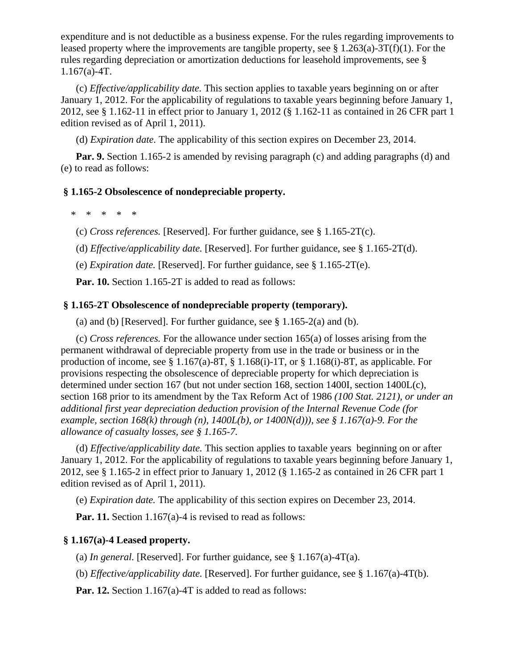expenditure and is not deductible as a business expense. For the rules regarding improvements to leased property where the improvements are tangible property, see  $\S 1.263(a)$ -3T(f)(1). For the rules regarding depreciation or amortization deductions for leasehold improvements, see §  $1.167(a) - 4T$ .

(c) *Effective/applicability date.* This section applies to taxable years beginning on or after January 1, 2012. For the applicability of regulations to taxable years beginning before January 1, 2012, see § 1.162-11 in effect prior to January 1, 2012 (§ 1.162-11 as contained in 26 CFR part 1 edition revised as of April 1, 2011).

(d) *Expiration date.* The applicability of this section expires on December 23, 2014.

**Par. 9.** Section 1.165-2 is amended by revising paragraph (c) and adding paragraphs (d) and (e) to read as follows:

# **§ 1.165-2 Obsolescence of nondepreciable property.**

\* \* \* \* \*

(c) *Cross references.* [Reserved]. For further guidance, see § 1.165-2T(c).

(d) *Effective/applicability date.* [Reserved]. For further guidance, see § 1.165-2T(d).

(e) *Expiration date.* [Reserved]. For further guidance, see § 1.165-2T(e).

**Par. 10.** Section 1.165-2T is added to read as follows:

# **§ 1.165-2T Obsolescence of nondepreciable property (temporary).**

(a) and (b) [Reserved]. For further guidance, see  $\S 1.165-2(a)$  and (b).

(c) *Cross references.* For the allowance under section 165(a) of losses arising from the permanent withdrawal of depreciable property from use in the trade or business or in the production of income, see  $\S 1.167(a)$ -8T,  $\S 1.168(i)$ -1T, or  $\S 1.168(i)$ -8T, as applicable. For provisions respecting the obsolescence of depreciable property for which depreciation is determined under section 167 (but not under section 168, section 1400I, section 1400L(c), section 168 prior to its amendment by the Tax Reform Act of 1986 *(100 Stat. 2121), or under an additional first year depreciation deduction provision of the Internal Revenue Code (for example, section 168(k) through (n), 1400L(b), or 1400N(d))), see § 1.167(a)-9. For the allowance of casualty losses, see § 1.165-7.*

(d) *Effective/applicability date.* This section applies to taxable years beginning on or after January 1, 2012. For the applicability of regulations to taxable years beginning before January 1, 2012, see § 1.165-2 in effect prior to January 1, 2012 (§ 1.165-2 as contained in 26 CFR part 1 edition revised as of April 1, 2011).

(e) *Expiration date.* The applicability of this section expires on December 23, 2014.

**Par. 11.** Section 1.167(a)-4 is revised to read as follows:

# **§ 1.167(a)-4 Leased property.**

(a) *In general.* [Reserved]. For further guidance, see  $\S 1.167(a)$ -4T(a).

(b) *Effective/applicability date.* [Reserved]. For further guidance, see § 1.167(a)-4T(b).

**Par. 12.** Section 1.167(a)-4T is added to read as follows: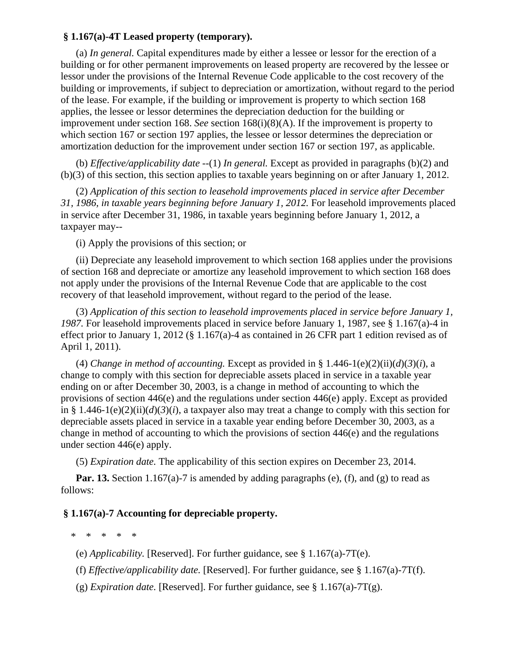# **§ 1.167(a)-4T Leased property (temporary).**

(a) *In general.* Capital expenditures made by either a lessee or lessor for the erection of a building or for other permanent improvements on leased property are recovered by the lessee or lessor under the provisions of the Internal Revenue Code applicable to the cost recovery of the building or improvements, if subject to depreciation or amortization, without regard to the period of the lease. For example, if the building or improvement is property to which section 168 applies, the lessee or lessor determines the depreciation deduction for the building or improvement under section 168. *See* section 168(i)(8)(A). If the improvement is property to which section 167 or section 197 applies, the lessee or lessor determines the depreciation or amortization deduction for the improvement under section 167 or section 197, as applicable.

(b) *Effective/applicability date* --(1) *In general.* Except as provided in paragraphs (b)(2) and (b)(3) of this section, this section applies to taxable years beginning on or after January 1, 2012.

(2) *Application of this section to leasehold improvements placed in service after December 31, 1986, in taxable years beginning before January 1, 2012.* For leasehold improvements placed in service after December 31, 1986, in taxable years beginning before January 1, 2012, a taxpayer may--

(i) Apply the provisions of this section; or

(ii) Depreciate any leasehold improvement to which section 168 applies under the provisions of section 168 and depreciate or amortize any leasehold improvement to which section 168 does not apply under the provisions of the Internal Revenue Code that are applicable to the cost recovery of that leasehold improvement, without regard to the period of the lease.

(3) *Application of this section to leasehold improvements placed in service before January 1, 1987.* For leasehold improvements placed in service before January 1, 1987, see § 1.167(a)-4 in effect prior to January 1, 2012 (§ 1.167(a)-4 as contained in 26 CFR part 1 edition revised as of April 1, 2011).

(4) *Change in method of accounting.* Except as provided in § 1.446-1(e)(2)(ii)(d)(3)(*i*), a change to comply with this section for depreciable assets placed in service in a taxable year ending on or after December 30, 2003, is a change in method of accounting to which the provisions of section 446(e) and the regulations under section 446(e) apply. Except as provided in § 1.446-1(e)(2)(ii)(d)(3)(i), a taxpayer also may treat a change to comply with this section for depreciable assets placed in service in a taxable year ending before December 30, 2003, as a change in method of accounting to which the provisions of section 446(e) and the regulations under section 446(e) apply.

(5) *Expiration date.* The applicability of this section expires on December 23, 2014.

**Par. 13.** Section 1.167(a)-7 is amended by adding paragraphs (e), (f), and (g) to read as follows:

# **§ 1.167(a)-7 Accounting for depreciable property.**

\* \* \* \* \*

- (e) *Applicability.* [Reserved]. For further guidance, see § 1.167(a)-7T(e).
- (f) *Effective/applicability date.* [Reserved]. For further guidance, see § 1.167(a)-7T(f).
- (g) *Expiration date.* [Reserved]. For further guidance, see  $\S 1.167(a)$ -7T(g).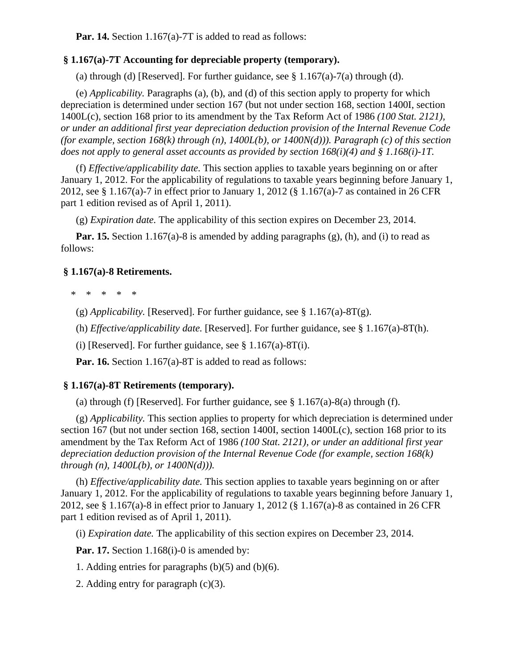**Par. 14.** Section 1.167(a)-7T is added to read as follows:

# **§ 1.167(a)-7T Accounting for depreciable property (temporary).**

(a) through (d) [Reserved]. For further guidance, see  $\S 1.167(a)-7(a)$  through (d).

(e) *Applicability.* Paragraphs (a), (b), and (d) of this section apply to property for which depreciation is determined under section 167 (but not under section 168, section 1400I, section 1400L(c), section 168 prior to its amendment by the Tax Reform Act of 1986 *(100 Stat. 2121), or under an additional first year depreciation deduction provision of the Internal Revenue Code (for example, section 168(k) through (n), 1400L(b), or 1400N(d))). Paragraph (c) of this section does not apply to general asset accounts as provided by section 168(i)(4) and § 1.168(i)-1T.*

(f) *Effective/applicability date.* This section applies to taxable years beginning on or after January 1, 2012. For the applicability of regulations to taxable years beginning before January 1, 2012, see § 1.167(a)-7 in effect prior to January 1, 2012 (§ 1.167(a)-7 as contained in 26 CFR part 1 edition revised as of April 1, 2011).

(g) *Expiration date.* The applicability of this section expires on December 23, 2014.

Par. 15. Section 1.167(a)-8 is amended by adding paragraphs (g), (h), and (i) to read as follows:

### **§ 1.167(a)-8 Retirements.**

\* \* \* \* \*

(g) *Applicability.* [Reserved]. For further guidance, see § 1.167(a)-8T(g).

- (h) *Effective/applicability date.* [Reserved]. For further guidance, see § 1.167(a)-8T(h).
- (i) [Reserved]. For further guidance, see  $\S 1.167(a)$ -8T(i).

**Par. 16.** Section 1.167(a)-8T is added to read as follows:

#### **§ 1.167(a)-8T Retirements (temporary).**

(a) through (f) [Reserved]. For further guidance, see  $\S 1.167(a)$ -8(a) through (f).

(g) *Applicability.* This section applies to property for which depreciation is determined under section 167 (but not under section 168, section 1400I, section 1400L(c), section 168 prior to its amendment by the Tax Reform Act of 1986 *(100 Stat. 2121), or under an additional first year depreciation deduction provision of the Internal Revenue Code (for example, section 168(k) through (n), 1400L(b), or 1400N(d))).*

(h) *Effective/applicability date.* This section applies to taxable years beginning on or after January 1, 2012. For the applicability of regulations to taxable years beginning before January 1, 2012, see § 1.167(a)-8 in effect prior to January 1, 2012 (§ 1.167(a)-8 as contained in 26 CFR part 1 edition revised as of April 1, 2011).

(i) *Expiration date.* The applicability of this section expires on December 23, 2014.

**Par. 17.** Section 1.168(i)-0 is amended by:

- 1. Adding entries for paragraphs (b)(5) and (b)(6).
- 2. Adding entry for paragraph (c)(3).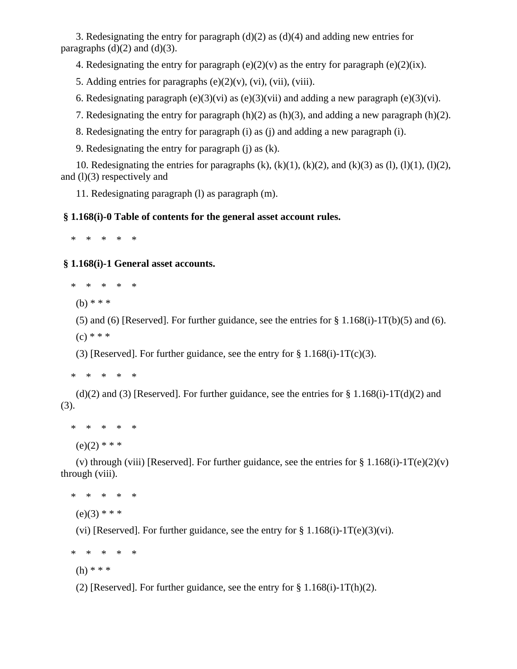3. Redesignating the entry for paragraph (d)(2) as (d)(4) and adding new entries for paragraphs  $(d)(2)$  and  $(d)(3)$ .

4. Redesignating the entry for paragraph  $(e)(2)(v)$  as the entry for paragraph  $(e)(2)(ix)$ .

5. Adding entries for paragraphs  $(e)(2)(v)$ ,  $(vi)$ ,  $(vii)$ ,  $(viii)$ .

6. Redesignating paragraph (e)(3)(vi) as (e)(3)(vii) and adding a new paragraph (e)(3)(vi).

7. Redesignating the entry for paragraph (h)(2) as (h)(3), and adding a new paragraph (h)(2).

8. Redesignating the entry for paragraph (i) as (j) and adding a new paragraph (i).

9. Redesignating the entry for paragraph (j) as (k).

10. Redesignating the entries for paragraphs  $(k)$ ,  $(k)(1)$ ,  $(k)(2)$ , and  $(k)(3)$  as  $(l)$ ,  $(l)(1)$ ,  $(l)(2)$ , and  $(l)(3)$  respectively and

11. Redesignating paragraph (l) as paragraph (m).

# **§ 1.168(i)-0 Table of contents for the general asset account rules.**

\* \* \* \* \*

 **§ 1.168(i)-1 General asset accounts.**

\* \* \* \* \*

 $(h)$  \* \* \*

(5) and (6) [Reserved]. For further guidance, see the entries for  $\S 1.168(i)$ -1T(b)(5) and (6).  $(c) * * *$ 

(3) [Reserved]. For further guidance, see the entry for  $\S 1.168(i)-1T(c)(3)$ .

\* \* \* \* \*

(d)(2) and (3) [Reserved]. For further guidance, see the entries for  $\S 1.168(i)$ -1T(d)(2) and (3).

\* \* \* \* \*

 $(e)(2)$  \* \* \*

(v) through (viii) [Reserved]. For further guidance, see the entries for § 1.168(i)-1T(e)(2)(v) through (viii).

\* \* \* \* \*

 $(e)(3)$  \* \* \*

(vi) [Reserved]. For further guidance, see the entry for  $\S 1.168(i)-1T(e)(3)(vi)$ .

\* \* \* \* \*

(h) \* \* \*

(2) [Reserved]. For further guidance, see the entry for  $\S 1.168(i)$ -1T(h)(2).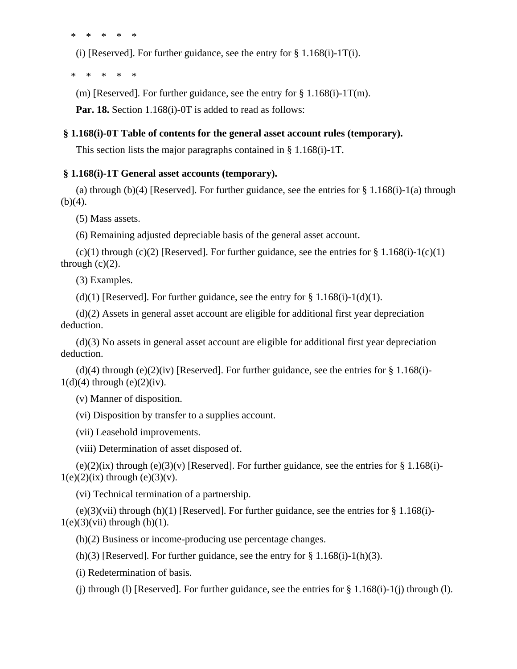\* \* \* \* \*

(i) [Reserved]. For further guidance, see the entry for  $\S 1.168(i)$ -1T(i).

\* \* \* \* \*

(m) [Reserved]. For further guidance, see the entry for  $\S 1.168(i)$ -1T(m).

**Par. 18.** Section 1.168(i)-0T is added to read as follows:

### **§ 1.168(i)-0T Table of contents for the general asset account rules (temporary).**

This section lists the major paragraphs contained in § 1.168(i)-1T.

## **§ 1.168(i)-1T General asset accounts (temporary).**

(a) through (b)(4) [Reserved]. For further guidance, see the entries for  $\S 1.168(i)-1(a)$  through  $(b)(4)$ .

(5) Mass assets.

(6) Remaining adjusted depreciable basis of the general asset account.

 $(c)(1)$  through  $(c)(2)$  [Reserved]. For further guidance, see the entries for § 1.168(i)-1(c)(1) through  $(c)(2)$ .

(3) Examples.

(d)(1) [Reserved]. For further guidance, see the entry for  $\S 1.168(i)-1(d)(1)$ .

(d)(2) Assets in general asset account are eligible for additional first year depreciation deduction.

(d)(3) No assets in general asset account are eligible for additional first year depreciation deduction.

(d)(4) through (e)(2)(iv) [Reserved]. For further guidance, see the entries for  $\S 1.168(i)$ - $1(d)(4)$  through  $(e)(2)(iv)$ .

(v) Manner of disposition.

(vi) Disposition by transfer to a supplies account.

(vii) Leasehold improvements.

(viii) Determination of asset disposed of.

 $(e)(2)(ix)$  through  $(e)(3)(y)$  [Reserved]. For further guidance, see the entries for § 1.168(i)- $1(e)(2)(ix)$  through  $(e)(3)(v)$ .

(vi) Technical termination of a partnership.

 $(e)(3)(\n$ ii) through  $(h)(1)$  [Reserved]. For further guidance, see the entries for § 1.168(i)- $1(e)(3)(vii)$  through (h)(1).

(h)(2) Business or income-producing use percentage changes.

(h)(3) [Reserved]. For further guidance, see the entry for  $\S 1.168(i)-1(h)(3)$ .

(i) Redetermination of basis.

(i) through (l) [Reserved]. For further guidance, see the entries for  $\S 1.168(i)$ -1(j) through (l).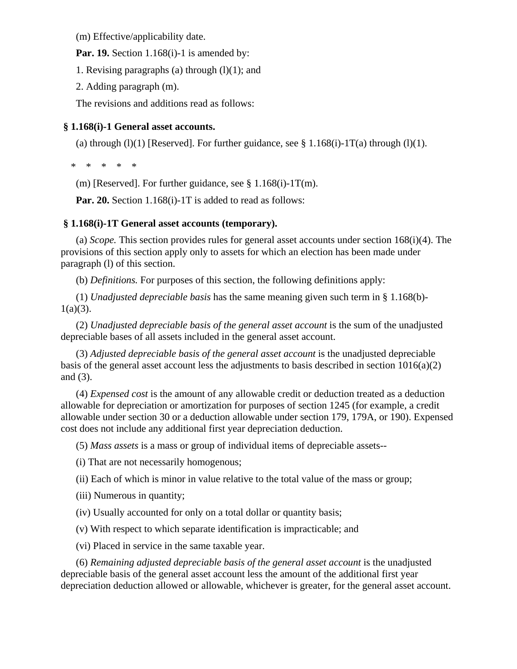(m) Effective/applicability date.

**Par. 19.** Section 1.168(i)-1 is amended by:

1. Revising paragraphs (a) through  $(l)(1)$ ; and

2. Adding paragraph (m).

The revisions and additions read as follows:

# **§ 1.168(i)-1 General asset accounts.**

(a) through (l)(1) [Reserved]. For further guidance, see  $\S 1.168(i)$ -1T(a) through (l)(1).

\* \* \* \* \*

(m) [Reserved]. For further guidance, see  $\S 1.168(i)-1T(m)$ .

**Par. 20.** Section 1.168(i)-1T is added to read as follows:

# **§ 1.168(i)-1T General asset accounts (temporary).**

(a) *Scope.* This section provides rules for general asset accounts under section 168(i)(4). The provisions of this section apply only to assets for which an election has been made under paragraph (l) of this section.

(b) *Definitions.* For purposes of this section, the following definitions apply:

(1) *Unadjusted depreciable basis* has the same meaning given such term in § 1.168(b)-  $1(a)(3)$ .

(2) *Unadjusted depreciable basis of the general asset account* is the sum of the unadjusted depreciable bases of all assets included in the general asset account.

(3) *Adjusted depreciable basis of the general asset account* is the unadjusted depreciable basis of the general asset account less the adjustments to basis described in section  $1016(a)(2)$ and (3).

(4) *Expensed cost* is the amount of any allowable credit or deduction treated as a deduction allowable for depreciation or amortization for purposes of section 1245 (for example, a credit allowable under section 30 or a deduction allowable under section 179, 179A, or 190). Expensed cost does not include any additional first year depreciation deduction.

(5) *Mass assets* is a mass or group of individual items of depreciable assets--

(i) That are not necessarily homogenous;

(ii) Each of which is minor in value relative to the total value of the mass or group;

(iii) Numerous in quantity;

(iv) Usually accounted for only on a total dollar or quantity basis;

(v) With respect to which separate identification is impracticable; and

(vi) Placed in service in the same taxable year.

(6) *Remaining adjusted depreciable basis of the general asset account* is the unadjusted depreciable basis of the general asset account less the amount of the additional first year depreciation deduction allowed or allowable, whichever is greater, for the general asset account.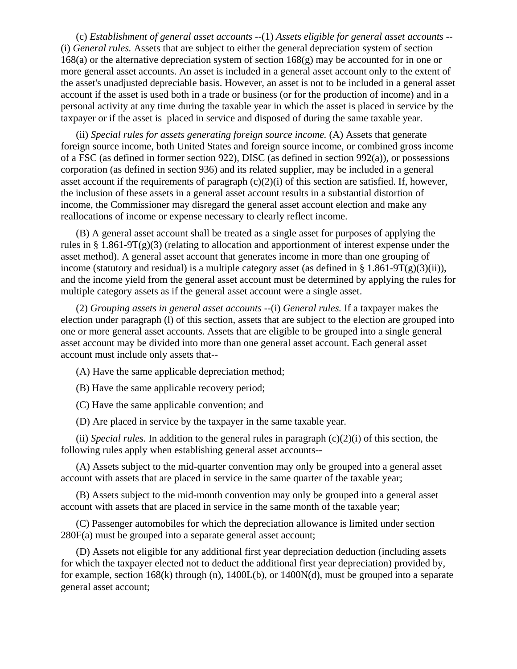(c) *Establishment of general asset accounts* --(1) *Assets eligible for general asset accounts* -- (i) *General rules.* Assets that are subject to either the general depreciation system of section 168(a) or the alternative depreciation system of section 168(g) may be accounted for in one or more general asset accounts. An asset is included in a general asset account only to the extent of the asset's unadjusted depreciable basis. However, an asset is not to be included in a general asset account if the asset is used both in a trade or business (or for the production of income) and in a personal activity at any time during the taxable year in which the asset is placed in service by the taxpayer or if the asset is placed in service and disposed of during the same taxable year.

(ii) *Special rules for assets generating foreign source income.* (A) Assets that generate foreign source income, both United States and foreign source income, or combined gross income of a FSC (as defined in former section 922), DISC (as defined in section 992(a)), or possessions corporation (as defined in section 936) and its related supplier, may be included in a general asset account if the requirements of paragraph  $(c)(2)(i)$  of this section are satisfied. If, however, the inclusion of these assets in a general asset account results in a substantial distortion of income, the Commissioner may disregard the general asset account election and make any reallocations of income or expense necessary to clearly reflect income.

(B) A general asset account shall be treated as a single asset for purposes of applying the rules in § 1.861-9T(g)(3) (relating to allocation and apportionment of interest expense under the asset method). A general asset account that generates income in more than one grouping of income (statutory and residual) is a multiple category asset (as defined in §  $1.861-9T(g)(3)(ii)$ ), and the income yield from the general asset account must be determined by applying the rules for multiple category assets as if the general asset account were a single asset.

(2) *Grouping assets in general asset accounts* --(i) *General rules.* If a taxpayer makes the election under paragraph (l) of this section, assets that are subject to the election are grouped into one or more general asset accounts. Assets that are eligible to be grouped into a single general asset account may be divided into more than one general asset account. Each general asset account must include only assets that--

(A) Have the same applicable depreciation method;

(B) Have the same applicable recovery period;

(C) Have the same applicable convention; and

(D) Are placed in service by the taxpayer in the same taxable year.

(ii) *Special rules*. In addition to the general rules in paragraph  $(c)(2)(i)$  of this section, the following rules apply when establishing general asset accounts--

(A) Assets subject to the mid-quarter convention may only be grouped into a general asset account with assets that are placed in service in the same quarter of the taxable year;

(B) Assets subject to the mid-month convention may only be grouped into a general asset account with assets that are placed in service in the same month of the taxable year;

(C) Passenger automobiles for which the depreciation allowance is limited under section 280F(a) must be grouped into a separate general asset account;

(D) Assets not eligible for any additional first year depreciation deduction (including assets for which the taxpayer elected not to deduct the additional first year depreciation) provided by, for example, section 168(k) through (n), 1400L(b), or 1400N(d), must be grouped into a separate general asset account;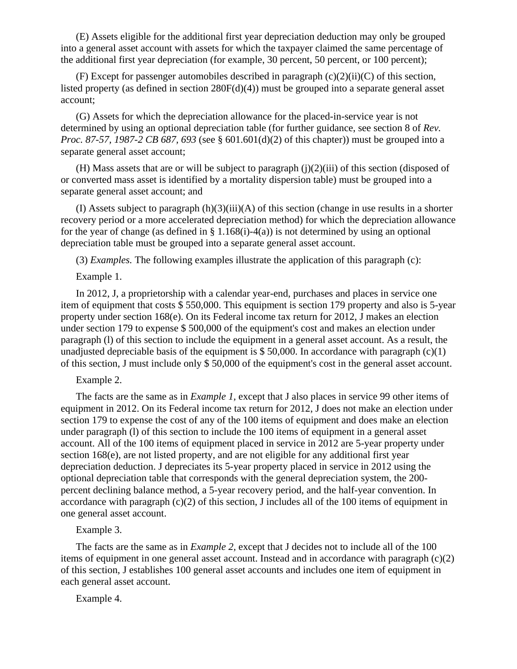(E) Assets eligible for the additional first year depreciation deduction may only be grouped into a general asset account with assets for which the taxpayer claimed the same percentage of the additional first year depreciation (for example, 30 percent, 50 percent, or 100 percent);

(F) Except for passenger automobiles described in paragraph  $(c)(2)(ii)(C)$  of this section, listed property (as defined in section 280F(d)(4)) must be grouped into a separate general asset account;

(G) Assets for which the depreciation allowance for the placed-in-service year is not determined by using an optional depreciation table (for further guidance, see section 8 of *Rev. Proc. 87-57, 1987-2 CB 687, 693* (see § 601.601(d)(2) of this chapter)) must be grouped into a separate general asset account;

(H) Mass assets that are or will be subject to paragraph  $(j)(2)(iii)$  of this section (disposed of or converted mass asset is identified by a mortality dispersion table) must be grouped into a separate general asset account; and

(I) Assets subject to paragraph  $(h)(3)(iii)(A)$  of this section (change in use results in a shorter recovery period or a more accelerated depreciation method) for which the depreciation allowance for the year of change (as defined in § 1.168(i)-4(a)) is not determined by using an optional depreciation table must be grouped into a separate general asset account.

(3) *Examples.* The following examples illustrate the application of this paragraph (c):

## Example 1.

In 2012, J, a proprietorship with a calendar year-end, purchases and places in service one item of equipment that costs \$ 550,000. This equipment is section 179 property and also is 5-year property under section 168(e). On its Federal income tax return for 2012, J makes an election under section 179 to expense \$ 500,000 of the equipment's cost and makes an election under paragraph (l) of this section to include the equipment in a general asset account. As a result, the unadjusted depreciable basis of the equipment is  $$ 50,000$ . In accordance with paragraph (c)(1) of this section, J must include only \$ 50,000 of the equipment's cost in the general asset account.

#### Example 2.

The facts are the same as in *Example 1,* except that J also places in service 99 other items of equipment in 2012. On its Federal income tax return for 2012, J does not make an election under section 179 to expense the cost of any of the 100 items of equipment and does make an election under paragraph (l) of this section to include the 100 items of equipment in a general asset account. All of the 100 items of equipment placed in service in 2012 are 5-year property under section 168(e), are not listed property, and are not eligible for any additional first year depreciation deduction. J depreciates its 5-year property placed in service in 2012 using the optional depreciation table that corresponds with the general depreciation system, the 200 percent declining balance method, a 5-year recovery period, and the half-year convention. In accordance with paragraph  $(c)(2)$  of this section, J includes all of the 100 items of equipment in one general asset account.

### Example 3.

The facts are the same as in *Example 2,* except that J decides not to include all of the 100 items of equipment in one general asset account. Instead and in accordance with paragraph (c)(2) of this section, J establishes 100 general asset accounts and includes one item of equipment in each general asset account.

Example 4.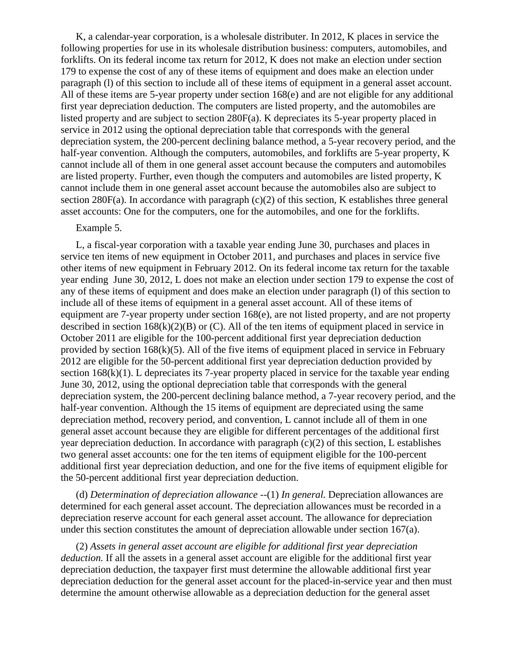K, a calendar-year corporation, is a wholesale distributer. In 2012, K places in service the following properties for use in its wholesale distribution business: computers, automobiles, and forklifts. On its federal income tax return for 2012, K does not make an election under section 179 to expense the cost of any of these items of equipment and does make an election under paragraph (l) of this section to include all of these items of equipment in a general asset account. All of these items are 5-year property under section 168(e) and are not eligible for any additional first year depreciation deduction. The computers are listed property, and the automobiles are listed property and are subject to section 280F(a). K depreciates its 5-year property placed in service in 2012 using the optional depreciation table that corresponds with the general depreciation system, the 200-percent declining balance method, a 5-year recovery period, and the half-year convention. Although the computers, automobiles, and forklifts are 5-year property, K cannot include all of them in one general asset account because the computers and automobiles are listed property. Further, even though the computers and automobiles are listed property, K cannot include them in one general asset account because the automobiles also are subject to section 280F(a). In accordance with paragraph (c)(2) of this section, K establishes three general asset accounts: One for the computers, one for the automobiles, and one for the forklifts.

#### Example 5.

L, a fiscal-year corporation with a taxable year ending June 30, purchases and places in service ten items of new equipment in October 2011, and purchases and places in service five other items of new equipment in February 2012. On its federal income tax return for the taxable year ending June 30, 2012, L does not make an election under section 179 to expense the cost of any of these items of equipment and does make an election under paragraph (l) of this section to include all of these items of equipment in a general asset account. All of these items of equipment are 7-year property under section 168(e), are not listed property, and are not property described in section  $168(k)(2)(B)$  or (C). All of the ten items of equipment placed in service in October 2011 are eligible for the 100-percent additional first year depreciation deduction provided by section  $168(k)(5)$ . All of the five items of equipment placed in service in February 2012 are eligible for the 50-percent additional first year depreciation deduction provided by section 168(k)(1). L depreciates its 7-year property placed in service for the taxable year ending June 30, 2012, using the optional depreciation table that corresponds with the general depreciation system, the 200-percent declining balance method, a 7-year recovery period, and the half-year convention. Although the 15 items of equipment are depreciated using the same depreciation method, recovery period, and convention, L cannot include all of them in one general asset account because they are eligible for different percentages of the additional first year depreciation deduction. In accordance with paragraph  $(c)(2)$  of this section, L establishes two general asset accounts: one for the ten items of equipment eligible for the 100-percent additional first year depreciation deduction, and one for the five items of equipment eligible for the 50-percent additional first year depreciation deduction.

(d) *Determination of depreciation allowance* --(1) *In general.* Depreciation allowances are determined for each general asset account. The depreciation allowances must be recorded in a depreciation reserve account for each general asset account. The allowance for depreciation under this section constitutes the amount of depreciation allowable under section 167(a).

(2) *Assets in general asset account are eligible for additional first year depreciation deduction.* If all the assets in a general asset account are eligible for the additional first year depreciation deduction, the taxpayer first must determine the allowable additional first year depreciation deduction for the general asset account for the placed-in-service year and then must determine the amount otherwise allowable as a depreciation deduction for the general asset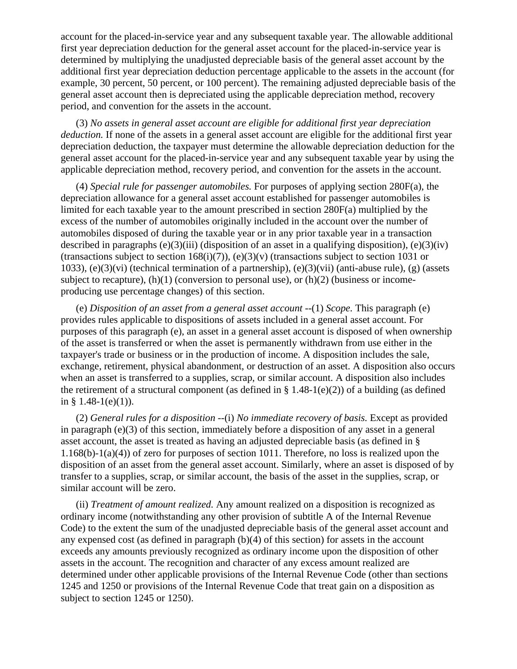account for the placed-in-service year and any subsequent taxable year. The allowable additional first year depreciation deduction for the general asset account for the placed-in-service year is determined by multiplying the unadjusted depreciable basis of the general asset account by the additional first year depreciation deduction percentage applicable to the assets in the account (for example, 30 percent, 50 percent, or 100 percent). The remaining adjusted depreciable basis of the general asset account then is depreciated using the applicable depreciation method, recovery period, and convention for the assets in the account.

(3) *No assets in general asset account are eligible for additional first year depreciation deduction.* If none of the assets in a general asset account are eligible for the additional first year depreciation deduction, the taxpayer must determine the allowable depreciation deduction for the general asset account for the placed-in-service year and any subsequent taxable year by using the applicable depreciation method, recovery period, and convention for the assets in the account.

(4) *Special rule for passenger automobiles.* For purposes of applying section 280F(a), the depreciation allowance for a general asset account established for passenger automobiles is limited for each taxable year to the amount prescribed in section 280F(a) multiplied by the excess of the number of automobiles originally included in the account over the number of automobiles disposed of during the taxable year or in any prior taxable year in a transaction described in paragraphs  $(e)(3)(iii)$  (disposition of an asset in a qualifying disposition),  $(e)(3)(iv)$ (transactions subject to section 168(i)(7)), (e)(3)(v) (transactions subject to section 1031 or 1033), (e)(3)(vi) (technical termination of a partnership), (e)(3)(vii) (anti-abuse rule), (g) (assets subject to recapture),  $(h)(1)$  (conversion to personal use), or  $(h)(2)$  (business or incomeproducing use percentage changes) of this section.

(e) *Disposition of an asset from a general asset account* --(1) *Scope.* This paragraph (e) provides rules applicable to dispositions of assets included in a general asset account. For purposes of this paragraph (e), an asset in a general asset account is disposed of when ownership of the asset is transferred or when the asset is permanently withdrawn from use either in the taxpayer's trade or business or in the production of income. A disposition includes the sale, exchange, retirement, physical abandonment, or destruction of an asset. A disposition also occurs when an asset is transferred to a supplies, scrap, or similar account. A disposition also includes the retirement of a structural component (as defined in  $\S 1.48-1(e)(2)$ ) of a building (as defined in  $§$  1.48-1(e)(1)).

(2) *General rules for a disposition* --(i) *No immediate recovery of basis.* Except as provided in paragraph  $(e)(3)$  of this section, immediately before a disposition of any asset in a general asset account, the asset is treated as having an adjusted depreciable basis (as defined in § 1.168(b)-1(a)(4)) of zero for purposes of section 1011. Therefore, no loss is realized upon the disposition of an asset from the general asset account. Similarly, where an asset is disposed of by transfer to a supplies, scrap, or similar account, the basis of the asset in the supplies, scrap, or similar account will be zero.

(ii) *Treatment of amount realized.* Any amount realized on a disposition is recognized as ordinary income (notwithstanding any other provision of subtitle A of the Internal Revenue Code) to the extent the sum of the unadjusted depreciable basis of the general asset account and any expensed cost (as defined in paragraph (b)(4) of this section) for assets in the account exceeds any amounts previously recognized as ordinary income upon the disposition of other assets in the account. The recognition and character of any excess amount realized are determined under other applicable provisions of the Internal Revenue Code (other than sections 1245 and 1250 or provisions of the Internal Revenue Code that treat gain on a disposition as subject to section 1245 or 1250).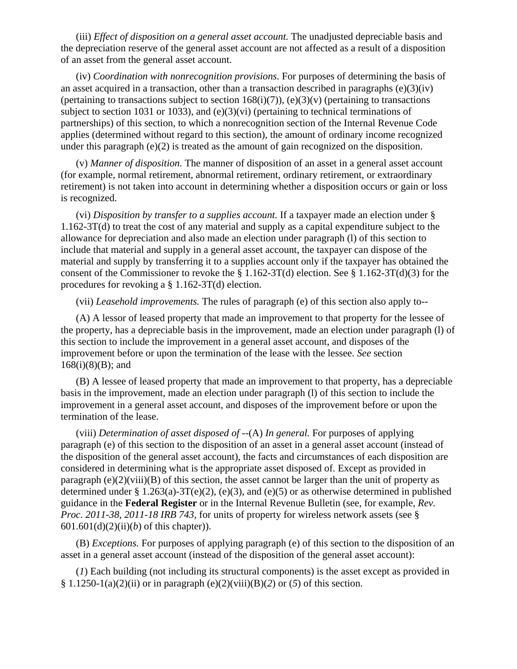(iii) *Effect of disposition on a general asset account.* The unadjusted depreciable basis and the depreciation reserve of the general asset account are not affected as a result of a disposition of an asset from the general asset account.

(iv) *Coordination with nonrecognition provisions.* For purposes of determining the basis of an asset acquired in a transaction, other than a transaction described in paragraphs  $(e)(3)(iv)$ (pertaining to transactions subject to section  $168(i)(7)$ ), (e)(3)(v) (pertaining to transactions subject to section 1031 or 1033), and (e)(3)(vi) (pertaining to technical terminations of partnerships) of this section, to which a nonrecognition section of the Internal Revenue Code applies (determined without regard to this section), the amount of ordinary income recognized under this paragraph  $(e)(2)$  is treated as the amount of gain recognized on the disposition.

(v) *Manner of disposition.* The manner of disposition of an asset in a general asset account (for example, normal retirement, abnormal retirement, ordinary retirement, or extraordinary retirement) is not taken into account in determining whether a disposition occurs or gain or loss is recognized.

(vi) *Disposition by transfer to a supplies account.* If a taxpayer made an election under § 1.162-3T(d) to treat the cost of any material and supply as a capital expenditure subject to the allowance for depreciation and also made an election under paragraph (l) of this section to include that material and supply in a general asset account, the taxpayer can dispose of the material and supply by transferring it to a supplies account only if the taxpayer has obtained the consent of the Commissioner to revoke the § 1.162-3T(d) election. See § 1.162-3T(d)(3) for the procedures for revoking a § 1.162-3T(d) election.

(vii) *Leasehold improvements.* The rules of paragraph (e) of this section also apply to--

(A) A lessor of leased property that made an improvement to that property for the lessee of the property, has a depreciable basis in the improvement, made an election under paragraph (l) of this section to include the improvement in a general asset account, and disposes of the improvement before or upon the termination of the lease with the lessee. *See* section  $168(i)(8)(B)$ ; and

(B) A lessee of leased property that made an improvement to that property, has a depreciable basis in the improvement, made an election under paragraph (l) of this section to include the improvement in a general asset account, and disposes of the improvement before or upon the termination of the lease.

(viii) *Determination of asset disposed of* --(A) *In general.* For purposes of applying paragraph (e) of this section to the disposition of an asset in a general asset account (instead of the disposition of the general asset account), the facts and circumstances of each disposition are considered in determining what is the appropriate asset disposed of. Except as provided in paragraph  $(e)(2)(viii)(B)$  of this section, the asset cannot be larger than the unit of property as determined under § 1.263(a)-3T(e)(2), (e)(3), and (e)(5) or as otherwise determined in published guidance in the **Federal Register** or in the Internal Revenue Bulletin (see, for example, *Rev. Proc. 2011-38, 2011-18 IRB 743,* for units of property for wireless network assets (see § 601.601(d)(2)(ii)(*b*) of this chapter)).

(B) *Exceptions.* For purposes of applying paragraph (e) of this section to the disposition of an asset in a general asset account (instead of the disposition of the general asset account):

(*1*) Each building (not including its structural components) is the asset except as provided in § 1.1250-1(a)(2)(ii) or in paragraph (e)(2)(viii)(B)(2) or (5) of this section.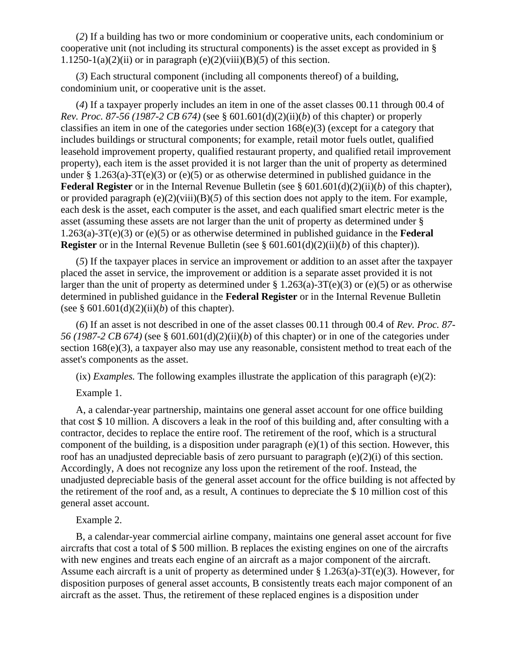(*2*) If a building has two or more condominium or cooperative units, each condominium or cooperative unit (not including its structural components) is the asset except as provided in § 1.1250-1(a)(2)(ii) or in paragraph (e)(2)(viii)(B)(5) of this section.

(*3*) Each structural component (including all components thereof) of a building, condominium unit, or cooperative unit is the asset.

(*4*) If a taxpayer properly includes an item in one of the asset classes 00.11 through 00.4 of *Rev. Proc. 87-56 (1987-2 CB 674)* (see § 601.601(d)(2)(ii)(*b*) of this chapter) or properly classifies an item in one of the categories under section 168(e)(3) (except for a category that includes buildings or structural components; for example, retail motor fuels outlet, qualified leasehold improvement property, qualified restaurant property, and qualified retail improvement property), each item is the asset provided it is not larger than the unit of property as determined under § 1.263(a)-3T(e)(3) or (e)(5) or as otherwise determined in published guidance in the **Federal Register** or in the Internal Revenue Bulletin (see § 601.601(d)(2)(ii)(*b*) of this chapter), or provided paragraph  $(e)(2)(viii)(B)(5)$  of this section does not apply to the item. For example, each desk is the asset, each computer is the asset, and each qualified smart electric meter is the asset (assuming these assets are not larger than the unit of property as determined under § 1.263(a)-3T(e)(3) or (e)(5) or as otherwise determined in published guidance in the **Federal Register** or in the Internal Revenue Bulletin (see § 601.601(d)(2)(ii)(*b*) of this chapter)).

(*5*) If the taxpayer places in service an improvement or addition to an asset after the taxpayer placed the asset in service, the improvement or addition is a separate asset provided it is not larger than the unit of property as determined under  $\S 1.263(a)-3T(e)(3)$  or (e)(5) or as otherwise determined in published guidance in the **Federal Register** or in the Internal Revenue Bulletin (see  $\S 601.601(d)(2)(ii)(b)$  of this chapter).

(*6*) If an asset is not described in one of the asset classes 00.11 through 00.4 of *Rev. Proc. 87- 56 (1987-2 CB 674)* (see § 601.601(d)(2)(ii)(*b*) of this chapter) or in one of the categories under section 168(e)(3), a taxpayer also may use any reasonable, consistent method to treat each of the asset's components as the asset.

 $(ix)$  *Examples.* The following examples illustrate the application of this paragraph  $(e)(2)$ :

Example 1.

A, a calendar-year partnership, maintains one general asset account for one office building that cost \$ 10 million. A discovers a leak in the roof of this building and, after consulting with a contractor, decides to replace the entire roof. The retirement of the roof, which is a structural component of the building, is a disposition under paragraph (e)(1) of this section. However, this roof has an unadjusted depreciable basis of zero pursuant to paragraph  $(e)(2)(i)$  of this section. Accordingly, A does not recognize any loss upon the retirement of the roof. Instead, the unadjusted depreciable basis of the general asset account for the office building is not affected by the retirement of the roof and, as a result, A continues to depreciate the \$ 10 million cost of this general asset account.

# Example 2.

B, a calendar-year commercial airline company, maintains one general asset account for five aircrafts that cost a total of \$ 500 million. B replaces the existing engines on one of the aircrafts with new engines and treats each engine of an aircraft as a major component of the aircraft. Assume each aircraft is a unit of property as determined under § 1.263(a)-3T(e)(3). However, for disposition purposes of general asset accounts, B consistently treats each major component of an aircraft as the asset. Thus, the retirement of these replaced engines is a disposition under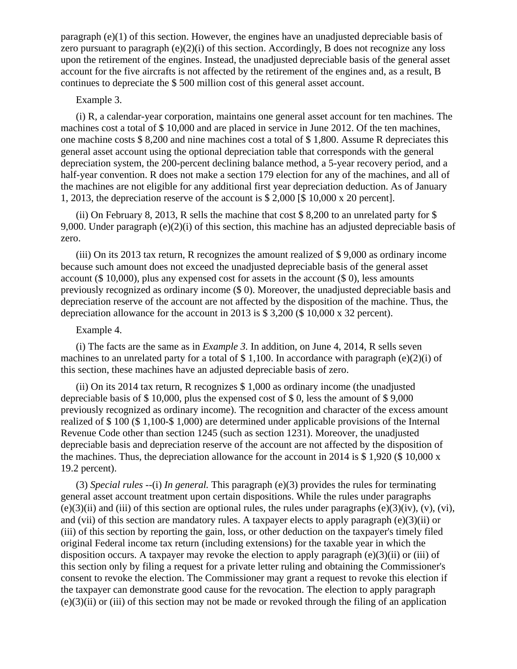paragraph (e)(1) of this section. However, the engines have an unadjusted depreciable basis of zero pursuant to paragraph  $(e)(2)(i)$  of this section. Accordingly, B does not recognize any loss upon the retirement of the engines. Instead, the unadjusted depreciable basis of the general asset account for the five aircrafts is not affected by the retirement of the engines and, as a result, B continues to depreciate the \$ 500 million cost of this general asset account.

### Example 3.

(i) R, a calendar-year corporation, maintains one general asset account for ten machines. The machines cost a total of \$ 10,000 and are placed in service in June 2012. Of the ten machines, one machine costs \$ 8,200 and nine machines cost a total of \$ 1,800. Assume R depreciates this general asset account using the optional depreciation table that corresponds with the general depreciation system, the 200-percent declining balance method, a 5-year recovery period, and a half-year convention. R does not make a section 179 election for any of the machines, and all of the machines are not eligible for any additional first year depreciation deduction. As of January 1, 2013, the depreciation reserve of the account is \$ 2,000 [\$ 10,000 x 20 percent].

(ii) On February 8, 2013, R sells the machine that cost \$ 8,200 to an unrelated party for \$ 9,000. Under paragraph (e)(2)(i) of this section, this machine has an adjusted depreciable basis of zero.

(iii) On its 2013 tax return, R recognizes the amount realized of \$ 9,000 as ordinary income because such amount does not exceed the unadjusted depreciable basis of the general asset account (\$ 10,000), plus any expensed cost for assets in the account (\$ 0), less amounts previously recognized as ordinary income (\$ 0). Moreover, the unadjusted depreciable basis and depreciation reserve of the account are not affected by the disposition of the machine. Thus, the depreciation allowance for the account in 2013 is \$ 3,200 (\$ 10,000 x 32 percent).

## Example 4.

(i) The facts are the same as in *Example 3.* In addition, on June 4, 2014, R sells seven machines to an unrelated party for a total of  $$ 1,100$ . In accordance with paragraph (e)(2)(i) of this section, these machines have an adjusted depreciable basis of zero.

(ii) On its 2014 tax return, R recognizes \$ 1,000 as ordinary income (the unadjusted depreciable basis of \$ 10,000, plus the expensed cost of \$ 0, less the amount of \$ 9,000 previously recognized as ordinary income). The recognition and character of the excess amount realized of \$ 100 (\$ 1,100-\$ 1,000) are determined under applicable provisions of the Internal Revenue Code other than section 1245 (such as section 1231). Moreover, the unadjusted depreciable basis and depreciation reserve of the account are not affected by the disposition of the machines. Thus, the depreciation allowance for the account in 2014 is \$ 1,920 (\$ 10,000  $\rm x$ ) 19.2 percent).

(3) *Special rules* --(i) *In general.* This paragraph (e)(3) provides the rules for terminating general asset account treatment upon certain dispositions. While the rules under paragraphs  $(e)(3)(ii)$  and (iii) of this section are optional rules, the rules under paragraphs  $(e)(3)(iv)$ ,  $(v)$ ,  $(vi)$ , and (vii) of this section are mandatory rules. A taxpayer elects to apply paragraph (e)(3)(ii) or (iii) of this section by reporting the gain, loss, or other deduction on the taxpayer's timely filed original Federal income tax return (including extensions) for the taxable year in which the disposition occurs. A taxpayer may revoke the election to apply paragraph (e)(3)(ii) or (iii) of this section only by filing a request for a private letter ruling and obtaining the Commissioner's consent to revoke the election. The Commissioner may grant a request to revoke this election if the taxpayer can demonstrate good cause for the revocation. The election to apply paragraph (e)(3)(ii) or (iii) of this section may not be made or revoked through the filing of an application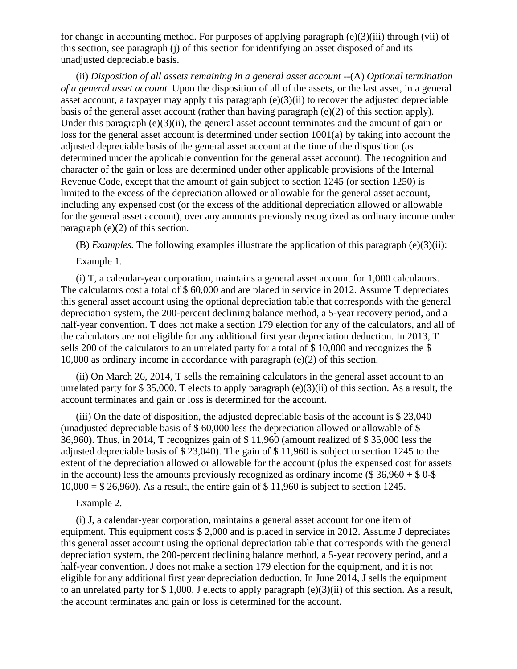for change in accounting method. For purposes of applying paragraph (e)(3)(iii) through (vii) of this section, see paragraph (j) of this section for identifying an asset disposed of and its unadjusted depreciable basis.

(ii) *Disposition of all assets remaining in a general asset account* --(A) *Optional termination of a general asset account.* Upon the disposition of all of the assets, or the last asset, in a general asset account, a taxpayer may apply this paragraph (e)(3)(ii) to recover the adjusted depreciable basis of the general asset account (rather than having paragraph (e)(2) of this section apply). Under this paragraph  $(e)(3)(ii)$ , the general asset account terminates and the amount of gain or loss for the general asset account is determined under section 1001(a) by taking into account the adjusted depreciable basis of the general asset account at the time of the disposition (as determined under the applicable convention for the general asset account). The recognition and character of the gain or loss are determined under other applicable provisions of the Internal Revenue Code, except that the amount of gain subject to section 1245 (or section 1250) is limited to the excess of the depreciation allowed or allowable for the general asset account, including any expensed cost (or the excess of the additional depreciation allowed or allowable for the general asset account), over any amounts previously recognized as ordinary income under paragraph (e)(2) of this section.

(B) *Examples*. The following examples illustrate the application of this paragraph  $(e)(3)(ii)$ :

Example 1.

(i) T, a calendar-year corporation, maintains a general asset account for 1,000 calculators. The calculators cost a total of \$60,000 and are placed in service in 2012. Assume T depreciates this general asset account using the optional depreciation table that corresponds with the general depreciation system, the 200-percent declining balance method, a 5-year recovery period, and a half-year convention. T does not make a section 179 election for any of the calculators, and all of the calculators are not eligible for any additional first year depreciation deduction. In 2013, T sells 200 of the calculators to an unrelated party for a total of \$ 10,000 and recognizes the \$ 10,000 as ordinary income in accordance with paragraph (e)(2) of this section.

(ii) On March 26, 2014, T sells the remaining calculators in the general asset account to an unrelated party for  $$ 35,000$ . T elects to apply paragraph (e)(3)(ii) of this section. As a result, the account terminates and gain or loss is determined for the account.

(iii) On the date of disposition, the adjusted depreciable basis of the account is \$ 23,040 (unadjusted depreciable basis of \$ 60,000 less the depreciation allowed or allowable of \$ 36,960). Thus, in 2014, T recognizes gain of \$ 11,960 (amount realized of \$ 35,000 less the adjusted depreciable basis of \$ 23,040). The gain of \$ 11,960 is subject to section 1245 to the extent of the depreciation allowed or allowable for the account (plus the expensed cost for assets in the account) less the amounts previously recognized as ordinary income (\$ 36,960 + \$ 0-\$  $10,000 = $26,960$ . As a result, the entire gain of \$11,960 is subject to section 1245.

Example 2.

(i) J, a calendar-year corporation, maintains a general asset account for one item of equipment. This equipment costs \$ 2,000 and is placed in service in 2012. Assume J depreciates this general asset account using the optional depreciation table that corresponds with the general depreciation system, the 200-percent declining balance method, a 5-year recovery period, and a half-year convention. J does not make a section 179 election for the equipment, and it is not eligible for any additional first year depreciation deduction. In June 2014, J sells the equipment to an unrelated party for \$ 1,000. J elects to apply paragraph (e)(3)(ii) of this section. As a result, the account terminates and gain or loss is determined for the account.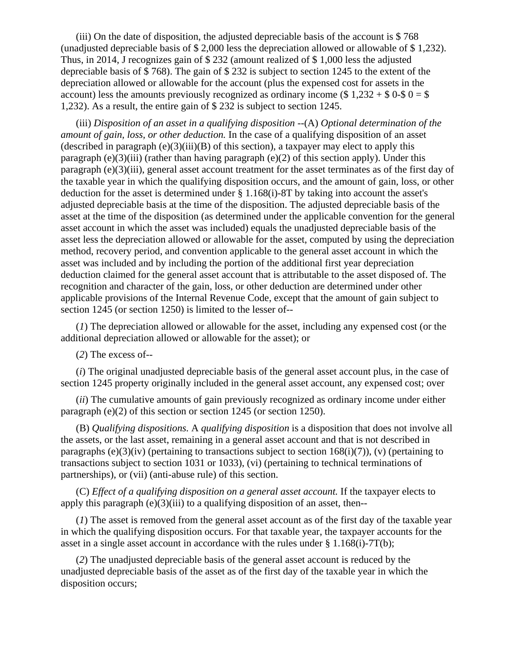(iii) On the date of disposition, the adjusted depreciable basis of the account is \$ 768 (unadjusted depreciable basis of \$ 2,000 less the depreciation allowed or allowable of \$ 1,232). Thus, in 2014, J recognizes gain of \$ 232 (amount realized of \$ 1,000 less the adjusted depreciable basis of \$ 768). The gain of \$ 232 is subject to section 1245 to the extent of the depreciation allowed or allowable for the account (plus the expensed cost for assets in the account) less the amounts previously recognized as ordinary income (\$1,232 + \$0.50 = \$ 1,232). As a result, the entire gain of \$ 232 is subject to section 1245.

(iii) *Disposition of an asset in a qualifying disposition* --(A) *Optional determination of the amount of gain, loss, or other deduction.* In the case of a qualifying disposition of an asset (described in paragraph (e)(3)(iii)(B) of this section), a taxpayer may elect to apply this paragraph (e)(3)(iii) (rather than having paragraph (e)(2) of this section apply). Under this paragraph (e)(3)(iii), general asset account treatment for the asset terminates as of the first day of the taxable year in which the qualifying disposition occurs, and the amount of gain, loss, or other deduction for the asset is determined under § 1.168(i)-8T by taking into account the asset's adjusted depreciable basis at the time of the disposition. The adjusted depreciable basis of the asset at the time of the disposition (as determined under the applicable convention for the general asset account in which the asset was included) equals the unadjusted depreciable basis of the asset less the depreciation allowed or allowable for the asset, computed by using the depreciation method, recovery period, and convention applicable to the general asset account in which the asset was included and by including the portion of the additional first year depreciation deduction claimed for the general asset account that is attributable to the asset disposed of. The recognition and character of the gain, loss, or other deduction are determined under other applicable provisions of the Internal Revenue Code, except that the amount of gain subject to section 1245 (or section 1250) is limited to the lesser of--

(*1*) The depreciation allowed or allowable for the asset, including any expensed cost (or the additional depreciation allowed or allowable for the asset); or

(*2*) The excess of--

(*i*) The original unadjusted depreciable basis of the general asset account plus, in the case of section 1245 property originally included in the general asset account, any expensed cost; over

(*ii*) The cumulative amounts of gain previously recognized as ordinary income under either paragraph (e)(2) of this section or section 1245 (or section 1250).

(B) *Qualifying dispositions.* A *qualifying disposition* is a disposition that does not involve all the assets, or the last asset, remaining in a general asset account and that is not described in paragraphs (e)(3)(iv) (pertaining to transactions subject to section 168(i)(7)), (v) (pertaining to transactions subject to section 1031 or 1033), (vi) (pertaining to technical terminations of partnerships), or (vii) (anti-abuse rule) of this section.

(C) *Effect of a qualifying disposition on a general asset account.* If the taxpayer elects to apply this paragraph  $(e)(3)(iii)$  to a qualifying disposition of an asset, then--

(*1*) The asset is removed from the general asset account as of the first day of the taxable year in which the qualifying disposition occurs. For that taxable year, the taxpayer accounts for the asset in a single asset account in accordance with the rules under § 1.168(i)-7T(b);

(*2*) The unadjusted depreciable basis of the general asset account is reduced by the unadjusted depreciable basis of the asset as of the first day of the taxable year in which the disposition occurs;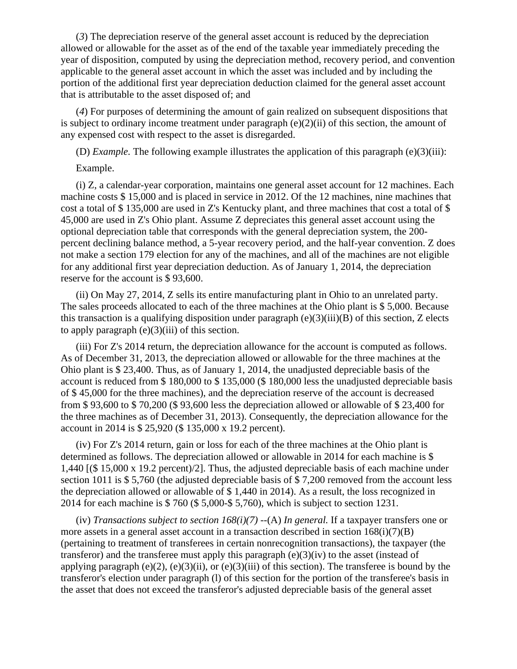(*3*) The depreciation reserve of the general asset account is reduced by the depreciation allowed or allowable for the asset as of the end of the taxable year immediately preceding the year of disposition, computed by using the depreciation method, recovery period, and convention applicable to the general asset account in which the asset was included and by including the portion of the additional first year depreciation deduction claimed for the general asset account that is attributable to the asset disposed of; and

(*4*) For purposes of determining the amount of gain realized on subsequent dispositions that is subject to ordinary income treatment under paragraph  $(e)(2)(ii)$  of this section, the amount of any expensed cost with respect to the asset is disregarded.

(D) *Example.* The following example illustrates the application of this paragraph (e)(3)(iii):

## Example.

(i) Z, a calendar-year corporation, maintains one general asset account for 12 machines. Each machine costs \$ 15,000 and is placed in service in 2012. Of the 12 machines, nine machines that cost a total of \$ 135,000 are used in Z's Kentucky plant, and three machines that cost a total of \$ 45,000 are used in Z's Ohio plant. Assume Z depreciates this general asset account using the optional depreciation table that corresponds with the general depreciation system, the 200 percent declining balance method, a 5-year recovery period, and the half-year convention. Z does not make a section 179 election for any of the machines, and all of the machines are not eligible for any additional first year depreciation deduction. As of January 1, 2014, the depreciation reserve for the account is \$ 93,600.

(ii) On May 27, 2014, Z sells its entire manufacturing plant in Ohio to an unrelated party. The sales proceeds allocated to each of the three machines at the Ohio plant is \$ 5,000. Because this transaction is a qualifying disposition under paragraph  $(e)(3)(iii)(B)$  of this section, Z elects to apply paragraph  $(e)(3)(iii)$  of this section.

(iii) For Z's 2014 return, the depreciation allowance for the account is computed as follows. As of December 31, 2013, the depreciation allowed or allowable for the three machines at the Ohio plant is \$ 23,400. Thus, as of January 1, 2014, the unadjusted depreciable basis of the account is reduced from \$ 180,000 to \$ 135,000 (\$ 180,000 less the unadjusted depreciable basis of \$ 45,000 for the three machines), and the depreciation reserve of the account is decreased from \$ 93,600 to \$ 70,200 (\$ 93,600 less the depreciation allowed or allowable of \$ 23,400 for the three machines as of December 31, 2013). Consequently, the depreciation allowance for the account in 2014 is \$ 25,920 (\$ 135,000 x 19.2 percent).

(iv) For Z's 2014 return, gain or loss for each of the three machines at the Ohio plant is determined as follows. The depreciation allowed or allowable in 2014 for each machine is \$ 1,440 [(\$ 15,000 x 19.2 percent)/2]. Thus, the adjusted depreciable basis of each machine under section 1011 is \$5,760 (the adjusted depreciable basis of \$7,200 removed from the account less the depreciation allowed or allowable of \$ 1,440 in 2014). As a result, the loss recognized in 2014 for each machine is \$ 760 (\$ 5,000-\$ 5,760), which is subject to section 1231.

(iv) *Transactions subject to section 168(i)(7)* --(A) *In general.* If a taxpayer transfers one or more assets in a general asset account in a transaction described in section  $168(i)(7)(B)$ (pertaining to treatment of transferees in certain nonrecognition transactions), the taxpayer (the transfers and the transferee must apply this paragraph  $(e)(3)(iv)$  to the asset (instead of applying paragraph  $(e)(2)$ ,  $(e)(3)(ii)$ , or  $(e)(3)(iii)$  of this section). The transferee is bound by the transferor's election under paragraph (l) of this section for the portion of the transferee's basis in the asset that does not exceed the transferor's adjusted depreciable basis of the general asset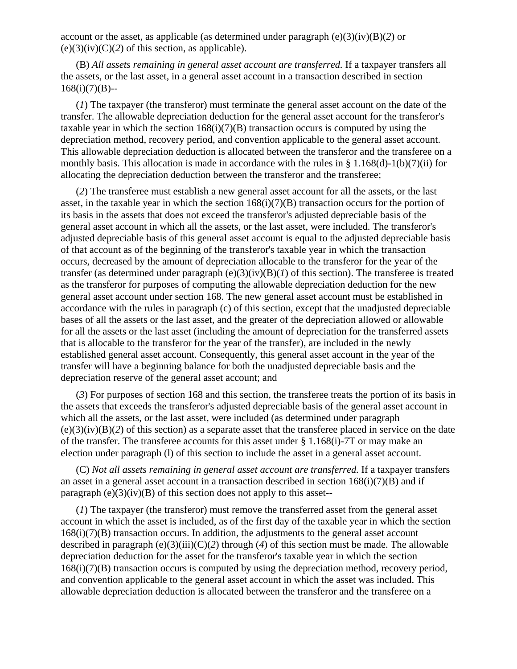account or the asset, as applicable (as determined under paragraph (e)(3)(iv)(B)(*2*) or  $(e)(3)(iv)(C)(2)$  of this section, as applicable).

(B) *All assets remaining in general asset account are transferred.* If a taxpayer transfers all the assets, or the last asset, in a general asset account in a transaction described in section  $168(i)(7)(B)$ --

(*1*) The taxpayer (the transferor) must terminate the general asset account on the date of the transfer. The allowable depreciation deduction for the general asset account for the transferor's taxable year in which the section  $168(i)(7)(B)$  transaction occurs is computed by using the depreciation method, recovery period, and convention applicable to the general asset account. This allowable depreciation deduction is allocated between the transferor and the transferee on a monthly basis. This allocation is made in accordance with the rules in  $\S 1.168(d)-1(b)(7)(ii)$  for allocating the depreciation deduction between the transferor and the transferee;

(*2*) The transferee must establish a new general asset account for all the assets, or the last asset, in the taxable year in which the section  $168(i)(7)(B)$  transaction occurs for the portion of its basis in the assets that does not exceed the transferor's adjusted depreciable basis of the general asset account in which all the assets, or the last asset, were included. The transferor's adjusted depreciable basis of this general asset account is equal to the adjusted depreciable basis of that account as of the beginning of the transferor's taxable year in which the transaction occurs, decreased by the amount of depreciation allocable to the transferor for the year of the transfer (as determined under paragraph (e)(3)(iv)(B)(*1*) of this section). The transferee is treated as the transferor for purposes of computing the allowable depreciation deduction for the new general asset account under section 168. The new general asset account must be established in accordance with the rules in paragraph (c) of this section, except that the unadjusted depreciable bases of all the assets or the last asset, and the greater of the depreciation allowed or allowable for all the assets or the last asset (including the amount of depreciation for the transferred assets that is allocable to the transferor for the year of the transfer), are included in the newly established general asset account. Consequently, this general asset account in the year of the transfer will have a beginning balance for both the unadjusted depreciable basis and the depreciation reserve of the general asset account; and

(*3*) For purposes of section 168 and this section, the transferee treats the portion of its basis in the assets that exceeds the transferor's adjusted depreciable basis of the general asset account in which all the assets, or the last asset, were included (as determined under paragraph (e)(3)(iv)(B)(*2*) of this section) as a separate asset that the transferee placed in service on the date of the transfer. The transferee accounts for this asset under § 1.168(i)-7T or may make an election under paragraph (l) of this section to include the asset in a general asset account.

(C) *Not all assets remaining in general asset account are transferred.* If a taxpayer transfers an asset in a general asset account in a transaction described in section  $168(i)(7)(B)$  and if paragraph  $(e)(3)(iv)(B)$  of this section does not apply to this asset--

(*1*) The taxpayer (the transferor) must remove the transferred asset from the general asset account in which the asset is included, as of the first day of the taxable year in which the section 168(i)(7)(B) transaction occurs. In addition, the adjustments to the general asset account described in paragraph (e)(3)(iii)(C)(*2*) through (*4*) of this section must be made. The allowable depreciation deduction for the asset for the transferor's taxable year in which the section 168(i)(7)(B) transaction occurs is computed by using the depreciation method, recovery period, and convention applicable to the general asset account in which the asset was included. This allowable depreciation deduction is allocated between the transferor and the transferee on a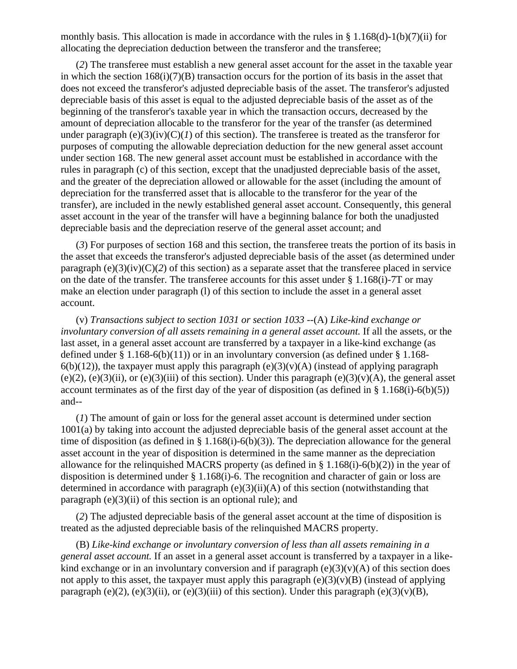monthly basis. This allocation is made in accordance with the rules in § 1.168(d)-1(b)(7)(ii) for allocating the depreciation deduction between the transferor and the transferee;

(*2*) The transferee must establish a new general asset account for the asset in the taxable year in which the section  $168(i)(7)(B)$  transaction occurs for the portion of its basis in the asset that does not exceed the transferor's adjusted depreciable basis of the asset. The transferor's adjusted depreciable basis of this asset is equal to the adjusted depreciable basis of the asset as of the beginning of the transferor's taxable year in which the transaction occurs, decreased by the amount of depreciation allocable to the transferor for the year of the transfer (as determined under paragraph  $(e)(3)(iv)(C)(I)$  of this section). The transferee is treated as the transferor for purposes of computing the allowable depreciation deduction for the new general asset account under section 168. The new general asset account must be established in accordance with the rules in paragraph (c) of this section, except that the unadjusted depreciable basis of the asset, and the greater of the depreciation allowed or allowable for the asset (including the amount of depreciation for the transferred asset that is allocable to the transferor for the year of the transfer), are included in the newly established general asset account. Consequently, this general asset account in the year of the transfer will have a beginning balance for both the unadjusted depreciable basis and the depreciation reserve of the general asset account; and

(*3*) For purposes of section 168 and this section, the transferee treats the portion of its basis in the asset that exceeds the transferor's adjusted depreciable basis of the asset (as determined under paragraph  $(e)(3)(iv)(C)(2)$  of this section) as a separate asset that the transferee placed in service on the date of the transfer. The transferee accounts for this asset under § 1.168(i)-7T or may make an election under paragraph (l) of this section to include the asset in a general asset account.

(v) *Transactions subject to section 1031 or section 1033* --(A) *Like-kind exchange or involuntary conversion of all assets remaining in a general asset account.* If all the assets, or the last asset, in a general asset account are transferred by a taxpayer in a like-kind exchange (as defined under  $\S 1.168-6(b)(11)$  or in an involuntary conversion (as defined under  $\S 1.168-6(b)(11)$ ) or in an involuntary conversion (as defined under  $\S 1.168-6(b)(11)$ )  $6(b)(12)$ ), the taxpayer must apply this paragraph (e)(3)(v)(A) (instead of applying paragraph (e)(2), (e)(3)(ii), or (e)(3)(iii) of this section). Under this paragraph (e)(3)(v)(A), the general asset account terminates as of the first day of the year of disposition (as defined in  $\S 1.168(i)-6(b)(5)$ ) and--

(*1*) The amount of gain or loss for the general asset account is determined under section 1001(a) by taking into account the adjusted depreciable basis of the general asset account at the time of disposition (as defined in  $\S 1.168(i) - 6(b)(3)$ ). The depreciation allowance for the general asset account in the year of disposition is determined in the same manner as the depreciation allowance for the relinquished MACRS property (as defined in § 1.168(i)-6(b)(2)) in the year of disposition is determined under § 1.168(i)-6. The recognition and character of gain or loss are determined in accordance with paragraph  $(e)(3)(ii)(A)$  of this section (notwithstanding that paragraph  $(e)(3)(ii)$  of this section is an optional rule); and

(*2*) The adjusted depreciable basis of the general asset account at the time of disposition is treated as the adjusted depreciable basis of the relinquished MACRS property.

(B) *Like-kind exchange or involuntary conversion of less than all assets remaining in a general asset account.* If an asset in a general asset account is transferred by a taxpayer in a likekind exchange or in an involuntary conversion and if paragraph  $(e)(3)(v)(A)$  of this section does not apply to this asset, the taxpayer must apply this paragraph  $(e)(3)(v)(B)$  (instead of applying paragraph (e)(2), (e)(3)(ii), or (e)(3)(iii) of this section). Under this paragraph (e)(3)(v)(B),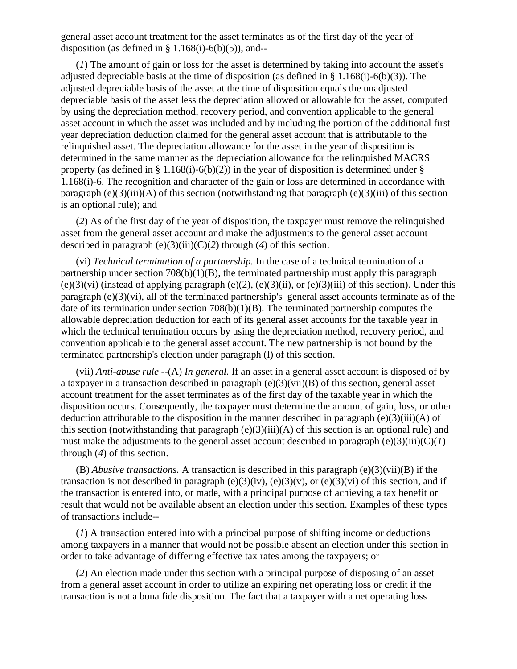general asset account treatment for the asset terminates as of the first day of the year of disposition (as defined in  $\S$  1.168(i)-6(b)(5)), and--

(*1*) The amount of gain or loss for the asset is determined by taking into account the asset's adjusted depreciable basis at the time of disposition (as defined in  $\S$  1.168(i)-6(b)(3)). The adjusted depreciable basis of the asset at the time of disposition equals the unadjusted depreciable basis of the asset less the depreciation allowed or allowable for the asset, computed by using the depreciation method, recovery period, and convention applicable to the general asset account in which the asset was included and by including the portion of the additional first year depreciation deduction claimed for the general asset account that is attributable to the relinquished asset. The depreciation allowance for the asset in the year of disposition is determined in the same manner as the depreciation allowance for the relinquished MACRS property (as defined in § 1.168(i)-6(b)(2)) in the year of disposition is determined under § 1.168(i)-6. The recognition and character of the gain or loss are determined in accordance with paragraph (e)(3)(iii)(A) of this section (notwithstanding that paragraph (e)(3)(iii) of this section is an optional rule); and

(*2*) As of the first day of the year of disposition, the taxpayer must remove the relinquished asset from the general asset account and make the adjustments to the general asset account described in paragraph (e)(3)(iii)(C)(*2*) through (*4*) of this section.

(vi) *Technical termination of a partnership.* In the case of a technical termination of a partnership under section  $708(b)(1)(B)$ , the terminated partnership must apply this paragraph  $(e)(3)(vi)$  (instead of applying paragraph  $(e)(2)$ ,  $(e)(3)(ii)$ , or  $(e)(3)(iii)$  of this section). Under this paragraph (e)(3)(vi), all of the terminated partnership's general asset accounts terminate as of the date of its termination under section 708(b)(1)(B). The terminated partnership computes the allowable depreciation deduction for each of its general asset accounts for the taxable year in which the technical termination occurs by using the depreciation method, recovery period, and convention applicable to the general asset account. The new partnership is not bound by the terminated partnership's election under paragraph (l) of this section.

(vii) *Anti-abuse rule* --(A) *In general.* If an asset in a general asset account is disposed of by a taxpayer in a transaction described in paragraph (e)(3)(vii)(B) of this section, general asset account treatment for the asset terminates as of the first day of the taxable year in which the disposition occurs. Consequently, the taxpayer must determine the amount of gain, loss, or other deduction attributable to the disposition in the manner described in paragraph  $(e)(3)(iii)(A)$  of this section (notwithstanding that paragraph  $(e)(3)(iii)(A)$  of this section is an optional rule) and must make the adjustments to the general asset account described in paragraph  $(e)(3)(iii)(C)(I)$ through (*4*) of this section.

(B) *Abusive transactions.* A transaction is described in this paragraph (e)(3)(vii)(B) if the transaction is not described in paragraph (e)(3)(iv), (e)(3)(v), or (e)(3)(vi) of this section, and if the transaction is entered into, or made, with a principal purpose of achieving a tax benefit or result that would not be available absent an election under this section. Examples of these types of transactions include--

(*1*) A transaction entered into with a principal purpose of shifting income or deductions among taxpayers in a manner that would not be possible absent an election under this section in order to take advantage of differing effective tax rates among the taxpayers; or

(*2*) An election made under this section with a principal purpose of disposing of an asset from a general asset account in order to utilize an expiring net operating loss or credit if the transaction is not a bona fide disposition. The fact that a taxpayer with a net operating loss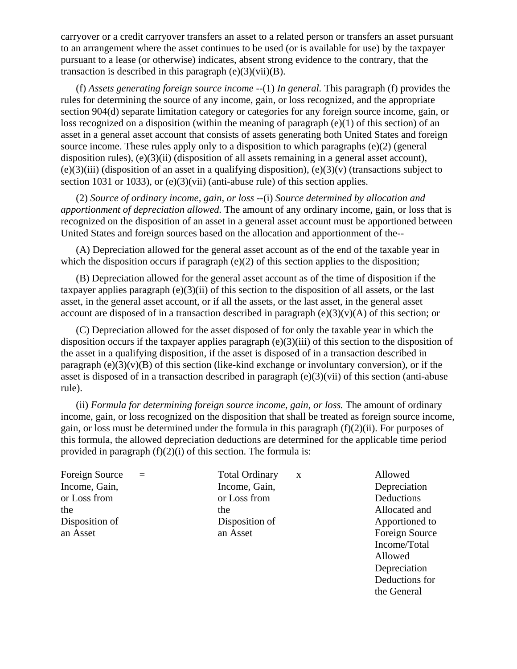carryover or a credit carryover transfers an asset to a related person or transfers an asset pursuant to an arrangement where the asset continues to be used (or is available for use) by the taxpayer pursuant to a lease (or otherwise) indicates, absent strong evidence to the contrary, that the transaction is described in this paragraph  $(e)(3)(vii)(B)$ .

(f) *Assets generating foreign source income* --(1) *In general.* This paragraph (f) provides the rules for determining the source of any income, gain, or loss recognized, and the appropriate section 904(d) separate limitation category or categories for any foreign source income, gain, or loss recognized on a disposition (within the meaning of paragraph (e)(1) of this section) of an asset in a general asset account that consists of assets generating both United States and foreign source income. These rules apply only to a disposition to which paragraphs (e)(2) (general disposition rules), (e)(3)(ii) (disposition of all assets remaining in a general asset account),  $(e)(3)(iii)$  (disposition of an asset in a qualifying disposition),  $(e)(3)(v)$  (transactions subject to section 1031 or 1033), or (e)(3)(vii) (anti-abuse rule) of this section applies.

(2) *Source of ordinary income, gain, or loss* --(i) *Source determined by allocation and apportionment of depreciation allowed.* The amount of any ordinary income, gain, or loss that is recognized on the disposition of an asset in a general asset account must be apportioned between United States and foreign sources based on the allocation and apportionment of the--

(A) Depreciation allowed for the general asset account as of the end of the taxable year in which the disposition occurs if paragraph (e)(2) of this section applies to the disposition;

(B) Depreciation allowed for the general asset account as of the time of disposition if the taxpayer applies paragraph (e)(3)(ii) of this section to the disposition of all assets, or the last asset, in the general asset account, or if all the assets, or the last asset, in the general asset account are disposed of in a transaction described in paragraph  $(e)(3)(v)(A)$  of this section; or

(C) Depreciation allowed for the asset disposed of for only the taxable year in which the disposition occurs if the taxpayer applies paragraph (e)(3)(iii) of this section to the disposition of the asset in a qualifying disposition, if the asset is disposed of in a transaction described in paragraph  $(e)(3)(v)(B)$  of this section (like-kind exchange or involuntary conversion), or if the asset is disposed of in a transaction described in paragraph (e)(3)(vii) of this section (anti-abuse rule).

(ii) *Formula for determining foreign source income, gain, or loss.* The amount of ordinary income, gain, or loss recognized on the disposition that shall be treated as foreign source income, gain, or loss must be determined under the formula in this paragraph (f)(2)(ii). For purposes of this formula, the allowed depreciation deductions are determined for the applicable time period provided in paragraph  $(f)(2)(i)$  of this section. The formula is:

Income, Gain, **Income, Gain**, **Income, Gain**, **Depreciation** or Loss from  $\alpha$  or Loss from  $\alpha$  Deductions the the the Allocated and the Allocated and the Allocated and the Allocated and the Allocated and the Allocated and the  $\alpha$ Disposition of **Disposition Community** Disposition of **Apportioned** to an Asset an Asset an Asset Foreign Source

Foreign Source = Total Ordinary x Allowed

 Income/Total Allowed Depreciation Deductions for the General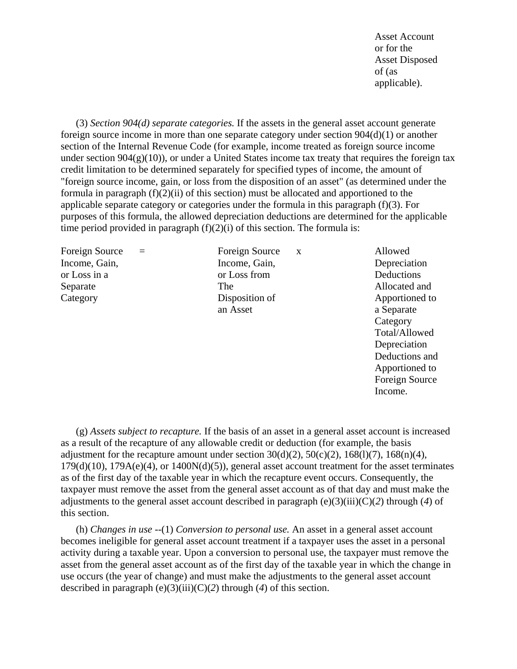Asset Account or for the state of the state of the state of the state of the state of the state of the state of the state of the state of the state of the state of the state of the state of the state of the state of the state of the sta Asset Disposed of (as applicable).

(3) *Section 904(d) separate categories.* If the assets in the general asset account generate foreign source income in more than one separate category under section 904(d)(1) or another section of the Internal Revenue Code (for example, income treated as foreign source income under section  $904(g)(10)$ , or under a United States income tax treaty that requires the foreign tax credit limitation to be determined separately for specified types of income, the amount of "foreign source income, gain, or loss from the disposition of an asset" (as determined under the formula in paragraph  $(f)(2)(ii)$  of this section) must be allocated and apportioned to the applicable separate category or categories under the formula in this paragraph (f)(3). For purposes of this formula, the allowed depreciation deductions are determined for the applicable time period provided in paragraph  $(f)(2)(i)$  of this section. The formula is:

Foreign Source = Foreign Source x Allowed Income, Gain, Income, Gain, Depreciation or Loss in a set of Loss from the Deductions or Loss from the Deductions of Loss from the Deductions of Loss from the Deductions of Loss from the Deduction of Loss from the Deduction of Loss from the Deduction of Loss from Separate The Allocated and The Allocated and Allocated and Allocated and Allocated and Allocated and  $\alpha$ Category Disposition of Apportioned to

an Asset a Separate

**Category**  Total/Allowed Depreciation Deductions and Apportioned to Foreign Source Income.

(g) *Assets subject to recapture.* If the basis of an asset in a general asset account is increased as a result of the recapture of any allowable credit or deduction (for example, the basis adjustment for the recapture amount under section  $30(d)(2)$ ,  $50(c)(2)$ ,  $168(1)(7)$ ,  $168(n)(4)$ ,  $179(d)(10)$ ,  $179A(e)(4)$ , or  $1400N(d)(5)$ ), general asset account treatment for the asset terminates as of the first day of the taxable year in which the recapture event occurs. Consequently, the taxpayer must remove the asset from the general asset account as of that day and must make the adjustments to the general asset account described in paragraph (e)(3)(iii)(C)(*2*) through (*4*) of this section.

(h) *Changes in use* --(1) *Conversion to personal use.* An asset in a general asset account becomes ineligible for general asset account treatment if a taxpayer uses the asset in a personal activity during a taxable year. Upon a conversion to personal use, the taxpayer must remove the asset from the general asset account as of the first day of the taxable year in which the change in use occurs (the year of change) and must make the adjustments to the general asset account described in paragraph (e)(3)(iii)(C)(*2*) through (*4*) of this section.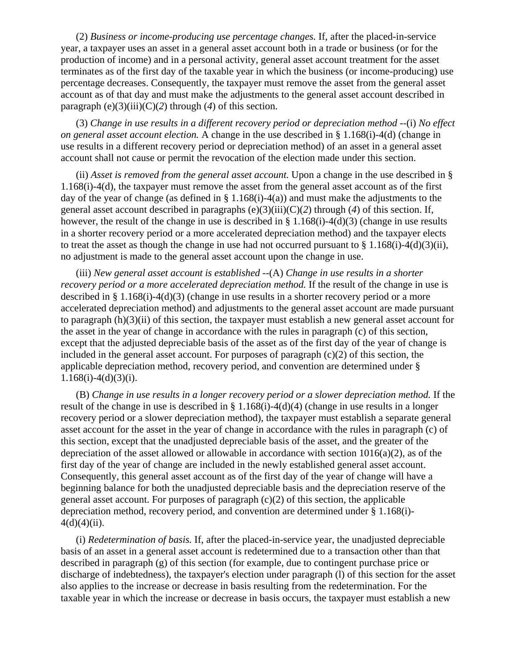(2) *Business or income-producing use percentage changes.* If, after the placed-in-service year, a taxpayer uses an asset in a general asset account both in a trade or business (or for the production of income) and in a personal activity, general asset account treatment for the asset terminates as of the first day of the taxable year in which the business (or income-producing) use percentage decreases. Consequently, the taxpayer must remove the asset from the general asset account as of that day and must make the adjustments to the general asset account described in paragraph  $(e)(3)(iii)(C)(2)$  through (4) of this section.

(3) *Change in use results in a different recovery period or depreciation method* --(i) *No effect on general asset account election.* A change in the use described in § 1.168(i)-4(d) (change in use results in a different recovery period or depreciation method) of an asset in a general asset account shall not cause or permit the revocation of the election made under this section.

(ii) *Asset is removed from the general asset account.* Upon a change in the use described in § 1.168(i)-4(d), the taxpayer must remove the asset from the general asset account as of the first day of the year of change (as defined in § 1.168(i)-4(a)) and must make the adjustments to the general asset account described in paragraphs (e)(3)(iii)(C)(*2*) through (*4*) of this section. If, however, the result of the change in use is described in § 1.168(i)-4(d)(3) (change in use results in a shorter recovery period or a more accelerated depreciation method) and the taxpayer elects to treat the asset as though the change in use had not occurred pursuant to  $\S 1.168(i)-4(d)(3)(ii)$ , no adjustment is made to the general asset account upon the change in use.

(iii) *New general asset account is established* --(A) *Change in use results in a shorter recovery period or a more accelerated depreciation method.* If the result of the change in use is described in § 1.168(i)-4(d)(3) (change in use results in a shorter recovery period or a more accelerated depreciation method) and adjustments to the general asset account are made pursuant to paragraph (h)(3)(ii) of this section, the taxpayer must establish a new general asset account for the asset in the year of change in accordance with the rules in paragraph (c) of this section, except that the adjusted depreciable basis of the asset as of the first day of the year of change is included in the general asset account. For purposes of paragraph  $(c)(2)$  of this section, the applicable depreciation method, recovery period, and convention are determined under §  $1.168(i) - 4(d)(3)(i)$ .

(B) *Change in use results in a longer recovery period or a slower depreciation method.* If the result of the change in use is described in § 1.168(i)-4(d)(4) (change in use results in a longer recovery period or a slower depreciation method), the taxpayer must establish a separate general asset account for the asset in the year of change in accordance with the rules in paragraph (c) of this section, except that the unadjusted depreciable basis of the asset, and the greater of the depreciation of the asset allowed or allowable in accordance with section  $1016(a)(2)$ , as of the first day of the year of change are included in the newly established general asset account. Consequently, this general asset account as of the first day of the year of change will have a beginning balance for both the unadjusted depreciable basis and the depreciation reserve of the general asset account. For purposes of paragraph  $(c)(2)$  of this section, the applicable depreciation method, recovery period, and convention are determined under § 1.168(i)-  $4(d)(4)(ii)$ .

(i) *Redetermination of basis.* If, after the placed-in-service year, the unadjusted depreciable basis of an asset in a general asset account is redetermined due to a transaction other than that described in paragraph (g) of this section (for example, due to contingent purchase price or discharge of indebtedness), the taxpayer's election under paragraph (l) of this section for the asset also applies to the increase or decrease in basis resulting from the redetermination. For the taxable year in which the increase or decrease in basis occurs, the taxpayer must establish a new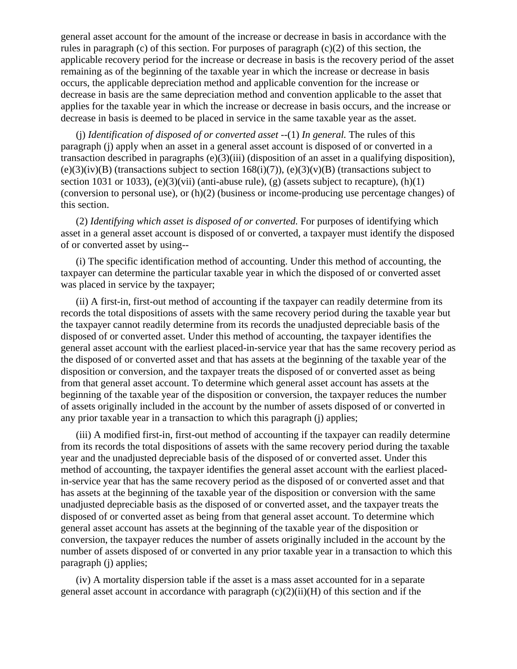general asset account for the amount of the increase or decrease in basis in accordance with the rules in paragraph (c) of this section. For purposes of paragraph (c)(2) of this section, the applicable recovery period for the increase or decrease in basis is the recovery period of the asset remaining as of the beginning of the taxable year in which the increase or decrease in basis occurs, the applicable depreciation method and applicable convention for the increase or decrease in basis are the same depreciation method and convention applicable to the asset that applies for the taxable year in which the increase or decrease in basis occurs, and the increase or decrease in basis is deemed to be placed in service in the same taxable year as the asset.

(j) *Identification of disposed of or converted asset* --(1) *In general.* The rules of this paragraph (j) apply when an asset in a general asset account is disposed of or converted in a transaction described in paragraphs (e)(3)(iii) (disposition of an asset in a qualifying disposition),  $(e)(3)(iv)(B)$  (transactions subject to section 168(i)(7)),  $(e)(3)(v)(B)$  (transactions subject to section 1031 or 1033), (e)(3)(vii) (anti-abuse rule), (g) (assets subject to recapture),  $(h)(1)$ (conversion to personal use), or (h)(2) (business or income-producing use percentage changes) of this section.

(2) *Identifying which asset is disposed of or converted.* For purposes of identifying which asset in a general asset account is disposed of or converted, a taxpayer must identify the disposed of or converted asset by using--

(i) The specific identification method of accounting. Under this method of accounting, the taxpayer can determine the particular taxable year in which the disposed of or converted asset was placed in service by the taxpayer;

(ii) A first-in, first-out method of accounting if the taxpayer can readily determine from its records the total dispositions of assets with the same recovery period during the taxable year but the taxpayer cannot readily determine from its records the unadjusted depreciable basis of the disposed of or converted asset. Under this method of accounting, the taxpayer identifies the general asset account with the earliest placed-in-service year that has the same recovery period as the disposed of or converted asset and that has assets at the beginning of the taxable year of the disposition or conversion, and the taxpayer treats the disposed of or converted asset as being from that general asset account. To determine which general asset account has assets at the beginning of the taxable year of the disposition or conversion, the taxpayer reduces the number of assets originally included in the account by the number of assets disposed of or converted in any prior taxable year in a transaction to which this paragraph (j) applies;

(iii) A modified first-in, first-out method of accounting if the taxpayer can readily determine from its records the total dispositions of assets with the same recovery period during the taxable year and the unadjusted depreciable basis of the disposed of or converted asset. Under this method of accounting, the taxpayer identifies the general asset account with the earliest placedin-service year that has the same recovery period as the disposed of or converted asset and that has assets at the beginning of the taxable year of the disposition or conversion with the same unadjusted depreciable basis as the disposed of or converted asset, and the taxpayer treats the disposed of or converted asset as being from that general asset account. To determine which general asset account has assets at the beginning of the taxable year of the disposition or conversion, the taxpayer reduces the number of assets originally included in the account by the number of assets disposed of or converted in any prior taxable year in a transaction to which this paragraph (j) applies;

(iv) A mortality dispersion table if the asset is a mass asset accounted for in a separate general asset account in accordance with paragraph  $(c)(2)(ii)(H)$  of this section and if the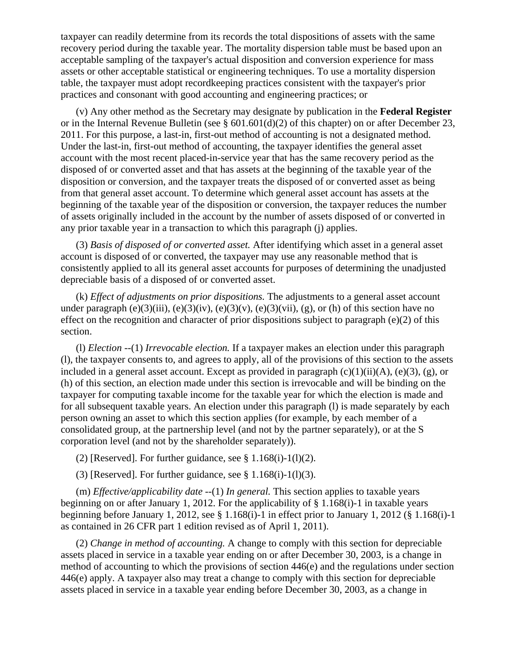taxpayer can readily determine from its records the total dispositions of assets with the same recovery period during the taxable year. The mortality dispersion table must be based upon an acceptable sampling of the taxpayer's actual disposition and conversion experience for mass assets or other acceptable statistical or engineering techniques. To use a mortality dispersion table, the taxpayer must adopt recordkeeping practices consistent with the taxpayer's prior practices and consonant with good accounting and engineering practices; or

(v) Any other method as the Secretary may designate by publication in the **Federal Register** or in the Internal Revenue Bulletin (see § 601.601(d)(2) of this chapter) on or after December 23, 2011. For this purpose, a last-in, first-out method of accounting is not a designated method. Under the last-in, first-out method of accounting, the taxpayer identifies the general asset account with the most recent placed-in-service year that has the same recovery period as the disposed of or converted asset and that has assets at the beginning of the taxable year of the disposition or conversion, and the taxpayer treats the disposed of or converted asset as being from that general asset account. To determine which general asset account has assets at the beginning of the taxable year of the disposition or conversion, the taxpayer reduces the number of assets originally included in the account by the number of assets disposed of or converted in any prior taxable year in a transaction to which this paragraph (j) applies.

(3) *Basis of disposed of or converted asset.* After identifying which asset in a general asset account is disposed of or converted, the taxpayer may use any reasonable method that is consistently applied to all its general asset accounts for purposes of determining the unadjusted depreciable basis of a disposed of or converted asset.

(k) *Effect of adjustments on prior dispositions.* The adjustments to a general asset account under paragraph  $(e)(3)(iii)$ ,  $(e)(3)(iv)$ ,  $(e)(3)(v)$ ,  $(e)(3)(vii)$ ,  $(g)$ , or (h) of this section have no effect on the recognition and character of prior dispositions subject to paragraph (e)(2) of this section.

(l) *Election* --(1) *Irrevocable election.* If a taxpayer makes an election under this paragraph (l), the taxpayer consents to, and agrees to apply, all of the provisions of this section to the assets included in a general asset account. Except as provided in paragraph  $(c)(1)(ii)(A)$ ,  $(e)(3)$ ,  $(g)$ , or (h) of this section, an election made under this section is irrevocable and will be binding on the taxpayer for computing taxable income for the taxable year for which the election is made and for all subsequent taxable years. An election under this paragraph (l) is made separately by each person owning an asset to which this section applies (for example, by each member of a consolidated group, at the partnership level (and not by the partner separately), or at the S corporation level (and not by the shareholder separately)).

(2) [Reserved]. For further guidance, see  $\S 1.168(i)-1(1)(2)$ .

(3) [Reserved]. For further guidance, see  $\S 1.168(i)-1(1)(3)$ .

(m) *Effective/applicability date* --(1) *In general*. This section applies to taxable years beginning on or after January 1, 2012. For the applicability of § 1.168(i)-1 in taxable years beginning before January 1, 2012, see § 1.168(i)-1 in effect prior to January 1, 2012 (§ 1.168(i)-1 as contained in 26 CFR part 1 edition revised as of April 1, 2011).

(2) *Change in method of accounting.* A change to comply with this section for depreciable assets placed in service in a taxable year ending on or after December 30, 2003, is a change in method of accounting to which the provisions of section 446(e) and the regulations under section 446(e) apply. A taxpayer also may treat a change to comply with this section for depreciable assets placed in service in a taxable year ending before December 30, 2003, as a change in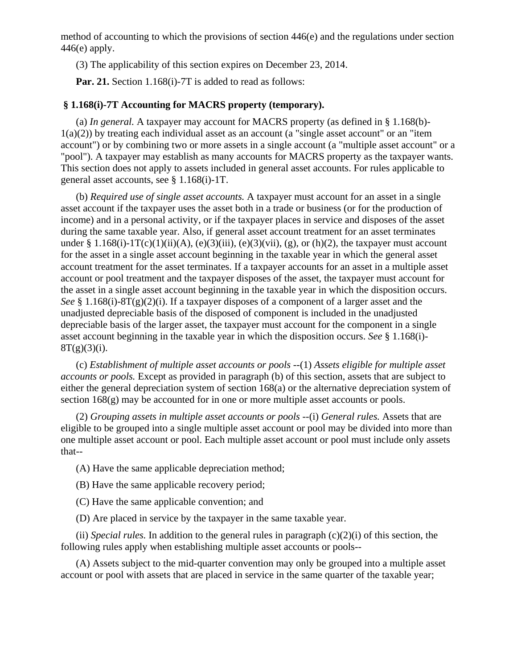method of accounting to which the provisions of section 446(e) and the regulations under section  $446(e)$  apply.

(3) The applicability of this section expires on December 23, 2014.

Par. 21. Section 1.168(i)-7T is added to read as follows:

## **§ 1.168(i)-7T Accounting for MACRS property (temporary).**

(a) *In general.* A taxpayer may account for MACRS property (as defined in § 1.168(b)-  $1(a)(2)$ ) by treating each individual asset as an account (a "single asset account" or an "item" account") or by combining two or more assets in a single account (a "multiple asset account" or a "pool"). A taxpayer may establish as many accounts for MACRS property as the taxpayer wants. This section does not apply to assets included in general asset accounts. For rules applicable to general asset accounts, see § 1.168(i)-1T.

(b) *Required use of single asset accounts.* A taxpayer must account for an asset in a single asset account if the taxpayer uses the asset both in a trade or business (or for the production of income) and in a personal activity, or if the taxpayer places in service and disposes of the asset during the same taxable year. Also, if general asset account treatment for an asset terminates under § 1.168(i)-1T(c)(1)(ii)(A), (e)(3)(iii), (e)(3)(vii), (g), or (h)(2), the taxpayer must account for the asset in a single asset account beginning in the taxable year in which the general asset account treatment for the asset terminates. If a taxpayer accounts for an asset in a multiple asset account or pool treatment and the taxpayer disposes of the asset, the taxpayer must account for the asset in a single asset account beginning in the taxable year in which the disposition occurs. *See* § 1.168(i)-8T(g)(2)(i). If a taxpayer disposes of a component of a larger asset and the unadjusted depreciable basis of the disposed of component is included in the unadjusted depreciable basis of the larger asset, the taxpayer must account for the component in a single asset account beginning in the taxable year in which the disposition occurs. *See* § 1.168(i)-  $8T(g)(3)(i)$ .

(c) *Establishment of multiple asset accounts or pools* --(1) *Assets eligible for multiple asset accounts or pools.* Except as provided in paragraph (b) of this section, assets that are subject to either the general depreciation system of section 168(a) or the alternative depreciation system of section 168(g) may be accounted for in one or more multiple asset accounts or pools.

(2) *Grouping assets in multiple asset accounts or pools* --(i) *General rules.* Assets that are eligible to be grouped into a single multiple asset account or pool may be divided into more than one multiple asset account or pool. Each multiple asset account or pool must include only assets that--

(A) Have the same applicable depreciation method;

- (B) Have the same applicable recovery period;
- (C) Have the same applicable convention; and
- (D) Are placed in service by the taxpayer in the same taxable year.

(ii) *Special rules*. In addition to the general rules in paragraph  $(c)(2)(i)$  of this section, the following rules apply when establishing multiple asset accounts or pools--

(A) Assets subject to the mid-quarter convention may only be grouped into a multiple asset account or pool with assets that are placed in service in the same quarter of the taxable year;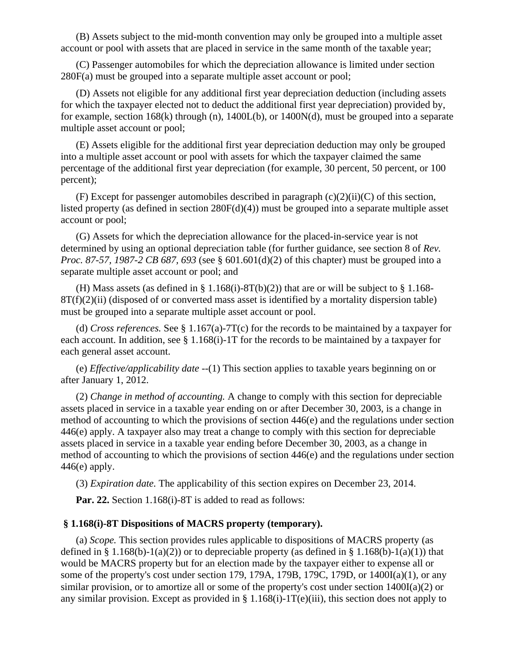(B) Assets subject to the mid-month convention may only be grouped into a multiple asset account or pool with assets that are placed in service in the same month of the taxable year;

(C) Passenger automobiles for which the depreciation allowance is limited under section 280F(a) must be grouped into a separate multiple asset account or pool;

(D) Assets not eligible for any additional first year depreciation deduction (including assets for which the taxpayer elected not to deduct the additional first year depreciation) provided by, for example, section  $168(k)$  through (n),  $1400L(b)$ , or  $1400N(d)$ , must be grouped into a separate multiple asset account or pool;

(E) Assets eligible for the additional first year depreciation deduction may only be grouped into a multiple asset account or pool with assets for which the taxpayer claimed the same percentage of the additional first year depreciation (for example, 30 percent, 50 percent, or 100 percent);

(F) Except for passenger automobiles described in paragraph  $(c)(2)(ii)(C)$  of this section, listed property (as defined in section 280F(d)(4)) must be grouped into a separate multiple asset account or pool;

(G) Assets for which the depreciation allowance for the placed-in-service year is not determined by using an optional depreciation table (for further guidance, see section 8 of *Rev. Proc. 87-57, 1987-2 CB 687, 693* (see § 601.601(d)(2) of this chapter) must be grouped into a separate multiple asset account or pool; and

(H) Mass assets (as defined in  $\S 1.168(i)$ -8T(b)(2)) that are or will be subject to  $\S 1.168$ - $8T(f)(2)(ii)$  (disposed of or converted mass asset is identified by a mortality dispersion table) must be grouped into a separate multiple asset account or pool.

(d) *Cross references.* See § 1.167(a)-7T(c) for the records to be maintained by a taxpayer for each account. In addition, see § 1.168(i)-1T for the records to be maintained by a taxpayer for each general asset account.

(e) *Effective/applicability date* --(1) This section applies to taxable years beginning on or after January 1, 2012.

(2) *Change in method of accounting.* A change to comply with this section for depreciable assets placed in service in a taxable year ending on or after December 30, 2003, is a change in method of accounting to which the provisions of section 446(e) and the regulations under section 446(e) apply. A taxpayer also may treat a change to comply with this section for depreciable assets placed in service in a taxable year ending before December 30, 2003, as a change in method of accounting to which the provisions of section 446(e) and the regulations under section  $446(e)$  apply.

(3) *Expiration date.* The applicability of this section expires on December 23, 2014.

**Par. 22.** Section 1.168(i)-8T is added to read as follows:

# **§ 1.168(i)-8T Dispositions of MACRS property (temporary).**

(a) *Scope.* This section provides rules applicable to dispositions of MACRS property (as defined in § 1.168(b)-1(a)(2)) or to depreciable property (as defined in § 1.168(b)-1(a)(1)) that would be MACRS property but for an election made by the taxpayer either to expense all or some of the property's cost under section 179, 179A, 179B, 179C, 179D, or 1400I(a)(1), or any similar provision, or to amortize all or some of the property's cost under section 1400I(a)(2) or any similar provision. Except as provided in  $\S 1.168(i)-1T(e)(iii)$ , this section does not apply to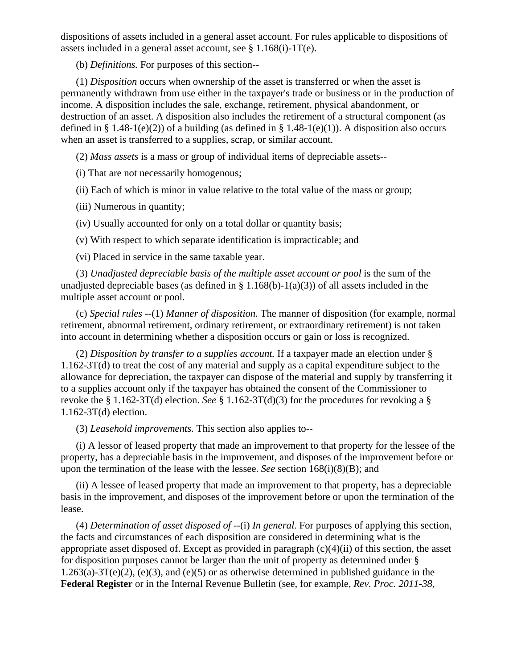dispositions of assets included in a general asset account. For rules applicable to dispositions of assets included in a general asset account, see § 1.168(i)-1T(e).

(b) *Definitions.* For purposes of this section--

(1) *Disposition* occurs when ownership of the asset is transferred or when the asset is permanently withdrawn from use either in the taxpayer's trade or business or in the production of income. A disposition includes the sale, exchange, retirement, physical abandonment, or destruction of an asset. A disposition also includes the retirement of a structural component (as defined in § 1.48-1(e)(2)) of a building (as defined in § 1.48-1(e)(1)). A disposition also occurs when an asset is transferred to a supplies, scrap, or similar account.

(2) *Mass assets* is a mass or group of individual items of depreciable assets--

(i) That are not necessarily homogenous;

(ii) Each of which is minor in value relative to the total value of the mass or group;

(iii) Numerous in quantity;

(iv) Usually accounted for only on a total dollar or quantity basis;

(v) With respect to which separate identification is impracticable; and

(vi) Placed in service in the same taxable year.

(3) *Unadjusted depreciable basis of the multiple asset account or pool* is the sum of the unadjusted depreciable bases (as defined in § 1.168(b)-1(a)(3)) of all assets included in the multiple asset account or pool.

(c) *Special rules* --(1) *Manner of disposition.* The manner of disposition (for example, normal retirement, abnormal retirement, ordinary retirement, or extraordinary retirement) is not taken into account in determining whether a disposition occurs or gain or loss is recognized.

(2) *Disposition by transfer to a supplies account.* If a taxpayer made an election under § 1.162-3T(d) to treat the cost of any material and supply as a capital expenditure subject to the allowance for depreciation, the taxpayer can dispose of the material and supply by transferring it to a supplies account only if the taxpayer has obtained the consent of the Commissioner to revoke the § 1.162-3T(d) election. *See* § 1.162-3T(d)(3) for the procedures for revoking a § 1.162-3T(d) election.

(3) *Leasehold improvements.* This section also applies to--

(i) A lessor of leased property that made an improvement to that property for the lessee of the property, has a depreciable basis in the improvement, and disposes of the improvement before or upon the termination of the lease with the lessee. *See* section 168(i)(8)(B); and

(ii) A lessee of leased property that made an improvement to that property, has a depreciable basis in the improvement, and disposes of the improvement before or upon the termination of the lease.

(4) *Determination of asset disposed of* --(i) *In general.* For purposes of applying this section, the facts and circumstances of each disposition are considered in determining what is the appropriate asset disposed of. Except as provided in paragraph (c)(4)(ii) of this section, the asset for disposition purposes cannot be larger than the unit of property as determined under §  $1.263(a)-3T(e)(2)$ , (e)(3), and (e)(5) or as otherwise determined in published guidance in the **Federal Register** or in the Internal Revenue Bulletin (see, for example, *Rev. Proc. 2011-38,*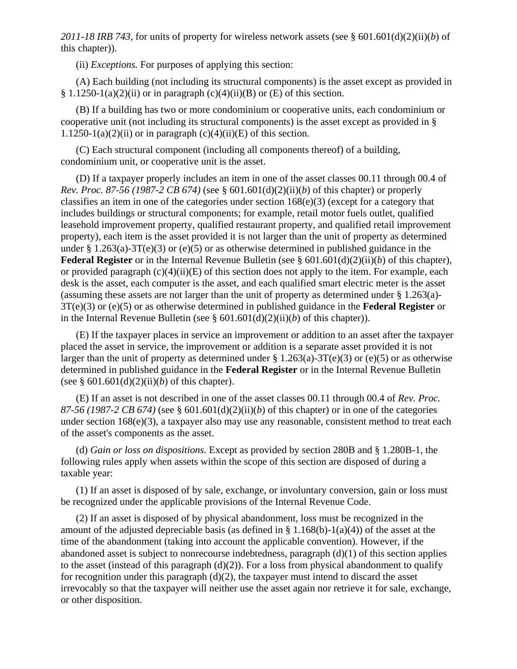*2011-18 IRB 743,* for units of property for wireless network assets (see § 601.601(d)(2)(ii)(*b*) of this chapter)).

(ii) *Exceptions.* For purposes of applying this section:

(A) Each building (not including its structural components) is the asset except as provided in § 1.1250-1(a)(2)(ii) or in paragraph (c)(4)(ii)(B) or (E) of this section.

(B) If a building has two or more condominium or cooperative units, each condominium or cooperative unit (not including its structural components) is the asset except as provided in § 1.1250-1(a)(2)(ii) or in paragraph (c)(4)(ii)(E) of this section.

(C) Each structural component (including all components thereof) of a building, condominium unit, or cooperative unit is the asset.

(D) If a taxpayer properly includes an item in one of the asset classes 00.11 through 00.4 of *Rev. Proc. 87-56 (1987-2 CB 674)* (see § 601.601(d)(2)(ii)(*b*) of this chapter) or properly classifies an item in one of the categories under section 168(e)(3) (except for a category that includes buildings or structural components; for example, retail motor fuels outlet, qualified leasehold improvement property, qualified restaurant property, and qualified retail improvement property), each item is the asset provided it is not larger than the unit of property as determined under § 1.263(a)-3T(e)(3) or (e)(5) or as otherwise determined in published guidance in the **Federal Register** or in the Internal Revenue Bulletin (see § 601.601(d)(2)(ii)(*b*) of this chapter), or provided paragraph  $(c)(4)(ii)(E)$  of this section does not apply to the item. For example, each desk is the asset, each computer is the asset, and each qualified smart electric meter is the asset (assuming these assets are not larger than the unit of property as determined under § 1.263(a)- 3T(e)(3) or (e)(5) or as otherwise determined in published guidance in the **Federal Register** or in the Internal Revenue Bulletin (see § 601.601(d)(2)(ii)(*b*) of this chapter)).

(E) If the taxpayer places in service an improvement or addition to an asset after the taxpayer placed the asset in service, the improvement or addition is a separate asset provided it is not larger than the unit of property as determined under  $\S 1.263(a) - 3T(e)(3)$  or (e)(5) or as otherwise determined in published guidance in the **Federal Register** or in the Internal Revenue Bulletin (see  $§ 601.601(d)(2)(ii)(b)$  of this chapter).

(E) If an asset is not described in one of the asset classes 00.11 through 00.4 of *Rev. Proc. 87-56 (1987-2 CB 674)* (see § 601.601(d)(2)(ii)(*b*) of this chapter) or in one of the categories under section  $168(e)(3)$ , a taxpayer also may use any reasonable, consistent method to treat each of the asset's components as the asset.

(d) *Gain or loss on dispositions.* Except as provided by section 280B and § 1.280B-1, the following rules apply when assets within the scope of this section are disposed of during a taxable year:

(1) If an asset is disposed of by sale, exchange, or involuntary conversion, gain or loss must be recognized under the applicable provisions of the Internal Revenue Code.

(2) If an asset is disposed of by physical abandonment, loss must be recognized in the amount of the adjusted depreciable basis (as defined in  $\S 1.168(b)$ -1(a)(4)) of the asset at the time of the abandonment (taking into account the applicable convention). However, if the abandoned asset is subject to nonrecourse indebtedness, paragraph (d)(1) of this section applies to the asset (instead of this paragraph  $(d)(2)$ ). For a loss from physical abandonment to qualify for recognition under this paragraph  $(d)(2)$ , the taxpayer must intend to discard the asset irrevocably so that the taxpayer will neither use the asset again nor retrieve it for sale, exchange, or other disposition.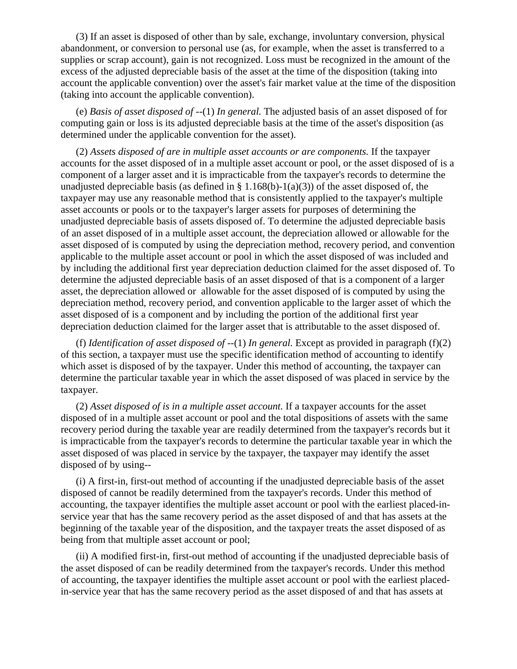(3) If an asset is disposed of other than by sale, exchange, involuntary conversion, physical abandonment, or conversion to personal use (as, for example, when the asset is transferred to a supplies or scrap account), gain is not recognized. Loss must be recognized in the amount of the excess of the adjusted depreciable basis of the asset at the time of the disposition (taking into account the applicable convention) over the asset's fair market value at the time of the disposition (taking into account the applicable convention).

(e) *Basis of asset disposed of* --(1) *In general.* The adjusted basis of an asset disposed of for computing gain or loss is its adjusted depreciable basis at the time of the asset's disposition (as determined under the applicable convention for the asset).

(2) *Assets disposed of are in multiple asset accounts or are components.* If the taxpayer accounts for the asset disposed of in a multiple asset account or pool, or the asset disposed of is a component of a larger asset and it is impracticable from the taxpayer's records to determine the unadjusted depreciable basis (as defined in § 1.168(b)-1(a)(3)) of the asset disposed of, the taxpayer may use any reasonable method that is consistently applied to the taxpayer's multiple asset accounts or pools or to the taxpayer's larger assets for purposes of determining the unadjusted depreciable basis of assets disposed of. To determine the adjusted depreciable basis of an asset disposed of in a multiple asset account, the depreciation allowed or allowable for the asset disposed of is computed by using the depreciation method, recovery period, and convention applicable to the multiple asset account or pool in which the asset disposed of was included and by including the additional first year depreciation deduction claimed for the asset disposed of. To determine the adjusted depreciable basis of an asset disposed of that is a component of a larger asset, the depreciation allowed or allowable for the asset disposed of is computed by using the depreciation method, recovery period, and convention applicable to the larger asset of which the asset disposed of is a component and by including the portion of the additional first year depreciation deduction claimed for the larger asset that is attributable to the asset disposed of.

(f) *Identification of asset disposed of*  $-(-1)$  *In general.* Except as provided in paragraph (f)(2) of this section, a taxpayer must use the specific identification method of accounting to identify which asset is disposed of by the taxpayer. Under this method of accounting, the taxpayer can determine the particular taxable year in which the asset disposed of was placed in service by the taxpayer.

(2) *Asset disposed of is in a multiple asset account.* If a taxpayer accounts for the asset disposed of in a multiple asset account or pool and the total dispositions of assets with the same recovery period during the taxable year are readily determined from the taxpayer's records but it is impracticable from the taxpayer's records to determine the particular taxable year in which the asset disposed of was placed in service by the taxpayer, the taxpayer may identify the asset disposed of by using--

(i) A first-in, first-out method of accounting if the unadjusted depreciable basis of the asset disposed of cannot be readily determined from the taxpayer's records. Under this method of accounting, the taxpayer identifies the multiple asset account or pool with the earliest placed-inservice year that has the same recovery period as the asset disposed of and that has assets at the beginning of the taxable year of the disposition, and the taxpayer treats the asset disposed of as being from that multiple asset account or pool;

(ii) A modified first-in, first-out method of accounting if the unadjusted depreciable basis of the asset disposed of can be readily determined from the taxpayer's records. Under this method of accounting, the taxpayer identifies the multiple asset account or pool with the earliest placedin-service year that has the same recovery period as the asset disposed of and that has assets at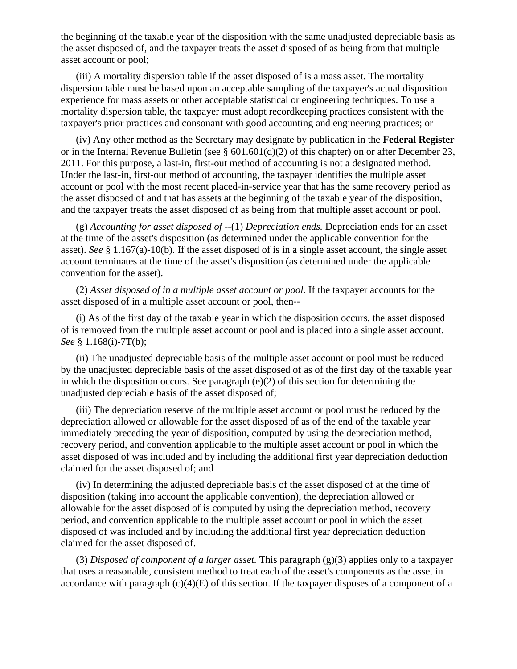the beginning of the taxable year of the disposition with the same unadjusted depreciable basis as the asset disposed of, and the taxpayer treats the asset disposed of as being from that multiple asset account or pool;

(iii) A mortality dispersion table if the asset disposed of is a mass asset. The mortality dispersion table must be based upon an acceptable sampling of the taxpayer's actual disposition experience for mass assets or other acceptable statistical or engineering techniques. To use a mortality dispersion table, the taxpayer must adopt recordkeeping practices consistent with the taxpayer's prior practices and consonant with good accounting and engineering practices; or

(iv) Any other method as the Secretary may designate by publication in the **Federal Register** or in the Internal Revenue Bulletin (see § 601.601(d)(2) of this chapter) on or after December 23, 2011. For this purpose, a last-in, first-out method of accounting is not a designated method. Under the last-in, first-out method of accounting, the taxpayer identifies the multiple asset account or pool with the most recent placed-in-service year that has the same recovery period as the asset disposed of and that has assets at the beginning of the taxable year of the disposition, and the taxpayer treats the asset disposed of as being from that multiple asset account or pool.

(g) *Accounting for asset disposed of* --(1) *Depreciation ends.* Depreciation ends for an asset at the time of the asset's disposition (as determined under the applicable convention for the asset). *See* § 1.167(a)-10(b). If the asset disposed of is in a single asset account, the single asset account terminates at the time of the asset's disposition (as determined under the applicable convention for the asset).

(2) *Asset disposed of in a multiple asset account or pool.* If the taxpayer accounts for the asset disposed of in a multiple asset account or pool, then--

(i) As of the first day of the taxable year in which the disposition occurs, the asset disposed of is removed from the multiple asset account or pool and is placed into a single asset account. *See* § 1.168(i)-7T(b);

(ii) The unadjusted depreciable basis of the multiple asset account or pool must be reduced by the unadjusted depreciable basis of the asset disposed of as of the first day of the taxable year in which the disposition occurs. See paragraph (e)(2) of this section for determining the unadjusted depreciable basis of the asset disposed of;

(iii) The depreciation reserve of the multiple asset account or pool must be reduced by the depreciation allowed or allowable for the asset disposed of as of the end of the taxable year immediately preceding the year of disposition, computed by using the depreciation method, recovery period, and convention applicable to the multiple asset account or pool in which the asset disposed of was included and by including the additional first year depreciation deduction claimed for the asset disposed of; and

(iv) In determining the adjusted depreciable basis of the asset disposed of at the time of disposition (taking into account the applicable convention), the depreciation allowed or allowable for the asset disposed of is computed by using the depreciation method, recovery period, and convention applicable to the multiple asset account or pool in which the asset disposed of was included and by including the additional first year depreciation deduction claimed for the asset disposed of.

(3) *Disposed of component of a larger asset.* This paragraph (g)(3) applies only to a taxpayer that uses a reasonable, consistent method to treat each of the asset's components as the asset in accordance with paragraph  $(c)(4)(E)$  of this section. If the taxpayer disposes of a component of a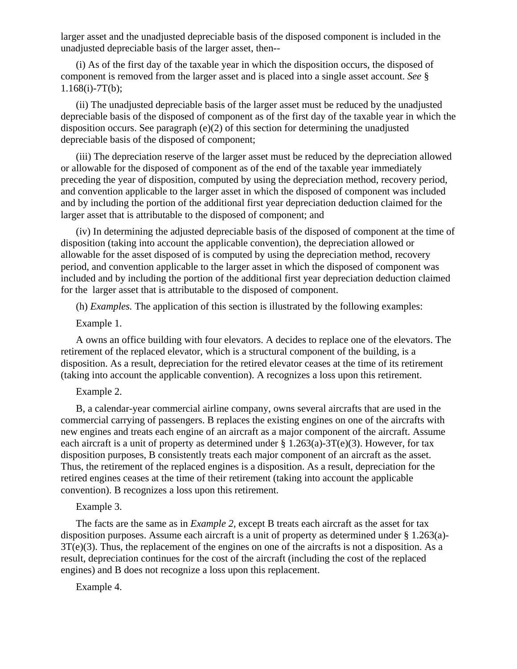larger asset and the unadjusted depreciable basis of the disposed component is included in the unadjusted depreciable basis of the larger asset, then--

(i) As of the first day of the taxable year in which the disposition occurs, the disposed of component is removed from the larger asset and is placed into a single asset account. *See* § 1.168(i)-7T(b);

(ii) The unadjusted depreciable basis of the larger asset must be reduced by the unadjusted depreciable basis of the disposed of component as of the first day of the taxable year in which the disposition occurs. See paragraph  $(e)(2)$  of this section for determining the unadjusted depreciable basis of the disposed of component;

(iii) The depreciation reserve of the larger asset must be reduced by the depreciation allowed or allowable for the disposed of component as of the end of the taxable year immediately preceding the year of disposition, computed by using the depreciation method, recovery period, and convention applicable to the larger asset in which the disposed of component was included and by including the portion of the additional first year depreciation deduction claimed for the larger asset that is attributable to the disposed of component; and

(iv) In determining the adjusted depreciable basis of the disposed of component at the time of disposition (taking into account the applicable convention), the depreciation allowed or allowable for the asset disposed of is computed by using the depreciation method, recovery period, and convention applicable to the larger asset in which the disposed of component was included and by including the portion of the additional first year depreciation deduction claimed for the larger asset that is attributable to the disposed of component.

(h) *Examples.* The application of this section is illustrated by the following examples:

Example 1.

A owns an office building with four elevators. A decides to replace one of the elevators. The retirement of the replaced elevator, which is a structural component of the building, is a disposition. As a result, depreciation for the retired elevator ceases at the time of its retirement (taking into account the applicable convention). A recognizes a loss upon this retirement.

## Example 2.

B, a calendar-year commercial airline company, owns several aircrafts that are used in the commercial carrying of passengers. B replaces the existing engines on one of the aircrafts with new engines and treats each engine of an aircraft as a major component of the aircraft. Assume each aircraft is a unit of property as determined under  $\S 1.263(a)$ -3T(e)(3). However, for tax disposition purposes, B consistently treats each major component of an aircraft as the asset. Thus, the retirement of the replaced engines is a disposition. As a result, depreciation for the retired engines ceases at the time of their retirement (taking into account the applicable convention). B recognizes a loss upon this retirement.

Example 3.

The facts are the same as in *Example 2,* except B treats each aircraft as the asset for tax disposition purposes. Assume each aircraft is a unit of property as determined under § 1.263(a)- 3T(e)(3). Thus, the replacement of the engines on one of the aircrafts is not a disposition. As a result, depreciation continues for the cost of the aircraft (including the cost of the replaced engines) and B does not recognize a loss upon this replacement.

Example 4.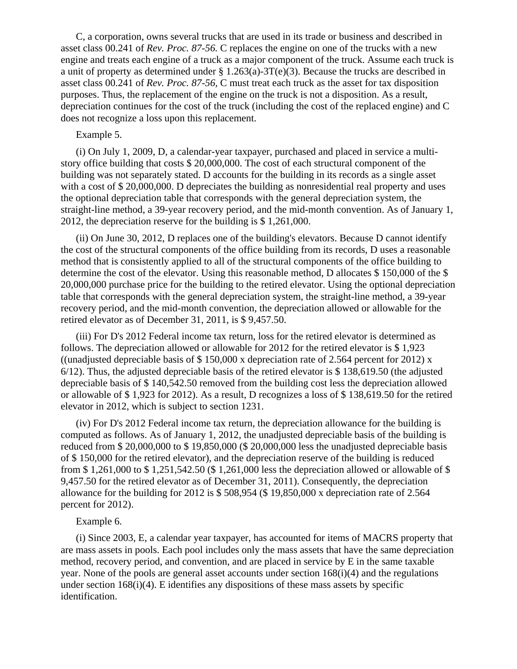C, a corporation, owns several trucks that are used in its trade or business and described in asset class 00.241 of *Rev. Proc. 87-56.* C replaces the engine on one of the trucks with a new engine and treats each engine of a truck as a major component of the truck. Assume each truck is a unit of property as determined under § 1.263(a)-3T(e)(3). Because the trucks are described in asset class 00.241 of *Rev. Proc. 87-56,* C must treat each truck as the asset for tax disposition purposes. Thus, the replacement of the engine on the truck is not a disposition. As a result, depreciation continues for the cost of the truck (including the cost of the replaced engine) and C does not recognize a loss upon this replacement.

## Example 5.

(i) On July 1, 2009, D, a calendar-year taxpayer, purchased and placed in service a multistory office building that costs \$ 20,000,000. The cost of each structural component of the building was not separately stated. D accounts for the building in its records as a single asset with a cost of \$20,000,000. D depreciates the building as nonresidential real property and uses the optional depreciation table that corresponds with the general depreciation system, the straight-line method, a 39-year recovery period, and the mid-month convention. As of January 1, 2012, the depreciation reserve for the building is \$ 1,261,000.

(ii) On June 30, 2012, D replaces one of the building's elevators. Because D cannot identify the cost of the structural components of the office building from its records, D uses a reasonable method that is consistently applied to all of the structural components of the office building to determine the cost of the elevator. Using this reasonable method, D allocates  $$150,000$  of the  $$$ 20,000,000 purchase price for the building to the retired elevator. Using the optional depreciation table that corresponds with the general depreciation system, the straight-line method, a 39-year recovery period, and the mid-month convention, the depreciation allowed or allowable for the retired elevator as of December 31, 2011, is \$ 9,457.50.

(iii) For D's 2012 Federal income tax return, loss for the retired elevator is determined as follows. The depreciation allowed or allowable for 2012 for the retired elevator is \$ 1,923 ((unadjusted depreciable basis of \$150,000 x depreciation rate of 2.564 percent for 2012) x 6/12). Thus, the adjusted depreciable basis of the retired elevator is \$ 138,619.50 (the adjusted depreciable basis of \$ 140,542.50 removed from the building cost less the depreciation allowed or allowable of \$ 1,923 for 2012). As a result, D recognizes a loss of \$ 138,619.50 for the retired elevator in 2012, which is subject to section 1231.

(iv) For D's 2012 Federal income tax return, the depreciation allowance for the building is computed as follows. As of January 1, 2012, the unadjusted depreciable basis of the building is reduced from \$ 20,000,000 to \$ 19,850,000 (\$ 20,000,000 less the unadjusted depreciable basis of \$ 150,000 for the retired elevator), and the depreciation reserve of the building is reduced from \$ 1,261,000 to \$ 1,251,542.50 (\$ 1,261,000 less the depreciation allowed or allowable of \$ 9,457.50 for the retired elevator as of December 31, 2011). Consequently, the depreciation allowance for the building for 2012 is \$ 508,954 (\$ 19,850,000 x depreciation rate of 2.564 percent for 2012).

## Example 6.

(i) Since 2003, E, a calendar year taxpayer, has accounted for items of MACRS property that are mass assets in pools. Each pool includes only the mass assets that have the same depreciation method, recovery period, and convention, and are placed in service by E in the same taxable year. None of the pools are general asset accounts under section 168(i)(4) and the regulations under section 168(i)(4). E identifies any dispositions of these mass assets by specific identification.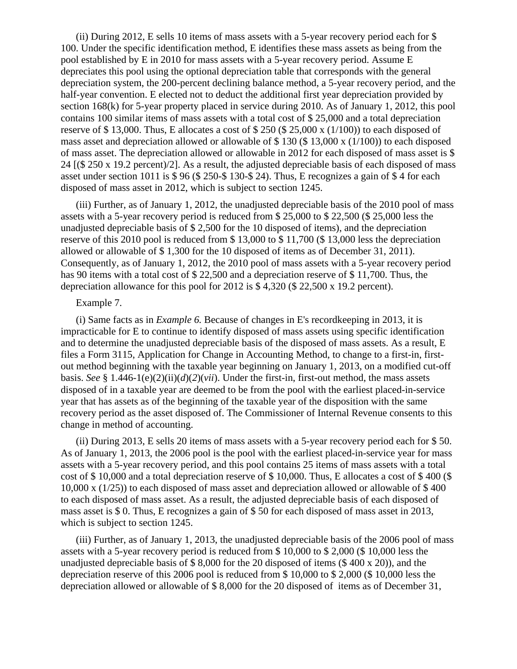(ii) During 2012, E sells 10 items of mass assets with a 5-year recovery period each for \$ 100. Under the specific identification method, E identifies these mass assets as being from the pool established by E in 2010 for mass assets with a 5-year recovery period. Assume E depreciates this pool using the optional depreciation table that corresponds with the general depreciation system, the 200-percent declining balance method, a 5-year recovery period, and the half-year convention. E elected not to deduct the additional first year depreciation provided by section 168(k) for 5-year property placed in service during 2010. As of January 1, 2012, this pool contains 100 similar items of mass assets with a total cost of \$ 25,000 and a total depreciation reserve of \$ 13,000. Thus, E allocates a cost of \$ 250 (\$ 25,000 x (1/100)) to each disposed of mass asset and depreciation allowed or allowable of \$ 130 (\$ 13,000 x (1/100)) to each disposed of mass asset. The depreciation allowed or allowable in 2012 for each disposed of mass asset is \$ 24 [(\$ 250 x 19.2 percent)/2]. As a result, the adjusted depreciable basis of each disposed of mass asset under section 1011 is \$ 96 (\$ 250-\$ 130-\$ 24). Thus, E recognizes a gain of \$ 4 for each disposed of mass asset in 2012, which is subject to section 1245.

(iii) Further, as of January 1, 2012, the unadjusted depreciable basis of the 2010 pool of mass assets with a 5-year recovery period is reduced from \$ 25,000 to \$ 22,500 (\$ 25,000 less the unadjusted depreciable basis of \$ 2,500 for the 10 disposed of items), and the depreciation reserve of this 2010 pool is reduced from \$ 13,000 to \$ 11,700 (\$ 13,000 less the depreciation allowed or allowable of \$ 1,300 for the 10 disposed of items as of December 31, 2011). Consequently, as of January 1, 2012, the 2010 pool of mass assets with a 5-year recovery period has 90 items with a total cost of \$ 22,500 and a depreciation reserve of \$ 11,700. Thus, the depreciation allowance for this pool for 2012 is \$ 4,320 (\$ 22,500 x 19.2 percent).

#### Example 7.

(i) Same facts as in *Example 6.* Because of changes in E's recordkeeping in 2013, it is impracticable for E to continue to identify disposed of mass assets using specific identification and to determine the unadjusted depreciable basis of the disposed of mass assets. As a result, E files a Form 3115, Application for Change in Accounting Method, to change to a first-in, firstout method beginning with the taxable year beginning on January 1, 2013, on a modified cut-off basis. *See* § 1.446-1(e)(2)(ii)(*d*)(*2*)(*vii*). Under the first-in, first-out method, the mass assets disposed of in a taxable year are deemed to be from the pool with the earliest placed-in-service year that has assets as of the beginning of the taxable year of the disposition with the same recovery period as the asset disposed of. The Commissioner of Internal Revenue consents to this change in method of accounting.

(ii) During 2013, E sells 20 items of mass assets with a 5-year recovery period each for \$ 50. As of January 1, 2013, the 2006 pool is the pool with the earliest placed-in-service year for mass assets with a 5-year recovery period, and this pool contains 25 items of mass assets with a total cost of \$ 10,000 and a total depreciation reserve of \$ 10,000. Thus, E allocates a cost of \$ 400 (\$ 10,000 x (1/25)) to each disposed of mass asset and depreciation allowed or allowable of \$ 400 to each disposed of mass asset. As a result, the adjusted depreciable basis of each disposed of mass asset is \$ 0. Thus, E recognizes a gain of \$ 50 for each disposed of mass asset in 2013, which is subject to section 1245.

(iii) Further, as of January 1, 2013, the unadjusted depreciable basis of the 2006 pool of mass assets with a 5-year recovery period is reduced from \$ 10,000 to \$ 2,000 (\$ 10,000 less the unadjusted depreciable basis of \$ 8,000 for the 20 disposed of items (\$ 400 x 20)), and the depreciation reserve of this 2006 pool is reduced from \$ 10,000 to \$ 2,000 (\$ 10,000 less the depreciation allowed or allowable of \$ 8,000 for the 20 disposed of items as of December 31,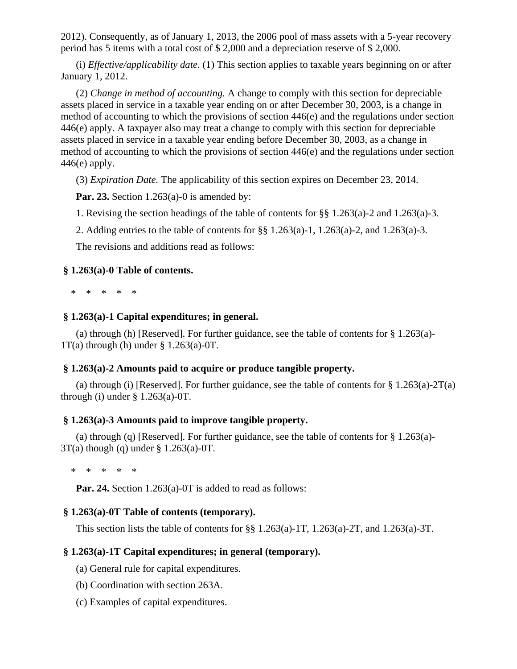2012). Consequently, as of January 1, 2013, the 2006 pool of mass assets with a 5-year recovery period has 5 items with a total cost of \$ 2,000 and a depreciation reserve of \$ 2,000.

(i) *Effective/applicability date.* (1) This section applies to taxable years beginning on or after January 1, 2012.

(2) *Change in method of accounting.* A change to comply with this section for depreciable assets placed in service in a taxable year ending on or after December 30, 2003, is a change in method of accounting to which the provisions of section 446(e) and the regulations under section 446(e) apply. A taxpayer also may treat a change to comply with this section for depreciable assets placed in service in a taxable year ending before December 30, 2003, as a change in method of accounting to which the provisions of section 446(e) and the regulations under section  $446(e)$  apply.

(3) *Expiration Date.* The applicability of this section expires on December 23, 2014.

**Par. 23.** Section 1.263(a)-0 is amended by:

1. Revising the section headings of the table of contents for §§ 1.263(a)-2 and 1.263(a)-3.

2. Adding entries to the table of contents for §§ 1.263(a)-1, 1.263(a)-2, and 1.263(a)-3.

The revisions and additions read as follows:

## **§ 1.263(a)-0 Table of contents.**

\* \* \* \* \*

## **§ 1.263(a)-1 Capital expenditures; in general.**

(a) through (h) [Reserved]. For further guidance, see the table of contents for  $\S 1.263(a)$ - $1T(a)$  through (h) under § 1.263(a)-0T.

## **§ 1.263(a)-2 Amounts paid to acquire or produce tangible property.**

(a) through (i) [Reserved]. For further guidance, see the table of contents for  $\S 1.263(a)-2T(a)$ through (i) under  $\S$  1.263(a)-0T.

## **§ 1.263(a)-3 Amounts paid to improve tangible property.**

(a) through (q) [Reserved]. For further guidance, see the table of contents for § 1.263(a)- 3T(a) though (q) under § 1.263(a)-0T.

\* \* \* \* \*

**Par. 24.** Section 1.263(a)-0T is added to read as follows:

# **§ 1.263(a)-0T Table of contents (temporary).**

This section lists the table of contents for §§ 1.263(a)-1T, 1.263(a)-2T, and 1.263(a)-3T.

# **§ 1.263(a)-1T Capital expenditures; in general (temporary).**

- (a) General rule for capital expenditures.
- (b) Coordination with section 263A.
- (c) Examples of capital expenditures.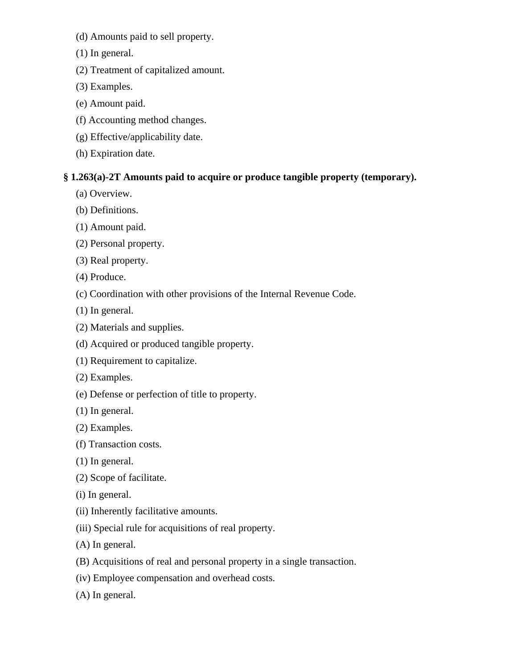- (d) Amounts paid to sell property.
- (1) In general.
- (2) Treatment of capitalized amount.
- (3) Examples.
- (e) Amount paid.
- (f) Accounting method changes.
- (g) Effective/applicability date.
- (h) Expiration date.

# **§ 1.263(a)-2T Amounts paid to acquire or produce tangible property (temporary).**

- (a) Overview.
- (b) Definitions.
- (1) Amount paid.
- (2) Personal property.
- (3) Real property.
- (4) Produce.
- (c) Coordination with other provisions of the Internal Revenue Code.
- (1) In general.
- (2) Materials and supplies.
- (d) Acquired or produced tangible property.
- (1) Requirement to capitalize.
- (2) Examples.
- (e) Defense or perfection of title to property.
- (1) In general.
- (2) Examples.
- (f) Transaction costs.
- (1) In general.
- (2) Scope of facilitate.
- (i) In general.
- (ii) Inherently facilitative amounts.
- (iii) Special rule for acquisitions of real property.
- (A) In general.
- (B) Acquisitions of real and personal property in a single transaction.
- (iv) Employee compensation and overhead costs.
- (A) In general.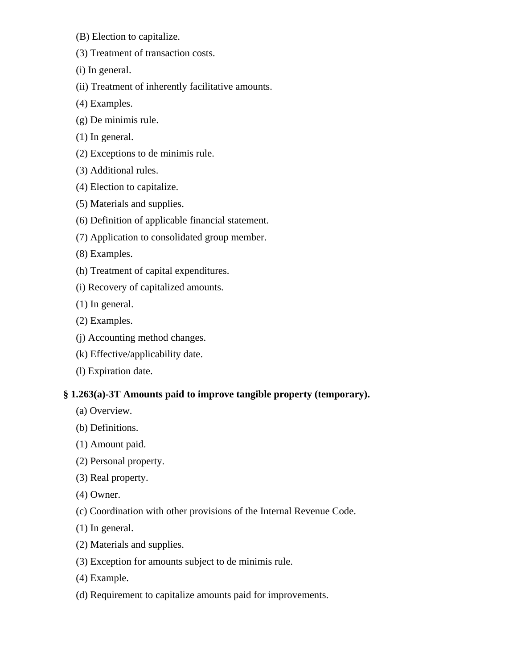- (B) Election to capitalize.
- (3) Treatment of transaction costs.
- (i) In general.
- (ii) Treatment of inherently facilitative amounts.
- (4) Examples.
- (g) De minimis rule.
- (1) In general.
- (2) Exceptions to de minimis rule.
- (3) Additional rules.
- (4) Election to capitalize.
- (5) Materials and supplies.
- (6) Definition of applicable financial statement.
- (7) Application to consolidated group member.
- (8) Examples.
- (h) Treatment of capital expenditures.
- (i) Recovery of capitalized amounts.
- (1) In general.
- (2) Examples.
- (j) Accounting method changes.
- (k) Effective/applicability date.
- (l) Expiration date.

# **§ 1.263(a)-3T Amounts paid to improve tangible property (temporary).**

- (a) Overview.
- (b) Definitions.
- (1) Amount paid.
- (2) Personal property.
- (3) Real property.
- (4) Owner.
- (c) Coordination with other provisions of the Internal Revenue Code.
- (1) In general.
- (2) Materials and supplies.
- (3) Exception for amounts subject to de minimis rule.
- (4) Example.
- (d) Requirement to capitalize amounts paid for improvements.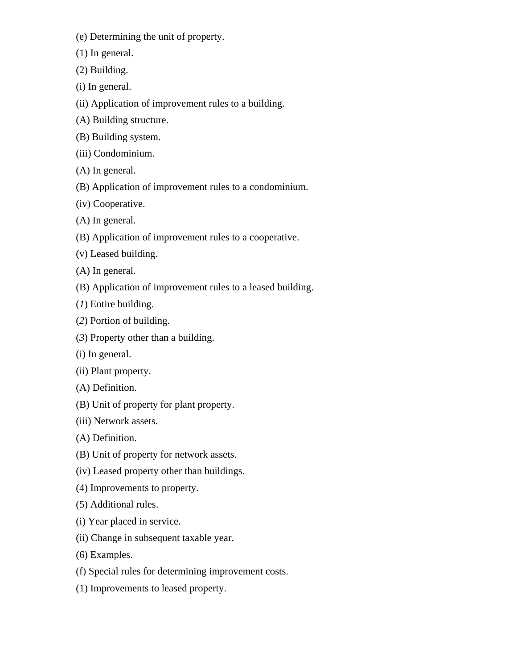- (e) Determining the unit of property.
- (1) In general.
- (2) Building.
- (i) In general.
- (ii) Application of improvement rules to a building.
- (A) Building structure.
- (B) Building system.
- (iii) Condominium.
- (A) In general.
- (B) Application of improvement rules to a condominium.
- (iv) Cooperative.
- (A) In general.
- (B) Application of improvement rules to a cooperative.
- (v) Leased building.
- (A) In general.
- (B) Application of improvement rules to a leased building.
- (*1*) Entire building.
- (*2*) Portion of building.
- (*3*) Property other than a building.
- (i) In general.
- (ii) Plant property.
- (A) Definition.
- (B) Unit of property for plant property.
- (iii) Network assets.
- (A) Definition.
- (B) Unit of property for network assets.
- (iv) Leased property other than buildings.
- (4) Improvements to property.
- (5) Additional rules.
- (i) Year placed in service.
- (ii) Change in subsequent taxable year.
- (6) Examples.
- (f) Special rules for determining improvement costs.
- (1) Improvements to leased property.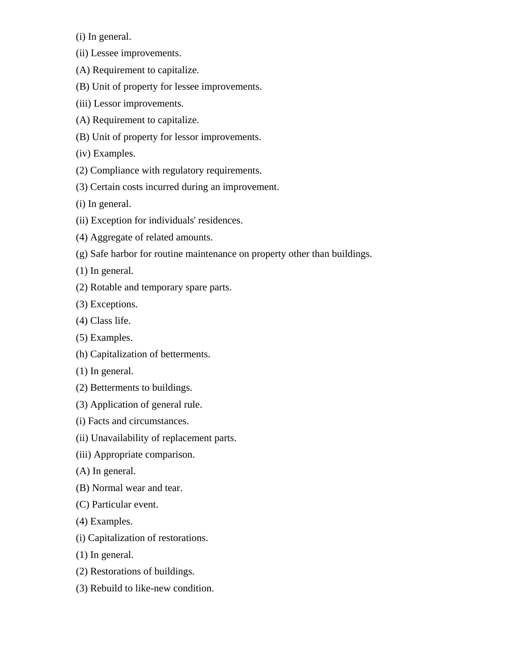(i) In general.

- (ii) Lessee improvements.
- (A) Requirement to capitalize.
- (B) Unit of property for lessee improvements.
- (iii) Lessor improvements.
- (A) Requirement to capitalize.
- (B) Unit of property for lessor improvements.

(iv) Examples.

- (2) Compliance with regulatory requirements.
- (3) Certain costs incurred during an improvement.

(i) In general.

- (ii) Exception for individuals' residences.
- (4) Aggregate of related amounts.
- (g) Safe harbor for routine maintenance on property other than buildings.
- (1) In general.
- (2) Rotable and temporary spare parts.
- (3) Exceptions.
- (4) Class life.
- (5) Examples.
- (h) Capitalization of betterments.
- (1) In general.
- (2) Betterments to buildings.
- (3) Application of general rule.
- (i) Facts and circumstances.
- (ii) Unavailability of replacement parts.
- (iii) Appropriate comparison.
- (A) In general.
- (B) Normal wear and tear.
- (C) Particular event.
- (4) Examples.
- (i) Capitalization of restorations.
- (1) In general.
- (2) Restorations of buildings.
- (3) Rebuild to like-new condition.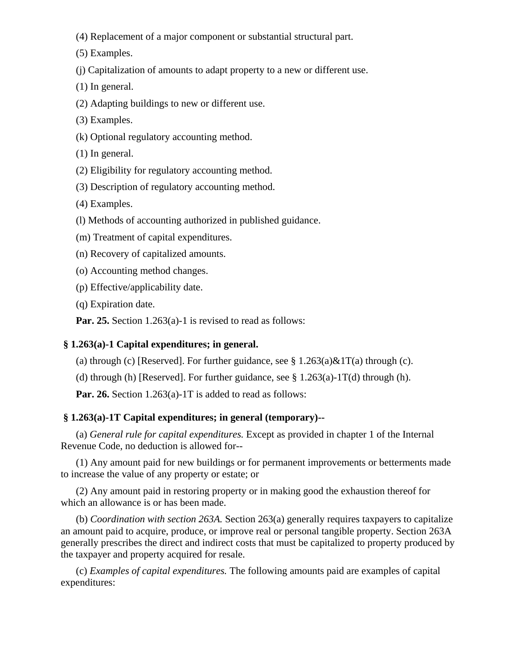- (4) Replacement of a major component or substantial structural part.
- (5) Examples.
- (j) Capitalization of amounts to adapt property to a new or different use.
- (1) In general.
- (2) Adapting buildings to new or different use.
- (3) Examples.
- (k) Optional regulatory accounting method.
- (1) In general.
- (2) Eligibility for regulatory accounting method.
- (3) Description of regulatory accounting method.
- (4) Examples.
- (l) Methods of accounting authorized in published guidance.
- (m) Treatment of capital expenditures.
- (n) Recovery of capitalized amounts.
- (o) Accounting method changes.
- (p) Effective/applicability date.
- (q) Expiration date.

**Par. 25.** Section 1.263(a)-1 is revised to read as follows:

# **§ 1.263(a)-1 Capital expenditures; in general.**

(a) through (c) [Reserved]. For further guidance, see  $\S 1.263(a)\&1T(a)$  through (c).

(d) through (h) [Reserved]. For further guidance, see  $\S 1.263(a)$ -1T(d) through (h).

**Par. 26.** Section 1.263(a)-1T is added to read as follows:

# **§ 1.263(a)-1T Capital expenditures; in general (temporary)--**

(a) *General rule for capital expenditures.* Except as provided in chapter 1 of the Internal Revenue Code, no deduction is allowed for--

(1) Any amount paid for new buildings or for permanent improvements or betterments made to increase the value of any property or estate; or

(2) Any amount paid in restoring property or in making good the exhaustion thereof for which an allowance is or has been made.

(b) *Coordination with section 263A.* Section 263(a) generally requires taxpayers to capitalize an amount paid to acquire, produce, or improve real or personal tangible property. Section 263A generally prescribes the direct and indirect costs that must be capitalized to property produced by the taxpayer and property acquired for resale.

(c) *Examples of capital expenditures.* The following amounts paid are examples of capital expenditures: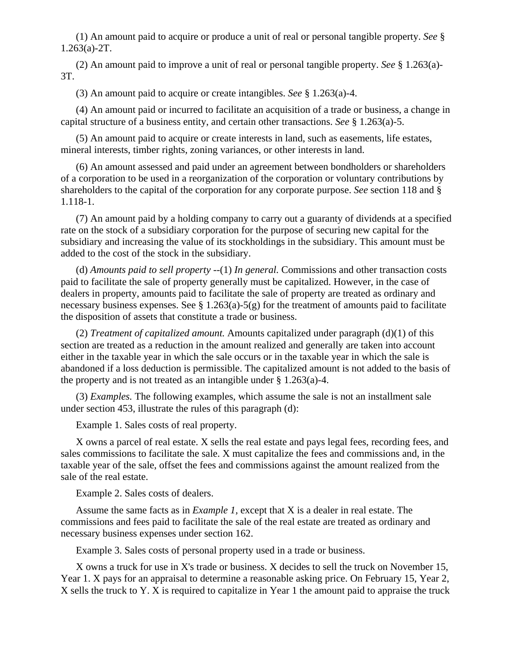(1) An amount paid to acquire or produce a unit of real or personal tangible property. *See* § 1.263(a)-2T.

(2) An amount paid to improve a unit of real or personal tangible property. *See* § 1.263(a)- 3T.

(3) An amount paid to acquire or create intangibles. *See* § 1.263(a)-4.

(4) An amount paid or incurred to facilitate an acquisition of a trade or business, a change in capital structure of a business entity, and certain other transactions. *See* § 1.263(a)-5.

(5) An amount paid to acquire or create interests in land, such as easements, life estates, mineral interests, timber rights, zoning variances, or other interests in land.

(6) An amount assessed and paid under an agreement between bondholders or shareholders of a corporation to be used in a reorganization of the corporation or voluntary contributions by shareholders to the capital of the corporation for any corporate purpose. *See* section 118 and § 1.118-1.

(7) An amount paid by a holding company to carry out a guaranty of dividends at a specified rate on the stock of a subsidiary corporation for the purpose of securing new capital for the subsidiary and increasing the value of its stockholdings in the subsidiary. This amount must be added to the cost of the stock in the subsidiary.

(d) *Amounts paid to sell property* --(1) *In general.* Commissions and other transaction costs paid to facilitate the sale of property generally must be capitalized. However, in the case of dealers in property, amounts paid to facilitate the sale of property are treated as ordinary and necessary business expenses. See  $\S 1.263(a)$ -5(g) for the treatment of amounts paid to facilitate the disposition of assets that constitute a trade or business.

(2) *Treatment of capitalized amount.* Amounts capitalized under paragraph (d)(1) of this section are treated as a reduction in the amount realized and generally are taken into account either in the taxable year in which the sale occurs or in the taxable year in which the sale is abandoned if a loss deduction is permissible. The capitalized amount is not added to the basis of the property and is not treated as an intangible under § 1.263(a)-4.

(3) *Examples.* The following examples, which assume the sale is not an installment sale under section 453, illustrate the rules of this paragraph (d):

Example 1. Sales costs of real property.

X owns a parcel of real estate. X sells the real estate and pays legal fees, recording fees, and sales commissions to facilitate the sale. X must capitalize the fees and commissions and, in the taxable year of the sale, offset the fees and commissions against the amount realized from the sale of the real estate.

Example 2. Sales costs of dealers.

Assume the same facts as in *Example 1,* except that X is a dealer in real estate. The commissions and fees paid to facilitate the sale of the real estate are treated as ordinary and necessary business expenses under section 162.

Example 3. Sales costs of personal property used in a trade or business.

X owns a truck for use in X's trade or business. X decides to sell the truck on November 15, Year 1. X pays for an appraisal to determine a reasonable asking price. On February 15, Year 2, X sells the truck to Y. X is required to capitalize in Year 1 the amount paid to appraise the truck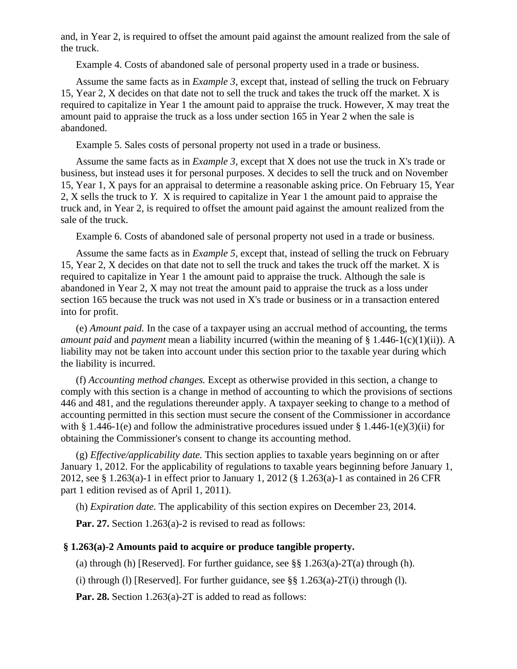and, in Year 2, is required to offset the amount paid against the amount realized from the sale of the truck.

Example 4. Costs of abandoned sale of personal property used in a trade or business.

Assume the same facts as in *Example 3,* except that, instead of selling the truck on February 15, Year 2, X decides on that date not to sell the truck and takes the truck off the market. X is required to capitalize in Year 1 the amount paid to appraise the truck. However, X may treat the amount paid to appraise the truck as a loss under section 165 in Year 2 when the sale is abandoned.

Example 5. Sales costs of personal property not used in a trade or business.

Assume the same facts as in *Example 3,* except that X does not use the truck in X's trade or business, but instead uses it for personal purposes. X decides to sell the truck and on November 15, Year 1, X pays for an appraisal to determine a reasonable asking price. On February 15, Year 2, X sells the truck to *Y.* X is required to capitalize in Year 1 the amount paid to appraise the truck and, in Year 2, is required to offset the amount paid against the amount realized from the sale of the truck.

Example 6. Costs of abandoned sale of personal property not used in a trade or business.

Assume the same facts as in *Example 5,* except that, instead of selling the truck on February 15, Year 2, X decides on that date not to sell the truck and takes the truck off the market. X is required to capitalize in Year 1 the amount paid to appraise the truck. Although the sale is abandoned in Year 2, X may not treat the amount paid to appraise the truck as a loss under section 165 because the truck was not used in X's trade or business or in a transaction entered into for profit.

(e) *Amount paid.* In the case of a taxpayer using an accrual method of accounting, the terms *amount paid* and *payment* mean a liability incurred (within the meaning of § 1.446-1(c)(1)(ii)). A liability may not be taken into account under this section prior to the taxable year during which the liability is incurred.

(f) *Accounting method changes.* Except as otherwise provided in this section, a change to comply with this section is a change in method of accounting to which the provisions of sections 446 and 481, and the regulations thereunder apply. A taxpayer seeking to change to a method of accounting permitted in this section must secure the consent of the Commissioner in accordance with § 1.446-1(e) and follow the administrative procedures issued under § 1.446-1(e)(3)(ii) for obtaining the Commissioner's consent to change its accounting method.

(g) *Effective/applicability date.* This section applies to taxable years beginning on or after January 1, 2012. For the applicability of regulations to taxable years beginning before January 1, 2012, see § 1.263(a)-1 in effect prior to January 1, 2012 (§ 1.263(a)-1 as contained in 26 CFR part 1 edition revised as of April 1, 2011).

(h) *Expiration date.* The applicability of this section expires on December 23, 2014.

**Par. 27.** Section 1.263(a)-2 is revised to read as follows:

## **§ 1.263(a)-2 Amounts paid to acquire or produce tangible property.**

(a) through (h) [Reserved]. For further guidance, see  $\S\S 1.263(a)$ -2T(a) through (h).

(i) through (l) [Reserved]. For further guidance, see  $\S\S 1.263(a)-2T(i)$  through (l).

**Par. 28.** Section 1.263(a)-2T is added to read as follows: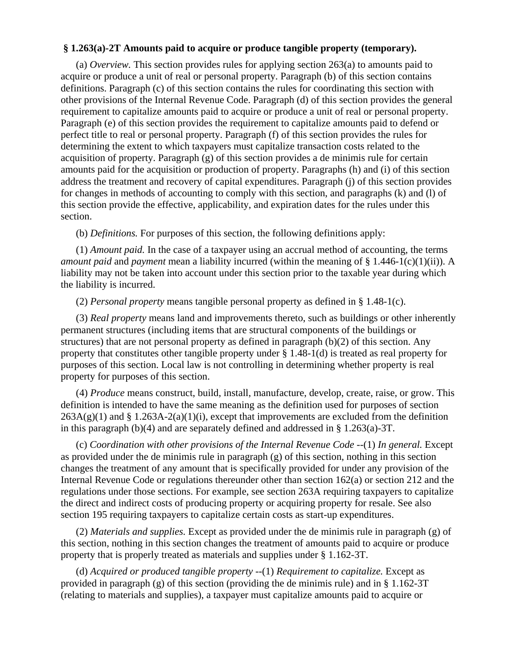## **§ 1.263(a)-2T Amounts paid to acquire or produce tangible property (temporary).**

(a) *Overview.* This section provides rules for applying section 263(a) to amounts paid to acquire or produce a unit of real or personal property. Paragraph (b) of this section contains definitions. Paragraph (c) of this section contains the rules for coordinating this section with other provisions of the Internal Revenue Code. Paragraph (d) of this section provides the general requirement to capitalize amounts paid to acquire or produce a unit of real or personal property. Paragraph (e) of this section provides the requirement to capitalize amounts paid to defend or perfect title to real or personal property. Paragraph (f) of this section provides the rules for determining the extent to which taxpayers must capitalize transaction costs related to the acquisition of property. Paragraph (g) of this section provides a de minimis rule for certain amounts paid for the acquisition or production of property. Paragraphs (h) and (i) of this section address the treatment and recovery of capital expenditures. Paragraph (j) of this section provides for changes in methods of accounting to comply with this section, and paragraphs (k) and (l) of this section provide the effective, applicability, and expiration dates for the rules under this section.

(b) *Definitions.* For purposes of this section, the following definitions apply:

(1) *Amount paid.* In the case of a taxpayer using an accrual method of accounting, the terms *amount paid* and *payment* mean a liability incurred (within the meaning of § 1.446-1(c)(1)(ii)). A liability may not be taken into account under this section prior to the taxable year during which the liability is incurred.

(2) *Personal property* means tangible personal property as defined in § 1.48-1(c).

(3) *Real property* means land and improvements thereto, such as buildings or other inherently permanent structures (including items that are structural components of the buildings or structures) that are not personal property as defined in paragraph (b)(2) of this section. Any property that constitutes other tangible property under § 1.48-1(d) is treated as real property for purposes of this section. Local law is not controlling in determining whether property is real property for purposes of this section.

(4) *Produce* means construct, build, install, manufacture, develop, create, raise, or grow. This definition is intended to have the same meaning as the definition used for purposes of section  $263A(g)(1)$  and § 1.263A-2(a)(1)(i), except that improvements are excluded from the definition in this paragraph (b)(4) and are separately defined and addressed in § 1.263(a)-3T.

(c) *Coordination with other provisions of the Internal Revenue Code* --(1) *In general.* Except as provided under the de minimis rule in paragraph (g) of this section, nothing in this section changes the treatment of any amount that is specifically provided for under any provision of the Internal Revenue Code or regulations thereunder other than section 162(a) or section 212 and the regulations under those sections. For example, see section 263A requiring taxpayers to capitalize the direct and indirect costs of producing property or acquiring property for resale. See also section 195 requiring taxpayers to capitalize certain costs as start-up expenditures.

(2) *Materials and supplies.* Except as provided under the de minimis rule in paragraph (g) of this section, nothing in this section changes the treatment of amounts paid to acquire or produce property that is properly treated as materials and supplies under § 1.162-3T.

(d) *Acquired or produced tangible property* --(1) *Requirement to capitalize.* Except as provided in paragraph  $(g)$  of this section (providing the de minimis rule) and in § 1.162-3T (relating to materials and supplies), a taxpayer must capitalize amounts paid to acquire or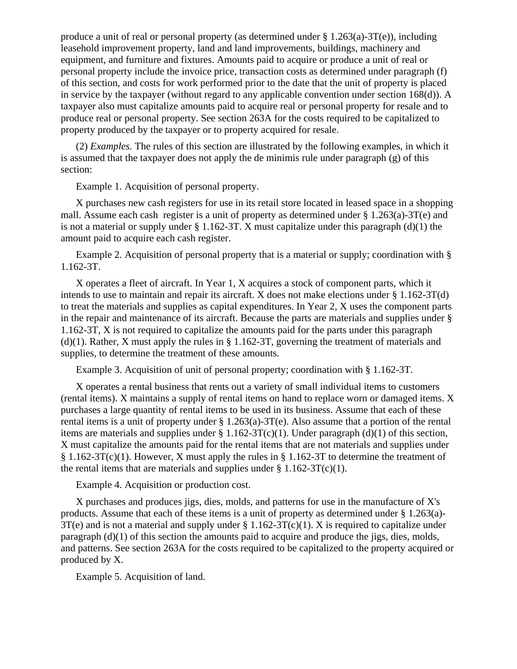produce a unit of real or personal property (as determined under § 1.263(a)-3T(e)), including leasehold improvement property, land and land improvements, buildings, machinery and equipment, and furniture and fixtures. Amounts paid to acquire or produce a unit of real or personal property include the invoice price, transaction costs as determined under paragraph (f) of this section, and costs for work performed prior to the date that the unit of property is placed in service by the taxpayer (without regard to any applicable convention under section 168(d)). A taxpayer also must capitalize amounts paid to acquire real or personal property for resale and to produce real or personal property. See section 263A for the costs required to be capitalized to property produced by the taxpayer or to property acquired for resale.

(2) *Examples.* The rules of this section are illustrated by the following examples, in which it is assumed that the taxpayer does not apply the de minimis rule under paragraph (g) of this section:

Example 1. Acquisition of personal property.

X purchases new cash registers for use in its retail store located in leased space in a shopping mall. Assume each cash register is a unit of property as determined under § 1.263(a)-3T(e) and is not a material or supply under  $\S 1.162-3T$ . X must capitalize under this paragraph (d)(1) the amount paid to acquire each cash register.

Example 2. Acquisition of personal property that is a material or supply; coordination with § 1.162-3T.

X operates a fleet of aircraft. In Year 1, X acquires a stock of component parts, which it intends to use to maintain and repair its aircraft. X does not make elections under § 1.162-3T(d) to treat the materials and supplies as capital expenditures. In Year 2, X uses the component parts in the repair and maintenance of its aircraft. Because the parts are materials and supplies under § 1.162-3T, X is not required to capitalize the amounts paid for the parts under this paragraph (d)(1). Rather, X must apply the rules in § 1.162-3T, governing the treatment of materials and supplies, to determine the treatment of these amounts.

Example 3. Acquisition of unit of personal property; coordination with § 1.162-3T.

X operates a rental business that rents out a variety of small individual items to customers (rental items). X maintains a supply of rental items on hand to replace worn or damaged items. X purchases a large quantity of rental items to be used in its business. Assume that each of these rental items is a unit of property under § 1.263(a)-3T(e). Also assume that a portion of the rental items are materials and supplies under  $\S 1.162-3T(c)(1)$ . Under paragraph (d)(1) of this section, X must capitalize the amounts paid for the rental items that are not materials and supplies under § 1.162-3T(c)(1). However, X must apply the rules in § 1.162-3T to determine the treatment of the rental items that are materials and supplies under  $\S 1.162-3T(c)(1)$ .

Example 4. Acquisition or production cost.

X purchases and produces jigs, dies, molds, and patterns for use in the manufacture of X's products. Assume that each of these items is a unit of property as determined under § 1.263(a)-  $3T(e)$  and is not a material and supply under § 1.162-3T(c)(1). X is required to capitalize under paragraph (d)(1) of this section the amounts paid to acquire and produce the jigs, dies, molds, and patterns. See section 263A for the costs required to be capitalized to the property acquired or produced by X.

Example 5. Acquisition of land.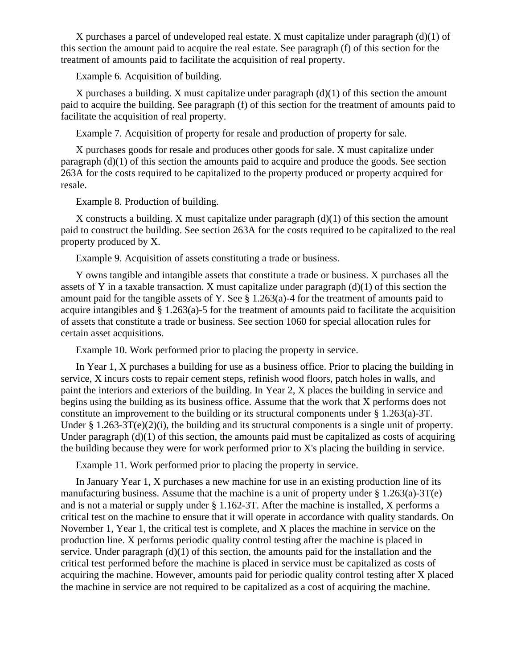X purchases a parcel of undeveloped real estate. X must capitalize under paragraph  $(d)(1)$  of this section the amount paid to acquire the real estate. See paragraph (f) of this section for the treatment of amounts paid to facilitate the acquisition of real property.

Example 6. Acquisition of building.

X purchases a building. X must capitalize under paragraph (d)(1) of this section the amount paid to acquire the building. See paragraph (f) of this section for the treatment of amounts paid to facilitate the acquisition of real property.

Example 7. Acquisition of property for resale and production of property for sale.

X purchases goods for resale and produces other goods for sale. X must capitalize under paragraph (d)(1) of this section the amounts paid to acquire and produce the goods. See section 263A for the costs required to be capitalized to the property produced or property acquired for resale.

Example 8. Production of building.

X constructs a building. X must capitalize under paragraph  $(d)(1)$  of this section the amount paid to construct the building. See section 263A for the costs required to be capitalized to the real property produced by X.

Example 9. Acquisition of assets constituting a trade or business.

Y owns tangible and intangible assets that constitute a trade or business. X purchases all the assets of Y in a taxable transaction. X must capitalize under paragraph  $(d)(1)$  of this section the amount paid for the tangible assets of Y. See § 1.263(a)-4 for the treatment of amounts paid to acquire intangibles and § 1.263(a)-5 for the treatment of amounts paid to facilitate the acquisition of assets that constitute a trade or business. See section 1060 for special allocation rules for certain asset acquisitions.

Example 10. Work performed prior to placing the property in service.

In Year 1, X purchases a building for use as a business office. Prior to placing the building in service, X incurs costs to repair cement steps, refinish wood floors, patch holes in walls, and paint the interiors and exteriors of the building. In Year 2, X places the building in service and begins using the building as its business office. Assume that the work that X performs does not constitute an improvement to the building or its structural components under § 1.263(a)-3T. Under § 1.263-3T(e)(2)(i), the building and its structural components is a single unit of property. Under paragraph  $(d)(1)$  of this section, the amounts paid must be capitalized as costs of acquiring the building because they were for work performed prior to X's placing the building in service.

Example 11. Work performed prior to placing the property in service.

In January Year 1, X purchases a new machine for use in an existing production line of its manufacturing business. Assume that the machine is a unit of property under  $\S 1.263(a)$ -3T(e) and is not a material or supply under § 1.162-3T. After the machine is installed, X performs a critical test on the machine to ensure that it will operate in accordance with quality standards. On November 1, Year 1, the critical test is complete, and X places the machine in service on the production line. X performs periodic quality control testing after the machine is placed in service. Under paragraph (d)(1) of this section, the amounts paid for the installation and the critical test performed before the machine is placed in service must be capitalized as costs of acquiring the machine. However, amounts paid for periodic quality control testing after X placed the machine in service are not required to be capitalized as a cost of acquiring the machine.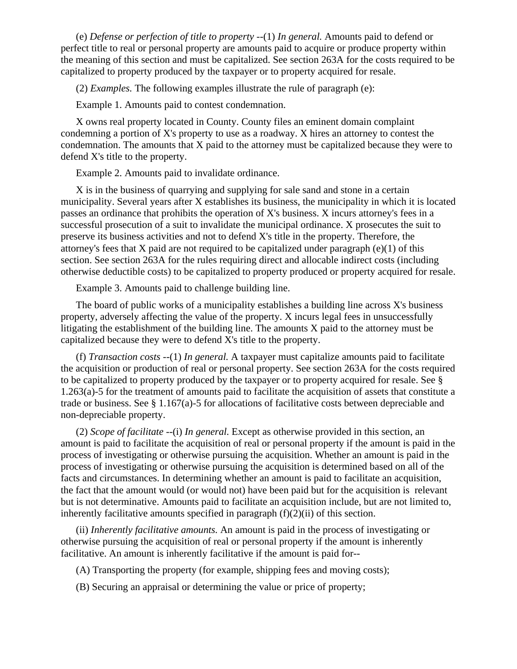(e) *Defense or perfection of title to property* --(1) *In general.* Amounts paid to defend or perfect title to real or personal property are amounts paid to acquire or produce property within the meaning of this section and must be capitalized. See section 263A for the costs required to be capitalized to property produced by the taxpayer or to property acquired for resale.

(2) *Examples.* The following examples illustrate the rule of paragraph (e):

Example 1. Amounts paid to contest condemnation.

X owns real property located in County. County files an eminent domain complaint condemning a portion of X's property to use as a roadway. X hires an attorney to contest the condemnation. The amounts that X paid to the attorney must be capitalized because they were to defend X's title to the property.

Example 2. Amounts paid to invalidate ordinance.

X is in the business of quarrying and supplying for sale sand and stone in a certain municipality. Several years after X establishes its business, the municipality in which it is located passes an ordinance that prohibits the operation of X's business. X incurs attorney's fees in a successful prosecution of a suit to invalidate the municipal ordinance. X prosecutes the suit to preserve its business activities and not to defend X's title in the property. Therefore, the attorney's fees that X paid are not required to be capitalized under paragraph  $(e)(1)$  of this section. See section 263A for the rules requiring direct and allocable indirect costs (including otherwise deductible costs) to be capitalized to property produced or property acquired for resale.

Example 3. Amounts paid to challenge building line.

The board of public works of a municipality establishes a building line across X's business property, adversely affecting the value of the property. X incurs legal fees in unsuccessfully litigating the establishment of the building line. The amounts X paid to the attorney must be capitalized because they were to defend X's title to the property.

(f) *Transaction costs* --(1) *In general.* A taxpayer must capitalize amounts paid to facilitate the acquisition or production of real or personal property. See section 263A for the costs required to be capitalized to property produced by the taxpayer or to property acquired for resale. See § 1.263(a)-5 for the treatment of amounts paid to facilitate the acquisition of assets that constitute a trade or business. See § 1.167(a)-5 for allocations of facilitative costs between depreciable and non-depreciable property.

(2) *Scope of facilitate* --(i) *In general.* Except as otherwise provided in this section, an amount is paid to facilitate the acquisition of real or personal property if the amount is paid in the process of investigating or otherwise pursuing the acquisition. Whether an amount is paid in the process of investigating or otherwise pursuing the acquisition is determined based on all of the facts and circumstances. In determining whether an amount is paid to facilitate an acquisition, the fact that the amount would (or would not) have been paid but for the acquisition is relevant but is not determinative. Amounts paid to facilitate an acquisition include, but are not limited to, inherently facilitative amounts specified in paragraph  $(f)(2)(ii)$  of this section.

(ii) *Inherently facilitative amounts.* An amount is paid in the process of investigating or otherwise pursuing the acquisition of real or personal property if the amount is inherently facilitative. An amount is inherently facilitative if the amount is paid for--

- (A) Transporting the property (for example, shipping fees and moving costs);
- (B) Securing an appraisal or determining the value or price of property;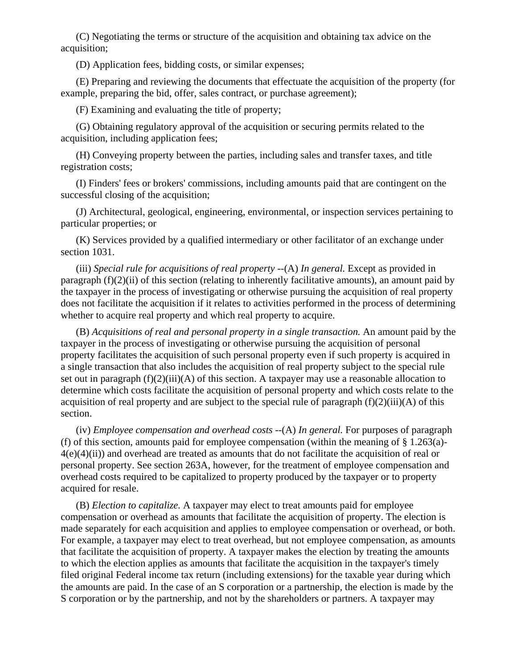(C) Negotiating the terms or structure of the acquisition and obtaining tax advice on the acquisition;

(D) Application fees, bidding costs, or similar expenses;

(E) Preparing and reviewing the documents that effectuate the acquisition of the property (for example, preparing the bid, offer, sales contract, or purchase agreement);

(F) Examining and evaluating the title of property;

(G) Obtaining regulatory approval of the acquisition or securing permits related to the acquisition, including application fees;

(H) Conveying property between the parties, including sales and transfer taxes, and title registration costs;

(I) Finders' fees or brokers' commissions, including amounts paid that are contingent on the successful closing of the acquisition;

(J) Architectural, geological, engineering, environmental, or inspection services pertaining to particular properties; or

(K) Services provided by a qualified intermediary or other facilitator of an exchange under section 1031.

(iii) *Special rule for acquisitions of real property* --(A) *In general.* Except as provided in paragraph  $(f)(2)(ii)$  of this section (relating to inherently facilitative amounts), an amount paid by the taxpayer in the process of investigating or otherwise pursuing the acquisition of real property does not facilitate the acquisition if it relates to activities performed in the process of determining whether to acquire real property and which real property to acquire.

(B) *Acquisitions of real and personal property in a single transaction.* An amount paid by the taxpayer in the process of investigating or otherwise pursuing the acquisition of personal property facilitates the acquisition of such personal property even if such property is acquired in a single transaction that also includes the acquisition of real property subject to the special rule set out in paragraph  $(f)(2)(iii)(A)$  of this section. A taxpayer may use a reasonable allocation to determine which costs facilitate the acquisition of personal property and which costs relate to the acquisition of real property and are subject to the special rule of paragraph  $(f)(2)(iii)(A)$  of this section.

(iv) *Employee compensation and overhead costs* --(A) *In general.* For purposes of paragraph (f) of this section, amounts paid for employee compensation (within the meaning of  $\S 1.263(a)$ - $4(e)(4)(ii)$ ) and overhead are treated as amounts that do not facilitate the acquisition of real or personal property. See section 263A, however, for the treatment of employee compensation and overhead costs required to be capitalized to property produced by the taxpayer or to property acquired for resale.

(B) *Election to capitalize.* A taxpayer may elect to treat amounts paid for employee compensation or overhead as amounts that facilitate the acquisition of property. The election is made separately for each acquisition and applies to employee compensation or overhead, or both. For example, a taxpayer may elect to treat overhead, but not employee compensation, as amounts that facilitate the acquisition of property. A taxpayer makes the election by treating the amounts to which the election applies as amounts that facilitate the acquisition in the taxpayer's timely filed original Federal income tax return (including extensions) for the taxable year during which the amounts are paid. In the case of an S corporation or a partnership, the election is made by the S corporation or by the partnership, and not by the shareholders or partners. A taxpayer may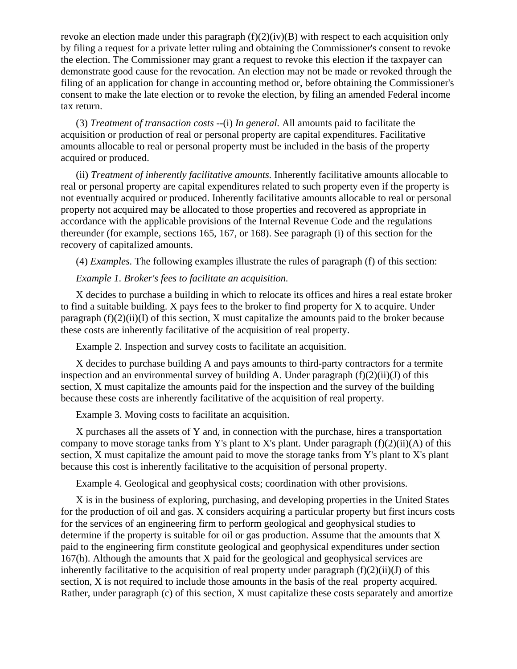revoke an election made under this paragraph  $(f)(2)(iv)(B)$  with respect to each acquisition only by filing a request for a private letter ruling and obtaining the Commissioner's consent to revoke the election. The Commissioner may grant a request to revoke this election if the taxpayer can demonstrate good cause for the revocation. An election may not be made or revoked through the filing of an application for change in accounting method or, before obtaining the Commissioner's consent to make the late election or to revoke the election, by filing an amended Federal income tax return.

(3) *Treatment of transaction costs* --(i) *In general.* All amounts paid to facilitate the acquisition or production of real or personal property are capital expenditures. Facilitative amounts allocable to real or personal property must be included in the basis of the property acquired or produced.

(ii) *Treatment of inherently facilitative amounts.* Inherently facilitative amounts allocable to real or personal property are capital expenditures related to such property even if the property is not eventually acquired or produced. Inherently facilitative amounts allocable to real or personal property not acquired may be allocated to those properties and recovered as appropriate in accordance with the applicable provisions of the Internal Revenue Code and the regulations thereunder (for example, sections 165, 167, or 168). See paragraph (i) of this section for the recovery of capitalized amounts.

(4) *Examples.* The following examples illustrate the rules of paragraph (f) of this section:

# *Example 1. Broker's fees to facilitate an acquisition.*

X decides to purchase a building in which to relocate its offices and hires a real estate broker to find a suitable building. X pays fees to the broker to find property for X to acquire. Under paragraph  $(f)(2)(ii)(I)$  of this section, X must capitalize the amounts paid to the broker because these costs are inherently facilitative of the acquisition of real property.

Example 2. Inspection and survey costs to facilitate an acquisition.

X decides to purchase building A and pays amounts to third-party contractors for a termite inspection and an environmental survey of building A. Under paragraph  $(f)(2)(ii)(J)$  of this section, X must capitalize the amounts paid for the inspection and the survey of the building because these costs are inherently facilitative of the acquisition of real property.

Example 3. Moving costs to facilitate an acquisition.

X purchases all the assets of Y and, in connection with the purchase, hires a transportation company to move storage tanks from Y's plant to X's plant. Under paragraph  $(f)(2)(ii)(A)$  of this section, X must capitalize the amount paid to move the storage tanks from Y's plant to X's plant because this cost is inherently facilitative to the acquisition of personal property.

Example 4. Geological and geophysical costs; coordination with other provisions.

X is in the business of exploring, purchasing, and developing properties in the United States for the production of oil and gas. X considers acquiring a particular property but first incurs costs for the services of an engineering firm to perform geological and geophysical studies to determine if the property is suitable for oil or gas production. Assume that the amounts that X paid to the engineering firm constitute geological and geophysical expenditures under section 167(h). Although the amounts that X paid for the geological and geophysical services are inherently facilitative to the acquisition of real property under paragraph  $(f)(2)(ii)(J)$  of this section, X is not required to include those amounts in the basis of the real property acquired. Rather, under paragraph (c) of this section, X must capitalize these costs separately and amortize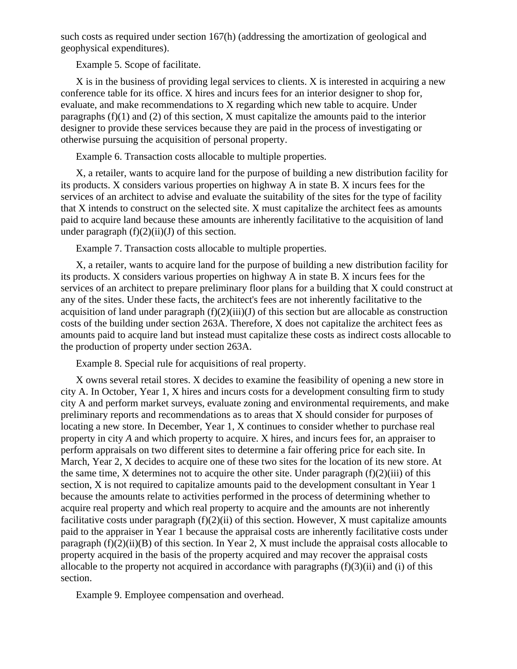such costs as required under section 167(h) (addressing the amortization of geological and geophysical expenditures).

Example 5. Scope of facilitate.

X is in the business of providing legal services to clients. X is interested in acquiring a new conference table for its office. X hires and incurs fees for an interior designer to shop for, evaluate, and make recommendations to X regarding which new table to acquire. Under paragraphs (f)(1) and (2) of this section, X must capitalize the amounts paid to the interior designer to provide these services because they are paid in the process of investigating or otherwise pursuing the acquisition of personal property.

Example 6. Transaction costs allocable to multiple properties.

X, a retailer, wants to acquire land for the purpose of building a new distribution facility for its products. X considers various properties on highway A in state B. X incurs fees for the services of an architect to advise and evaluate the suitability of the sites for the type of facility that X intends to construct on the selected site. X must capitalize the architect fees as amounts paid to acquire land because these amounts are inherently facilitative to the acquisition of land under paragraph  $(f)(2)(ii)(J)$  of this section.

Example 7. Transaction costs allocable to multiple properties.

X, a retailer, wants to acquire land for the purpose of building a new distribution facility for its products. X considers various properties on highway A in state B. X incurs fees for the services of an architect to prepare preliminary floor plans for a building that X could construct at any of the sites. Under these facts, the architect's fees are not inherently facilitative to the acquisition of land under paragraph  $(f)(2)(iii)(J)$  of this section but are allocable as construction costs of the building under section 263A. Therefore, X does not capitalize the architect fees as amounts paid to acquire land but instead must capitalize these costs as indirect costs allocable to the production of property under section 263A.

Example 8. Special rule for acquisitions of real property.

X owns several retail stores. X decides to examine the feasibility of opening a new store in city A. In October, Year 1, X hires and incurs costs for a development consulting firm to study city A and perform market surveys, evaluate zoning and environmental requirements, and make preliminary reports and recommendations as to areas that X should consider for purposes of locating a new store. In December, Year 1, X continues to consider whether to purchase real property in city *A* and which property to acquire. X hires, and incurs fees for, an appraiser to perform appraisals on two different sites to determine a fair offering price for each site. In March, Year 2, X decides to acquire one of these two sites for the location of its new store. At the same time, X determines not to acquire the other site. Under paragraph  $(f)(2)(iii)$  of this section, X is not required to capitalize amounts paid to the development consultant in Year 1 because the amounts relate to activities performed in the process of determining whether to acquire real property and which real property to acquire and the amounts are not inherently facilitative costs under paragraph  $(f)(2)(ii)$  of this section. However, X must capitalize amounts paid to the appraiser in Year 1 because the appraisal costs are inherently facilitative costs under paragraph  $(f)(2)(ii)(B)$  of this section. In Year 2, X must include the appraisal costs allocable to property acquired in the basis of the property acquired and may recover the appraisal costs allocable to the property not acquired in accordance with paragraphs  $(f)(3)(ii)$  and  $(i)$  of this section.

Example 9. Employee compensation and overhead.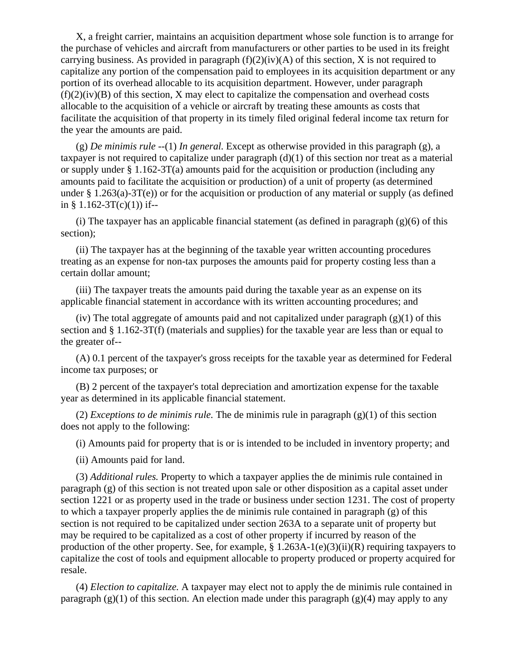X, a freight carrier, maintains an acquisition department whose sole function is to arrange for the purchase of vehicles and aircraft from manufacturers or other parties to be used in its freight carrying business. As provided in paragraph  $(f)(2)(iv)(A)$  of this section, X is not required to capitalize any portion of the compensation paid to employees in its acquisition department or any portion of its overhead allocable to its acquisition department. However, under paragraph  $(f)(2)(iv)(B)$  of this section, X may elect to capitalize the compensation and overhead costs allocable to the acquisition of a vehicle or aircraft by treating these amounts as costs that facilitate the acquisition of that property in its timely filed original federal income tax return for the year the amounts are paid.

(g) *De minimis rule* --(1) *In general.* Except as otherwise provided in this paragraph (g), a taxpayer is not required to capitalize under paragraph (d)(1) of this section nor treat as a material or supply under  $\S 1.162-3T(a)$  amounts paid for the acquisition or production (including any amounts paid to facilitate the acquisition or production) of a unit of property (as determined under  $\S 1.263(a) - 3T(e)$  or for the acquisition or production of any material or supply (as defined in §  $1.162-3T(c)(1)$  if--

(i) The taxpayer has an applicable financial statement (as defined in paragraph  $(g)(6)$  of this section);

(ii) The taxpayer has at the beginning of the taxable year written accounting procedures treating as an expense for non-tax purposes the amounts paid for property costing less than a certain dollar amount;

(iii) The taxpayer treats the amounts paid during the taxable year as an expense on its applicable financial statement in accordance with its written accounting procedures; and

(iv) The total aggregate of amounts paid and not capitalized under paragraph  $(g)(1)$  of this section and § 1.162-3T(f) (materials and supplies) for the taxable year are less than or equal to the greater of--

(A) 0.1 percent of the taxpayer's gross receipts for the taxable year as determined for Federal income tax purposes; or

(B) 2 percent of the taxpayer's total depreciation and amortization expense for the taxable year as determined in its applicable financial statement.

(2) *Exceptions to de minimis rule.* The de minimis rule in paragraph (g)(1) of this section does not apply to the following:

(i) Amounts paid for property that is or is intended to be included in inventory property; and

(ii) Amounts paid for land.

(3) *Additional rules.* Property to which a taxpayer applies the de minimis rule contained in paragraph (g) of this section is not treated upon sale or other disposition as a capital asset under section 1221 or as property used in the trade or business under section 1231. The cost of property to which a taxpayer properly applies the de minimis rule contained in paragraph (g) of this section is not required to be capitalized under section 263A to a separate unit of property but may be required to be capitalized as a cost of other property if incurred by reason of the production of the other property. See, for example, § 1.263A-1(e)(3)(ii)(R) requiring taxpayers to capitalize the cost of tools and equipment allocable to property produced or property acquired for resale.

(4) *Election to capitalize.* A taxpayer may elect not to apply the de minimis rule contained in paragraph  $(g)(1)$  of this section. An election made under this paragraph  $(g)(4)$  may apply to any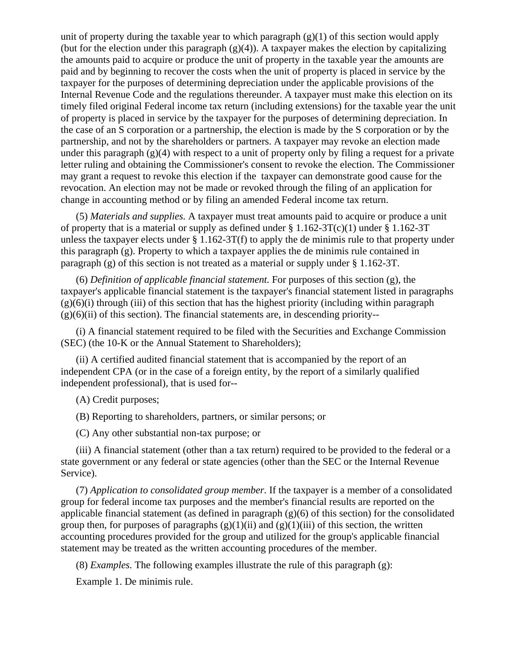unit of property during the taxable year to which paragraph  $(g)(1)$  of this section would apply (but for the election under this paragraph  $(g)(4)$ ). A taxpayer makes the election by capitalizing the amounts paid to acquire or produce the unit of property in the taxable year the amounts are paid and by beginning to recover the costs when the unit of property is placed in service by the taxpayer for the purposes of determining depreciation under the applicable provisions of the Internal Revenue Code and the regulations thereunder. A taxpayer must make this election on its timely filed original Federal income tax return (including extensions) for the taxable year the unit of property is placed in service by the taxpayer for the purposes of determining depreciation. In the case of an S corporation or a partnership, the election is made by the S corporation or by the partnership, and not by the shareholders or partners. A taxpayer may revoke an election made under this paragraph  $(g)(4)$  with respect to a unit of property only by filing a request for a private letter ruling and obtaining the Commissioner's consent to revoke the election. The Commissioner may grant a request to revoke this election if the taxpayer can demonstrate good cause for the revocation. An election may not be made or revoked through the filing of an application for change in accounting method or by filing an amended Federal income tax return.

(5) *Materials and supplies.* A taxpayer must treat amounts paid to acquire or produce a unit of property that is a material or supply as defined under  $\S 1.162-3T(c)(1)$  under  $\S 1.162-3T$ unless the taxpayer elects under  $\S 1.162-3T(f)$  to apply the de minimis rule to that property under this paragraph (g). Property to which a taxpayer applies the de minimis rule contained in paragraph (g) of this section is not treated as a material or supply under § 1.162-3T.

(6) *Definition of applicable financial statement.* For purposes of this section (g), the taxpayer's applicable financial statement is the taxpayer's financial statement listed in paragraphs  $(g)(6)(i)$  through (iii) of this section that has the highest priority (including within paragraph  $(g)(6)(ii)$  of this section). The financial statements are, in descending priority--

(i) A financial statement required to be filed with the Securities and Exchange Commission (SEC) (the 10-K or the Annual Statement to Shareholders);

(ii) A certified audited financial statement that is accompanied by the report of an independent CPA (or in the case of a foreign entity, by the report of a similarly qualified independent professional), that is used for--

(A) Credit purposes;

(B) Reporting to shareholders, partners, or similar persons; or

(C) Any other substantial non-tax purpose; or

(iii) A financial statement (other than a tax return) required to be provided to the federal or a state government or any federal or state agencies (other than the SEC or the Internal Revenue Service).

(7) *Application to consolidated group member.* If the taxpayer is a member of a consolidated group for federal income tax purposes and the member's financial results are reported on the applicable financial statement (as defined in paragraph (g)(6) of this section) for the consolidated group then, for purposes of paragraphs  $(g)(1)(ii)$  and  $(g)(1)(iii)$  of this section, the written accounting procedures provided for the group and utilized for the group's applicable financial statement may be treated as the written accounting procedures of the member.

(8) *Examples.* The following examples illustrate the rule of this paragraph (g):

Example 1. De minimis rule.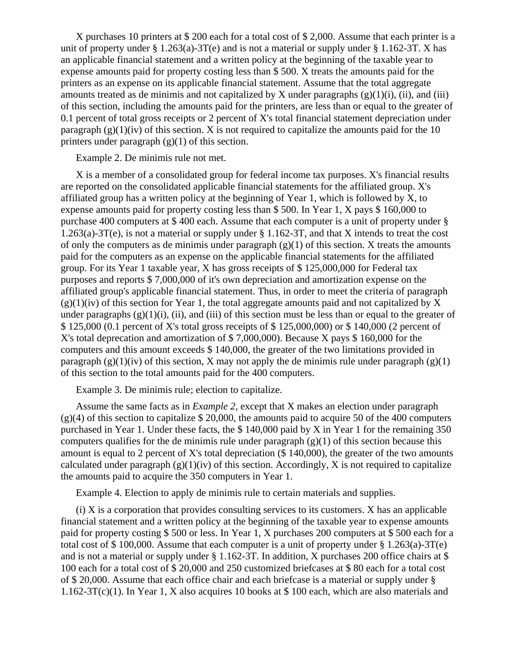X purchases 10 printers at \$ 200 each for a total cost of \$ 2,000. Assume that each printer is a unit of property under § 1.263(a)-3T(e) and is not a material or supply under § 1.162-3T. X has an applicable financial statement and a written policy at the beginning of the taxable year to expense amounts paid for property costing less than \$ 500. X treats the amounts paid for the printers as an expense on its applicable financial statement. Assume that the total aggregate amounts treated as de minimis and not capitalized by X under paragraphs  $(g)(1)(i)$ , (ii), and (iii) of this section, including the amounts paid for the printers, are less than or equal to the greater of 0.1 percent of total gross receipts or 2 percent of X's total financial statement depreciation under paragraph  $(g)(1)(iv)$  of this section. X is not required to capitalize the amounts paid for the 10 printers under paragraph  $(g)(1)$  of this section.

Example 2. De minimis rule not met.

X is a member of a consolidated group for federal income tax purposes. X's financial results are reported on the consolidated applicable financial statements for the affiliated group. X's affiliated group has a written policy at the beginning of Year 1, which is followed by X, to expense amounts paid for property costing less than \$ 500. In Year 1, X pays \$ 160,000 to purchase 400 computers at \$ 400 each. Assume that each computer is a unit of property under § 1.263(a)-3T(e), is not a material or supply under § 1.162-3T, and that X intends to treat the cost of only the computers as de minimis under paragraph  $(g)(1)$  of this section. X treats the amounts paid for the computers as an expense on the applicable financial statements for the affiliated group. For its Year 1 taxable year, X has gross receipts of \$ 125,000,000 for Federal tax purposes and reports \$ 7,000,000 of it's own depreciation and amortization expense on the affiliated group's applicable financial statement. Thus, in order to meet the criteria of paragraph  $(g)(1)(iv)$  of this section for Year 1, the total aggregate amounts paid and not capitalized by X under paragraphs  $(g)(1)(i)$ , (ii), and (iii) of this section must be less than or equal to the greater of \$ 125,000 (0.1 percent of X's total gross receipts of \$ 125,000,000) or \$ 140,000 (2 percent of X's total deprecation and amortization of \$ 7,000,000). Because X pays \$ 160,000 for the computers and this amount exceeds \$ 140,000, the greater of the two limitations provided in paragraph  $(g)(1)(iv)$  of this section, X may not apply the de minimis rule under paragraph  $(g)(1)$ of this section to the total amounts paid for the 400 computers.

Example 3. De minimis rule; election to capitalize.

Assume the same facts as in *Example 2,* except that X makes an election under paragraph  $(g)(4)$  of this section to capitalize \$ 20,000, the amounts paid to acquire 50 of the 400 computers purchased in Year 1. Under these facts, the \$ 140,000 paid by X in Year 1 for the remaining 350 computers qualifies for the de minimis rule under paragraph  $(g)(1)$  of this section because this amount is equal to 2 percent of X's total depreciation (\$ 140,000), the greater of the two amounts calculated under paragraph  $(g)(1)(iv)$  of this section. Accordingly, X is not required to capitalize the amounts paid to acquire the 350 computers in Year 1.

Example 4. Election to apply de minimis rule to certain materials and supplies.

 $(i)$  X is a corporation that provides consulting services to its customers. X has an applicable financial statement and a written policy at the beginning of the taxable year to expense amounts paid for property costing \$ 500 or less. In Year 1, X purchases 200 computers at \$ 500 each for a total cost of \$ 100,000. Assume that each computer is a unit of property under § 1.263(a)-3T(e) and is not a material or supply under § 1.162-3T. In addition, X purchases 200 office chairs at \$ 100 each for a total cost of \$ 20,000 and 250 customized briefcases at \$ 80 each for a total cost of \$ 20,000. Assume that each office chair and each briefcase is a material or supply under § 1.162-3T(c)(1). In Year 1, X also acquires 10 books at \$ 100 each, which are also materials and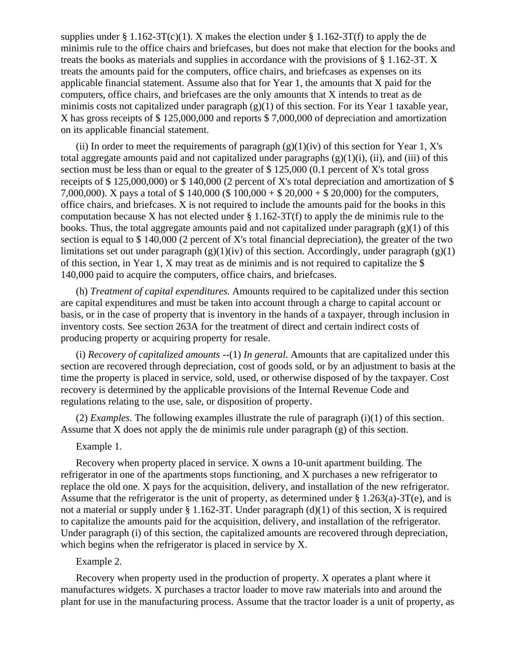supplies under § 1.162-3T(c)(1). X makes the election under § 1.162-3T(f) to apply the de minimis rule to the office chairs and briefcases, but does not make that election for the books and treats the books as materials and supplies in accordance with the provisions of § 1.162-3T. X treats the amounts paid for the computers, office chairs, and briefcases as expenses on its applicable financial statement. Assume also that for Year 1, the amounts that X paid for the computers, office chairs, and briefcases are the only amounts that X intends to treat as de minimis costs not capitalized under paragraph (g)(1) of this section. For its Year 1 taxable year, X has gross receipts of \$ 125,000,000 and reports \$ 7,000,000 of depreciation and amortization on its applicable financial statement.

(ii) In order to meet the requirements of paragraph  $(g)(1)(iv)$  of this section for Year 1, X's total aggregate amounts paid and not capitalized under paragraphs  $(g)(1)(i)$ ,  $(ii)$ , and  $(iii)$  of this section must be less than or equal to the greater of \$125,000 (0.1 percent of X's total gross receipts of \$ 125,000,000) or \$ 140,000 (2 percent of X's total depreciation and amortization of \$ 7,000,000). X pays a total of \$ 140,000 (\$ 100,000 + \$ 20,000 + \$ 20,000) for the computers, office chairs, and briefcases. X is not required to include the amounts paid for the books in this computation because X has not elected under  $\S 1.162-3T(f)$  to apply the de minimis rule to the books. Thus, the total aggregate amounts paid and not capitalized under paragraph  $(g)(1)$  of this section is equal to \$ 140,000 (2 percent of X's total financial depreciation), the greater of the two limitations set out under paragraph  $(g)(1)(iv)$  of this section. Accordingly, under paragraph  $(g)(1)$ of this section, in Year 1, X may treat as de minimis and is not required to capitalize the \$ 140,000 paid to acquire the computers, office chairs, and briefcases.

(h) *Treatment of capital expenditures.* Amounts required to be capitalized under this section are capital expenditures and must be taken into account through a charge to capital account or basis, or in the case of property that is inventory in the hands of a taxpayer, through inclusion in inventory costs. See section 263A for the treatment of direct and certain indirect costs of producing property or acquiring property for resale.

(i) *Recovery of capitalized amounts* --(1) *In general.* Amounts that are capitalized under this section are recovered through depreciation, cost of goods sold, or by an adjustment to basis at the time the property is placed in service, sold, used, or otherwise disposed of by the taxpayer. Cost recovery is determined by the applicable provisions of the Internal Revenue Code and regulations relating to the use, sale, or disposition of property.

(2) *Examples.* The following examples illustrate the rule of paragraph (i)(1) of this section. Assume that X does not apply the de minimis rule under paragraph  $(g)$  of this section.

## Example 1.

Recovery when property placed in service. X owns a 10-unit apartment building. The refrigerator in one of the apartments stops functioning, and X purchases a new refrigerator to replace the old one. X pays for the acquisition, delivery, and installation of the new refrigerator. Assume that the refrigerator is the unit of property, as determined under § 1.263(a)-3T(e), and is not a material or supply under  $\S 1.162-3T$ . Under paragraph (d)(1) of this section, X is required to capitalize the amounts paid for the acquisition, delivery, and installation of the refrigerator. Under paragraph (i) of this section, the capitalized amounts are recovered through depreciation, which begins when the refrigerator is placed in service by X.

### Example 2.

Recovery when property used in the production of property. X operates a plant where it manufactures widgets. X purchases a tractor loader to move raw materials into and around the plant for use in the manufacturing process. Assume that the tractor loader is a unit of property, as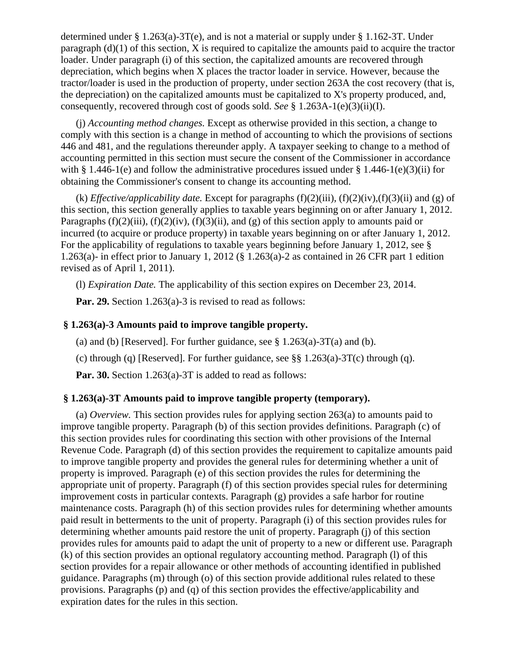determined under § 1.263(a)-3T(e), and is not a material or supply under § 1.162-3T. Under paragraph  $(d)(1)$  of this section, X is required to capitalize the amounts paid to acquire the tractor loader. Under paragraph (i) of this section, the capitalized amounts are recovered through depreciation, which begins when X places the tractor loader in service. However, because the tractor/loader is used in the production of property, under section 263A the cost recovery (that is, the depreciation) on the capitalized amounts must be capitalized to X's property produced, and, consequently, recovered through cost of goods sold. *See* § 1.263A-1(e)(3)(ii)(I).

(j) *Accounting method changes.* Except as otherwise provided in this section, a change to comply with this section is a change in method of accounting to which the provisions of sections 446 and 481, and the regulations thereunder apply. A taxpayer seeking to change to a method of accounting permitted in this section must secure the consent of the Commissioner in accordance with § 1.446-1(e) and follow the administrative procedures issued under § 1.446-1(e)(3)(ii) for obtaining the Commissioner's consent to change its accounting method.

(k) *Effective/applicability date.* Except for paragraphs  $(f)(2)(iii)$ ,  $(f)(2)(iv)$ ,  $(f)(3)(ii)$  and (g) of this section, this section generally applies to taxable years beginning on or after January 1, 2012. Paragraphs  $(f)(2)(iii)$ ,  $(f)(2)(iv)$ ,  $(f)(3)(ii)$ , and  $(g)$  of this section apply to amounts paid or incurred (to acquire or produce property) in taxable years beginning on or after January 1, 2012. For the applicability of regulations to taxable years beginning before January 1, 2012, see § 1.263(a)- in effect prior to January 1, 2012 (§ 1.263(a)-2 as contained in 26 CFR part 1 edition revised as of April 1, 2011).

(l) *Expiration Date.* The applicability of this section expires on December 23, 2014.

**Par. 29.** Section 1.263(a)-3 is revised to read as follows:

## **§ 1.263(a)-3 Amounts paid to improve tangible property.**

(a) and (b) [Reserved]. For further guidance, see  $\S 1.263(a) - 3T(a)$  and (b).

(c) through (q) [Reserved]. For further guidance, see  $\S\S 1.263(a)$ -3T(c) through (q).

**Par. 30.** Section 1.263(a)-3T is added to read as follows:

### **§ 1.263(a)-3T Amounts paid to improve tangible property (temporary).**

(a) *Overview.* This section provides rules for applying section 263(a) to amounts paid to improve tangible property. Paragraph (b) of this section provides definitions. Paragraph (c) of this section provides rules for coordinating this section with other provisions of the Internal Revenue Code. Paragraph (d) of this section provides the requirement to capitalize amounts paid to improve tangible property and provides the general rules for determining whether a unit of property is improved. Paragraph (e) of this section provides the rules for determining the appropriate unit of property. Paragraph (f) of this section provides special rules for determining improvement costs in particular contexts. Paragraph (g) provides a safe harbor for routine maintenance costs. Paragraph (h) of this section provides rules for determining whether amounts paid result in betterments to the unit of property. Paragraph (i) of this section provides rules for determining whether amounts paid restore the unit of property. Paragraph (j) of this section provides rules for amounts paid to adapt the unit of property to a new or different use. Paragraph (k) of this section provides an optional regulatory accounting method. Paragraph (l) of this section provides for a repair allowance or other methods of accounting identified in published guidance. Paragraphs (m) through (o) of this section provide additional rules related to these provisions. Paragraphs (p) and (q) of this section provides the effective/applicability and expiration dates for the rules in this section.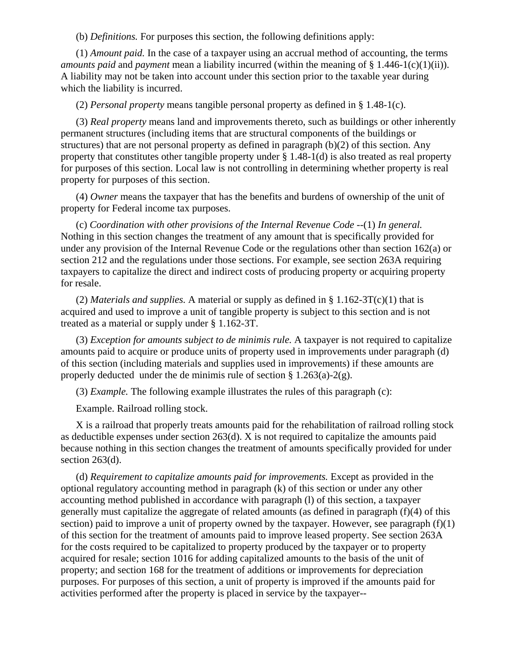(b) *Definitions.* For purposes this section, the following definitions apply:

(1) *Amount paid.* In the case of a taxpayer using an accrual method of accounting, the terms *amounts paid* and *payment* mean a liability incurred (within the meaning of § 1.446-1(c)(1)(ii)). A liability may not be taken into account under this section prior to the taxable year during which the liability is incurred.

(2) *Personal property* means tangible personal property as defined in § 1.48-1(c).

(3) *Real property* means land and improvements thereto, such as buildings or other inherently permanent structures (including items that are structural components of the buildings or structures) that are not personal property as defined in paragraph (b)(2) of this section. Any property that constitutes other tangible property under § 1.48-1(d) is also treated as real property for purposes of this section. Local law is not controlling in determining whether property is real property for purposes of this section.

(4) *Owner* means the taxpayer that has the benefits and burdens of ownership of the unit of property for Federal income tax purposes.

(c) *Coordination with other provisions of the Internal Revenue Code* --(1) *In general.* Nothing in this section changes the treatment of any amount that is specifically provided for under any provision of the Internal Revenue Code or the regulations other than section  $162(a)$  or section 212 and the regulations under those sections. For example, see section 263A requiring taxpayers to capitalize the direct and indirect costs of producing property or acquiring property for resale.

(2) *Materials and supplies.* A material or supply as defined in  $\S$  1.162-3T(c)(1) that is acquired and used to improve a unit of tangible property is subject to this section and is not treated as a material or supply under § 1.162-3T.

(3) *Exception for amounts subject to de minimis rule.* A taxpayer is not required to capitalize amounts paid to acquire or produce units of property used in improvements under paragraph (d) of this section (including materials and supplies used in improvements) if these amounts are properly deducted under the de minimis rule of section  $\S 1.263(a)-2(g)$ .

(3) *Example.* The following example illustrates the rules of this paragraph (c):

Example. Railroad rolling stock.

X is a railroad that properly treats amounts paid for the rehabilitation of railroad rolling stock as deductible expenses under section 263(d). X is not required to capitalize the amounts paid because nothing in this section changes the treatment of amounts specifically provided for under section 263(d).

(d) *Requirement to capitalize amounts paid for improvements.* Except as provided in the optional regulatory accounting method in paragraph (k) of this section or under any other accounting method published in accordance with paragraph (l) of this section, a taxpayer generally must capitalize the aggregate of related amounts (as defined in paragraph (f)(4) of this section) paid to improve a unit of property owned by the taxpayer. However, see paragraph  $(f)(1)$ of this section for the treatment of amounts paid to improve leased property. See section 263A for the costs required to be capitalized to property produced by the taxpayer or to property acquired for resale; section 1016 for adding capitalized amounts to the basis of the unit of property; and section 168 for the treatment of additions or improvements for depreciation purposes. For purposes of this section, a unit of property is improved if the amounts paid for activities performed after the property is placed in service by the taxpayer--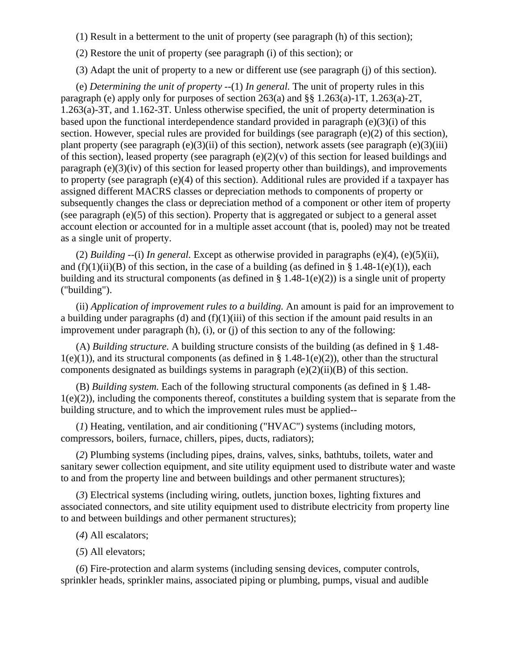- (1) Result in a betterment to the unit of property (see paragraph (h) of this section);
- (2) Restore the unit of property (see paragraph (i) of this section); or

(3) Adapt the unit of property to a new or different use (see paragraph (j) of this section).

(e) *Determining the unit of property* --(1) *In general.* The unit of property rules in this paragraph (e) apply only for purposes of section 263(a) and §§ 1.263(a)-1T, 1.263(a)-2T, 1.263(a)-3T, and 1.162-3T. Unless otherwise specified, the unit of property determination is based upon the functional interdependence standard provided in paragraph (e)(3)(i) of this section. However, special rules are provided for buildings (see paragraph (e)(2) of this section), plant property (see paragraph  $(e)(3)(ii)$  of this section), network assets (see paragraph  $(e)(3)(iii)$ ) of this section), leased property (see paragraph  $(e)(2)(v)$  of this section for leased buildings and paragraph (e)(3)(iv) of this section for leased property other than buildings), and improvements to property (see paragraph (e)(4) of this section). Additional rules are provided if a taxpayer has assigned different MACRS classes or depreciation methods to components of property or subsequently changes the class or depreciation method of a component or other item of property (see paragraph (e)(5) of this section). Property that is aggregated or subject to a general asset account election or accounted for in a multiple asset account (that is, pooled) may not be treated as a single unit of property.

(2) *Building* --(i) *In general.* Except as otherwise provided in paragraphs (e)(4), (e)(5)(ii), and  $(f)(1)(ii)(B)$  of this section, in the case of a building (as defined in § 1.48-1(e)(1)), each building and its structural components (as defined in  $\S 1.48-1(e)(2)$ ) is a single unit of property ("building").

(ii) *Application of improvement rules to a building.* An amount is paid for an improvement to a building under paragraphs (d) and  $(f)(1)(iii)$  of this section if the amount paid results in an improvement under paragraph (h), (i), or (j) of this section to any of the following:

(A) *Building structure.* A building structure consists of the building (as defined in § 1.48-  $1(e)(1)$ , and its structural components (as defined in § 1.48-1(e)(2)), other than the structural components designated as buildings systems in paragraph (e)(2)(ii)(B) of this section.

(B) *Building system.* Each of the following structural components (as defined in § 1.48-  $1(e)(2)$ ), including the components thereof, constitutes a building system that is separate from the building structure, and to which the improvement rules must be applied--

(*1*) Heating, ventilation, and air conditioning ("HVAC") systems (including motors, compressors, boilers, furnace, chillers, pipes, ducts, radiators);

(*2*) Plumbing systems (including pipes, drains, valves, sinks, bathtubs, toilets, water and sanitary sewer collection equipment, and site utility equipment used to distribute water and waste to and from the property line and between buildings and other permanent structures);

(*3*) Electrical systems (including wiring, outlets, junction boxes, lighting fixtures and associated connectors, and site utility equipment used to distribute electricity from property line to and between buildings and other permanent structures);

- (*4*) All escalators;
- (*5*) All elevators;

(*6*) Fire-protection and alarm systems (including sensing devices, computer controls, sprinkler heads, sprinkler mains, associated piping or plumbing, pumps, visual and audible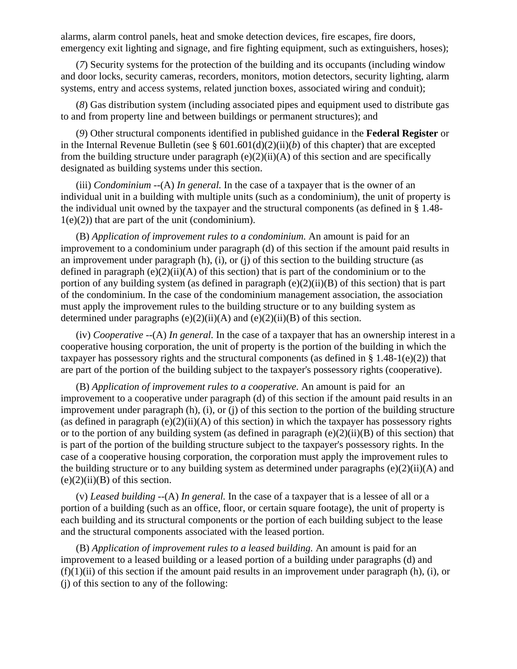alarms, alarm control panels, heat and smoke detection devices, fire escapes, fire doors, emergency exit lighting and signage, and fire fighting equipment, such as extinguishers, hoses);

(*7*) Security systems for the protection of the building and its occupants (including window and door locks, security cameras, recorders, monitors, motion detectors, security lighting, alarm systems, entry and access systems, related junction boxes, associated wiring and conduit);

(*8*) Gas distribution system (including associated pipes and equipment used to distribute gas to and from property line and between buildings or permanent structures); and

(*9*) Other structural components identified in published guidance in the **Federal Register** or in the Internal Revenue Bulletin (see § 601.601(d)(2)(ii)(*b*) of this chapter) that are excepted from the building structure under paragraph  $(e)(2)(ii)(A)$  of this section and are specifically designated as building systems under this section.

(iii) *Condominium* --(A) *In general.* In the case of a taxpayer that is the owner of an individual unit in a building with multiple units (such as a condominium), the unit of property is the individual unit owned by the taxpayer and the structural components (as defined in § 1.48-  $1(e)(2)$  that are part of the unit (condominium).

(B) *Application of improvement rules to a condominium.* An amount is paid for an improvement to a condominium under paragraph (d) of this section if the amount paid results in an improvement under paragraph  $(h)$ ,  $(i)$ , or  $(i)$  of this section to the building structure (as defined in paragraph  $(e)(2)(ii)(A)$  of this section) that is part of the condominium or to the portion of any building system (as defined in paragraph (e)(2)(ii)(B) of this section) that is part of the condominium. In the case of the condominium management association, the association must apply the improvement rules to the building structure or to any building system as determined under paragraphs  $(e)(2)(ii)(A)$  and  $(e)(2)(ii)(B)$  of this section.

(iv) *Cooperative* --(A) *In general.* In the case of a taxpayer that has an ownership interest in a cooperative housing corporation, the unit of property is the portion of the building in which the taxpayer has possessory rights and the structural components (as defined in  $\S 1.48-1(e)(2)$ ) that are part of the portion of the building subject to the taxpayer's possessory rights (cooperative).

(B) *Application of improvement rules to a cooperative.* An amount is paid for an improvement to a cooperative under paragraph (d) of this section if the amount paid results in an improvement under paragraph (h), (i), or (j) of this section to the portion of the building structure (as defined in paragraph  $(e)(2)(ii)(A)$  of this section) in which the taxpayer has possessory rights or to the portion of any building system (as defined in paragraph  $(e)(2)(ii)(B)$  of this section) that is part of the portion of the building structure subject to the taxpayer's possessory rights. In the case of a cooperative housing corporation, the corporation must apply the improvement rules to the building structure or to any building system as determined under paragraphs  $(e)(2)(ii)(A)$  and  $(e)(2)(ii)(B)$  of this section.

(v) *Leased building* --(A) *In general.* In the case of a taxpayer that is a lessee of all or a portion of a building (such as an office, floor, or certain square footage), the unit of property is each building and its structural components or the portion of each building subject to the lease and the structural components associated with the leased portion.

(B) *Application of improvement rules to a leased building.* An amount is paid for an improvement to a leased building or a leased portion of a building under paragraphs (d) and  $(f)(1)(ii)$  of this section if the amount paid results in an improvement under paragraph (h), (i), or (j) of this section to any of the following: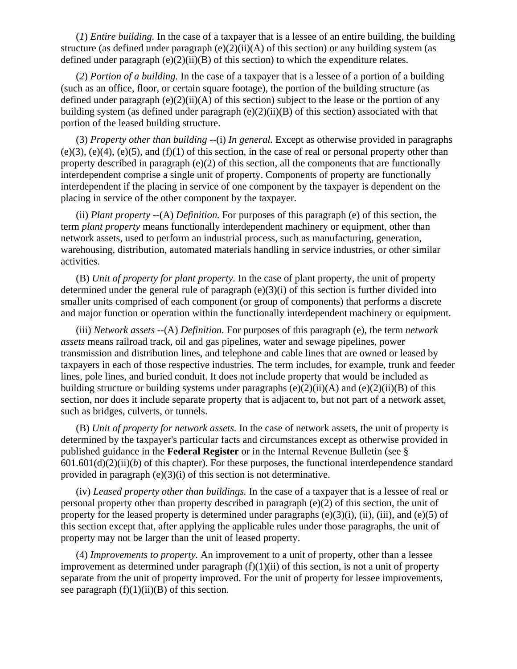(*1*) *Entire building.* In the case of a taxpayer that is a lessee of an entire building, the building structure (as defined under paragraph  $(e)(2)(ii)(A)$  of this section) or any building system (as defined under paragraph  $(e)(2)(ii)(B)$  of this section) to which the expenditure relates.

(*2*) *Portion of a building.* In the case of a taxpayer that is a lessee of a portion of a building (such as an office, floor, or certain square footage), the portion of the building structure (as defined under paragraph (e)(2)(ii)(A) of this section) subject to the lease or the portion of any building system (as defined under paragraph (e)(2)(ii)(B) of this section) associated with that portion of the leased building structure.

(3) *Property other than building* --(i) *In general.* Except as otherwise provided in paragraphs  $(e)(3)$ ,  $(e)(4)$ ,  $(e)(5)$ , and  $(f)(1)$  of this section, in the case of real or personal property other than property described in paragraph (e)(2) of this section, all the components that are functionally interdependent comprise a single unit of property. Components of property are functionally interdependent if the placing in service of one component by the taxpayer is dependent on the placing in service of the other component by the taxpayer.

(ii) *Plant property* --(A) *Definition.* For purposes of this paragraph (e) of this section, the term *plant property* means functionally interdependent machinery or equipment, other than network assets, used to perform an industrial process, such as manufacturing, generation, warehousing, distribution, automated materials handling in service industries, or other similar activities.

(B) *Unit of property for plant property.* In the case of plant property, the unit of property determined under the general rule of paragraph  $(e)(3)(i)$  of this section is further divided into smaller units comprised of each component (or group of components) that performs a discrete and major function or operation within the functionally interdependent machinery or equipment.

(iii) *Network assets* --(A) *Definition.* For purposes of this paragraph (e), the term *network assets* means railroad track, oil and gas pipelines, water and sewage pipelines, power transmission and distribution lines, and telephone and cable lines that are owned or leased by taxpayers in each of those respective industries. The term includes, for example, trunk and feeder lines, pole lines, and buried conduit. It does not include property that would be included as building structure or building systems under paragraphs  $(e)(2)(ii)(A)$  and  $(e)(2)(ii)(B)$  of this section, nor does it include separate property that is adjacent to, but not part of a network asset, such as bridges, culverts, or tunnels.

(B) *Unit of property for network assets.* In the case of network assets, the unit of property is determined by the taxpayer's particular facts and circumstances except as otherwise provided in published guidance in the **Federal Register** or in the Internal Revenue Bulletin (see §  $601.601(d)(2)(ii)(b)$  of this chapter). For these purposes, the functional interdependence standard provided in paragraph (e)(3)(i) of this section is not determinative.

(iv) *Leased property other than buildings.* In the case of a taxpayer that is a lessee of real or personal property other than property described in paragraph (e)(2) of this section, the unit of property for the leased property is determined under paragraphs  $(e)(3)(i)$ ,  $(ii)$ ,  $(iii)$ , and  $(e)(5)$  of this section except that, after applying the applicable rules under those paragraphs, the unit of property may not be larger than the unit of leased property.

(4) *Improvements to property.* An improvement to a unit of property, other than a lessee improvement as determined under paragraph  $(f)(1)(ii)$  of this section, is not a unit of property separate from the unit of property improved. For the unit of property for lessee improvements, see paragraph  $(f)(1)(ii)(B)$  of this section.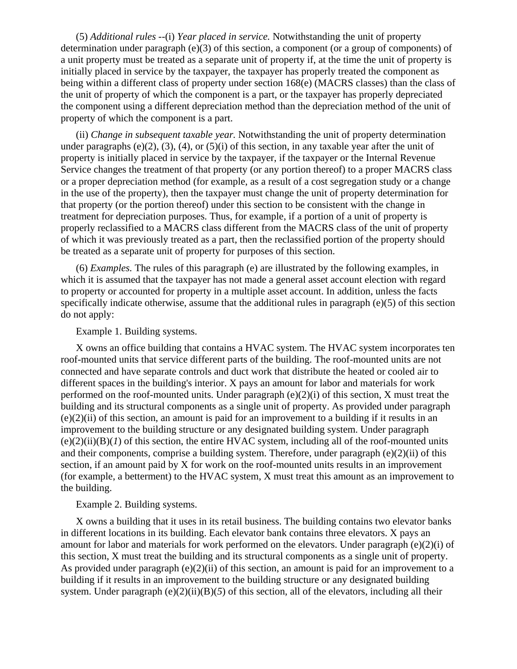(5) *Additional rules* --(i) *Year placed in service.* Notwithstanding the unit of property determination under paragraph (e)(3) of this section, a component (or a group of components) of a unit property must be treated as a separate unit of property if, at the time the unit of property is initially placed in service by the taxpayer, the taxpayer has properly treated the component as being within a different class of property under section 168(e) (MACRS classes) than the class of the unit of property of which the component is a part, or the taxpayer has properly depreciated the component using a different depreciation method than the depreciation method of the unit of property of which the component is a part.

(ii) *Change in subsequent taxable year.* Notwithstanding the unit of property determination under paragraphs (e)(2), (3), (4), or (5)(i) of this section, in any taxable year after the unit of property is initially placed in service by the taxpayer, if the taxpayer or the Internal Revenue Service changes the treatment of that property (or any portion thereof) to a proper MACRS class or a proper depreciation method (for example, as a result of a cost segregation study or a change in the use of the property), then the taxpayer must change the unit of property determination for that property (or the portion thereof) under this section to be consistent with the change in treatment for depreciation purposes. Thus, for example, if a portion of a unit of property is properly reclassified to a MACRS class different from the MACRS class of the unit of property of which it was previously treated as a part, then the reclassified portion of the property should be treated as a separate unit of property for purposes of this section.

(6) *Examples.* The rules of this paragraph (e) are illustrated by the following examples, in which it is assumed that the taxpayer has not made a general asset account election with regard to property or accounted for property in a multiple asset account. In addition, unless the facts specifically indicate otherwise, assume that the additional rules in paragraph  $(e)(5)$  of this section do not apply:

Example 1. Building systems.

X owns an office building that contains a HVAC system. The HVAC system incorporates ten roof-mounted units that service different parts of the building. The roof-mounted units are not connected and have separate controls and duct work that distribute the heated or cooled air to different spaces in the building's interior. X pays an amount for labor and materials for work performed on the roof-mounted units. Under paragraph (e)(2)(i) of this section, X must treat the building and its structural components as a single unit of property. As provided under paragraph  $(e)(2)(ii)$  of this section, an amount is paid for an improvement to a building if it results in an improvement to the building structure or any designated building system. Under paragraph  $(e)(2)(ii)(B)(I)$  of this section, the entire HVAC system, including all of the roof-mounted units and their components, comprise a building system. Therefore, under paragraph (e)(2)(ii) of this section, if an amount paid by X for work on the roof-mounted units results in an improvement (for example, a betterment) to the HVAC system, X must treat this amount as an improvement to the building.

Example 2. Building systems.

X owns a building that it uses in its retail business. The building contains two elevator banks in different locations in its building. Each elevator bank contains three elevators. X pays an amount for labor and materials for work performed on the elevators. Under paragraph (e)(2)(i) of this section, X must treat the building and its structural components as a single unit of property. As provided under paragraph  $(e)(2)(ii)$  of this section, an amount is paid for an improvement to a building if it results in an improvement to the building structure or any designated building system. Under paragraph (e)(2)(ii)(B)(*5*) of this section, all of the elevators, including all their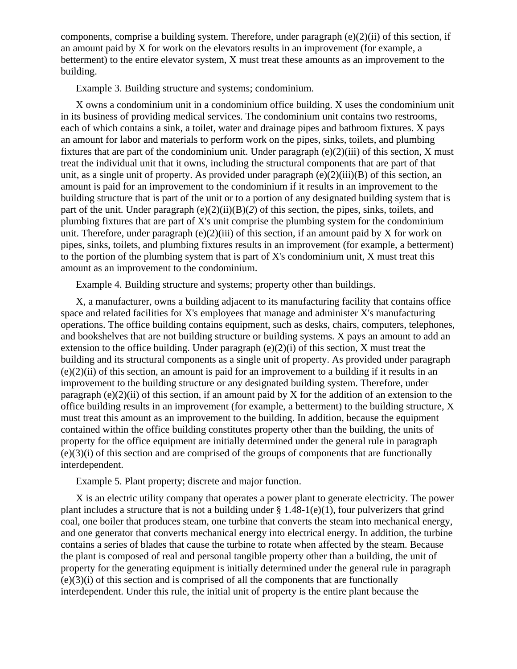components, comprise a building system. Therefore, under paragraph  $(e)(2)(ii)$  of this section, if an amount paid by X for work on the elevators results in an improvement (for example, a betterment) to the entire elevator system, X must treat these amounts as an improvement to the building.

Example 3. Building structure and systems; condominium.

X owns a condominium unit in a condominium office building. X uses the condominium unit in its business of providing medical services. The condominium unit contains two restrooms, each of which contains a sink, a toilet, water and drainage pipes and bathroom fixtures. X pays an amount for labor and materials to perform work on the pipes, sinks, toilets, and plumbing fixtures that are part of the condominium unit. Under paragraph  $(e)(2)(iii)$  of this section, X must treat the individual unit that it owns, including the structural components that are part of that unit, as a single unit of property. As provided under paragraph (e)(2)(iii)(B) of this section, an amount is paid for an improvement to the condominium if it results in an improvement to the building structure that is part of the unit or to a portion of any designated building system that is part of the unit. Under paragraph (e)(2)(ii)(B)(*2*) of this section, the pipes, sinks, toilets, and plumbing fixtures that are part of X's unit comprise the plumbing system for the condominium unit. Therefore, under paragraph  $(e)(2)(iii)$  of this section, if an amount paid by X for work on pipes, sinks, toilets, and plumbing fixtures results in an improvement (for example, a betterment) to the portion of the plumbing system that is part of X's condominium unit, X must treat this amount as an improvement to the condominium.

Example 4. Building structure and systems; property other than buildings.

X, a manufacturer, owns a building adjacent to its manufacturing facility that contains office space and related facilities for X's employees that manage and administer X's manufacturing operations. The office building contains equipment, such as desks, chairs, computers, telephones, and bookshelves that are not building structure or building systems. X pays an amount to add an extension to the office building. Under paragraph (e)(2)(i) of this section, X must treat the building and its structural components as a single unit of property. As provided under paragraph  $(e)(2)(ii)$  of this section, an amount is paid for an improvement to a building if it results in an improvement to the building structure or any designated building system. Therefore, under paragraph  $(e)(2)(ii)$  of this section, if an amount paid by X for the addition of an extension to the office building results in an improvement (for example, a betterment) to the building structure, X must treat this amount as an improvement to the building. In addition, because the equipment contained within the office building constitutes property other than the building, the units of property for the office equipment are initially determined under the general rule in paragraph (e)(3)(i) of this section and are comprised of the groups of components that are functionally interdependent.

Example 5. Plant property; discrete and major function.

X is an electric utility company that operates a power plant to generate electricity. The power plant includes a structure that is not a building under  $\S 1.48-1(e)(1)$ , four pulverizers that grind coal, one boiler that produces steam, one turbine that converts the steam into mechanical energy, and one generator that converts mechanical energy into electrical energy. In addition, the turbine contains a series of blades that cause the turbine to rotate when affected by the steam. Because the plant is composed of real and personal tangible property other than a building, the unit of property for the generating equipment is initially determined under the general rule in paragraph (e)(3)(i) of this section and is comprised of all the components that are functionally interdependent. Under this rule, the initial unit of property is the entire plant because the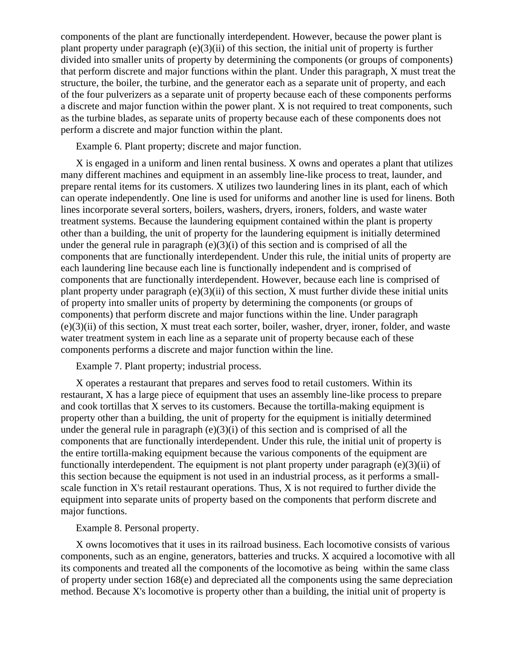components of the plant are functionally interdependent. However, because the power plant is plant property under paragraph (e)(3)(ii) of this section, the initial unit of property is further divided into smaller units of property by determining the components (or groups of components) that perform discrete and major functions within the plant. Under this paragraph, X must treat the structure, the boiler, the turbine, and the generator each as a separate unit of property, and each of the four pulverizers as a separate unit of property because each of these components performs a discrete and major function within the power plant. X is not required to treat components, such as the turbine blades, as separate units of property because each of these components does not perform a discrete and major function within the plant.

Example 6. Plant property; discrete and major function.

X is engaged in a uniform and linen rental business. X owns and operates a plant that utilizes many different machines and equipment in an assembly line-like process to treat, launder, and prepare rental items for its customers. X utilizes two laundering lines in its plant, each of which can operate independently. One line is used for uniforms and another line is used for linens. Both lines incorporate several sorters, boilers, washers, dryers, ironers, folders, and waste water treatment systems. Because the laundering equipment contained within the plant is property other than a building, the unit of property for the laundering equipment is initially determined under the general rule in paragraph  $(e)(3)(i)$  of this section and is comprised of all the components that are functionally interdependent. Under this rule, the initial units of property are each laundering line because each line is functionally independent and is comprised of components that are functionally interdependent. However, because each line is comprised of plant property under paragraph  $(e)(3)(ii)$  of this section, X must further divide these initial units of property into smaller units of property by determining the components (or groups of components) that perform discrete and major functions within the line. Under paragraph (e)(3)(ii) of this section, X must treat each sorter, boiler, washer, dryer, ironer, folder, and waste water treatment system in each line as a separate unit of property because each of these components performs a discrete and major function within the line.

Example 7. Plant property; industrial process.

X operates a restaurant that prepares and serves food to retail customers. Within its restaurant, X has a large piece of equipment that uses an assembly line-like process to prepare and cook tortillas that X serves to its customers. Because the tortilla-making equipment is property other than a building, the unit of property for the equipment is initially determined under the general rule in paragraph  $(e)(3)(i)$  of this section and is comprised of all the components that are functionally interdependent. Under this rule, the initial unit of property is the entire tortilla-making equipment because the various components of the equipment are functionally interdependent. The equipment is not plant property under paragraph (e)(3)(ii) of this section because the equipment is not used in an industrial process, as it performs a smallscale function in X's retail restaurant operations. Thus, X is not required to further divide the equipment into separate units of property based on the components that perform discrete and major functions.

Example 8. Personal property.

X owns locomotives that it uses in its railroad business. Each locomotive consists of various components, such as an engine, generators, batteries and trucks. X acquired a locomotive with all its components and treated all the components of the locomotive as being within the same class of property under section 168(e) and depreciated all the components using the same depreciation method. Because X's locomotive is property other than a building, the initial unit of property is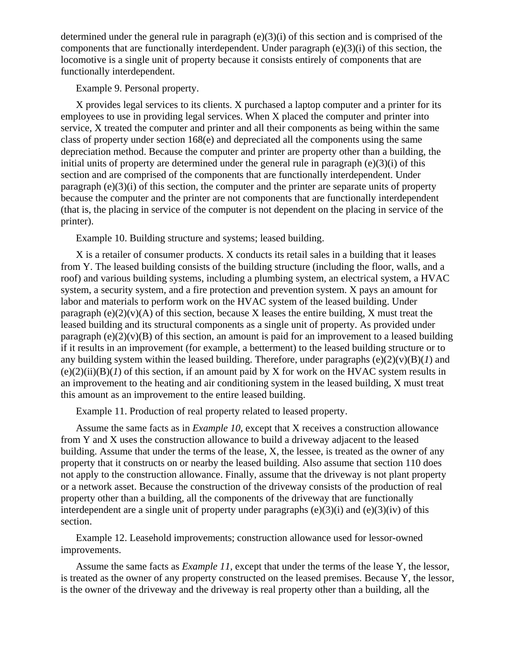determined under the general rule in paragraph (e)(3)(i) of this section and is comprised of the components that are functionally interdependent. Under paragraph  $(e)(3)(i)$  of this section, the locomotive is a single unit of property because it consists entirely of components that are functionally interdependent.

Example 9. Personal property.

X provides legal services to its clients. X purchased a laptop computer and a printer for its employees to use in providing legal services. When X placed the computer and printer into service, X treated the computer and printer and all their components as being within the same class of property under section 168(e) and depreciated all the components using the same depreciation method. Because the computer and printer are property other than a building, the initial units of property are determined under the general rule in paragraph (e)(3)(i) of this section and are comprised of the components that are functionally interdependent. Under paragraph  $(e)(3)(i)$  of this section, the computer and the printer are separate units of property because the computer and the printer are not components that are functionally interdependent (that is, the placing in service of the computer is not dependent on the placing in service of the printer).

Example 10. Building structure and systems; leased building.

X is a retailer of consumer products. X conducts its retail sales in a building that it leases from Y. The leased building consists of the building structure (including the floor, walls, and a roof) and various building systems, including a plumbing system, an electrical system, a HVAC system, a security system, and a fire protection and prevention system. X pays an amount for labor and materials to perform work on the HVAC system of the leased building. Under paragraph (e)(2)(y)(A) of this section, because X leases the entire building, X must treat the leased building and its structural components as a single unit of property. As provided under paragraph  $(e)(2)(v)(B)$  of this section, an amount is paid for an improvement to a leased building if it results in an improvement (for example, a betterment) to the leased building structure or to any building system within the leased building. Therefore, under paragraphs  $(e)(2)(v)(B)(I)$  and  $(e)(2)(ii)(B)(I)$  of this section, if an amount paid by X for work on the HVAC system results in an improvement to the heating and air conditioning system in the leased building, X must treat this amount as an improvement to the entire leased building.

Example 11. Production of real property related to leased property.

Assume the same facts as in *Example 10,* except that X receives a construction allowance from Y and X uses the construction allowance to build a driveway adjacent to the leased building. Assume that under the terms of the lease, X, the lessee, is treated as the owner of any property that it constructs on or nearby the leased building. Also assume that section 110 does not apply to the construction allowance. Finally, assume that the driveway is not plant property or a network asset. Because the construction of the driveway consists of the production of real property other than a building, all the components of the driveway that are functionally interdependent are a single unit of property under paragraphs  $(e)(3)(i)$  and  $(e)(3)(iv)$  of this section.

Example 12. Leasehold improvements; construction allowance used for lessor-owned improvements.

Assume the same facts as *Example 11,* except that under the terms of the lease Y, the lessor, is treated as the owner of any property constructed on the leased premises. Because Y, the lessor, is the owner of the driveway and the driveway is real property other than a building, all the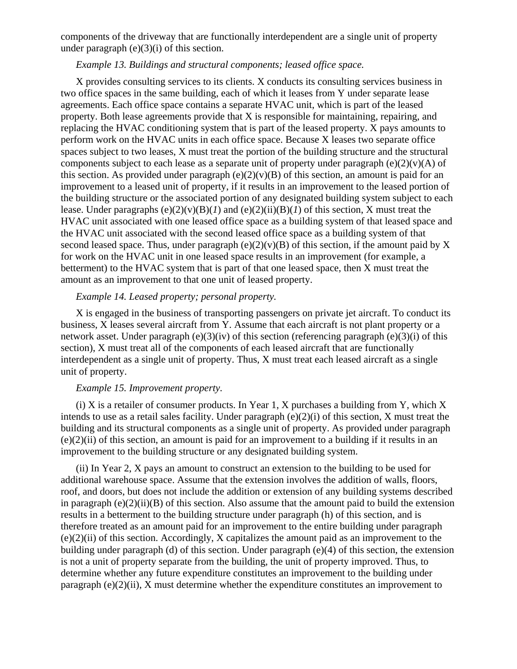components of the driveway that are functionally interdependent are a single unit of property under paragraph  $(e)(3)(i)$  of this section.

## *Example 13. Buildings and structural components; leased office space.*

X provides consulting services to its clients. X conducts its consulting services business in two office spaces in the same building, each of which it leases from Y under separate lease agreements. Each office space contains a separate HVAC unit, which is part of the leased property. Both lease agreements provide that X is responsible for maintaining, repairing, and replacing the HVAC conditioning system that is part of the leased property. X pays amounts to perform work on the HVAC units in each office space. Because X leases two separate office spaces subject to two leases, X must treat the portion of the building structure and the structural components subject to each lease as a separate unit of property under paragraph  $(e)(2)(v)(A)$  of this section. As provided under paragraph  $(e)(2)(v)(B)$  of this section, an amount is paid for an improvement to a leased unit of property, if it results in an improvement to the leased portion of the building structure or the associated portion of any designated building system subject to each lease. Under paragraphs  $(e)(2)(v)(B)(I)$  and  $(e)(2)(ii)(B)(I)$  of this section, X must treat the HVAC unit associated with one leased office space as a building system of that leased space and the HVAC unit associated with the second leased office space as a building system of that second leased space. Thus, under paragraph  $(e)(2)(v)(B)$  of this section, if the amount paid by X for work on the HVAC unit in one leased space results in an improvement (for example, a betterment) to the HVAC system that is part of that one leased space, then X must treat the amount as an improvement to that one unit of leased property.

## *Example 14. Leased property; personal property.*

X is engaged in the business of transporting passengers on private jet aircraft. To conduct its business, X leases several aircraft from Y. Assume that each aircraft is not plant property or a network asset. Under paragraph (e)(3)(iv) of this section (referencing paragraph (e)(3)(i) of this section), X must treat all of the components of each leased aircraft that are functionally interdependent as a single unit of property. Thus, X must treat each leased aircraft as a single unit of property.

#### *Example 15. Improvement property.*

(i) X is a retailer of consumer products. In Year 1, X purchases a building from Y, which X intends to use as a retail sales facility. Under paragraph (e)(2)(i) of this section, X must treat the building and its structural components as a single unit of property. As provided under paragraph (e)(2)(ii) of this section, an amount is paid for an improvement to a building if it results in an improvement to the building structure or any designated building system.

(ii) In Year 2, X pays an amount to construct an extension to the building to be used for additional warehouse space. Assume that the extension involves the addition of walls, floors, roof, and doors, but does not include the addition or extension of any building systems described in paragraph  $(e)(2)(ii)(B)$  of this section. Also assume that the amount paid to build the extension results in a betterment to the building structure under paragraph (h) of this section, and is therefore treated as an amount paid for an improvement to the entire building under paragraph (e)(2)(ii) of this section. Accordingly, X capitalizes the amount paid as an improvement to the building under paragraph (d) of this section. Under paragraph (e)(4) of this section, the extension is not a unit of property separate from the building, the unit of property improved. Thus, to determine whether any future expenditure constitutes an improvement to the building under paragraph (e)(2)(ii), X must determine whether the expenditure constitutes an improvement to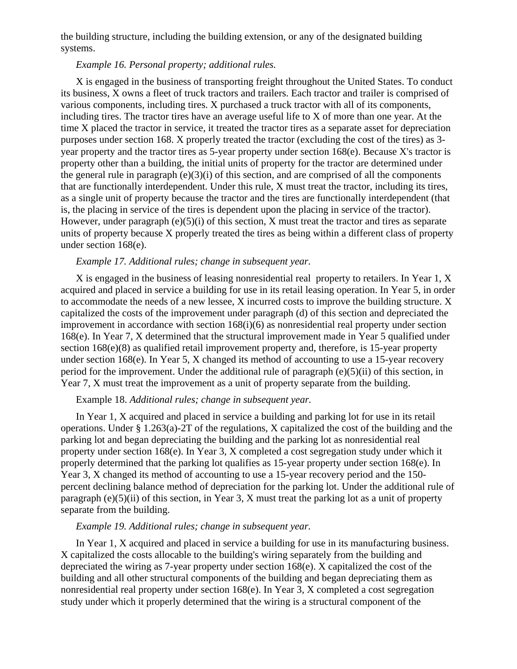the building structure, including the building extension, or any of the designated building systems.

# *Example 16. Personal property; additional rules.*

X is engaged in the business of transporting freight throughout the United States. To conduct its business, X owns a fleet of truck tractors and trailers. Each tractor and trailer is comprised of various components, including tires. X purchased a truck tractor with all of its components, including tires. The tractor tires have an average useful life to X of more than one year. At the time X placed the tractor in service, it treated the tractor tires as a separate asset for depreciation purposes under section 168. X properly treated the tractor (excluding the cost of the tires) as 3 year property and the tractor tires as 5-year property under section 168(e). Because X's tractor is property other than a building, the initial units of property for the tractor are determined under the general rule in paragraph  $(e)(3)(i)$  of this section, and are comprised of all the components that are functionally interdependent. Under this rule, X must treat the tractor, including its tires, as a single unit of property because the tractor and the tires are functionally interdependent (that is, the placing in service of the tires is dependent upon the placing in service of the tractor). However, under paragraph  $(e)(5)(i)$  of this section, X must treat the tractor and tires as separate units of property because X properly treated the tires as being within a different class of property under section 168(e).

# *Example 17. Additional rules; change in subsequent year.*

X is engaged in the business of leasing nonresidential real property to retailers. In Year 1, X acquired and placed in service a building for use in its retail leasing operation. In Year 5, in order to accommodate the needs of a new lessee, X incurred costs to improve the building structure. X capitalized the costs of the improvement under paragraph (d) of this section and depreciated the improvement in accordance with section 168(i)(6) as nonresidential real property under section 168(e). In Year 7, X determined that the structural improvement made in Year 5 qualified under section 168(e)(8) as qualified retail improvement property and, therefore, is 15-year property under section 168(e). In Year 5, X changed its method of accounting to use a 15-year recovery period for the improvement. Under the additional rule of paragraph (e)(5)(ii) of this section, in Year 7, X must treat the improvement as a unit of property separate from the building.

## Example 18. *Additional rules; change in subsequent year.*

In Year 1, X acquired and placed in service a building and parking lot for use in its retail operations. Under § 1.263(a)-2T of the regulations, X capitalized the cost of the building and the parking lot and began depreciating the building and the parking lot as nonresidential real property under section 168(e). In Year 3, X completed a cost segregation study under which it properly determined that the parking lot qualifies as 15-year property under section 168(e). In Year 3, X changed its method of accounting to use a 15-year recovery period and the 150 percent declining balance method of depreciation for the parking lot. Under the additional rule of paragraph (e)(5)(ii) of this section, in Year 3, X must treat the parking lot as a unit of property separate from the building.

## *Example 19. Additional rules; change in subsequent year.*

In Year 1, X acquired and placed in service a building for use in its manufacturing business. X capitalized the costs allocable to the building's wiring separately from the building and depreciated the wiring as 7-year property under section 168(e). X capitalized the cost of the building and all other structural components of the building and began depreciating them as nonresidential real property under section 168(e). In Year 3, X completed a cost segregation study under which it properly determined that the wiring is a structural component of the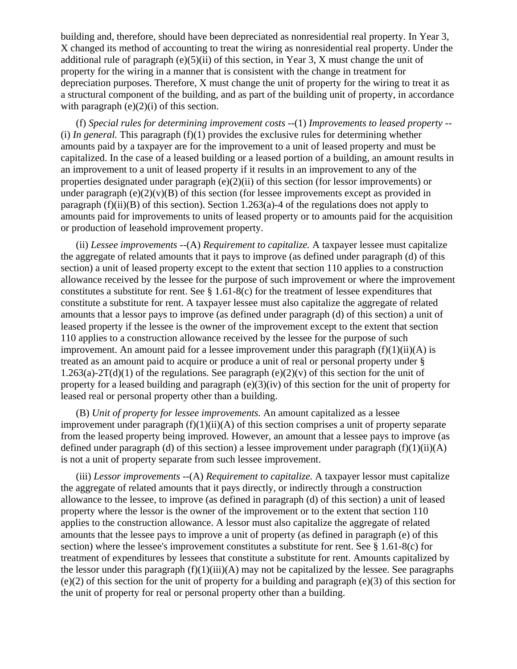building and, therefore, should have been depreciated as nonresidential real property. In Year 3, X changed its method of accounting to treat the wiring as nonresidential real property. Under the additional rule of paragraph (e)(5)(ii) of this section, in Year 3, X must change the unit of property for the wiring in a manner that is consistent with the change in treatment for depreciation purposes. Therefore, X must change the unit of property for the wiring to treat it as a structural component of the building, and as part of the building unit of property, in accordance with paragraph  $(e)(2)(i)$  of this section.

(f) *Special rules for determining improvement costs* --(1) *Improvements to leased property* -- (i) *In general*. This paragraph  $(f)(1)$  provides the exclusive rules for determining whether amounts paid by a taxpayer are for the improvement to a unit of leased property and must be capitalized. In the case of a leased building or a leased portion of a building, an amount results in an improvement to a unit of leased property if it results in an improvement to any of the properties designated under paragraph (e)(2)(ii) of this section (for lessor improvements) or under paragraph (e)(2)(v)(B) of this section (for lessee improvements except as provided in paragraph (f)(ii)(B) of this section). Section 1.263(a)-4 of the regulations does not apply to amounts paid for improvements to units of leased property or to amounts paid for the acquisition or production of leasehold improvement property.

(ii) *Lessee improvements* --(A) *Requirement to capitalize.* A taxpayer lessee must capitalize the aggregate of related amounts that it pays to improve (as defined under paragraph (d) of this section) a unit of leased property except to the extent that section 110 applies to a construction allowance received by the lessee for the purpose of such improvement or where the improvement constitutes a substitute for rent. See  $\S 1.61-8(c)$  for the treatment of lessee expenditures that constitute a substitute for rent. A taxpayer lessee must also capitalize the aggregate of related amounts that a lessor pays to improve (as defined under paragraph (d) of this section) a unit of leased property if the lessee is the owner of the improvement except to the extent that section 110 applies to a construction allowance received by the lessee for the purpose of such improvement. An amount paid for a lessee improvement under this paragraph  $(f)(1)(ii)(A)$  is treated as an amount paid to acquire or produce a unit of real or personal property under § 1.263(a)-2T(d)(1) of the regulations. See paragraph (e)(2)(v) of this section for the unit of property for a leased building and paragraph (e)(3)(iv) of this section for the unit of property for leased real or personal property other than a building.

(B) *Unit of property for lessee improvements.* An amount capitalized as a lessee improvement under paragraph  $(f)(1)(ii)(A)$  of this section comprises a unit of property separate from the leased property being improved. However, an amount that a lessee pays to improve (as defined under paragraph (d) of this section) a lessee improvement under paragraph  $(f)(1)(ii)(A)$ is not a unit of property separate from such lessee improvement.

(iii) *Lessor improvements* --(A) *Requirement to capitalize.* A taxpayer lessor must capitalize the aggregate of related amounts that it pays directly, or indirectly through a construction allowance to the lessee, to improve (as defined in paragraph (d) of this section) a unit of leased property where the lessor is the owner of the improvement or to the extent that section 110 applies to the construction allowance. A lessor must also capitalize the aggregate of related amounts that the lessee pays to improve a unit of property (as defined in paragraph (e) of this section) where the lessee's improvement constitutes a substitute for rent. See § 1.61-8(c) for treatment of expenditures by lessees that constitute a substitute for rent. Amounts capitalized by the lessor under this paragraph  $(f)(1)(iii)(A)$  may not be capitalized by the lessee. See paragraphs (e)(2) of this section for the unit of property for a building and paragraph (e)(3) of this section for the unit of property for real or personal property other than a building.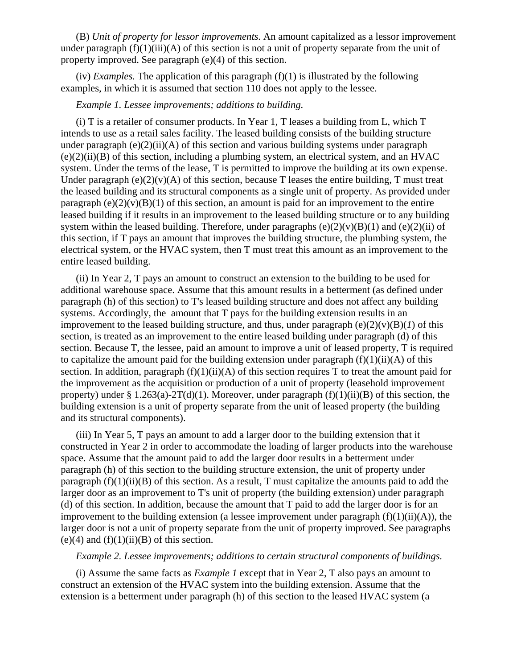(B) *Unit of property for lessor improvements.* An amount capitalized as a lessor improvement under paragraph  $(f)(1)(iii)(A)$  of this section is not a unit of property separate from the unit of property improved. See paragraph (e)(4) of this section.

(iv) *Examples*. The application of this paragraph  $(f)(1)$  is illustrated by the following examples, in which it is assumed that section 110 does not apply to the lessee.

#### *Example 1. Lessee improvements; additions to building.*

(i) T is a retailer of consumer products. In Year 1, T leases a building from L, which T intends to use as a retail sales facility. The leased building consists of the building structure under paragraph (e)(2)(ii)(A) of this section and various building systems under paragraph  $(e)(2)(ii)(B)$  of this section, including a plumbing system, an electrical system, and an HVAC system. Under the terms of the lease, T is permitted to improve the building at its own expense. Under paragraph  $(e)(2)(v)(A)$  of this section, because T leases the entire building, T must treat the leased building and its structural components as a single unit of property. As provided under paragraph (e)(2)(v)(B)(1) of this section, an amount is paid for an improvement to the entire leased building if it results in an improvement to the leased building structure or to any building system within the leased building. Therefore, under paragraphs  $(e)(2)(v)(B)(1)$  and  $(e)(2)(ii)$  of this section, if T pays an amount that improves the building structure, the plumbing system, the electrical system, or the HVAC system, then T must treat this amount as an improvement to the entire leased building.

(ii) In Year 2, T pays an amount to construct an extension to the building to be used for additional warehouse space. Assume that this amount results in a betterment (as defined under paragraph (h) of this section) to T's leased building structure and does not affect any building systems. Accordingly, the amount that T pays for the building extension results in an improvement to the leased building structure, and thus, under paragraph  $(e)(2)(v)(B)(I)$  of this section, is treated as an improvement to the entire leased building under paragraph (d) of this section. Because T, the lessee, paid an amount to improve a unit of leased property, T is required to capitalize the amount paid for the building extension under paragraph  $(f)(1)(ii)(A)$  of this section. In addition, paragraph  $(f)(1)(ii)(A)$  of this section requires T to treat the amount paid for the improvement as the acquisition or production of a unit of property (leasehold improvement property) under § 1.263(a)-2T(d)(1). Moreover, under paragraph  $(f)(1)(ii)(B)$  of this section, the building extension is a unit of property separate from the unit of leased property (the building and its structural components).

(iii) In Year 5, T pays an amount to add a larger door to the building extension that it constructed in Year 2 in order to accommodate the loading of larger products into the warehouse space. Assume that the amount paid to add the larger door results in a betterment under paragraph (h) of this section to the building structure extension, the unit of property under paragraph  $(f)(1)(ii)(B)$  of this section. As a result, T must capitalize the amounts paid to add the larger door as an improvement to T's unit of property (the building extension) under paragraph (d) of this section. In addition, because the amount that T paid to add the larger door is for an improvement to the building extension (a lessee improvement under paragraph  $(f)(1)(ii)(A)$ ), the larger door is not a unit of property separate from the unit of property improved. See paragraphs  $(e)(4)$  and  $(f)(1)(ii)(B)$  of this section.

#### *Example 2. Lessee improvements; additions to certain structural components of buildings.*

(i) Assume the same facts as *Example 1* except that in Year 2, T also pays an amount to construct an extension of the HVAC system into the building extension. Assume that the extension is a betterment under paragraph (h) of this section to the leased HVAC system (a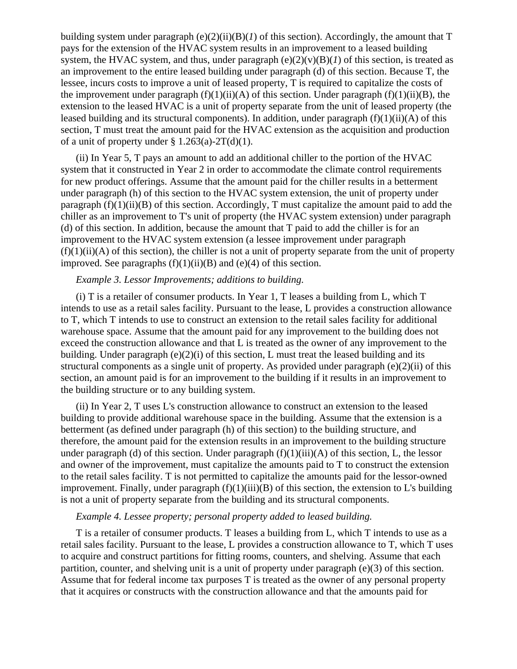building system under paragraph (e)(2)(ii)(B)(*1*) of this section). Accordingly, the amount that T pays for the extension of the HVAC system results in an improvement to a leased building system, the HVAC system, and thus, under paragraph  $(e)(2)(v)(B)(I)$  of this section, is treated as an improvement to the entire leased building under paragraph (d) of this section. Because T, the lessee, incurs costs to improve a unit of leased property, T is required to capitalize the costs of the improvement under paragraph  $(f)(1)(ii)(A)$  of this section. Under paragraph  $(f)(1)(ii)(B)$ , the extension to the leased HVAC is a unit of property separate from the unit of leased property (the leased building and its structural components). In addition, under paragraph  $(f)(1)(ii)(A)$  of this section, T must treat the amount paid for the HVAC extension as the acquisition and production of a unit of property under  $\S 1.263(a) - 2T(d)(1)$ .

(ii) In Year 5, T pays an amount to add an additional chiller to the portion of the HVAC system that it constructed in Year 2 in order to accommodate the climate control requirements for new product offerings. Assume that the amount paid for the chiller results in a betterment under paragraph (h) of this section to the HVAC system extension, the unit of property under paragraph  $(f)(1)(ii)(B)$  of this section. Accordingly, T must capitalize the amount paid to add the chiller as an improvement to T's unit of property (the HVAC system extension) under paragraph (d) of this section. In addition, because the amount that T paid to add the chiller is for an improvement to the HVAC system extension (a lessee improvement under paragraph  $(f)(1)(ii)(A)$  of this section), the chiller is not a unit of property separate from the unit of property improved. See paragraphs  $(f)(1)(ii)(B)$  and  $(e)(4)$  of this section.

# *Example 3. Lessor Improvements; additions to building.*

(i) T is a retailer of consumer products. In Year 1, T leases a building from L, which T intends to use as a retail sales facility. Pursuant to the lease, L provides a construction allowance to T, which T intends to use to construct an extension to the retail sales facility for additional warehouse space. Assume that the amount paid for any improvement to the building does not exceed the construction allowance and that L is treated as the owner of any improvement to the building. Under paragraph  $(e)(2)(i)$  of this section, L must treat the leased building and its structural components as a single unit of property. As provided under paragraph (e)(2)(ii) of this section, an amount paid is for an improvement to the building if it results in an improvement to the building structure or to any building system.

(ii) In Year 2, T uses L's construction allowance to construct an extension to the leased building to provide additional warehouse space in the building. Assume that the extension is a betterment (as defined under paragraph (h) of this section) to the building structure, and therefore, the amount paid for the extension results in an improvement to the building structure under paragraph (d) of this section. Under paragraph  $(f)(1)(iii)(A)$  of this section, L, the lessor and owner of the improvement, must capitalize the amounts paid to T to construct the extension to the retail sales facility. T is not permitted to capitalize the amounts paid for the lessor-owned improvement. Finally, under paragraph  $(f)(1)(iii)(B)$  of this section, the extension to L's building is not a unit of property separate from the building and its structural components.

## *Example 4. Lessee property; personal property added to leased building.*

T is a retailer of consumer products. T leases a building from L, which T intends to use as a retail sales facility. Pursuant to the lease, L provides a construction allowance to T, which T uses to acquire and construct partitions for fitting rooms, counters, and shelving. Assume that each partition, counter, and shelving unit is a unit of property under paragraph (e)(3) of this section. Assume that for federal income tax purposes T is treated as the owner of any personal property that it acquires or constructs with the construction allowance and that the amounts paid for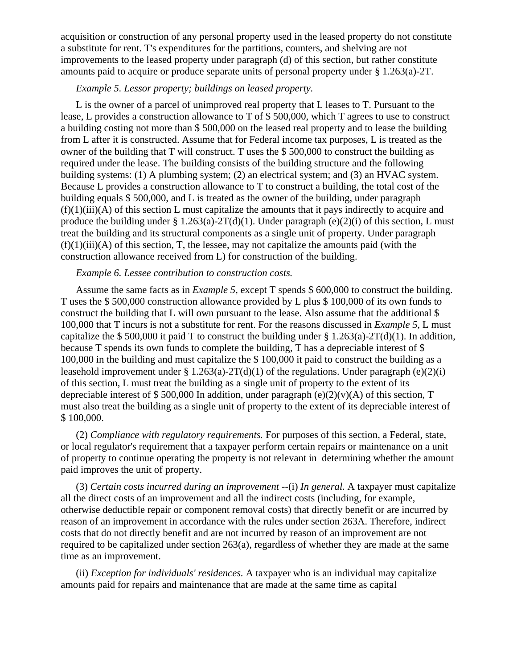acquisition or construction of any personal property used in the leased property do not constitute a substitute for rent. T's expenditures for the partitions, counters, and shelving are not improvements to the leased property under paragraph (d) of this section, but rather constitute amounts paid to acquire or produce separate units of personal property under § 1.263(a)-2T.

### *Example 5. Lessor property; buildings on leased property.*

L is the owner of a parcel of unimproved real property that L leases to T. Pursuant to the lease, L provides a construction allowance to T of \$ 500,000, which T agrees to use to construct a building costing not more than \$ 500,000 on the leased real property and to lease the building from L after it is constructed. Assume that for Federal income tax purposes, L is treated as the owner of the building that T will construct. T uses the \$ 500,000 to construct the building as required under the lease. The building consists of the building structure and the following building systems: (1) A plumbing system; (2) an electrical system; and (3) an HVAC system. Because L provides a construction allowance to T to construct a building, the total cost of the building equals \$ 500,000, and L is treated as the owner of the building, under paragraph (f)(1)(iii)(A) of this section L must capitalize the amounts that it pays indirectly to acquire and produce the building under § 1.263(a)-2T(d)(1). Under paragraph (e)(2)(i) of this section, L must treat the building and its structural components as a single unit of property. Under paragraph  $(f)(1)(iii)(A)$  of this section, T, the lessee, may not capitalize the amounts paid (with the construction allowance received from L) for construction of the building.

## *Example 6. Lessee contribution to construction costs.*

Assume the same facts as in *Example 5,* except T spends \$ 600,000 to construct the building. T uses the \$ 500,000 construction allowance provided by L plus \$ 100,000 of its own funds to construct the building that L will own pursuant to the lease. Also assume that the additional \$ 100,000 that T incurs is not a substitute for rent. For the reasons discussed in *Example 5,* L must capitalize the \$ 500,000 it paid T to construct the building under  $\S 1.263(a)-2T(d)(1)$ . In addition, because T spends its own funds to complete the building, T has a depreciable interest of \$ 100,000 in the building and must capitalize the \$ 100,000 it paid to construct the building as a leasehold improvement under § 1.263(a)-2T(d)(1) of the regulations. Under paragraph (e)(2)(i) of this section, L must treat the building as a single unit of property to the extent of its depreciable interest of \$500,000 In addition, under paragraph (e)(2)(v)(A) of this section, T must also treat the building as a single unit of property to the extent of its depreciable interest of \$ 100,000.

(2) *Compliance with regulatory requirements.* For purposes of this section, a Federal, state, or local regulator's requirement that a taxpayer perform certain repairs or maintenance on a unit of property to continue operating the property is not relevant in determining whether the amount paid improves the unit of property.

(3) *Certain costs incurred during an improvement* --(i) *In general.* A taxpayer must capitalize all the direct costs of an improvement and all the indirect costs (including, for example, otherwise deductible repair or component removal costs) that directly benefit or are incurred by reason of an improvement in accordance with the rules under section 263A. Therefore, indirect costs that do not directly benefit and are not incurred by reason of an improvement are not required to be capitalized under section 263(a), regardless of whether they are made at the same time as an improvement.

(ii) *Exception for individuals' residences.* A taxpayer who is an individual may capitalize amounts paid for repairs and maintenance that are made at the same time as capital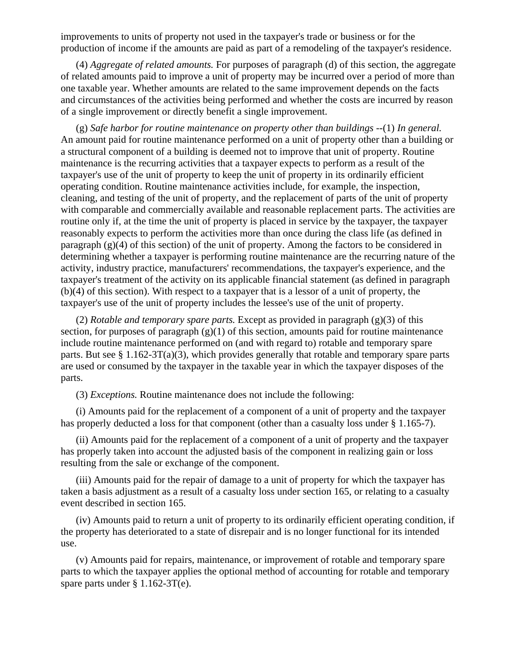improvements to units of property not used in the taxpayer's trade or business or for the production of income if the amounts are paid as part of a remodeling of the taxpayer's residence.

(4) *Aggregate of related amounts.* For purposes of paragraph (d) of this section, the aggregate of related amounts paid to improve a unit of property may be incurred over a period of more than one taxable year. Whether amounts are related to the same improvement depends on the facts and circumstances of the activities being performed and whether the costs are incurred by reason of a single improvement or directly benefit a single improvement.

(g) *Safe harbor for routine maintenance on property other than buildings* --(1) *In general.* An amount paid for routine maintenance performed on a unit of property other than a building or a structural component of a building is deemed not to improve that unit of property. Routine maintenance is the recurring activities that a taxpayer expects to perform as a result of the taxpayer's use of the unit of property to keep the unit of property in its ordinarily efficient operating condition. Routine maintenance activities include, for example, the inspection, cleaning, and testing of the unit of property, and the replacement of parts of the unit of property with comparable and commercially available and reasonable replacement parts. The activities are routine only if, at the time the unit of property is placed in service by the taxpayer, the taxpayer reasonably expects to perform the activities more than once during the class life (as defined in paragraph (g)(4) of this section) of the unit of property. Among the factors to be considered in determining whether a taxpayer is performing routine maintenance are the recurring nature of the activity, industry practice, manufacturers' recommendations, the taxpayer's experience, and the taxpayer's treatment of the activity on its applicable financial statement (as defined in paragraph (b)(4) of this section). With respect to a taxpayer that is a lessor of a unit of property, the taxpayer's use of the unit of property includes the lessee's use of the unit of property.

(2) *Rotable and temporary spare parts.* Except as provided in paragraph (g)(3) of this section, for purposes of paragraph  $(g)(1)$  of this section, amounts paid for routine maintenance include routine maintenance performed on (and with regard to) rotable and temporary spare parts. But see  $\S 1.162-3T(a)(3)$ , which provides generally that rotable and temporary spare parts are used or consumed by the taxpayer in the taxable year in which the taxpayer disposes of the parts.

(3) *Exceptions.* Routine maintenance does not include the following:

(i) Amounts paid for the replacement of a component of a unit of property and the taxpayer has properly deducted a loss for that component (other than a casualty loss under § 1.165-7).

(ii) Amounts paid for the replacement of a component of a unit of property and the taxpayer has properly taken into account the adjusted basis of the component in realizing gain or loss resulting from the sale or exchange of the component.

(iii) Amounts paid for the repair of damage to a unit of property for which the taxpayer has taken a basis adjustment as a result of a casualty loss under section 165, or relating to a casualty event described in section 165.

(iv) Amounts paid to return a unit of property to its ordinarily efficient operating condition, if the property has deteriorated to a state of disrepair and is no longer functional for its intended use.

(v) Amounts paid for repairs, maintenance, or improvement of rotable and temporary spare parts to which the taxpayer applies the optional method of accounting for rotable and temporary spare parts under § 1.162-3T(e).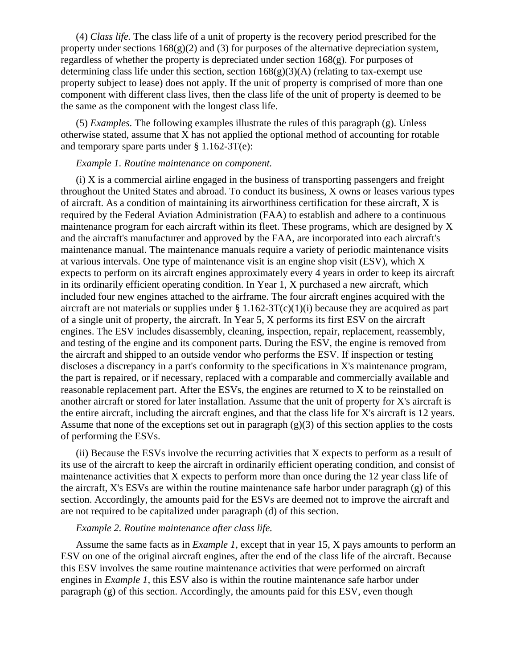(4) *Class life.* The class life of a unit of property is the recovery period prescribed for the property under sections  $168(g)(2)$  and (3) for purposes of the alternative depreciation system, regardless of whether the property is depreciated under section 168(g). For purposes of determining class life under this section, section  $168(g)(3)(A)$  (relating to tax-exempt use property subject to lease) does not apply. If the unit of property is comprised of more than one component with different class lives, then the class life of the unit of property is deemed to be the same as the component with the longest class life.

(5) *Examples.* The following examples illustrate the rules of this paragraph (g). Unless otherwise stated, assume that X has not applied the optional method of accounting for rotable and temporary spare parts under  $\S 1.162-3T(e)$ :

## *Example 1. Routine maintenance on component.*

(i) X is a commercial airline engaged in the business of transporting passengers and freight throughout the United States and abroad. To conduct its business, X owns or leases various types of aircraft. As a condition of maintaining its airworthiness certification for these aircraft, X is required by the Federal Aviation Administration (FAA) to establish and adhere to a continuous maintenance program for each aircraft within its fleet. These programs, which are designed by X and the aircraft's manufacturer and approved by the FAA, are incorporated into each aircraft's maintenance manual. The maintenance manuals require a variety of periodic maintenance visits at various intervals. One type of maintenance visit is an engine shop visit (ESV), which X expects to perform on its aircraft engines approximately every 4 years in order to keep its aircraft in its ordinarily efficient operating condition. In Year 1, X purchased a new aircraft, which included four new engines attached to the airframe. The four aircraft engines acquired with the aircraft are not materials or supplies under  $\S 1.162-3T(c)(1)(i)$  because they are acquired as part of a single unit of property, the aircraft. In Year 5, X performs its first ESV on the aircraft engines. The ESV includes disassembly, cleaning, inspection, repair, replacement, reassembly, and testing of the engine and its component parts. During the ESV, the engine is removed from the aircraft and shipped to an outside vendor who performs the ESV. If inspection or testing discloses a discrepancy in a part's conformity to the specifications in X's maintenance program, the part is repaired, or if necessary, replaced with a comparable and commercially available and reasonable replacement part. After the ESVs, the engines are returned to X to be reinstalled on another aircraft or stored for later installation. Assume that the unit of property for X's aircraft is the entire aircraft, including the aircraft engines, and that the class life for X's aircraft is 12 years. Assume that none of the exceptions set out in paragraph  $(g)(3)$  of this section applies to the costs of performing the ESVs.

(ii) Because the ESVs involve the recurring activities that X expects to perform as a result of its use of the aircraft to keep the aircraft in ordinarily efficient operating condition, and consist of maintenance activities that X expects to perform more than once during the 12 year class life of the aircraft, X's ESVs are within the routine maintenance safe harbor under paragraph (g) of this section. Accordingly, the amounts paid for the ESVs are deemed not to improve the aircraft and are not required to be capitalized under paragraph (d) of this section.

#### *Example 2. Routine maintenance after class life.*

Assume the same facts as in *Example 1,* except that in year 15, X pays amounts to perform an ESV on one of the original aircraft engines, after the end of the class life of the aircraft. Because this ESV involves the same routine maintenance activities that were performed on aircraft engines in *Example 1,* this ESV also is within the routine maintenance safe harbor under paragraph (g) of this section. Accordingly, the amounts paid for this ESV, even though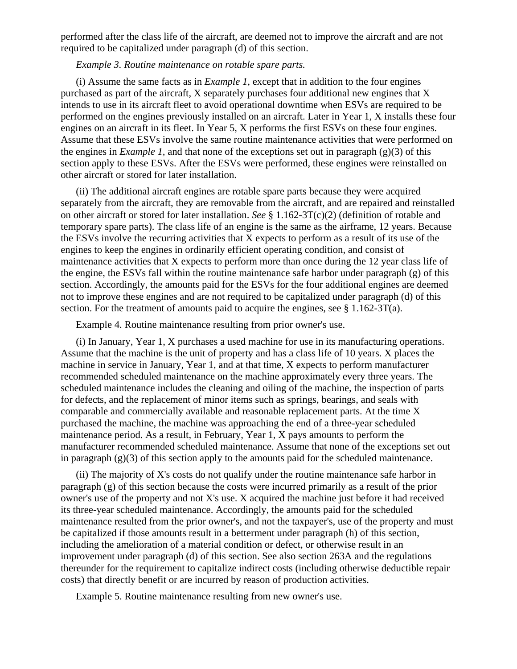performed after the class life of the aircraft, are deemed not to improve the aircraft and are not required to be capitalized under paragraph (d) of this section.

## *Example 3. Routine maintenance on rotable spare parts.*

(i) Assume the same facts as in *Example 1,* except that in addition to the four engines purchased as part of the aircraft, X separately purchases four additional new engines that X intends to use in its aircraft fleet to avoid operational downtime when ESVs are required to be performed on the engines previously installed on an aircraft. Later in Year 1, X installs these four engines on an aircraft in its fleet. In Year 5, X performs the first ESVs on these four engines. Assume that these ESVs involve the same routine maintenance activities that were performed on the engines in *Example 1,* and that none of the exceptions set out in paragraph (g)(3) of this section apply to these ESVs. After the ESVs were performed, these engines were reinstalled on other aircraft or stored for later installation.

(ii) The additional aircraft engines are rotable spare parts because they were acquired separately from the aircraft, they are removable from the aircraft, and are repaired and reinstalled on other aircraft or stored for later installation. *See* § 1.162-3T(c)(2) (definition of rotable and temporary spare parts). The class life of an engine is the same as the airframe, 12 years. Because the ESVs involve the recurring activities that X expects to perform as a result of its use of the engines to keep the engines in ordinarily efficient operating condition, and consist of maintenance activities that X expects to perform more than once during the 12 year class life of the engine, the ESVs fall within the routine maintenance safe harbor under paragraph (g) of this section. Accordingly, the amounts paid for the ESVs for the four additional engines are deemed not to improve these engines and are not required to be capitalized under paragraph (d) of this section. For the treatment of amounts paid to acquire the engines, see § 1.162-3T(a).

Example 4. Routine maintenance resulting from prior owner's use.

(i) In January, Year 1, X purchases a used machine for use in its manufacturing operations. Assume that the machine is the unit of property and has a class life of 10 years. X places the machine in service in January, Year 1, and at that time, X expects to perform manufacturer recommended scheduled maintenance on the machine approximately every three years. The scheduled maintenance includes the cleaning and oiling of the machine, the inspection of parts for defects, and the replacement of minor items such as springs, bearings, and seals with comparable and commercially available and reasonable replacement parts. At the time X purchased the machine, the machine was approaching the end of a three-year scheduled maintenance period. As a result, in February, Year 1, X pays amounts to perform the manufacturer recommended scheduled maintenance. Assume that none of the exceptions set out in paragraph (g)(3) of this section apply to the amounts paid for the scheduled maintenance.

(ii) The majority of X's costs do not qualify under the routine maintenance safe harbor in paragraph (g) of this section because the costs were incurred primarily as a result of the prior owner's use of the property and not X's use. X acquired the machine just before it had received its three-year scheduled maintenance. Accordingly, the amounts paid for the scheduled maintenance resulted from the prior owner's, and not the taxpayer's, use of the property and must be capitalized if those amounts result in a betterment under paragraph (h) of this section, including the amelioration of a material condition or defect, or otherwise result in an improvement under paragraph (d) of this section. See also section 263A and the regulations thereunder for the requirement to capitalize indirect costs (including otherwise deductible repair costs) that directly benefit or are incurred by reason of production activities.

Example 5. Routine maintenance resulting from new owner's use.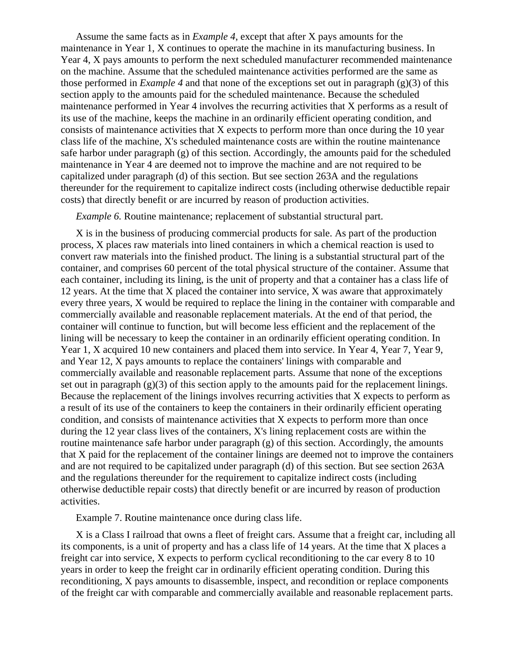Assume the same facts as in *Example 4*, except that after X pays amounts for the maintenance in Year 1, X continues to operate the machine in its manufacturing business. In Year 4, X pays amounts to perform the next scheduled manufacturer recommended maintenance on the machine. Assume that the scheduled maintenance activities performed are the same as those performed in *Example 4* and that none of the exceptions set out in paragraph (g)(3) of this section apply to the amounts paid for the scheduled maintenance. Because the scheduled maintenance performed in Year 4 involves the recurring activities that X performs as a result of its use of the machine, keeps the machine in an ordinarily efficient operating condition, and consists of maintenance activities that X expects to perform more than once during the 10 year class life of the machine, X's scheduled maintenance costs are within the routine maintenance safe harbor under paragraph (g) of this section. Accordingly, the amounts paid for the scheduled maintenance in Year 4 are deemed not to improve the machine and are not required to be capitalized under paragraph (d) of this section. But see section 263A and the regulations thereunder for the requirement to capitalize indirect costs (including otherwise deductible repair costs) that directly benefit or are incurred by reason of production activities.

*Example 6.* Routine maintenance; replacement of substantial structural part.

X is in the business of producing commercial products for sale. As part of the production process, X places raw materials into lined containers in which a chemical reaction is used to convert raw materials into the finished product. The lining is a substantial structural part of the container, and comprises 60 percent of the total physical structure of the container. Assume that each container, including its lining, is the unit of property and that a container has a class life of 12 years. At the time that X placed the container into service, X was aware that approximately every three years, X would be required to replace the lining in the container with comparable and commercially available and reasonable replacement materials. At the end of that period, the container will continue to function, but will become less efficient and the replacement of the lining will be necessary to keep the container in an ordinarily efficient operating condition. In Year 1, X acquired 10 new containers and placed them into service. In Year 4, Year 7, Year 9, and Year 12, X pays amounts to replace the containers' linings with comparable and commercially available and reasonable replacement parts. Assume that none of the exceptions set out in paragraph (g)(3) of this section apply to the amounts paid for the replacement linings. Because the replacement of the linings involves recurring activities that X expects to perform as a result of its use of the containers to keep the containers in their ordinarily efficient operating condition, and consists of maintenance activities that X expects to perform more than once during the 12 year class lives of the containers, X's lining replacement costs are within the routine maintenance safe harbor under paragraph (g) of this section. Accordingly, the amounts that X paid for the replacement of the container linings are deemed not to improve the containers and are not required to be capitalized under paragraph (d) of this section. But see section 263A and the regulations thereunder for the requirement to capitalize indirect costs (including otherwise deductible repair costs) that directly benefit or are incurred by reason of production activities.

Example 7. Routine maintenance once during class life.

X is a Class I railroad that owns a fleet of freight cars. Assume that a freight car, including all its components, is a unit of property and has a class life of 14 years. At the time that X places a freight car into service, X expects to perform cyclical reconditioning to the car every 8 to 10 years in order to keep the freight car in ordinarily efficient operating condition. During this reconditioning, X pays amounts to disassemble, inspect, and recondition or replace components of the freight car with comparable and commercially available and reasonable replacement parts.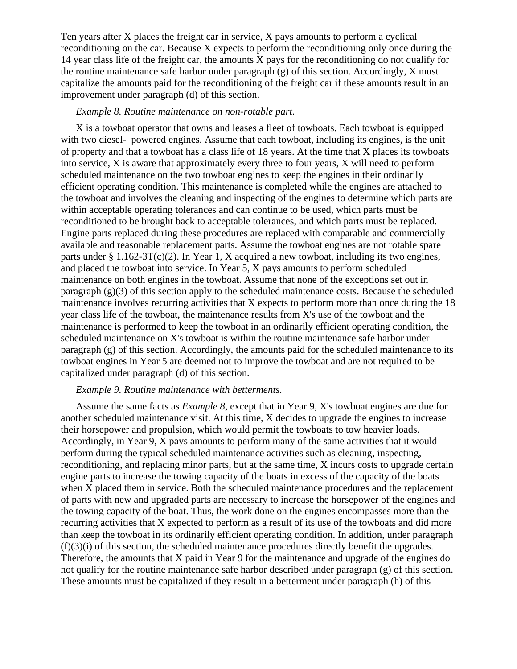Ten years after X places the freight car in service, X pays amounts to perform a cyclical reconditioning on the car. Because X expects to perform the reconditioning only once during the 14 year class life of the freight car, the amounts X pays for the reconditioning do not qualify for the routine maintenance safe harbor under paragraph (g) of this section. Accordingly, X must capitalize the amounts paid for the reconditioning of the freight car if these amounts result in an improvement under paragraph (d) of this section.

#### *Example 8. Routine maintenance on non-rotable part*.

X is a towboat operator that owns and leases a fleet of towboats. Each towboat is equipped with two diesel- powered engines. Assume that each towboat, including its engines, is the unit of property and that a towboat has a class life of 18 years. At the time that X places its towboats into service, X is aware that approximately every three to four years, X will need to perform scheduled maintenance on the two towboat engines to keep the engines in their ordinarily efficient operating condition. This maintenance is completed while the engines are attached to the towboat and involves the cleaning and inspecting of the engines to determine which parts are within acceptable operating tolerances and can continue to be used, which parts must be reconditioned to be brought back to acceptable tolerances, and which parts must be replaced. Engine parts replaced during these procedures are replaced with comparable and commercially available and reasonable replacement parts. Assume the towboat engines are not rotable spare parts under  $\S 1.162-3T(c)(2)$ . In Year 1, X acquired a new towboat, including its two engines, and placed the towboat into service. In Year 5, X pays amounts to perform scheduled maintenance on both engines in the towboat. Assume that none of the exceptions set out in paragraph  $(g)(3)$  of this section apply to the scheduled maintenance costs. Because the scheduled maintenance involves recurring activities that X expects to perform more than once during the 18 year class life of the towboat, the maintenance results from X's use of the towboat and the maintenance is performed to keep the towboat in an ordinarily efficient operating condition, the scheduled maintenance on X's towboat is within the routine maintenance safe harbor under paragraph (g) of this section. Accordingly, the amounts paid for the scheduled maintenance to its towboat engines in Year 5 are deemed not to improve the towboat and are not required to be capitalized under paragraph (d) of this section.

#### *Example 9. Routine maintenance with betterments.*

Assume the same facts as *Example 8,* except that in Year 9, X's towboat engines are due for another scheduled maintenance visit. At this time, X decides to upgrade the engines to increase their horsepower and propulsion, which would permit the towboats to tow heavier loads. Accordingly, in Year 9, X pays amounts to perform many of the same activities that it would perform during the typical scheduled maintenance activities such as cleaning, inspecting, reconditioning, and replacing minor parts, but at the same time, X incurs costs to upgrade certain engine parts to increase the towing capacity of the boats in excess of the capacity of the boats when X placed them in service. Both the scheduled maintenance procedures and the replacement of parts with new and upgraded parts are necessary to increase the horsepower of the engines and the towing capacity of the boat. Thus, the work done on the engines encompasses more than the recurring activities that X expected to perform as a result of its use of the towboats and did more than keep the towboat in its ordinarily efficient operating condition. In addition, under paragraph  $(f)(3)(i)$  of this section, the scheduled maintenance procedures directly benefit the upgrades. Therefore, the amounts that X paid in Year 9 for the maintenance and upgrade of the engines do not qualify for the routine maintenance safe harbor described under paragraph (g) of this section. These amounts must be capitalized if they result in a betterment under paragraph (h) of this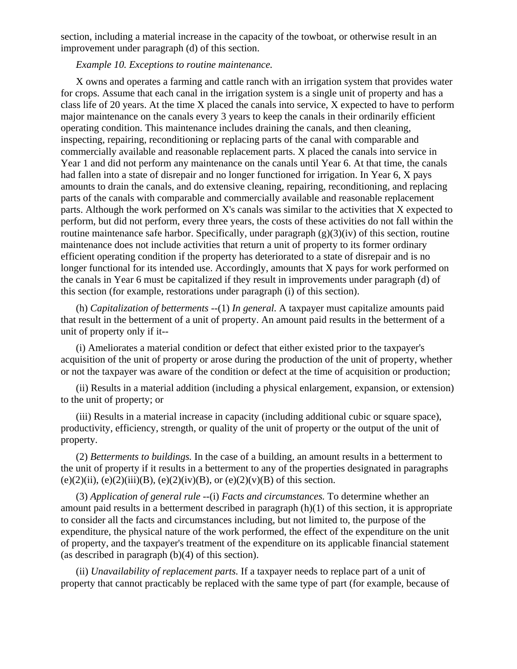section, including a material increase in the capacity of the towboat, or otherwise result in an improvement under paragraph (d) of this section.

## *Example 10. Exceptions to routine maintenance.*

X owns and operates a farming and cattle ranch with an irrigation system that provides water for crops. Assume that each canal in the irrigation system is a single unit of property and has a class life of 20 years. At the time X placed the canals into service, X expected to have to perform major maintenance on the canals every 3 years to keep the canals in their ordinarily efficient operating condition. This maintenance includes draining the canals, and then cleaning, inspecting, repairing, reconditioning or replacing parts of the canal with comparable and commercially available and reasonable replacement parts. X placed the canals into service in Year 1 and did not perform any maintenance on the canals until Year 6. At that time, the canals had fallen into a state of disrepair and no longer functioned for irrigation. In Year 6, X pays amounts to drain the canals, and do extensive cleaning, repairing, reconditioning, and replacing parts of the canals with comparable and commercially available and reasonable replacement parts. Although the work performed on X's canals was similar to the activities that X expected to perform, but did not perform, every three years, the costs of these activities do not fall within the routine maintenance safe harbor. Specifically, under paragraph  $(g)(3)(iv)$  of this section, routine maintenance does not include activities that return a unit of property to its former ordinary efficient operating condition if the property has deteriorated to a state of disrepair and is no longer functional for its intended use. Accordingly, amounts that X pays for work performed on the canals in Year 6 must be capitalized if they result in improvements under paragraph (d) of this section (for example, restorations under paragraph (i) of this section).

(h) *Capitalization of betterments* --(1) *In general.* A taxpayer must capitalize amounts paid that result in the betterment of a unit of property. An amount paid results in the betterment of a unit of property only if it--

(i) Ameliorates a material condition or defect that either existed prior to the taxpayer's acquisition of the unit of property or arose during the production of the unit of property, whether or not the taxpayer was aware of the condition or defect at the time of acquisition or production;

(ii) Results in a material addition (including a physical enlargement, expansion, or extension) to the unit of property; or

(iii) Results in a material increase in capacity (including additional cubic or square space), productivity, efficiency, strength, or quality of the unit of property or the output of the unit of property.

(2) *Betterments to buildings.* In the case of a building, an amount results in a betterment to the unit of property if it results in a betterment to any of the properties designated in paragraphs (e)(2)(ii), (e)(2)(iii)(B), (e)(2)(iv)(B), or (e)(2)(v)(B) of this section.

(3) *Application of general rule* --(i) *Facts and circumstances.* To determine whether an amount paid results in a betterment described in paragraph (h)(1) of this section, it is appropriate to consider all the facts and circumstances including, but not limited to, the purpose of the expenditure, the physical nature of the work performed, the effect of the expenditure on the unit of property, and the taxpayer's treatment of the expenditure on its applicable financial statement (as described in paragraph (b)(4) of this section).

(ii) *Unavailability of replacement parts.* If a taxpayer needs to replace part of a unit of property that cannot practicably be replaced with the same type of part (for example, because of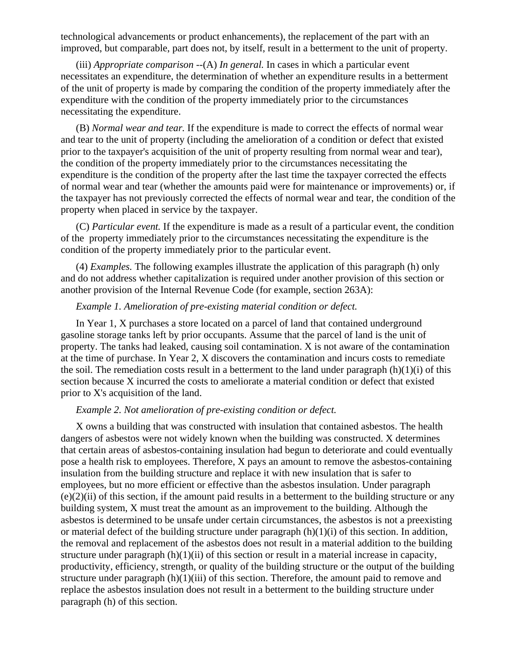technological advancements or product enhancements), the replacement of the part with an improved, but comparable, part does not, by itself, result in a betterment to the unit of property.

(iii) *Appropriate comparison* --(A) *In general.* In cases in which a particular event necessitates an expenditure, the determination of whether an expenditure results in a betterment of the unit of property is made by comparing the condition of the property immediately after the expenditure with the condition of the property immediately prior to the circumstances necessitating the expenditure.

(B) *Normal wear and tear.* If the expenditure is made to correct the effects of normal wear and tear to the unit of property (including the amelioration of a condition or defect that existed prior to the taxpayer's acquisition of the unit of property resulting from normal wear and tear), the condition of the property immediately prior to the circumstances necessitating the expenditure is the condition of the property after the last time the taxpayer corrected the effects of normal wear and tear (whether the amounts paid were for maintenance or improvements) or, if the taxpayer has not previously corrected the effects of normal wear and tear, the condition of the property when placed in service by the taxpayer.

(C) *Particular event.* If the expenditure is made as a result of a particular event, the condition of the property immediately prior to the circumstances necessitating the expenditure is the condition of the property immediately prior to the particular event.

(4) *Examples.* The following examples illustrate the application of this paragraph (h) only and do not address whether capitalization is required under another provision of this section or another provision of the Internal Revenue Code (for example, section 263A):

## *Example 1. Amelioration of pre-existing material condition or defect.*

In Year 1, X purchases a store located on a parcel of land that contained underground gasoline storage tanks left by prior occupants. Assume that the parcel of land is the unit of property. The tanks had leaked, causing soil contamination. X is not aware of the contamination at the time of purchase. In Year 2, X discovers the contamination and incurs costs to remediate the soil. The remediation costs result in a betterment to the land under paragraph  $(h)(1)(i)$  of this section because X incurred the costs to ameliorate a material condition or defect that existed prior to X's acquisition of the land.

#### *Example 2. Not amelioration of pre-existing condition or defect.*

X owns a building that was constructed with insulation that contained asbestos. The health dangers of asbestos were not widely known when the building was constructed. X determines that certain areas of asbestos-containing insulation had begun to deteriorate and could eventually pose a health risk to employees. Therefore, X pays an amount to remove the asbestos-containing insulation from the building structure and replace it with new insulation that is safer to employees, but no more efficient or effective than the asbestos insulation. Under paragraph  $(e)(2)(ii)$  of this section, if the amount paid results in a betterment to the building structure or any building system, X must treat the amount as an improvement to the building. Although the asbestos is determined to be unsafe under certain circumstances, the asbestos is not a preexisting or material defect of the building structure under paragraph  $(h)(1)(i)$  of this section. In addition, the removal and replacement of the asbestos does not result in a material addition to the building structure under paragraph  $(h)(1)(ii)$  of this section or result in a material increase in capacity, productivity, efficiency, strength, or quality of the building structure or the output of the building structure under paragraph  $(h)(1)(iii)$  of this section. Therefore, the amount paid to remove and replace the asbestos insulation does not result in a betterment to the building structure under paragraph (h) of this section.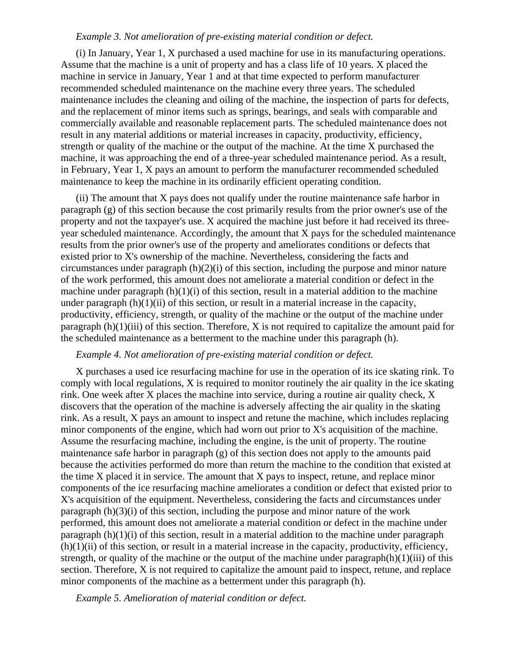#### *Example 3. Not amelioration of pre-existing material condition or defect.*

(i) In January, Year 1, X purchased a used machine for use in its manufacturing operations. Assume that the machine is a unit of property and has a class life of 10 years. X placed the machine in service in January, Year 1 and at that time expected to perform manufacturer recommended scheduled maintenance on the machine every three years. The scheduled maintenance includes the cleaning and oiling of the machine, the inspection of parts for defects, and the replacement of minor items such as springs, bearings, and seals with comparable and commercially available and reasonable replacement parts. The scheduled maintenance does not result in any material additions or material increases in capacity, productivity, efficiency, strength or quality of the machine or the output of the machine. At the time X purchased the machine, it was approaching the end of a three-year scheduled maintenance period. As a result, in February, Year 1, X pays an amount to perform the manufacturer recommended scheduled maintenance to keep the machine in its ordinarily efficient operating condition.

(ii) The amount that X pays does not qualify under the routine maintenance safe harbor in paragraph (g) of this section because the cost primarily results from the prior owner's use of the property and not the taxpayer's use. X acquired the machine just before it had received its threeyear scheduled maintenance. Accordingly, the amount that X pays for the scheduled maintenance results from the prior owner's use of the property and ameliorates conditions or defects that existed prior to X's ownership of the machine. Nevertheless, considering the facts and circumstances under paragraph (h)(2)(i) of this section, including the purpose and minor nature of the work performed, this amount does not ameliorate a material condition or defect in the machine under paragraph  $(h)(1)(i)$  of this section, result in a material addition to the machine under paragraph  $(h)(1)(ii)$  of this section, or result in a material increase in the capacity, productivity, efficiency, strength, or quality of the machine or the output of the machine under paragraph  $(h)(1)(iii)$  of this section. Therefore, X is not required to capitalize the amount paid for the scheduled maintenance as a betterment to the machine under this paragraph (h).

#### *Example 4. Not amelioration of pre-existing material condition or defect.*

X purchases a used ice resurfacing machine for use in the operation of its ice skating rink. To comply with local regulations, X is required to monitor routinely the air quality in the ice skating rink. One week after X places the machine into service, during a routine air quality check, X discovers that the operation of the machine is adversely affecting the air quality in the skating rink. As a result, X pays an amount to inspect and retune the machine, which includes replacing minor components of the engine, which had worn out prior to X's acquisition of the machine. Assume the resurfacing machine, including the engine, is the unit of property. The routine maintenance safe harbor in paragraph (g) of this section does not apply to the amounts paid because the activities performed do more than return the machine to the condition that existed at the time X placed it in service. The amount that X pays to inspect, retune, and replace minor components of the ice resurfacing machine ameliorates a condition or defect that existed prior to X's acquisition of the equipment. Nevertheless, considering the facts and circumstances under paragraph (h)(3)(i) of this section, including the purpose and minor nature of the work performed, this amount does not ameliorate a material condition or defect in the machine under paragraph  $(h)(1)(i)$  of this section, result in a material addition to the machine under paragraph  $(h)(1)(ii)$  of this section, or result in a material increase in the capacity, productivity, efficiency, strength, or quality of the machine or the output of the machine under paragraph $(h)(1)(iii)$  of this section. Therefore, X is not required to capitalize the amount paid to inspect, retune, and replace minor components of the machine as a betterment under this paragraph (h).

*Example 5. Amelioration of material condition or defect.*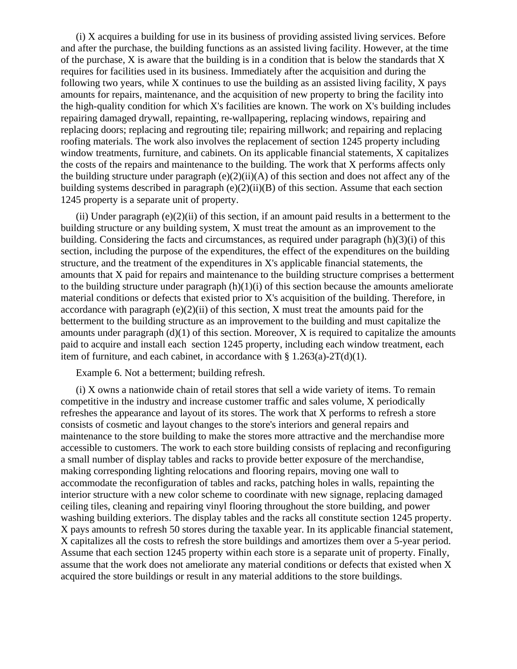(i) X acquires a building for use in its business of providing assisted living services. Before and after the purchase, the building functions as an assisted living facility. However, at the time of the purchase, X is aware that the building is in a condition that is below the standards that X requires for facilities used in its business. Immediately after the acquisition and during the following two years, while X continues to use the building as an assisted living facility, X pays amounts for repairs, maintenance, and the acquisition of new property to bring the facility into the high-quality condition for which X's facilities are known. The work on X's building includes repairing damaged drywall, repainting, re-wallpapering, replacing windows, repairing and replacing doors; replacing and regrouting tile; repairing millwork; and repairing and replacing roofing materials. The work also involves the replacement of section 1245 property including window treatments, furniture, and cabinets. On its applicable financial statements, X capitalizes the costs of the repairs and maintenance to the building. The work that X performs affects only the building structure under paragraph (e)(2)(ii)(A) of this section and does not affect any of the building systems described in paragraph (e)(2)(ii)(B) of this section. Assume that each section 1245 property is a separate unit of property.

(ii) Under paragraph  $(e)(2)(ii)$  of this section, if an amount paid results in a betterment to the building structure or any building system, X must treat the amount as an improvement to the building. Considering the facts and circumstances, as required under paragraph (h)(3)(i) of this section, including the purpose of the expenditures, the effect of the expenditures on the building structure, and the treatment of the expenditures in X's applicable financial statements, the amounts that X paid for repairs and maintenance to the building structure comprises a betterment to the building structure under paragraph  $(h)(1)(i)$  of this section because the amounts ameliorate material conditions or defects that existed prior to X's acquisition of the building. Therefore, in accordance with paragraph  $(e)(2)(ii)$  of this section, X must treat the amounts paid for the betterment to the building structure as an improvement to the building and must capitalize the amounts under paragraph  $(d)(1)$  of this section. Moreover, X is required to capitalize the amounts paid to acquire and install each section 1245 property, including each window treatment, each item of furniture, and each cabinet, in accordance with  $\S 1.263(a)$ -2T(d)(1).

Example 6. Not a betterment; building refresh.

(i) X owns a nationwide chain of retail stores that sell a wide variety of items. To remain competitive in the industry and increase customer traffic and sales volume, X periodically refreshes the appearance and layout of its stores. The work that X performs to refresh a store consists of cosmetic and layout changes to the store's interiors and general repairs and maintenance to the store building to make the stores more attractive and the merchandise more accessible to customers. The work to each store building consists of replacing and reconfiguring a small number of display tables and racks to provide better exposure of the merchandise, making corresponding lighting relocations and flooring repairs, moving one wall to accommodate the reconfiguration of tables and racks, patching holes in walls, repainting the interior structure with a new color scheme to coordinate with new signage, replacing damaged ceiling tiles, cleaning and repairing vinyl flooring throughout the store building, and power washing building exteriors. The display tables and the racks all constitute section 1245 property. X pays amounts to refresh 50 stores during the taxable year. In its applicable financial statement, X capitalizes all the costs to refresh the store buildings and amortizes them over a 5-year period. Assume that each section 1245 property within each store is a separate unit of property. Finally, assume that the work does not ameliorate any material conditions or defects that existed when X acquired the store buildings or result in any material additions to the store buildings.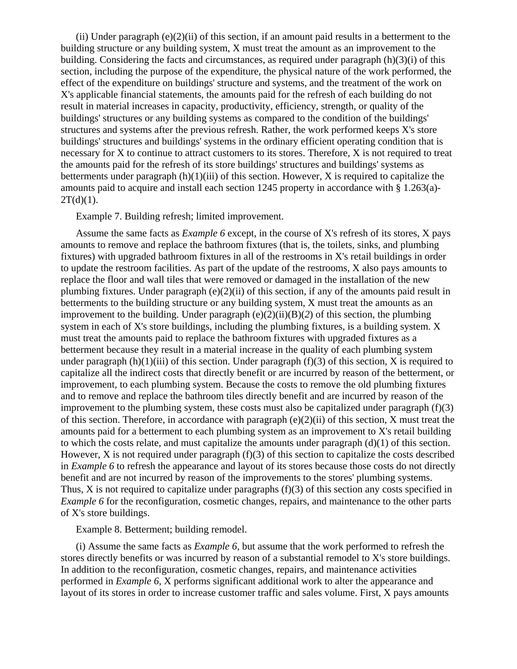(ii) Under paragraph  $(e)(2)(ii)$  of this section, if an amount paid results in a betterment to the building structure or any building system, X must treat the amount as an improvement to the building. Considering the facts and circumstances, as required under paragraph (h)(3)(i) of this section, including the purpose of the expenditure, the physical nature of the work performed, the effect of the expenditure on buildings' structure and systems, and the treatment of the work on X's applicable financial statements, the amounts paid for the refresh of each building do not result in material increases in capacity, productivity, efficiency, strength, or quality of the buildings' structures or any building systems as compared to the condition of the buildings' structures and systems after the previous refresh. Rather, the work performed keeps X's store buildings' structures and buildings' systems in the ordinary efficient operating condition that is necessary for X to continue to attract customers to its stores. Therefore, X is not required to treat the amounts paid for the refresh of its store buildings' structures and buildings' systems as betterments under paragraph  $(h)(1)(iii)$  of this section. However, X is required to capitalize the amounts paid to acquire and install each section 1245 property in accordance with § 1.263(a)-  $2T(d)(1)$ .

Example 7. Building refresh; limited improvement.

Assume the same facts as *Example 6* except, in the course of X's refresh of its stores, X pays amounts to remove and replace the bathroom fixtures (that is, the toilets, sinks, and plumbing fixtures) with upgraded bathroom fixtures in all of the restrooms in X's retail buildings in order to update the restroom facilities. As part of the update of the restrooms, X also pays amounts to replace the floor and wall tiles that were removed or damaged in the installation of the new plumbing fixtures. Under paragraph (e)(2)(ii) of this section, if any of the amounts paid result in betterments to the building structure or any building system, X must treat the amounts as an improvement to the building. Under paragraph (e)(2)(ii)(B)(*2*) of this section, the plumbing system in each of X's store buildings, including the plumbing fixtures, is a building system. X must treat the amounts paid to replace the bathroom fixtures with upgraded fixtures as a betterment because they result in a material increase in the quality of each plumbing system under paragraph  $(h)(1)(iii)$  of this section. Under paragraph  $(f)(3)$  of this section, X is required to capitalize all the indirect costs that directly benefit or are incurred by reason of the betterment, or improvement, to each plumbing system. Because the costs to remove the old plumbing fixtures and to remove and replace the bathroom tiles directly benefit and are incurred by reason of the improvement to the plumbing system, these costs must also be capitalized under paragraph  $(f)(3)$ of this section. Therefore, in accordance with paragraph (e)(2)(ii) of this section, X must treat the amounts paid for a betterment to each plumbing system as an improvement to X's retail building to which the costs relate, and must capitalize the amounts under paragraph  $(d)(1)$  of this section. However, X is not required under paragraph  $(f)(3)$  of this section to capitalize the costs described in *Example 6* to refresh the appearance and layout of its stores because those costs do not directly benefit and are not incurred by reason of the improvements to the stores' plumbing systems. Thus, X is not required to capitalize under paragraphs (f)(3) of this section any costs specified in *Example 6* for the reconfiguration, cosmetic changes, repairs, and maintenance to the other parts of X's store buildings.

Example 8. Betterment; building remodel.

(i) Assume the same facts as *Example 6,* but assume that the work performed to refresh the stores directly benefits or was incurred by reason of a substantial remodel to X's store buildings. In addition to the reconfiguration, cosmetic changes, repairs, and maintenance activities performed in *Example 6,* X performs significant additional work to alter the appearance and layout of its stores in order to increase customer traffic and sales volume. First, X pays amounts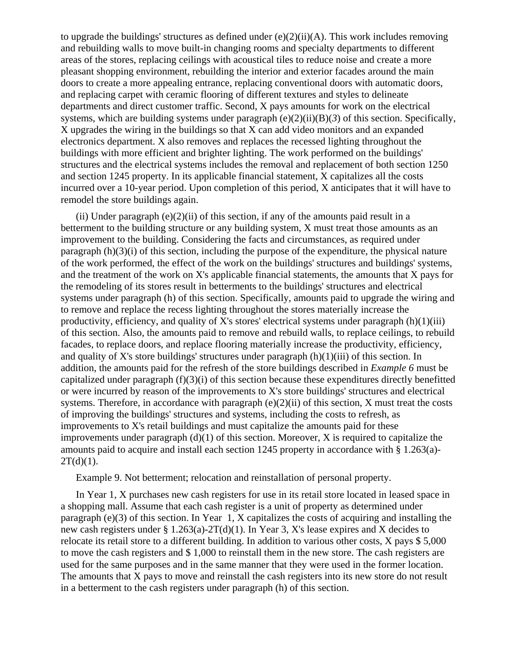to upgrade the buildings' structures as defined under  $(e)(2)(ii)(A)$ . This work includes removing and rebuilding walls to move built-in changing rooms and specialty departments to different areas of the stores, replacing ceilings with acoustical tiles to reduce noise and create a more pleasant shopping environment, rebuilding the interior and exterior facades around the main doors to create a more appealing entrance, replacing conventional doors with automatic doors, and replacing carpet with ceramic flooring of different textures and styles to delineate departments and direct customer traffic. Second, X pays amounts for work on the electrical systems, which are building systems under paragraph  $(e)(2)(ii)(B)(3)$  of this section. Specifically, X upgrades the wiring in the buildings so that X can add video monitors and an expanded electronics department. X also removes and replaces the recessed lighting throughout the buildings with more efficient and brighter lighting. The work performed on the buildings' structures and the electrical systems includes the removal and replacement of both section 1250 and section 1245 property. In its applicable financial statement, X capitalizes all the costs incurred over a 10-year period. Upon completion of this period, X anticipates that it will have to remodel the store buildings again.

(ii) Under paragraph  $(e)(2)(ii)$  of this section, if any of the amounts paid result in a betterment to the building structure or any building system, X must treat those amounts as an improvement to the building. Considering the facts and circumstances, as required under paragraph (h)(3)(i) of this section, including the purpose of the expenditure, the physical nature of the work performed, the effect of the work on the buildings' structures and buildings' systems, and the treatment of the work on X's applicable financial statements, the amounts that X pays for the remodeling of its stores result in betterments to the buildings' structures and electrical systems under paragraph (h) of this section. Specifically, amounts paid to upgrade the wiring and to remove and replace the recess lighting throughout the stores materially increase the productivity, efficiency, and quality of X's stores' electrical systems under paragraph  $(h)(1)(iii)$ of this section. Also, the amounts paid to remove and rebuild walls, to replace ceilings, to rebuild facades, to replace doors, and replace flooring materially increase the productivity, efficiency, and quality of X's store buildings' structures under paragraph  $(h)(1)(iii)$  of this section. In addition, the amounts paid for the refresh of the store buildings described in *Example 6* must be capitalized under paragraph (f)(3)(i) of this section because these expenditures directly benefitted or were incurred by reason of the improvements to X's store buildings' structures and electrical systems. Therefore, in accordance with paragraph  $(e)(2)(ii)$  of this section, X must treat the costs of improving the buildings' structures and systems, including the costs to refresh, as improvements to X's retail buildings and must capitalize the amounts paid for these improvements under paragraph  $(d)(1)$  of this section. Moreover, X is required to capitalize the amounts paid to acquire and install each section 1245 property in accordance with § 1.263(a)-  $2T(d)(1)$ .

Example 9. Not betterment; relocation and reinstallation of personal property.

In Year 1, X purchases new cash registers for use in its retail store located in leased space in a shopping mall. Assume that each cash register is a unit of property as determined under paragraph (e)(3) of this section. In Year 1, X capitalizes the costs of acquiring and installing the new cash registers under § 1.263(a)-2T(d)(1). In Year 3, X's lease expires and X decides to relocate its retail store to a different building. In addition to various other costs, X pays \$ 5,000 to move the cash registers and \$ 1,000 to reinstall them in the new store. The cash registers are used for the same purposes and in the same manner that they were used in the former location. The amounts that X pays to move and reinstall the cash registers into its new store do not result in a betterment to the cash registers under paragraph (h) of this section.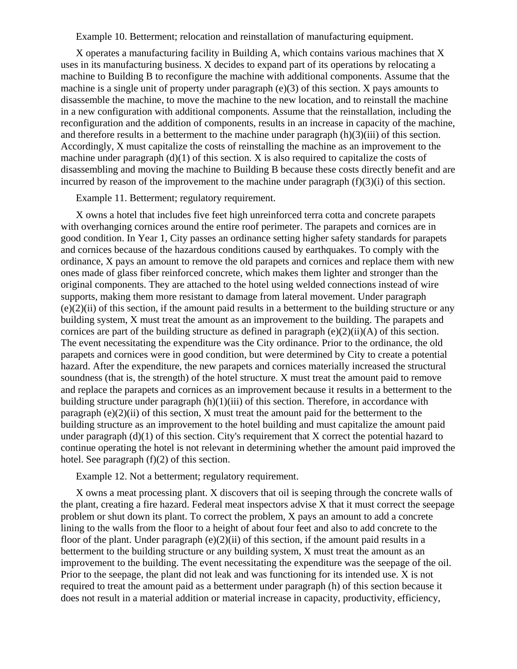Example 10. Betterment; relocation and reinstallation of manufacturing equipment.

X operates a manufacturing facility in Building A, which contains various machines that X uses in its manufacturing business. X decides to expand part of its operations by relocating a machine to Building B to reconfigure the machine with additional components. Assume that the machine is a single unit of property under paragraph (e)(3) of this section. X pays amounts to disassemble the machine, to move the machine to the new location, and to reinstall the machine in a new configuration with additional components. Assume that the reinstallation, including the reconfiguration and the addition of components, results in an increase in capacity of the machine, and therefore results in a betterment to the machine under paragraph (h)(3)(iii) of this section. Accordingly, X must capitalize the costs of reinstalling the machine as an improvement to the machine under paragraph  $(d)(1)$  of this section. X is also required to capitalize the costs of disassembling and moving the machine to Building B because these costs directly benefit and are incurred by reason of the improvement to the machine under paragraph (f)(3)(i) of this section.

Example 11. Betterment; regulatory requirement.

X owns a hotel that includes five feet high unreinforced terra cotta and concrete parapets with overhanging cornices around the entire roof perimeter. The parapets and cornices are in good condition. In Year 1, City passes an ordinance setting higher safety standards for parapets and cornices because of the hazardous conditions caused by earthquakes. To comply with the ordinance, X pays an amount to remove the old parapets and cornices and replace them with new ones made of glass fiber reinforced concrete, which makes them lighter and stronger than the original components. They are attached to the hotel using welded connections instead of wire supports, making them more resistant to damage from lateral movement. Under paragraph  $(e)(2)(ii)$  of this section, if the amount paid results in a betterment to the building structure or any building system, X must treat the amount as an improvement to the building. The parapets and cornices are part of the building structure as defined in paragraph  $(e)(2)(ii)(A)$  of this section. The event necessitating the expenditure was the City ordinance. Prior to the ordinance, the old parapets and cornices were in good condition, but were determined by City to create a potential hazard. After the expenditure, the new parapets and cornices materially increased the structural soundness (that is, the strength) of the hotel structure. X must treat the amount paid to remove and replace the parapets and cornices as an improvement because it results in a betterment to the building structure under paragraph  $(h)(1)(iii)$  of this section. Therefore, in accordance with paragraph  $(e)(2)(ii)$  of this section, X must treat the amount paid for the betterment to the building structure as an improvement to the hotel building and must capitalize the amount paid under paragraph (d)(1) of this section. City's requirement that X correct the potential hazard to continue operating the hotel is not relevant in determining whether the amount paid improved the hotel. See paragraph (f)(2) of this section.

Example 12. Not a betterment; regulatory requirement.

X owns a meat processing plant. X discovers that oil is seeping through the concrete walls of the plant, creating a fire hazard. Federal meat inspectors advise X that it must correct the seepage problem or shut down its plant. To correct the problem, X pays an amount to add a concrete lining to the walls from the floor to a height of about four feet and also to add concrete to the floor of the plant. Under paragraph  $(e)(2)(ii)$  of this section, if the amount paid results in a betterment to the building structure or any building system, X must treat the amount as an improvement to the building. The event necessitating the expenditure was the seepage of the oil. Prior to the seepage, the plant did not leak and was functioning for its intended use. X is not required to treat the amount paid as a betterment under paragraph (h) of this section because it does not result in a material addition or material increase in capacity, productivity, efficiency,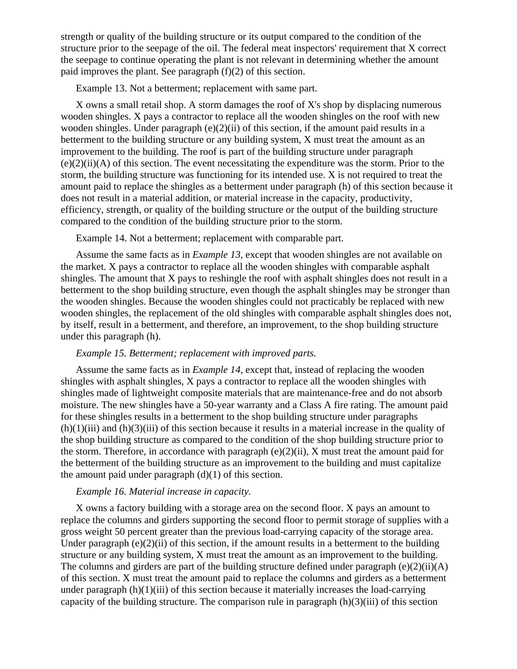strength or quality of the building structure or its output compared to the condition of the structure prior to the seepage of the oil. The federal meat inspectors' requirement that X correct the seepage to continue operating the plant is not relevant in determining whether the amount paid improves the plant. See paragraph (f)(2) of this section.

Example 13. Not a betterment; replacement with same part.

X owns a small retail shop. A storm damages the roof of X's shop by displacing numerous wooden shingles. X pays a contractor to replace all the wooden shingles on the roof with new wooden shingles. Under paragraph (e)(2)(ii) of this section, if the amount paid results in a betterment to the building structure or any building system, X must treat the amount as an improvement to the building. The roof is part of the building structure under paragraph (e)(2)(ii)(A) of this section. The event necessitating the expenditure was the storm. Prior to the storm, the building structure was functioning for its intended use. X is not required to treat the amount paid to replace the shingles as a betterment under paragraph (h) of this section because it does not result in a material addition, or material increase in the capacity, productivity, efficiency, strength, or quality of the building structure or the output of the building structure compared to the condition of the building structure prior to the storm.

Example 14. Not a betterment; replacement with comparable part.

Assume the same facts as in *Example 13,* except that wooden shingles are not available on the market. X pays a contractor to replace all the wooden shingles with comparable asphalt shingles. The amount that X pays to reshingle the roof with asphalt shingles does not result in a betterment to the shop building structure, even though the asphalt shingles may be stronger than the wooden shingles. Because the wooden shingles could not practicably be replaced with new wooden shingles, the replacement of the old shingles with comparable asphalt shingles does not, by itself, result in a betterment, and therefore, an improvement, to the shop building structure under this paragraph (h).

#### *Example 15. Betterment; replacement with improved parts.*

Assume the same facts as in *Example 14,* except that, instead of replacing the wooden shingles with asphalt shingles, X pays a contractor to replace all the wooden shingles with shingles made of lightweight composite materials that are maintenance-free and do not absorb moisture. The new shingles have a 50-year warranty and a Class A fire rating. The amount paid for these shingles results in a betterment to the shop building structure under paragraphs  $(h)(1)(iii)$  and  $(h)(3)(iii)$  of this section because it results in a material increase in the quality of the shop building structure as compared to the condition of the shop building structure prior to the storm. Therefore, in accordance with paragraph (e)(2)(ii), X must treat the amount paid for the betterment of the building structure as an improvement to the building and must capitalize the amount paid under paragraph  $(d)(1)$  of this section.

## *Example 16. Material increase in capacity.*

X owns a factory building with a storage area on the second floor. X pays an amount to replace the columns and girders supporting the second floor to permit storage of supplies with a gross weight 50 percent greater than the previous load-carrying capacity of the storage area. Under paragraph  $(e)(2)(ii)$  of this section, if the amount results in a betterment to the building structure or any building system, X must treat the amount as an improvement to the building. The columns and girders are part of the building structure defined under paragraph  $(e)(2)(ii)(A)$ of this section. X must treat the amount paid to replace the columns and girders as a betterment under paragraph  $(h)(1)(iii)$  of this section because it materially increases the load-carrying capacity of the building structure. The comparison rule in paragraph  $(h)(3)(iii)$  of this section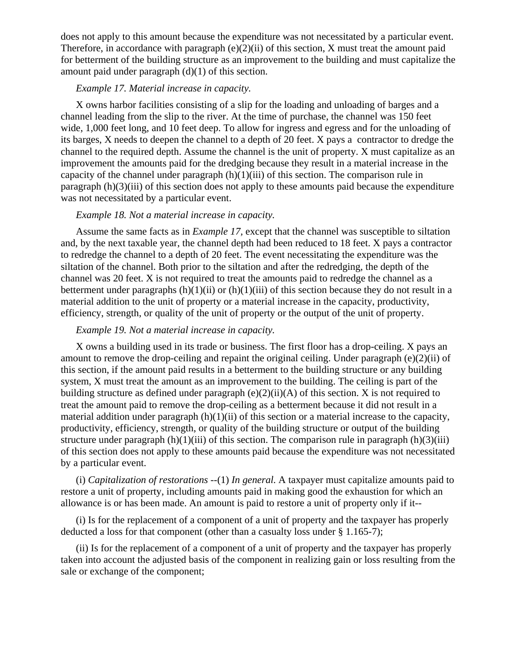does not apply to this amount because the expenditure was not necessitated by a particular event. Therefore, in accordance with paragraph (e)(2)(ii) of this section, X must treat the amount paid for betterment of the building structure as an improvement to the building and must capitalize the amount paid under paragraph (d)(1) of this section.

## *Example 17. Material increase in capacity.*

X owns harbor facilities consisting of a slip for the loading and unloading of barges and a channel leading from the slip to the river. At the time of purchase, the channel was 150 feet wide, 1,000 feet long, and 10 feet deep. To allow for ingress and egress and for the unloading of its barges, X needs to deepen the channel to a depth of 20 feet. X pays a contractor to dredge the channel to the required depth. Assume the channel is the unit of property. X must capitalize as an improvement the amounts paid for the dredging because they result in a material increase in the capacity of the channel under paragraph  $(h)(1)(iii)$  of this section. The comparison rule in paragraph (h)(3)(iii) of this section does not apply to these amounts paid because the expenditure was not necessitated by a particular event.

## *Example 18. Not a material increase in capacity.*

Assume the same facts as in *Example 17,* except that the channel was susceptible to siltation and, by the next taxable year, the channel depth had been reduced to 18 feet. X pays a contractor to redredge the channel to a depth of 20 feet. The event necessitating the expenditure was the siltation of the channel. Both prior to the siltation and after the redredging, the depth of the channel was 20 feet. X is not required to treat the amounts paid to redredge the channel as a betterment under paragraphs  $(h)(1)(ii)$  or  $(h)(1)(iii)$  of this section because they do not result in a material addition to the unit of property or a material increase in the capacity, productivity, efficiency, strength, or quality of the unit of property or the output of the unit of property.

### *Example 19. Not a material increase in capacity.*

X owns a building used in its trade or business. The first floor has a drop-ceiling. X pays an amount to remove the drop-ceiling and repaint the original ceiling. Under paragraph (e)(2)(ii) of this section, if the amount paid results in a betterment to the building structure or any building system, X must treat the amount as an improvement to the building. The ceiling is part of the building structure as defined under paragraph  $(e)(2)(ii)(A)$  of this section. X is not required to treat the amount paid to remove the drop-ceiling as a betterment because it did not result in a material addition under paragraph  $(h)(1)(ii)$  of this section or a material increase to the capacity, productivity, efficiency, strength, or quality of the building structure or output of the building structure under paragraph  $(h)(1)(iii)$  of this section. The comparison rule in paragraph  $(h)(3)(iii)$ of this section does not apply to these amounts paid because the expenditure was not necessitated by a particular event.

(i) *Capitalization of restorations* --(1) *In general.* A taxpayer must capitalize amounts paid to restore a unit of property, including amounts paid in making good the exhaustion for which an allowance is or has been made. An amount is paid to restore a unit of property only if it--

(i) Is for the replacement of a component of a unit of property and the taxpayer has properly deducted a loss for that component (other than a casualty loss under § 1.165-7);

(ii) Is for the replacement of a component of a unit of property and the taxpayer has properly taken into account the adjusted basis of the component in realizing gain or loss resulting from the sale or exchange of the component;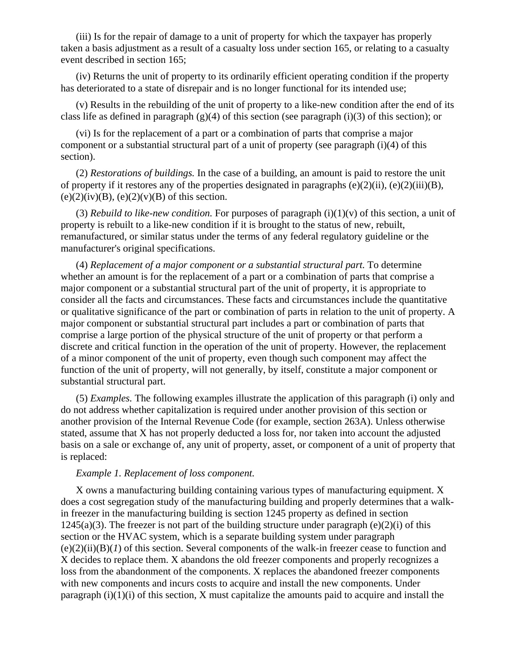(iii) Is for the repair of damage to a unit of property for which the taxpayer has properly taken a basis adjustment as a result of a casualty loss under section 165, or relating to a casualty event described in section 165;

(iv) Returns the unit of property to its ordinarily efficient operating condition if the property has deteriorated to a state of disrepair and is no longer functional for its intended use;

(v) Results in the rebuilding of the unit of property to a like-new condition after the end of its class life as defined in paragraph  $(g)(4)$  of this section (see paragraph (i)(3) of this section); or

(vi) Is for the replacement of a part or a combination of parts that comprise a major component or a substantial structural part of a unit of property (see paragraph (i)(4) of this section).

(2) *Restorations of buildings.* In the case of a building, an amount is paid to restore the unit of property if it restores any of the properties designated in paragraphs (e)(2)(ii), (e)(2)(iii)(B),  $(e)(2)(iv)(B)$ ,  $(e)(2)(v)(B)$  of this section.

(3) *Rebuild to like-new condition.* For purposes of paragraph  $(i)(1)(v)$  of this section, a unit of property is rebuilt to a like-new condition if it is brought to the status of new, rebuilt, remanufactured, or similar status under the terms of any federal regulatory guideline or the manufacturer's original specifications.

(4) *Replacement of a major component or a substantial structural part.* To determine whether an amount is for the replacement of a part or a combination of parts that comprise a major component or a substantial structural part of the unit of property, it is appropriate to consider all the facts and circumstances. These facts and circumstances include the quantitative or qualitative significance of the part or combination of parts in relation to the unit of property. A major component or substantial structural part includes a part or combination of parts that comprise a large portion of the physical structure of the unit of property or that perform a discrete and critical function in the operation of the unit of property. However, the replacement of a minor component of the unit of property, even though such component may affect the function of the unit of property, will not generally, by itself, constitute a major component or substantial structural part.

(5) *Examples.* The following examples illustrate the application of this paragraph (i) only and do not address whether capitalization is required under another provision of this section or another provision of the Internal Revenue Code (for example, section 263A). Unless otherwise stated, assume that X has not properly deducted a loss for, nor taken into account the adjusted basis on a sale or exchange of, any unit of property, asset, or component of a unit of property that is replaced:

#### *Example 1. Replacement of loss component.*

X owns a manufacturing building containing various types of manufacturing equipment. X does a cost segregation study of the manufacturing building and properly determines that a walkin freezer in the manufacturing building is section 1245 property as defined in section  $1245(a)(3)$ . The freezer is not part of the building structure under paragraph (e)(2)(i) of this section or the HVAC system, which is a separate building system under paragraph  $(e)(2)(ii)(B)(I)$  of this section. Several components of the walk-in freezer cease to function and X decides to replace them. X abandons the old freezer components and properly recognizes a loss from the abandonment of the components. X replaces the abandoned freezer components with new components and incurs costs to acquire and install the new components. Under paragraph  $(i)(1)(i)$  of this section, X must capitalize the amounts paid to acquire and install the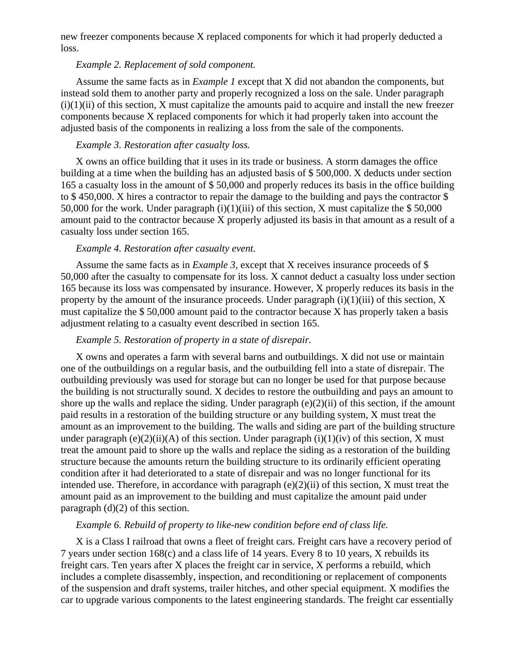new freezer components because X replaced components for which it had properly deducted a loss.

# *Example 2. Replacement of sold component.*

Assume the same facts as in *Example 1* except that X did not abandon the components, but instead sold them to another party and properly recognized a loss on the sale. Under paragraph  $(i)(1)(ii)$  of this section, X must capitalize the amounts paid to acquire and install the new freezer components because X replaced components for which it had properly taken into account the adjusted basis of the components in realizing a loss from the sale of the components.

## *Example 3. Restoration after casualty loss.*

X owns an office building that it uses in its trade or business. A storm damages the office building at a time when the building has an adjusted basis of \$ 500,000. X deducts under section 165 a casualty loss in the amount of \$ 50,000 and properly reduces its basis in the office building to \$ 450,000. X hires a contractor to repair the damage to the building and pays the contractor \$ 50,000 for the work. Under paragraph  $(i)(1)(iii)$  of this section, X must capitalize the \$50,000 amount paid to the contractor because X properly adjusted its basis in that amount as a result of a casualty loss under section 165.

#### *Example 4. Restoration after casualty event.*

Assume the same facts as in *Example 3,* except that X receives insurance proceeds of \$ 50,000 after the casualty to compensate for its loss. X cannot deduct a casualty loss under section 165 because its loss was compensated by insurance. However, X properly reduces its basis in the property by the amount of the insurance proceeds. Under paragraph  $(i)(1)(iii)$  of this section, X must capitalize the \$ 50,000 amount paid to the contractor because X has properly taken a basis adjustment relating to a casualty event described in section 165.

### *Example 5. Restoration of property in a state of disrepair.*

X owns and operates a farm with several barns and outbuildings. X did not use or maintain one of the outbuildings on a regular basis, and the outbuilding fell into a state of disrepair. The outbuilding previously was used for storage but can no longer be used for that purpose because the building is not structurally sound. X decides to restore the outbuilding and pays an amount to shore up the walls and replace the siding. Under paragraph  $(e)(2)(ii)$  of this section, if the amount paid results in a restoration of the building structure or any building system, X must treat the amount as an improvement to the building. The walls and siding are part of the building structure under paragraph (e)(2)(ii)(A) of this section. Under paragraph (i)(1)(iv) of this section, X must treat the amount paid to shore up the walls and replace the siding as a restoration of the building structure because the amounts return the building structure to its ordinarily efficient operating condition after it had deteriorated to a state of disrepair and was no longer functional for its intended use. Therefore, in accordance with paragraph (e)(2)(ii) of this section, X must treat the amount paid as an improvement to the building and must capitalize the amount paid under paragraph (d)(2) of this section.

## *Example 6. Rebuild of property to like-new condition before end of class life.*

X is a Class I railroad that owns a fleet of freight cars. Freight cars have a recovery period of 7 years under section 168(c) and a class life of 14 years. Every 8 to 10 years, X rebuilds its freight cars. Ten years after X places the freight car in service, X performs a rebuild, which includes a complete disassembly, inspection, and reconditioning or replacement of components of the suspension and draft systems, trailer hitches, and other special equipment. X modifies the car to upgrade various components to the latest engineering standards. The freight car essentially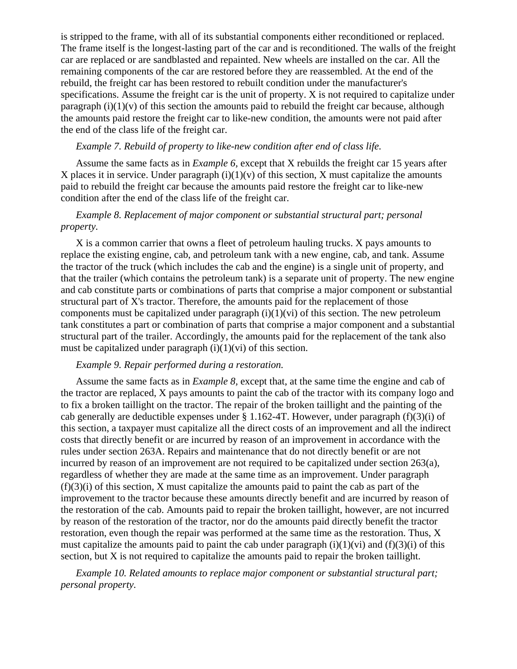is stripped to the frame, with all of its substantial components either reconditioned or replaced. The frame itself is the longest-lasting part of the car and is reconditioned. The walls of the freight car are replaced or are sandblasted and repainted. New wheels are installed on the car. All the remaining components of the car are restored before they are reassembled. At the end of the rebuild, the freight car has been restored to rebuilt condition under the manufacturer's specifications. Assume the freight car is the unit of property. X is not required to capitalize under paragraph  $(i)(1)(v)$  of this section the amounts paid to rebuild the freight car because, although the amounts paid restore the freight car to like-new condition, the amounts were not paid after the end of the class life of the freight car.

## *Example 7. Rebuild of property to like-new condition after end of class life.*

Assume the same facts as in *Example 6,* except that X rebuilds the freight car 15 years after X places it in service. Under paragraph  $(i)(1)(v)$  of this section, X must capitalize the amounts paid to rebuild the freight car because the amounts paid restore the freight car to like-new condition after the end of the class life of the freight car.

# *Example 8. Replacement of major component or substantial structural part; personal property.*

X is a common carrier that owns a fleet of petroleum hauling trucks. X pays amounts to replace the existing engine, cab, and petroleum tank with a new engine, cab, and tank. Assume the tractor of the truck (which includes the cab and the engine) is a single unit of property, and that the trailer (which contains the petroleum tank) is a separate unit of property. The new engine and cab constitute parts or combinations of parts that comprise a major component or substantial structural part of X's tractor. Therefore, the amounts paid for the replacement of those components must be capitalized under paragraph  $(i)(1)(vi)$  of this section. The new petroleum tank constitutes a part or combination of parts that comprise a major component and a substantial structural part of the trailer. Accordingly, the amounts paid for the replacement of the tank also must be capitalized under paragraph  $(i)(1)(vi)$  of this section.

## *Example 9. Repair performed during a restoration.*

Assume the same facts as in *Example 8,* except that, at the same time the engine and cab of the tractor are replaced, X pays amounts to paint the cab of the tractor with its company logo and to fix a broken taillight on the tractor. The repair of the broken taillight and the painting of the cab generally are deductible expenses under  $\S 1.162-4T$ . However, under paragraph (f)(3)(i) of this section, a taxpayer must capitalize all the direct costs of an improvement and all the indirect costs that directly benefit or are incurred by reason of an improvement in accordance with the rules under section 263A. Repairs and maintenance that do not directly benefit or are not incurred by reason of an improvement are not required to be capitalized under section  $263(a)$ , regardless of whether they are made at the same time as an improvement. Under paragraph  $(f)(3)(i)$  of this section, X must capitalize the amounts paid to paint the cab as part of the improvement to the tractor because these amounts directly benefit and are incurred by reason of the restoration of the cab. Amounts paid to repair the broken taillight, however, are not incurred by reason of the restoration of the tractor, nor do the amounts paid directly benefit the tractor restoration, even though the repair was performed at the same time as the restoration. Thus, X must capitalize the amounts paid to paint the cab under paragraph  $(i)(1)(vi)$  and  $(f)(3)(i)$  of this section, but X is not required to capitalize the amounts paid to repair the broken taillight.

*Example 10. Related amounts to replace major component or substantial structural part; personal property.*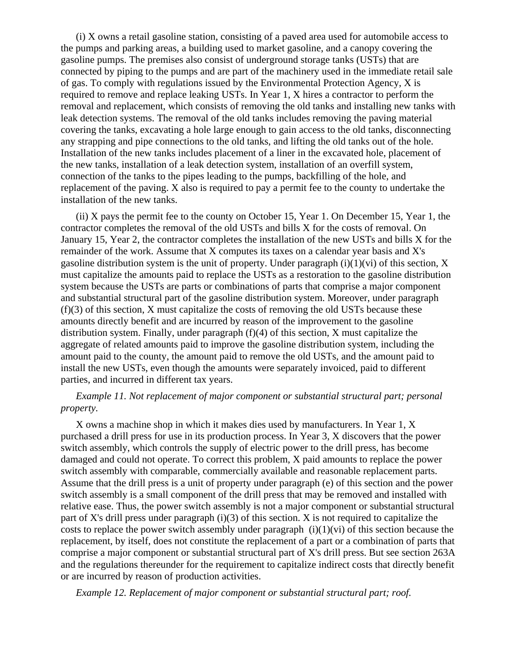(i) X owns a retail gasoline station, consisting of a paved area used for automobile access to the pumps and parking areas, a building used to market gasoline, and a canopy covering the gasoline pumps. The premises also consist of underground storage tanks (USTs) that are connected by piping to the pumps and are part of the machinery used in the immediate retail sale of gas. To comply with regulations issued by the Environmental Protection Agency, X is required to remove and replace leaking USTs. In Year 1, X hires a contractor to perform the removal and replacement, which consists of removing the old tanks and installing new tanks with leak detection systems. The removal of the old tanks includes removing the paving material covering the tanks, excavating a hole large enough to gain access to the old tanks, disconnecting any strapping and pipe connections to the old tanks, and lifting the old tanks out of the hole. Installation of the new tanks includes placement of a liner in the excavated hole, placement of the new tanks, installation of a leak detection system, installation of an overfill system, connection of the tanks to the pipes leading to the pumps, backfilling of the hole, and replacement of the paving. X also is required to pay a permit fee to the county to undertake the installation of the new tanks.

(ii) X pays the permit fee to the county on October 15, Year 1. On December 15, Year 1, the contractor completes the removal of the old USTs and bills X for the costs of removal. On January 15, Year 2, the contractor completes the installation of the new USTs and bills X for the remainder of the work. Assume that X computes its taxes on a calendar year basis and X's gasoline distribution system is the unit of property. Under paragraph  $(i)(1)(vi)$  of this section, X must capitalize the amounts paid to replace the USTs as a restoration to the gasoline distribution system because the USTs are parts or combinations of parts that comprise a major component and substantial structural part of the gasoline distribution system. Moreover, under paragraph  $(f)(3)$  of this section, X must capitalize the costs of removing the old USTs because these amounts directly benefit and are incurred by reason of the improvement to the gasoline distribution system. Finally, under paragraph (f)(4) of this section, X must capitalize the aggregate of related amounts paid to improve the gasoline distribution system, including the amount paid to the county, the amount paid to remove the old USTs, and the amount paid to install the new USTs, even though the amounts were separately invoiced, paid to different parties, and incurred in different tax years.

## *Example 11. Not replacement of major component or substantial structural part; personal property.*

X owns a machine shop in which it makes dies used by manufacturers. In Year 1, X purchased a drill press for use in its production process. In Year 3, X discovers that the power switch assembly, which controls the supply of electric power to the drill press, has become damaged and could not operate. To correct this problem, X paid amounts to replace the power switch assembly with comparable, commercially available and reasonable replacement parts. Assume that the drill press is a unit of property under paragraph (e) of this section and the power switch assembly is a small component of the drill press that may be removed and installed with relative ease. Thus, the power switch assembly is not a major component or substantial structural part of X's drill press under paragraph (i)(3) of this section. X is not required to capitalize the costs to replace the power switch assembly under paragraph  $(i)(1)(vi)$  of this section because the replacement, by itself, does not constitute the replacement of a part or a combination of parts that comprise a major component or substantial structural part of X's drill press. But see section 263A and the regulations thereunder for the requirement to capitalize indirect costs that directly benefit or are incurred by reason of production activities.

*Example 12. Replacement of major component or substantial structural part; roof.*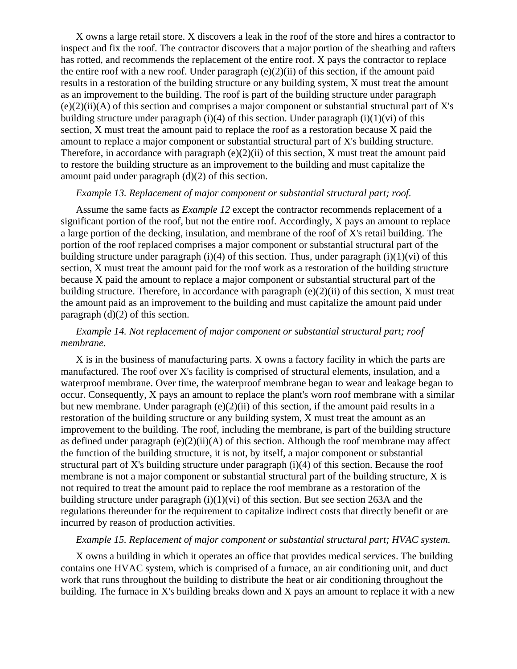X owns a large retail store. X discovers a leak in the roof of the store and hires a contractor to inspect and fix the roof. The contractor discovers that a major portion of the sheathing and rafters has rotted, and recommends the replacement of the entire roof. X pays the contractor to replace the entire roof with a new roof. Under paragraph  $(e)(2)(ii)$  of this section, if the amount paid results in a restoration of the building structure or any building system, X must treat the amount as an improvement to the building. The roof is part of the building structure under paragraph  $(e)(2)(ii)$ (A) of this section and comprises a major component or substantial structural part of X's building structure under paragraph (i)(4) of this section. Under paragraph (i)(1)(vi) of this section, X must treat the amount paid to replace the roof as a restoration because X paid the amount to replace a major component or substantial structural part of X's building structure. Therefore, in accordance with paragraph (e)(2)(ii) of this section, X must treat the amount paid to restore the building structure as an improvement to the building and must capitalize the amount paid under paragraph (d)(2) of this section.

### *Example 13. Replacement of major component or substantial structural part; roof.*

Assume the same facts as *Example 12* except the contractor recommends replacement of a significant portion of the roof, but not the entire roof. Accordingly, X pays an amount to replace a large portion of the decking, insulation, and membrane of the roof of X's retail building. The portion of the roof replaced comprises a major component or substantial structural part of the building structure under paragraph (i)(4) of this section. Thus, under paragraph (i)(1)(vi) of this section, X must treat the amount paid for the roof work as a restoration of the building structure because X paid the amount to replace a major component or substantial structural part of the building structure. Therefore, in accordance with paragraph  $(e)(2)(ii)$  of this section, X must treat the amount paid as an improvement to the building and must capitalize the amount paid under paragraph  $(d)(2)$  of this section.

# *Example 14. Not replacement of major component or substantial structural part; roof membrane.*

X is in the business of manufacturing parts. X owns a factory facility in which the parts are manufactured. The roof over X's facility is comprised of structural elements, insulation, and a waterproof membrane. Over time, the waterproof membrane began to wear and leakage began to occur. Consequently, X pays an amount to replace the plant's worn roof membrane with a similar but new membrane. Under paragraph (e)(2)(ii) of this section, if the amount paid results in a restoration of the building structure or any building system, X must treat the amount as an improvement to the building. The roof, including the membrane, is part of the building structure as defined under paragraph  $(e)(2)(ii)(A)$  of this section. Although the roof membrane may affect the function of the building structure, it is not, by itself, a major component or substantial structural part of X's building structure under paragraph (i)(4) of this section. Because the roof membrane is not a major component or substantial structural part of the building structure, X is not required to treat the amount paid to replace the roof membrane as a restoration of the building structure under paragraph  $(i)(1)(vi)$  of this section. But see section 263A and the regulations thereunder for the requirement to capitalize indirect costs that directly benefit or are incurred by reason of production activities.

# *Example 15. Replacement of major component or substantial structural part; HVAC system.*

X owns a building in which it operates an office that provides medical services. The building contains one HVAC system, which is comprised of a furnace, an air conditioning unit, and duct work that runs throughout the building to distribute the heat or air conditioning throughout the building. The furnace in X's building breaks down and X pays an amount to replace it with a new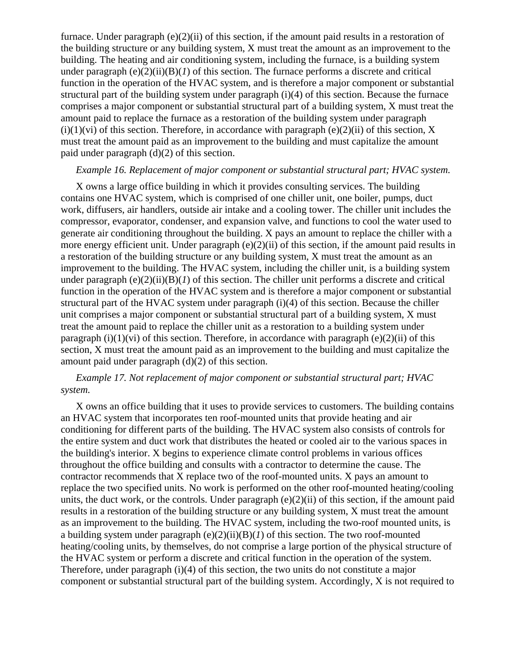furnace. Under paragraph  $(e)(2)(ii)$  of this section, if the amount paid results in a restoration of the building structure or any building system, X must treat the amount as an improvement to the building. The heating and air conditioning system, including the furnace, is a building system under paragraph  $(e)(2)(ii)(B)(I)$  of this section. The furnace performs a discrete and critical function in the operation of the HVAC system, and is therefore a major component or substantial structural part of the building system under paragraph (i)(4) of this section. Because the furnace comprises a major component or substantial structural part of a building system, X must treat the amount paid to replace the furnace as a restoration of the building system under paragraph  $(i)(1)(vi)$  of this section. Therefore, in accordance with paragraph  $(e)(2)(ii)$  of this section, X must treat the amount paid as an improvement to the building and must capitalize the amount paid under paragraph (d)(2) of this section.

#### *Example 16. Replacement of major component or substantial structural part; HVAC system.*

X owns a large office building in which it provides consulting services. The building contains one HVAC system, which is comprised of one chiller unit, one boiler, pumps, duct work, diffusers, air handlers, outside air intake and a cooling tower. The chiller unit includes the compressor, evaporator, condenser, and expansion valve, and functions to cool the water used to generate air conditioning throughout the building. X pays an amount to replace the chiller with a more energy efficient unit. Under paragraph (e)(2)(ii) of this section, if the amount paid results in a restoration of the building structure or any building system, X must treat the amount as an improvement to the building. The HVAC system, including the chiller unit, is a building system under paragraph  $(e)(2)(ii)(B)(I)$  of this section. The chiller unit performs a discrete and critical function in the operation of the HVAC system and is therefore a major component or substantial structural part of the HVAC system under paragraph (i)(4) of this section. Because the chiller unit comprises a major component or substantial structural part of a building system, X must treat the amount paid to replace the chiller unit as a restoration to a building system under paragraph (i)(1)(vi) of this section. Therefore, in accordance with paragraph (e)(2)(ii) of this section, X must treat the amount paid as an improvement to the building and must capitalize the amount paid under paragraph (d)(2) of this section.

# *Example 17. Not replacement of major component or substantial structural part; HVAC system.*

X owns an office building that it uses to provide services to customers. The building contains an HVAC system that incorporates ten roof-mounted units that provide heating and air conditioning for different parts of the building. The HVAC system also consists of controls for the entire system and duct work that distributes the heated or cooled air to the various spaces in the building's interior. X begins to experience climate control problems in various offices throughout the office building and consults with a contractor to determine the cause. The contractor recommends that X replace two of the roof-mounted units. X pays an amount to replace the two specified units. No work is performed on the other roof-mounted heating/cooling units, the duct work, or the controls. Under paragraph (e)(2)(ii) of this section, if the amount paid results in a restoration of the building structure or any building system, X must treat the amount as an improvement to the building. The HVAC system, including the two-roof mounted units, is a building system under paragraph  $(e)(2)(ii)(B)(I)$  of this section. The two roof-mounted heating/cooling units, by themselves, do not comprise a large portion of the physical structure of the HVAC system or perform a discrete and critical function in the operation of the system. Therefore, under paragraph (i)(4) of this section, the two units do not constitute a major component or substantial structural part of the building system. Accordingly, X is not required to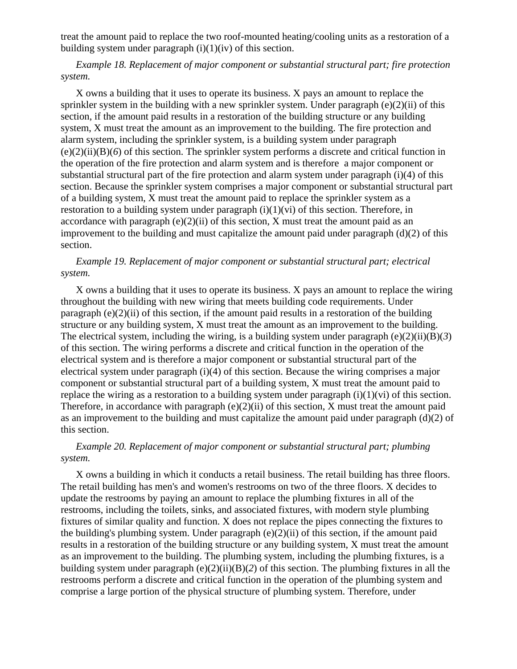treat the amount paid to replace the two roof-mounted heating/cooling units as a restoration of a building system under paragraph  $(i)(1)(iv)$  of this section.

*Example 18. Replacement of major component or substantial structural part; fire protection system.*

X owns a building that it uses to operate its business. X pays an amount to replace the sprinkler system in the building with a new sprinkler system. Under paragraph  $(e)(2)(ii)$  of this section, if the amount paid results in a restoration of the building structure or any building system, X must treat the amount as an improvement to the building. The fire protection and alarm system, including the sprinkler system, is a building system under paragraph (e)(2)(ii)(B)(*6*) of this section. The sprinkler system performs a discrete and critical function in the operation of the fire protection and alarm system and is therefore a major component or substantial structural part of the fire protection and alarm system under paragraph (i)(4) of this section. Because the sprinkler system comprises a major component or substantial structural part of a building system, X must treat the amount paid to replace the sprinkler system as a restoration to a building system under paragraph (i)(1)(vi) of this section. Therefore, in accordance with paragraph  $(e)(2)(ii)$  of this section, X must treat the amount paid as an improvement to the building and must capitalize the amount paid under paragraph (d)(2) of this section.

## *Example 19. Replacement of major component or substantial structural part; electrical system.*

X owns a building that it uses to operate its business. X pays an amount to replace the wiring throughout the building with new wiring that meets building code requirements. Under paragraph  $(e)(2)(ii)$  of this section, if the amount paid results in a restoration of the building structure or any building system, X must treat the amount as an improvement to the building. The electrical system, including the wiring, is a building system under paragraph (e)(2)(ii)(B)(*3*) of this section. The wiring performs a discrete and critical function in the operation of the electrical system and is therefore a major component or substantial structural part of the electrical system under paragraph (i)(4) of this section. Because the wiring comprises a major component or substantial structural part of a building system, X must treat the amount paid to replace the wiring as a restoration to a building system under paragraph  $(i)(1)(vi)$  of this section. Therefore, in accordance with paragraph (e)(2)(ii) of this section, X must treat the amount paid as an improvement to the building and must capitalize the amount paid under paragraph (d)(2) of this section.

## *Example 20. Replacement of major component or substantial structural part; plumbing system.*

X owns a building in which it conducts a retail business. The retail building has three floors. The retail building has men's and women's restrooms on two of the three floors. X decides to update the restrooms by paying an amount to replace the plumbing fixtures in all of the restrooms, including the toilets, sinks, and associated fixtures, with modern style plumbing fixtures of similar quality and function. X does not replace the pipes connecting the fixtures to the building's plumbing system. Under paragraph (e)(2)(ii) of this section, if the amount paid results in a restoration of the building structure or any building system, X must treat the amount as an improvement to the building. The plumbing system, including the plumbing fixtures, is a building system under paragraph (e)(2)(ii)(B)(*2*) of this section. The plumbing fixtures in all the restrooms perform a discrete and critical function in the operation of the plumbing system and comprise a large portion of the physical structure of plumbing system. Therefore, under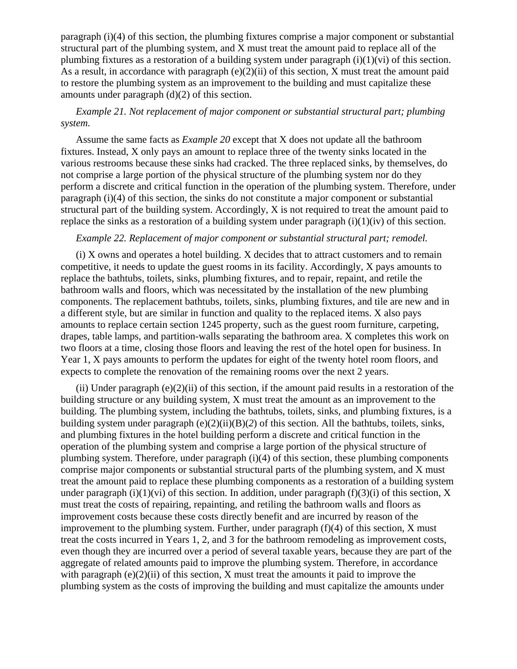paragraph (i)(4) of this section, the plumbing fixtures comprise a major component or substantial structural part of the plumbing system, and X must treat the amount paid to replace all of the plumbing fixtures as a restoration of a building system under paragraph  $(i)(1)(vi)$  of this section. As a result, in accordance with paragraph  $(e)(2)(ii)$  of this section, X must treat the amount paid to restore the plumbing system as an improvement to the building and must capitalize these amounts under paragraph (d)(2) of this section.

# *Example 21. Not replacement of major component or substantial structural part; plumbing system.*

Assume the same facts as *Example 20* except that X does not update all the bathroom fixtures. Instead, X only pays an amount to replace three of the twenty sinks located in the various restrooms because these sinks had cracked. The three replaced sinks, by themselves, do not comprise a large portion of the physical structure of the plumbing system nor do they perform a discrete and critical function in the operation of the plumbing system. Therefore, under paragraph (i)(4) of this section, the sinks do not constitute a major component or substantial structural part of the building system. Accordingly, X is not required to treat the amount paid to replace the sinks as a restoration of a building system under paragraph  $(i)(1)(iv)$  of this section.

## *Example 22. Replacement of major component or substantial structural part; remodel.*

(i) X owns and operates a hotel building. X decides that to attract customers and to remain competitive, it needs to update the guest rooms in its facility. Accordingly, X pays amounts to replace the bathtubs, toilets, sinks, plumbing fixtures, and to repair, repaint, and retile the bathroom walls and floors, which was necessitated by the installation of the new plumbing components. The replacement bathtubs, toilets, sinks, plumbing fixtures, and tile are new and in a different style, but are similar in function and quality to the replaced items. X also pays amounts to replace certain section 1245 property, such as the guest room furniture, carpeting, drapes, table lamps, and partition-walls separating the bathroom area. X completes this work on two floors at a time, closing those floors and leaving the rest of the hotel open for business. In Year 1, X pays amounts to perform the updates for eight of the twenty hotel room floors, and expects to complete the renovation of the remaining rooms over the next 2 years.

(ii) Under paragraph (e)(2)(ii) of this section, if the amount paid results in a restoration of the building structure or any building system, X must treat the amount as an improvement to the building. The plumbing system, including the bathtubs, toilets, sinks, and plumbing fixtures, is a building system under paragraph (e)(2)(ii)(B)(*2*) of this section. All the bathtubs, toilets, sinks, and plumbing fixtures in the hotel building perform a discrete and critical function in the operation of the plumbing system and comprise a large portion of the physical structure of plumbing system. Therefore, under paragraph (i)(4) of this section, these plumbing components comprise major components or substantial structural parts of the plumbing system, and X must treat the amount paid to replace these plumbing components as a restoration of a building system under paragraph (i)(1)(vi) of this section. In addition, under paragraph (f)(3)(i) of this section, X must treat the costs of repairing, repainting, and retiling the bathroom walls and floors as improvement costs because these costs directly benefit and are incurred by reason of the improvement to the plumbing system. Further, under paragraph  $(f)(4)$  of this section, X must treat the costs incurred in Years 1, 2, and 3 for the bathroom remodeling as improvement costs, even though they are incurred over a period of several taxable years, because they are part of the aggregate of related amounts paid to improve the plumbing system. Therefore, in accordance with paragraph  $(e)(2)(ii)$  of this section, X must treat the amounts it paid to improve the plumbing system as the costs of improving the building and must capitalize the amounts under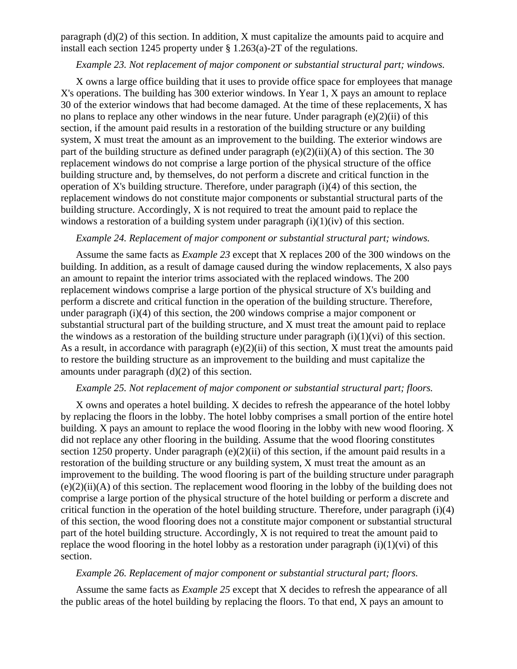paragraph (d)(2) of this section. In addition, X must capitalize the amounts paid to acquire and install each section 1245 property under § 1.263(a)-2T of the regulations.

### *Example 23. Not replacement of major component or substantial structural part; windows.*

X owns a large office building that it uses to provide office space for employees that manage X's operations. The building has 300 exterior windows. In Year 1, X pays an amount to replace 30 of the exterior windows that had become damaged. At the time of these replacements, X has no plans to replace any other windows in the near future. Under paragraph (e)(2)(ii) of this section, if the amount paid results in a restoration of the building structure or any building system, X must treat the amount as an improvement to the building. The exterior windows are part of the building structure as defined under paragraph  $(e)(2)(ii)(A)$  of this section. The 30 replacement windows do not comprise a large portion of the physical structure of the office building structure and, by themselves, do not perform a discrete and critical function in the operation of X's building structure. Therefore, under paragraph  $(i)(4)$  of this section, the replacement windows do not constitute major components or substantial structural parts of the building structure. Accordingly, X is not required to treat the amount paid to replace the windows a restoration of a building system under paragraph  $(i)(1)(iv)$  of this section.

### *Example 24. Replacement of major component or substantial structural part; windows.*

Assume the same facts as *Example 23* except that X replaces 200 of the 300 windows on the building. In addition, as a result of damage caused during the window replacements, X also pays an amount to repaint the interior trims associated with the replaced windows. The 200 replacement windows comprise a large portion of the physical structure of X's building and perform a discrete and critical function in the operation of the building structure. Therefore, under paragraph (i)(4) of this section, the 200 windows comprise a major component or substantial structural part of the building structure, and X must treat the amount paid to replace the windows as a restoration of the building structure under paragraph  $(i)(1)(vi)$  of this section. As a result, in accordance with paragraph  $(e)(2)(ii)$  of this section, X must treat the amounts paid to restore the building structure as an improvement to the building and must capitalize the amounts under paragraph (d)(2) of this section.

#### *Example 25. Not replacement of major component or substantial structural part; floors.*

X owns and operates a hotel building. X decides to refresh the appearance of the hotel lobby by replacing the floors in the lobby. The hotel lobby comprises a small portion of the entire hotel building. X pays an amount to replace the wood flooring in the lobby with new wood flooring. X did not replace any other flooring in the building. Assume that the wood flooring constitutes section 1250 property. Under paragraph (e)(2)(ii) of this section, if the amount paid results in a restoration of the building structure or any building system, X must treat the amount as an improvement to the building. The wood flooring is part of the building structure under paragraph  $(e)(2)(ii)$ (A) of this section. The replacement wood flooring in the lobby of the building does not comprise a large portion of the physical structure of the hotel building or perform a discrete and critical function in the operation of the hotel building structure. Therefore, under paragraph (i)(4) of this section, the wood flooring does not a constitute major component or substantial structural part of the hotel building structure. Accordingly, X is not required to treat the amount paid to replace the wood flooring in the hotel lobby as a restoration under paragraph  $(i)(1)(vi)$  of this section.

### *Example 26. Replacement of major component or substantial structural part; floors.*

Assume the same facts as *Example 25* except that X decides to refresh the appearance of all the public areas of the hotel building by replacing the floors. To that end, X pays an amount to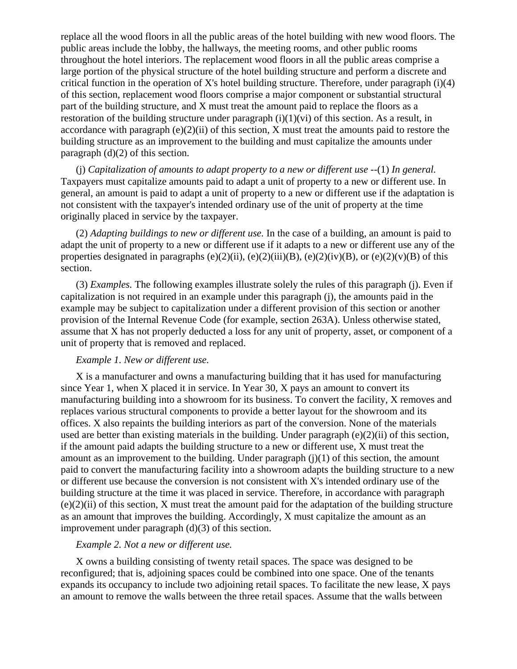replace all the wood floors in all the public areas of the hotel building with new wood floors. The public areas include the lobby, the hallways, the meeting rooms, and other public rooms throughout the hotel interiors. The replacement wood floors in all the public areas comprise a large portion of the physical structure of the hotel building structure and perform a discrete and critical function in the operation of X's hotel building structure. Therefore, under paragraph (i)(4) of this section, replacement wood floors comprise a major component or substantial structural part of the building structure, and X must treat the amount paid to replace the floors as a restoration of the building structure under paragraph  $(i)(1)(vi)$  of this section. As a result, in accordance with paragraph  $(e)(2)(ii)$  of this section, X must treat the amounts paid to restore the building structure as an improvement to the building and must capitalize the amounts under paragraph  $(d)(2)$  of this section.

(j) *Capitalization of amounts to adapt property to a new or different use* --(1) *In general.* Taxpayers must capitalize amounts paid to adapt a unit of property to a new or different use. In general, an amount is paid to adapt a unit of property to a new or different use if the adaptation is not consistent with the taxpayer's intended ordinary use of the unit of property at the time originally placed in service by the taxpayer.

(2) *Adapting buildings to new or different use.* In the case of a building, an amount is paid to adapt the unit of property to a new or different use if it adapts to a new or different use any of the properties designated in paragraphs (e)(2)(ii), (e)(2)(iii)(B), (e)(2)(iv)(B), or (e)(2)(v)(B) of this section.

(3) *Examples.* The following examples illustrate solely the rules of this paragraph (j). Even if capitalization is not required in an example under this paragraph (j), the amounts paid in the example may be subject to capitalization under a different provision of this section or another provision of the Internal Revenue Code (for example, section 263A). Unless otherwise stated, assume that X has not properly deducted a loss for any unit of property, asset, or component of a unit of property that is removed and replaced.

## *Example 1. New or different use.*

X is a manufacturer and owns a manufacturing building that it has used for manufacturing since Year 1, when X placed it in service. In Year 30, X pays an amount to convert its manufacturing building into a showroom for its business. To convert the facility, X removes and replaces various structural components to provide a better layout for the showroom and its offices. X also repaints the building interiors as part of the conversion. None of the materials used are better than existing materials in the building. Under paragraph (e)(2)(ii) of this section, if the amount paid adapts the building structure to a new or different use, X must treat the amount as an improvement to the building. Under paragraph  $(j)(1)$  of this section, the amount paid to convert the manufacturing facility into a showroom adapts the building structure to a new or different use because the conversion is not consistent with X's intended ordinary use of the building structure at the time it was placed in service. Therefore, in accordance with paragraph (e)(2)(ii) of this section, X must treat the amount paid for the adaptation of the building structure as an amount that improves the building. Accordingly, X must capitalize the amount as an improvement under paragraph (d)(3) of this section.

# *Example 2. Not a new or different use.*

X owns a building consisting of twenty retail spaces. The space was designed to be reconfigured; that is, adjoining spaces could be combined into one space. One of the tenants expands its occupancy to include two adjoining retail spaces. To facilitate the new lease, X pays an amount to remove the walls between the three retail spaces. Assume that the walls between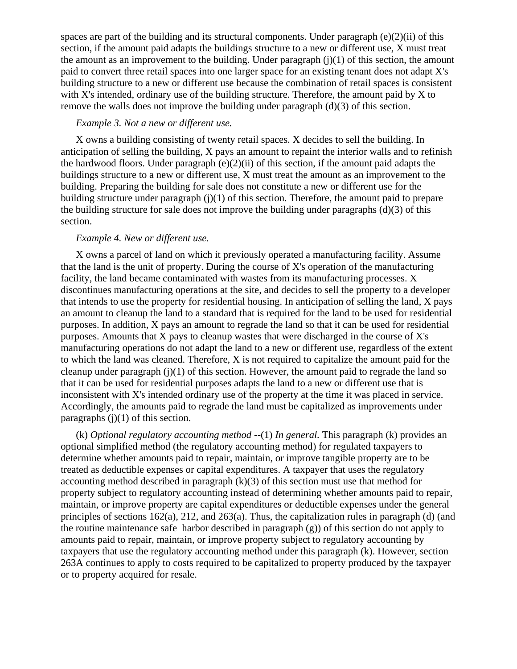spaces are part of the building and its structural components. Under paragraph  $(e)(2)(ii)$  of this section, if the amount paid adapts the buildings structure to a new or different use, X must treat the amount as an improvement to the building. Under paragraph  $(j)(1)$  of this section, the amount paid to convert three retail spaces into one larger space for an existing tenant does not adapt X's building structure to a new or different use because the combination of retail spaces is consistent with X's intended, ordinary use of the building structure. Therefore, the amount paid by X to remove the walls does not improve the building under paragraph (d)(3) of this section.

### *Example 3. Not a new or different use.*

X owns a building consisting of twenty retail spaces. X decides to sell the building. In anticipation of selling the building, X pays an amount to repaint the interior walls and to refinish the hardwood floors. Under paragraph  $(e)(2)(ii)$  of this section, if the amount paid adapts the buildings structure to a new or different use, X must treat the amount as an improvement to the building. Preparing the building for sale does not constitute a new or different use for the building structure under paragraph (j)(1) of this section. Therefore, the amount paid to prepare the building structure for sale does not improve the building under paragraphs  $(d)(3)$  of this section.

## *Example 4. New or different use.*

X owns a parcel of land on which it previously operated a manufacturing facility. Assume that the land is the unit of property. During the course of X's operation of the manufacturing facility, the land became contaminated with wastes from its manufacturing processes. X discontinues manufacturing operations at the site, and decides to sell the property to a developer that intends to use the property for residential housing. In anticipation of selling the land, X pays an amount to cleanup the land to a standard that is required for the land to be used for residential purposes. In addition, X pays an amount to regrade the land so that it can be used for residential purposes. Amounts that X pays to cleanup wastes that were discharged in the course of X's manufacturing operations do not adapt the land to a new or different use, regardless of the extent to which the land was cleaned. Therefore, X is not required to capitalize the amount paid for the cleanup under paragraph  $(j)(1)$  of this section. However, the amount paid to regrade the land so that it can be used for residential purposes adapts the land to a new or different use that is inconsistent with X's intended ordinary use of the property at the time it was placed in service. Accordingly, the amounts paid to regrade the land must be capitalized as improvements under paragraphs  $(j)(1)$  of this section.

(k) *Optional regulatory accounting method* --(1) *In general.* This paragraph (k) provides an optional simplified method (the regulatory accounting method) for regulated taxpayers to determine whether amounts paid to repair, maintain, or improve tangible property are to be treated as deductible expenses or capital expenditures. A taxpayer that uses the regulatory accounting method described in paragraph (k)(3) of this section must use that method for property subject to regulatory accounting instead of determining whether amounts paid to repair, maintain, or improve property are capital expenditures or deductible expenses under the general principles of sections 162(a), 212, and 263(a). Thus, the capitalization rules in paragraph (d) (and the routine maintenance safe harbor described in paragraph (g)) of this section do not apply to amounts paid to repair, maintain, or improve property subject to regulatory accounting by taxpayers that use the regulatory accounting method under this paragraph (k). However, section 263A continues to apply to costs required to be capitalized to property produced by the taxpayer or to property acquired for resale.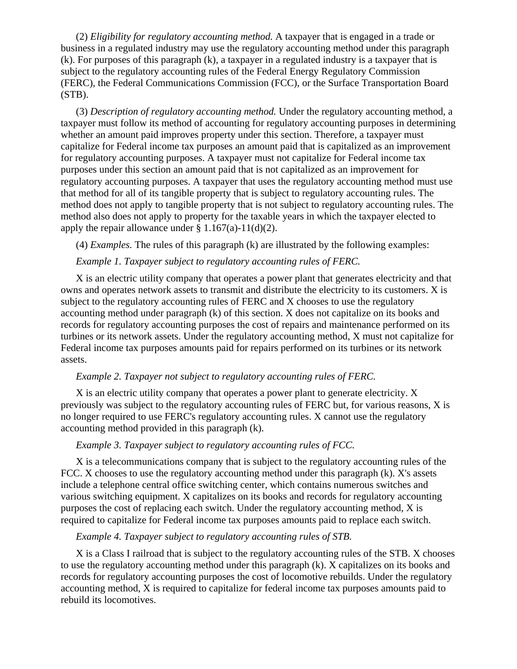(2) *Eligibility for regulatory accounting method.* A taxpayer that is engaged in a trade or business in a regulated industry may use the regulatory accounting method under this paragraph (k). For purposes of this paragraph (k), a taxpayer in a regulated industry is a taxpayer that is subject to the regulatory accounting rules of the Federal Energy Regulatory Commission (FERC), the Federal Communications Commission (FCC), or the Surface Transportation Board (STB).

(3) *Description of regulatory accounting method.* Under the regulatory accounting method, a taxpayer must follow its method of accounting for regulatory accounting purposes in determining whether an amount paid improves property under this section. Therefore, a taxpayer must capitalize for Federal income tax purposes an amount paid that is capitalized as an improvement for regulatory accounting purposes. A taxpayer must not capitalize for Federal income tax purposes under this section an amount paid that is not capitalized as an improvement for regulatory accounting purposes. A taxpayer that uses the regulatory accounting method must use that method for all of its tangible property that is subject to regulatory accounting rules. The method does not apply to tangible property that is not subject to regulatory accounting rules. The method also does not apply to property for the taxable years in which the taxpayer elected to apply the repair allowance under  $\S 1.167(a)-11(d)(2)$ .

(4) *Examples.* The rules of this paragraph (k) are illustrated by the following examples:

## *Example 1. Taxpayer subject to regulatory accounting rules of FERC.*

X is an electric utility company that operates a power plant that generates electricity and that owns and operates network assets to transmit and distribute the electricity to its customers. X is subject to the regulatory accounting rules of FERC and X chooses to use the regulatory accounting method under paragraph (k) of this section. X does not capitalize on its books and records for regulatory accounting purposes the cost of repairs and maintenance performed on its turbines or its network assets. Under the regulatory accounting method, X must not capitalize for Federal income tax purposes amounts paid for repairs performed on its turbines or its network assets.

## *Example 2. Taxpayer not subject to regulatory accounting rules of FERC.*

X is an electric utility company that operates a power plant to generate electricity. X previously was subject to the regulatory accounting rules of FERC but, for various reasons, X is no longer required to use FERC's regulatory accounting rules. X cannot use the regulatory accounting method provided in this paragraph (k).

# *Example 3. Taxpayer subject to regulatory accounting rules of FCC.*

X is a telecommunications company that is subject to the regulatory accounting rules of the FCC. X chooses to use the regulatory accounting method under this paragraph (k). X's assets include a telephone central office switching center, which contains numerous switches and various switching equipment. X capitalizes on its books and records for regulatory accounting purposes the cost of replacing each switch. Under the regulatory accounting method, X is required to capitalize for Federal income tax purposes amounts paid to replace each switch.

#### *Example 4. Taxpayer subject to regulatory accounting rules of STB.*

X is a Class I railroad that is subject to the regulatory accounting rules of the STB. X chooses to use the regulatory accounting method under this paragraph (k). X capitalizes on its books and records for regulatory accounting purposes the cost of locomotive rebuilds. Under the regulatory accounting method, X is required to capitalize for federal income tax purposes amounts paid to rebuild its locomotives.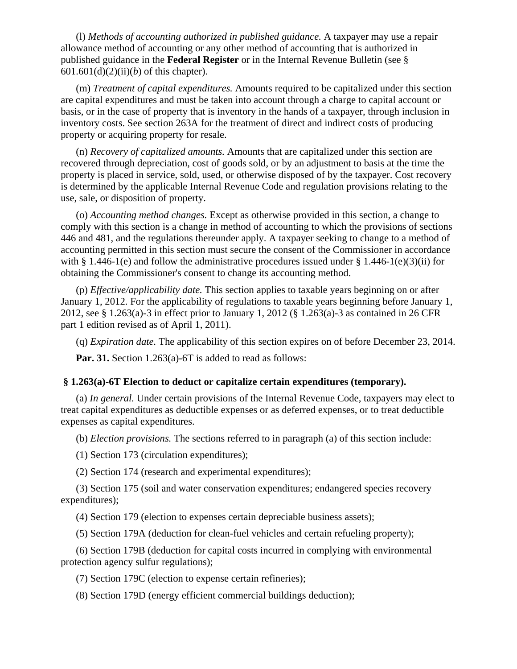(l) *Methods of accounting authorized in published guidance.* A taxpayer may use a repair allowance method of accounting or any other method of accounting that is authorized in published guidance in the **Federal Register** or in the Internal Revenue Bulletin (see § 601.601(d)(2)(ii)(*b*) of this chapter).

(m) *Treatment of capital expenditures.* Amounts required to be capitalized under this section are capital expenditures and must be taken into account through a charge to capital account or basis, or in the case of property that is inventory in the hands of a taxpayer, through inclusion in inventory costs. See section 263A for the treatment of direct and indirect costs of producing property or acquiring property for resale.

(n) *Recovery of capitalized amounts.* Amounts that are capitalized under this section are recovered through depreciation, cost of goods sold, or by an adjustment to basis at the time the property is placed in service, sold, used, or otherwise disposed of by the taxpayer. Cost recovery is determined by the applicable Internal Revenue Code and regulation provisions relating to the use, sale, or disposition of property.

(o) *Accounting method changes.* Except as otherwise provided in this section, a change to comply with this section is a change in method of accounting to which the provisions of sections 446 and 481, and the regulations thereunder apply. A taxpayer seeking to change to a method of accounting permitted in this section must secure the consent of the Commissioner in accordance with § 1.446-1(e) and follow the administrative procedures issued under § 1.446-1(e)(3)(ii) for obtaining the Commissioner's consent to change its accounting method.

(p) *Effective/applicability date.* This section applies to taxable years beginning on or after January 1, 2012. For the applicability of regulations to taxable years beginning before January 1, 2012, see § 1.263(a)-3 in effect prior to January 1, 2012 (§ 1.263(a)-3 as contained in 26 CFR part 1 edition revised as of April 1, 2011).

(q) *Expiration date.* The applicability of this section expires on of before December 23, 2014.

**Par. 31.** Section 1.263(a)-6T is added to read as follows:

#### **§ 1.263(a)-6T Election to deduct or capitalize certain expenditures (temporary).**

(a) *In general.* Under certain provisions of the Internal Revenue Code, taxpayers may elect to treat capital expenditures as deductible expenses or as deferred expenses, or to treat deductible expenses as capital expenditures.

(b) *Election provisions.* The sections referred to in paragraph (a) of this section include:

(1) Section 173 (circulation expenditures);

(2) Section 174 (research and experimental expenditures);

(3) Section 175 (soil and water conservation expenditures; endangered species recovery expenditures);

(4) Section 179 (election to expenses certain depreciable business assets);

(5) Section 179A (deduction for clean-fuel vehicles and certain refueling property);

(6) Section 179B (deduction for capital costs incurred in complying with environmental protection agency sulfur regulations);

(7) Section 179C (election to expense certain refineries);

(8) Section 179D (energy efficient commercial buildings deduction);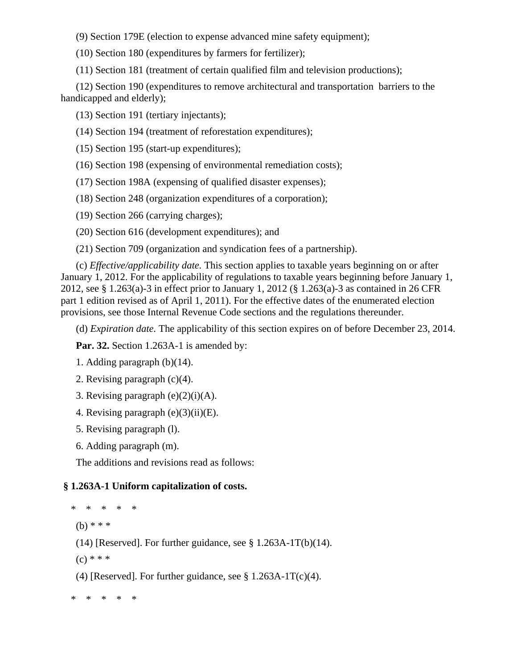(9) Section 179E (election to expense advanced mine safety equipment);

(10) Section 180 (expenditures by farmers for fertilizer);

(11) Section 181 (treatment of certain qualified film and television productions);

(12) Section 190 (expenditures to remove architectural and transportation barriers to the handicapped and elderly);

(13) Section 191 (tertiary injectants);

(14) Section 194 (treatment of reforestation expenditures);

(15) Section 195 (start-up expenditures);

(16) Section 198 (expensing of environmental remediation costs);

(17) Section 198A (expensing of qualified disaster expenses);

(18) Section 248 (organization expenditures of a corporation);

(19) Section 266 (carrying charges);

(20) Section 616 (development expenditures); and

(21) Section 709 (organization and syndication fees of a partnership).

(c) *Effective/applicability date.* This section applies to taxable years beginning on or after January 1, 2012. For the applicability of regulations to taxable years beginning before January 1, 2012, see § 1.263(a)-3 in effect prior to January 1, 2012 (§ 1.263(a)-3 as contained in 26 CFR part 1 edition revised as of April 1, 2011). For the effective dates of the enumerated election provisions, see those Internal Revenue Code sections and the regulations thereunder.

(d) *Expiration date.* The applicability of this section expires on of before December 23, 2014.

Par. 32. Section 1.263A-1 is amended by:

```
1. Adding paragraph (b)(14).
```
2. Revising paragraph (c)(4).

3. Revising paragraph  $(e)(2)(i)(A)$ .

4. Revising paragraph  $(e)(3)(ii)(E)$ .

5. Revising paragraph (l).

6. Adding paragraph (m).

The additions and revisions read as follows:

# **§ 1.263A-1 Uniform capitalization of costs.**

\* \* \* \* \*

(b) \* \* \*

(14) [Reserved]. For further guidance, see  $\S 1.263A-1T(b)(14)$ .

 $(c) * * *$ 

(4) [Reserved]. For further guidance, see  $\S 1.263A-1T(c)(4)$ .

\* \* \* \* \*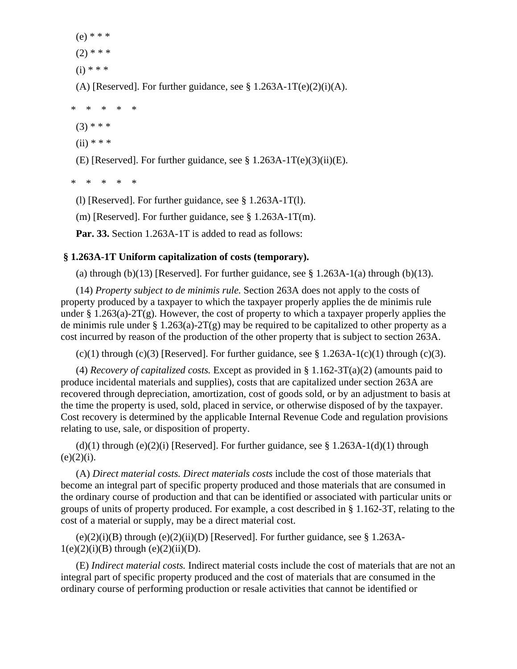(e) \* \* \*  $(2)$  \* \* \*

 $(i) * * *$ 

(A) [Reserved]. For further guidance, see  $\S 1.263A-1T(e)(2)(i)(A)$ .

\* \* \* \* \*

 $(3)$  \* \* \*

 $(ii)$  \* \* \*

(E) [Reserved]. For further guidance, see  $\S 1.263A-1T(e)(3)(ii)(E)$ .

\* \* \* \* \*

(l) [Reserved]. For further guidance, see § 1.263A-1T(l).

(m) [Reserved]. For further guidance, see § 1.263A-1T(m).

**Par. 33.** Section 1.263A-1T is added to read as follows:

# **§ 1.263A-1T Uniform capitalization of costs (temporary).**

(a) through (b)(13) [Reserved]. For further guidance, see  $\S 1.263A-1(a)$  through (b)(13).

(14) *Property subject to de minimis rule.* Section 263A does not apply to the costs of property produced by a taxpayer to which the taxpayer properly applies the de minimis rule under § 1.263(a)-2T(g). However, the cost of property to which a taxpayer properly applies the de minimis rule under  $\S 1.263(a)-2T(g)$  may be required to be capitalized to other property as a cost incurred by reason of the production of the other property that is subject to section 263A.

 $(c)(1)$  through  $(c)(3)$  [Reserved]. For further guidance, see § 1.263A-1(c)(1) through (c)(3).

(4) *Recovery of capitalized costs.* Except as provided in § 1.162-3T(a)(2) (amounts paid to produce incidental materials and supplies), costs that are capitalized under section 263A are recovered through depreciation, amortization, cost of goods sold, or by an adjustment to basis at the time the property is used, sold, placed in service, or otherwise disposed of by the taxpayer. Cost recovery is determined by the applicable Internal Revenue Code and regulation provisions relating to use, sale, or disposition of property.

(d)(1) through (e)(2)(i) [Reserved]. For further guidance, see  $\S 1.263A-1(d)(1)$  through  $(e)(2)(i)$ .

(A) *Direct material costs. Direct materials costs* include the cost of those materials that become an integral part of specific property produced and those materials that are consumed in the ordinary course of production and that can be identified or associated with particular units or groups of units of property produced. For example, a cost described in § 1.162-3T, relating to the cost of a material or supply, may be a direct material cost.

 $(e)(2)(i)(B)$  through  $(e)(2)(ii)(D)$  [Reserved]. For further guidance, see § 1.263A- $1(e)(2)(i)(B)$  through  $(e)(2)(ii)(D)$ .

(E) *Indirect material costs.* Indirect material costs include the cost of materials that are not an integral part of specific property produced and the cost of materials that are consumed in the ordinary course of performing production or resale activities that cannot be identified or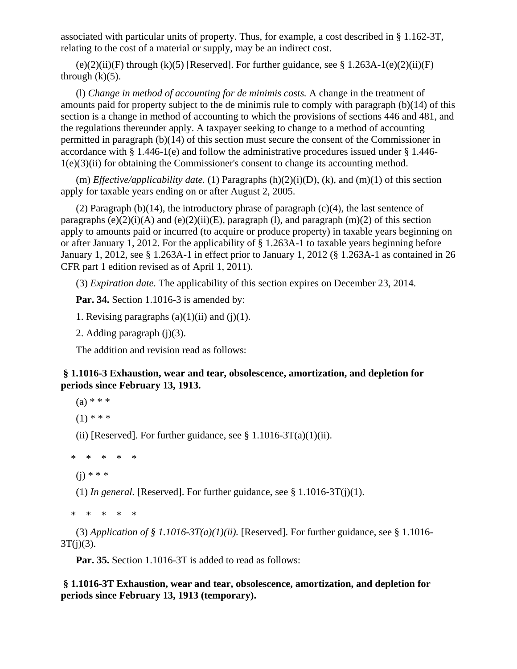associated with particular units of property. Thus, for example, a cost described in § 1.162-3T, relating to the cost of a material or supply, may be an indirect cost.

 $(e)(2)(ii)(F)$  through  $(k)(5)$  [Reserved]. For further guidance, see § 1.263A-1 $(e)(2)(ii)(F)$ through  $(k)(5)$ .

(l) *Change in method of accounting for de minimis costs.* A change in the treatment of amounts paid for property subject to the de minimis rule to comply with paragraph (b)(14) of this section is a change in method of accounting to which the provisions of sections 446 and 481, and the regulations thereunder apply. A taxpayer seeking to change to a method of accounting permitted in paragraph (b)(14) of this section must secure the consent of the Commissioner in accordance with § 1.446-1(e) and follow the administrative procedures issued under § 1.446- 1(e)(3)(ii) for obtaining the Commissioner's consent to change its accounting method.

(m) *Effective/applicability date.* (1) Paragraphs (h)(2)(i)(D), (k), and (m)(1) of this section apply for taxable years ending on or after August 2, 2005.

(2) Paragraph (b)(14), the introductory phrase of paragraph (c)(4), the last sentence of paragraphs  $(e)(2)(i)(A)$  and  $(e)(2)(ii)(E)$ , paragraph  $(l)$ , and paragraph  $(m)(2)$  of this section apply to amounts paid or incurred (to acquire or produce property) in taxable years beginning on or after January 1, 2012. For the applicability of § 1.263A-1 to taxable years beginning before January 1, 2012, see § 1.263A-1 in effect prior to January 1, 2012 (§ 1.263A-1 as contained in 26 CFR part 1 edition revised as of April 1, 2011).

(3) *Expiration date.* The applicability of this section expires on December 23, 2014.

**Par. 34.** Section 1.1016-3 is amended by:

1. Revising paragraphs  $(a)(1)(ii)$  and  $(j)(1)$ .

2. Adding paragraph (j)(3).

The addition and revision read as follows:

## **§ 1.1016-3 Exhaustion, wear and tear, obsolescence, amortization, and depletion for periods since February 13, 1913.**

 $(a) * * *$ 

 $(1)$  \* \* \*

(ii) [Reserved]. For further guidance, see  $\S 1.1016-3T(a)(1)(ii)$ .

\* \* \* \* \*

 $(i) * * * *$ 

(1) *In general.* [Reserved]. For further guidance, see  $\S$  1.1016-3T(j)(1).

\* \* \* \* \*

(3) *Application of § 1.1016-3T(a)(1)(ii).* [Reserved]. For further guidance, see § 1.1016- $3T(j)(3)$ .

**Par. 35.** Section 1.1016-3T is added to read as follows:

 **§ 1.1016-3T Exhaustion, wear and tear, obsolescence, amortization, and depletion for periods since February 13, 1913 (temporary).**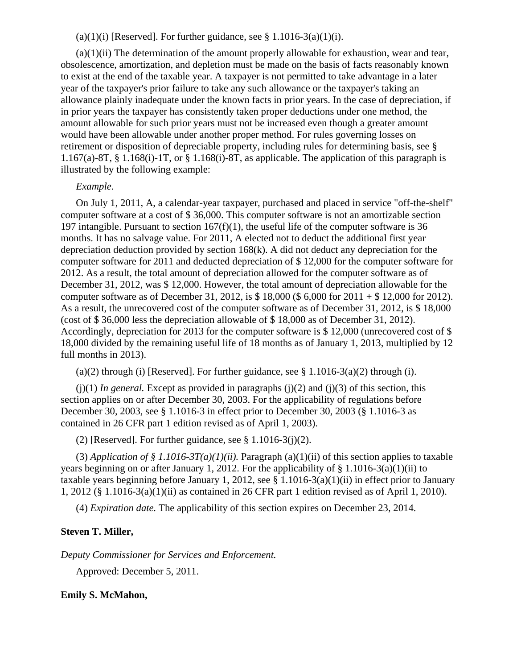(a)(1)(i) [Reserved]. For further guidance, see  $\S 1.1016-3(a)(1)(i)$ .

 $(a)(1)(ii)$  The determination of the amount properly allowable for exhaustion, wear and tear, obsolescence, amortization, and depletion must be made on the basis of facts reasonably known to exist at the end of the taxable year. A taxpayer is not permitted to take advantage in a later year of the taxpayer's prior failure to take any such allowance or the taxpayer's taking an allowance plainly inadequate under the known facts in prior years. In the case of depreciation, if in prior years the taxpayer has consistently taken proper deductions under one method, the amount allowable for such prior years must not be increased even though a greater amount would have been allowable under another proper method. For rules governing losses on retirement or disposition of depreciable property, including rules for determining basis, see § 1.167(a)-8T, § 1.168(i)-1T, or § 1.168(i)-8T, as applicable. The application of this paragraph is illustrated by the following example:

## *Example.*

On July 1, 2011, A, a calendar-year taxpayer, purchased and placed in service "off-the-shelf" computer software at a cost of \$ 36,000. This computer software is not an amortizable section 197 intangible. Pursuant to section  $167(f)(1)$ , the useful life of the computer software is 36 months. It has no salvage value. For 2011, A elected not to deduct the additional first year depreciation deduction provided by section 168(k). A did not deduct any depreciation for the computer software for 2011 and deducted depreciation of \$ 12,000 for the computer software for 2012. As a result, the total amount of depreciation allowed for the computer software as of December 31, 2012, was \$ 12,000. However, the total amount of depreciation allowable for the computer software as of December 31, 2012, is \$ 18,000 (\$ 6,000 for 2011 + \$ 12,000 for 2012). As a result, the unrecovered cost of the computer software as of December 31, 2012, is \$ 18,000 (cost of \$ 36,000 less the depreciation allowable of \$ 18,000 as of December 31, 2012). Accordingly, depreciation for 2013 for the computer software is \$ 12,000 (unrecovered cost of \$ 18,000 divided by the remaining useful life of 18 months as of January 1, 2013, multiplied by 12 full months in 2013).

(a)(2) through (i) [Reserved]. For further guidance, see  $\S 1.1016-3(a)(2)$  through (i).

 $(j)(1)$  *In general.* Except as provided in paragraphs  $(j)(2)$  and  $(j)(3)$  of this section, this section applies on or after December 30, 2003. For the applicability of regulations before December 30, 2003, see § 1.1016-3 in effect prior to December 30, 2003 (§ 1.1016-3 as contained in 26 CFR part 1 edition revised as of April 1, 2003).

(2) [Reserved]. For further guidance, see  $\S 1.1016-3(i)(2)$ .

(3) *Application of § 1.1016-3T(a)(1)(ii)*. Paragraph (a)(1)(ii) of this section applies to taxable years beginning on or after January 1, 2012. For the applicability of § 1.1016-3(a)(1)(ii) to taxable years beginning before January 1, 2012, see § 1.1016-3(a)(1)(ii) in effect prior to January 1, 2012 (§ 1.1016-3(a)(1)(ii) as contained in 26 CFR part 1 edition revised as of April 1, 2010).

(4) *Expiration date.* The applicability of this section expires on December 23, 2014.

## **Steven T. Miller,**

*Deputy Commissioner for Services and Enforcement.*

Approved: December 5, 2011.

## **Emily S. McMahon,**